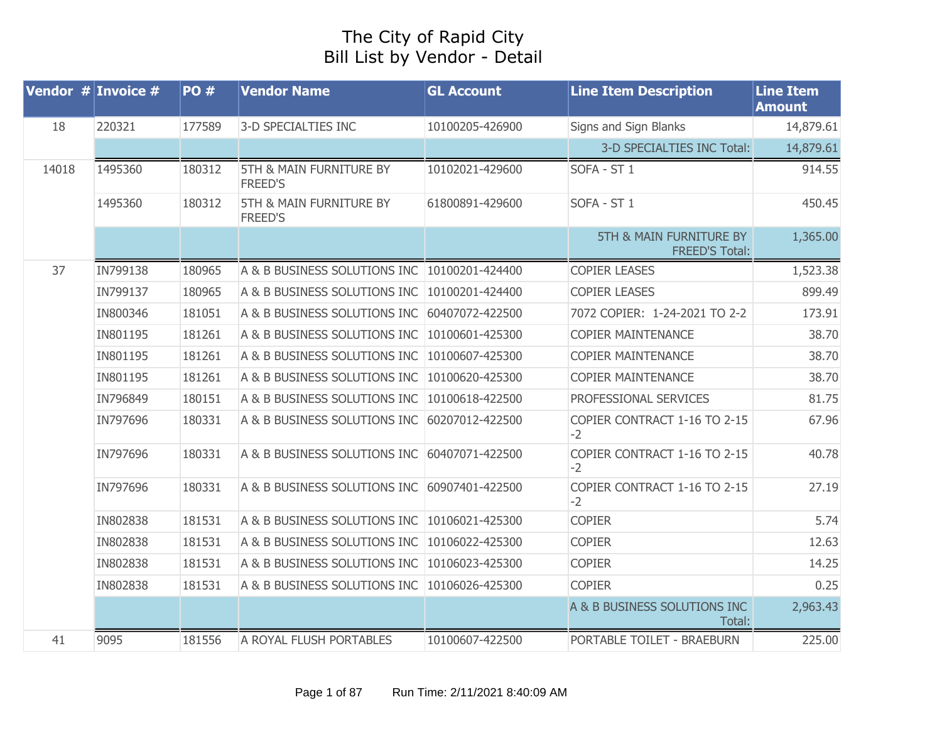## The City of Rapid City Bill List by Vendor - Detail

| Vendor $#$ Invoice $#$ |          | <b>PO#</b> | <b>Vendor Name</b>                                   | <b>GL Account</b> | <b>Line Item Description</b>                                | <b>Line Item</b><br><b>Amount</b> |
|------------------------|----------|------------|------------------------------------------------------|-------------------|-------------------------------------------------------------|-----------------------------------|
| 18                     | 220321   | 177589     | 3-D SPECIALTIES INC                                  | 10100205-426900   | Signs and Sign Blanks                                       | 14,879.61                         |
|                        |          |            |                                                      |                   | 3-D SPECIALTIES INC Total:                                  | 14,879.61                         |
| 14018                  | 1495360  | 180312     | <b>5TH &amp; MAIN FURNITURE BY</b><br><b>FREED'S</b> | 10102021-429600   | SOFA - ST 1                                                 | 914.55                            |
|                        | 1495360  | 180312     | 5TH & MAIN FURNITURE BY<br><b>FREED'S</b>            | 61800891-429600   | SOFA - ST 1                                                 | 450.45                            |
|                        |          |            |                                                      |                   | <b>5TH &amp; MAIN FURNITURE BY</b><br><b>FREED'S Total:</b> | 1,365.00                          |
| 37                     | IN799138 | 180965     | A & B BUSINESS SOLUTIONS INC 10100201-424400         |                   | <b>COPIER LEASES</b>                                        | 1,523.38                          |
|                        | IN799137 | 180965     | A & B BUSINESS SOLUTIONS INC                         | 10100201-424400   | <b>COPIER LEASES</b>                                        | 899.49                            |
|                        | IN800346 | 181051     | A & B BUSINESS SOLUTIONS INC                         | 60407072-422500   | 7072 COPIER: 1-24-2021 TO 2-2                               | 173.91                            |
|                        | IN801195 | 181261     | A & B BUSINESS SOLUTIONS INC                         | 10100601-425300   | <b>COPIER MAINTENANCE</b>                                   | 38.70                             |
|                        | IN801195 | 181261     | A & B BUSINESS SOLUTIONS INC                         | 10100607-425300   | <b>COPIER MAINTENANCE</b>                                   | 38.70                             |
|                        | IN801195 | 181261     | A & B BUSINESS SOLUTIONS INC                         | 10100620-425300   | <b>COPIER MAINTENANCE</b>                                   | 38.70                             |
|                        | IN796849 | 180151     | A & B BUSINESS SOLUTIONS INC                         | 10100618-422500   | PROFESSIONAL SERVICES                                       | 81.75                             |
|                        | IN797696 | 180331     | A & B BUSINESS SOLUTIONS INC                         | 60207012-422500   | COPIER CONTRACT 1-16 TO 2-15<br>$-2$                        | 67.96                             |
|                        | IN797696 | 180331     | A & B BUSINESS SOLUTIONS INC                         | 60407071-422500   | COPIER CONTRACT 1-16 TO 2-15<br>$-2$                        | 40.78                             |
|                        | IN797696 | 180331     | A & B BUSINESS SOLUTIONS INC                         | 60907401-422500   | COPIER CONTRACT 1-16 TO 2-15<br>$-2$                        | 27.19                             |
|                        | IN802838 | 181531     | A & B BUSINESS SOLUTIONS INC                         | 10106021-425300   | <b>COPIER</b>                                               | 5.74                              |
|                        | IN802838 | 181531     | A & B BUSINESS SOLUTIONS INC                         | 10106022-425300   | <b>COPIER</b>                                               | 12.63                             |
|                        | IN802838 | 181531     | A & B BUSINESS SOLUTIONS INC                         | 10106023-425300   | <b>COPIER</b>                                               | 14.25                             |
|                        | IN802838 | 181531     | A & B BUSINESS SOLUTIONS INC                         | 10106026-425300   | <b>COPIER</b>                                               | 0.25                              |
|                        |          |            |                                                      |                   | A & B BUSINESS SOLUTIONS INC<br>Total:                      | 2,963.43                          |
| 41                     | 9095     | 181556     | A ROYAL FLUSH PORTABLES                              | 10100607-422500   | PORTABLE TOILET - BRAEBURN                                  | 225.00                            |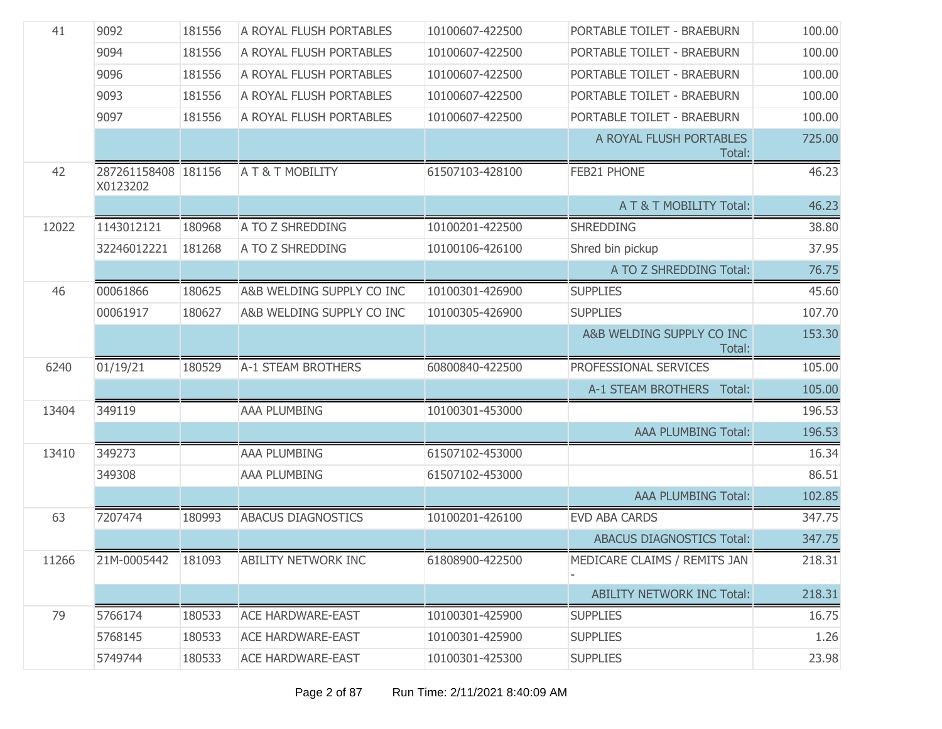| 41    | 9092                            | 181556 | A ROYAL FLUSH PORTABLES     | 10100607-422500 | PORTABLE TOILET - BRAEBURN          | 100.00 |
|-------|---------------------------------|--------|-----------------------------|-----------------|-------------------------------------|--------|
|       | 9094                            | 181556 | A ROYAL FLUSH PORTABLES     | 10100607-422500 | PORTABLE TOILET - BRAEBURN          | 100.00 |
|       | 9096                            | 181556 | A ROYAL FLUSH PORTABLES     | 10100607-422500 | PORTABLE TOILET - BRAEBURN          | 100.00 |
|       | 9093                            | 181556 | A ROYAL FLUSH PORTABLES     | 10100607-422500 | PORTABLE TOILET - BRAEBURN          | 100.00 |
|       | 9097                            | 181556 | A ROYAL FLUSH PORTABLES     | 10100607-422500 | PORTABLE TOILET - BRAEBURN          | 100.00 |
|       |                                 |        |                             |                 | A ROYAL FLUSH PORTABLES<br>Total:   | 725.00 |
| 42    | 287261158408 181156<br>X0123202 |        | <b>A T &amp; T MOBILITY</b> | 61507103-428100 | FEB21 PHONE                         | 46.23  |
|       |                                 |        |                             |                 | A T & T MOBILITY Total:             | 46.23  |
| 12022 | 1143012121                      | 180968 | A TO Z SHREDDING            | 10100201-422500 | <b>SHREDDING</b>                    | 38.80  |
|       | 32246012221                     | 181268 | A TO Z SHREDDING            | 10100106-426100 | Shred bin pickup                    | 37.95  |
|       |                                 |        |                             |                 | A TO Z SHREDDING Total:             | 76.75  |
| 46    | 00061866                        | 180625 | A&B WELDING SUPPLY CO INC   | 10100301-426900 | <b>SUPPLIES</b>                     | 45.60  |
|       | 00061917                        | 180627 | A&B WELDING SUPPLY CO INC   | 10100305-426900 | <b>SUPPLIES</b>                     | 107.70 |
|       |                                 |        |                             |                 | A&B WELDING SUPPLY CO INC<br>Total: | 153.30 |
| 6240  | 01/19/21                        | 180529 | <b>A-1 STEAM BROTHERS</b>   | 60800840-422500 | PROFESSIONAL SERVICES               | 105.00 |
|       |                                 |        |                             |                 | A-1 STEAM BROTHERS Total:           | 105.00 |
| 13404 | 349119                          |        | <b>AAA PLUMBING</b>         | 10100301-453000 |                                     | 196.53 |
|       |                                 |        |                             |                 | <b>AAA PLUMBING Total:</b>          | 196.53 |
| 13410 | 349273                          |        | <b>AAA PLUMBING</b>         | 61507102-453000 |                                     | 16.34  |
|       | 349308                          |        | AAA PLUMBING                | 61507102-453000 |                                     | 86.51  |
|       |                                 |        |                             |                 | <b>AAA PLUMBING Total:</b>          | 102.85 |
| 63    | 7207474                         | 180993 | <b>ABACUS DIAGNOSTICS</b>   | 10100201-426100 | <b>EVD ABA CARDS</b>                | 347.75 |
|       |                                 |        |                             |                 | <b>ABACUS DIAGNOSTICS Total:</b>    | 347.75 |
| 11266 | 21M-0005442 181093              |        | <b>ABILITY NETWORK INC</b>  | 61808900-422500 | MEDICARE CLAIMS / REMITS JAN        | 218.31 |
|       |                                 |        |                             |                 | <b>ABILITY NETWORK INC Total:</b>   | 218.31 |
| 79    | 5766174                         | 180533 | <b>ACE HARDWARE-EAST</b>    | 10100301-425900 | <b>SUPPLIES</b>                     | 16.75  |
|       | 5768145                         | 180533 | <b>ACE HARDWARE-EAST</b>    | 10100301-425900 | <b>SUPPLIES</b>                     | 1.26   |
|       | 5749744                         | 180533 | <b>ACE HARDWARE-EAST</b>    | 10100301-425300 | <b>SUPPLIES</b>                     | 23.98  |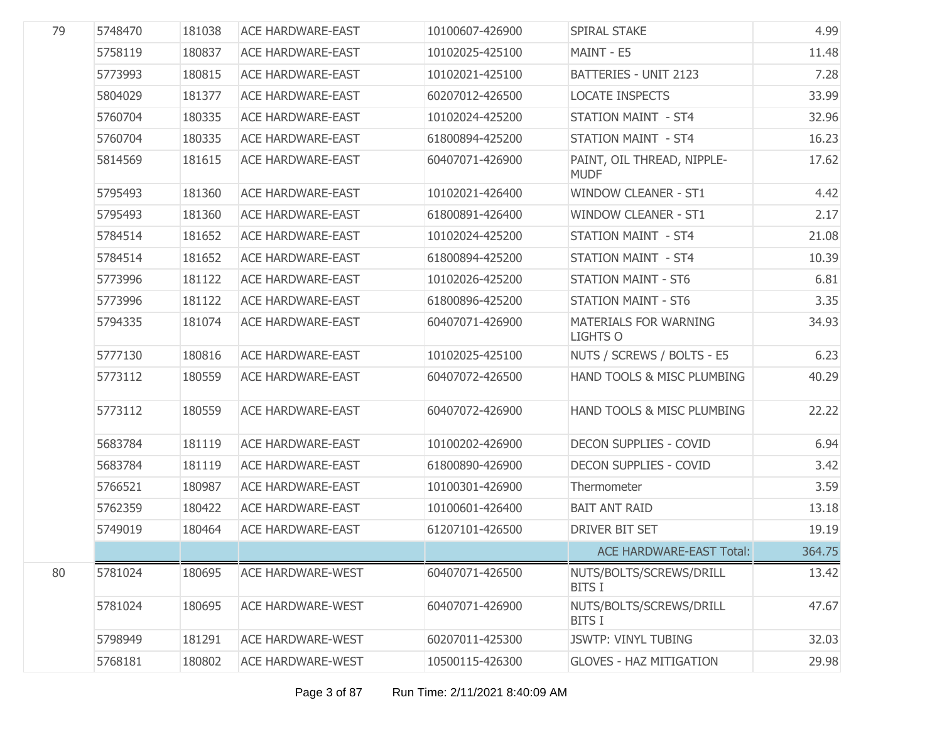| 79 | 5748470 | 181038 | <b>ACE HARDWARE-EAST</b> | 10100607-426900 | SPIRAL STAKE                                    | 4.99   |
|----|---------|--------|--------------------------|-----------------|-------------------------------------------------|--------|
|    | 5758119 | 180837 | <b>ACE HARDWARE-EAST</b> | 10102025-425100 | MAINT - E5                                      | 11.48  |
|    | 5773993 | 180815 | <b>ACE HARDWARE-EAST</b> | 10102021-425100 | <b>BATTERIES - UNIT 2123</b>                    | 7.28   |
|    | 5804029 | 181377 | <b>ACE HARDWARE-EAST</b> | 60207012-426500 | <b>LOCATE INSPECTS</b>                          | 33.99  |
|    | 5760704 | 180335 | <b>ACE HARDWARE-EAST</b> | 10102024-425200 | <b>STATION MAINT - ST4</b>                      | 32.96  |
|    | 5760704 | 180335 | <b>ACE HARDWARE-EAST</b> | 61800894-425200 | <b>STATION MAINT - ST4</b>                      | 16.23  |
|    | 5814569 | 181615 | <b>ACE HARDWARE-EAST</b> | 60407071-426900 | PAINT, OIL THREAD, NIPPLE-<br><b>MUDF</b>       | 17.62  |
|    | 5795493 | 181360 | <b>ACE HARDWARE-EAST</b> | 10102021-426400 | <b>WINDOW CLEANER - ST1</b>                     | 4.42   |
|    | 5795493 | 181360 | <b>ACE HARDWARE-EAST</b> | 61800891-426400 | <b>WINDOW CLEANER - ST1</b>                     | 2.17   |
|    | 5784514 | 181652 | <b>ACE HARDWARE-EAST</b> | 10102024-425200 | <b>STATION MAINT - ST4</b>                      | 21.08  |
|    | 5784514 | 181652 | <b>ACE HARDWARE-EAST</b> | 61800894-425200 | <b>STATION MAINT - ST4</b>                      | 10.39  |
|    | 5773996 | 181122 | <b>ACE HARDWARE-EAST</b> | 10102026-425200 | <b>STATION MAINT - ST6</b>                      | 6.81   |
|    | 5773996 | 181122 | <b>ACE HARDWARE-EAST</b> | 61800896-425200 | <b>STATION MAINT - ST6</b>                      | 3.35   |
|    | 5794335 | 181074 | <b>ACE HARDWARE-EAST</b> | 60407071-426900 | <b>MATERIALS FOR WARNING</b><br><b>LIGHTS O</b> | 34.93  |
|    | 5777130 | 180816 | <b>ACE HARDWARE-EAST</b> | 10102025-425100 | NUTS / SCREWS / BOLTS - E5                      | 6.23   |
|    | 5773112 | 180559 | <b>ACE HARDWARE-EAST</b> | 60407072-426500 | HAND TOOLS & MISC PLUMBING                      | 40.29  |
|    | 5773112 | 180559 | <b>ACE HARDWARE-EAST</b> | 60407072-426900 | HAND TOOLS & MISC PLUMBING                      | 22.22  |
|    | 5683784 | 181119 | <b>ACE HARDWARE-EAST</b> | 10100202-426900 | <b>DECON SUPPLIES - COVID</b>                   | 6.94   |
|    | 5683784 | 181119 | <b>ACE HARDWARE-EAST</b> | 61800890-426900 | <b>DECON SUPPLIES - COVID</b>                   | 3.42   |
|    | 5766521 | 180987 | <b>ACE HARDWARE-EAST</b> | 10100301-426900 | Thermometer                                     | 3.59   |
|    | 5762359 | 180422 | <b>ACE HARDWARE-EAST</b> | 10100601-426400 | <b>BAIT ANT RAID</b>                            | 13.18  |
|    | 5749019 | 180464 | <b>ACE HARDWARE-EAST</b> | 61207101-426500 | DRIVER BIT SET                                  | 19.19  |
|    |         |        |                          |                 | <b>ACE HARDWARE-EAST Total:</b>                 | 364.75 |
| 80 | 5781024 | 180695 | <b>ACE HARDWARE-WEST</b> | 60407071-426500 | NUTS/BOLTS/SCREWS/DRILL<br><b>BITS I</b>        | 13.42  |
|    | 5781024 | 180695 | <b>ACE HARDWARE-WEST</b> | 60407071-426900 | NUTS/BOLTS/SCREWS/DRILL<br><b>BITS I</b>        | 47.67  |
|    | 5798949 | 181291 | <b>ACE HARDWARE-WEST</b> | 60207011-425300 | <b>JSWTP: VINYL TUBING</b>                      | 32.03  |
|    | 5768181 | 180802 | <b>ACE HARDWARE-WEST</b> | 10500115-426300 | <b>GLOVES - HAZ MITIGATION</b>                  | 29.98  |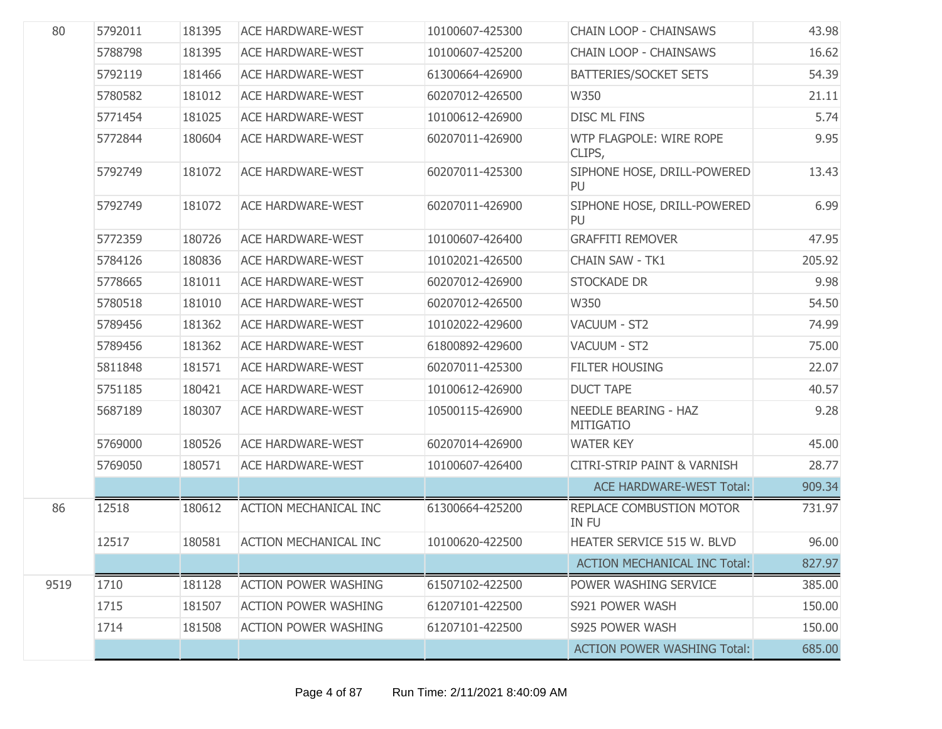| 80   | 5792011 | 181395 | <b>ACE HARDWARE-WEST</b>     | 10100607-425300 | <b>CHAIN LOOP - CHAINSAWS</b>                   | 43.98  |
|------|---------|--------|------------------------------|-----------------|-------------------------------------------------|--------|
|      | 5788798 | 181395 | <b>ACE HARDWARE-WEST</b>     | 10100607-425200 | <b>CHAIN LOOP - CHAINSAWS</b>                   | 16.62  |
|      | 5792119 | 181466 | <b>ACE HARDWARE-WEST</b>     | 61300664-426900 | <b>BATTERIES/SOCKET SETS</b>                    | 54.39  |
|      | 5780582 | 181012 | <b>ACE HARDWARE-WEST</b>     | 60207012-426500 | W350                                            | 21.11  |
|      | 5771454 | 181025 | <b>ACE HARDWARE-WEST</b>     | 10100612-426900 | <b>DISC ML FINS</b>                             | 5.74   |
|      | 5772844 | 180604 | <b>ACE HARDWARE-WEST</b>     | 60207011-426900 | WTP FLAGPOLE: WIRE ROPE<br>CLIPS,               | 9.95   |
|      | 5792749 | 181072 | <b>ACE HARDWARE-WEST</b>     | 60207011-425300 | SIPHONE HOSE, DRILL-POWERED<br>PU               | 13.43  |
|      | 5792749 | 181072 | <b>ACE HARDWARE-WEST</b>     | 60207011-426900 | SIPHONE HOSE, DRILL-POWERED<br>PU               | 6.99   |
|      | 5772359 | 180726 | <b>ACE HARDWARE-WEST</b>     | 10100607-426400 | <b>GRAFFITI REMOVER</b>                         | 47.95  |
|      | 5784126 | 180836 | <b>ACE HARDWARE-WEST</b>     | 10102021-426500 | CHAIN SAW - TK1                                 | 205.92 |
|      | 5778665 | 181011 | <b>ACE HARDWARE-WEST</b>     | 60207012-426900 | <b>STOCKADE DR</b>                              | 9.98   |
|      | 5780518 | 181010 | <b>ACE HARDWARE-WEST</b>     | 60207012-426500 | W350                                            | 54.50  |
|      | 5789456 | 181362 | <b>ACE HARDWARE-WEST</b>     | 10102022-429600 | VACUUM - ST2                                    | 74.99  |
|      | 5789456 | 181362 | <b>ACE HARDWARE-WEST</b>     | 61800892-429600 | VACUUM - ST2                                    | 75.00  |
|      | 5811848 | 181571 | <b>ACE HARDWARE-WEST</b>     | 60207011-425300 | <b>FILTER HOUSING</b>                           | 22.07  |
|      | 5751185 | 180421 | <b>ACE HARDWARE-WEST</b>     | 10100612-426900 | <b>DUCT TAPE</b>                                | 40.57  |
|      | 5687189 | 180307 | <b>ACE HARDWARE-WEST</b>     | 10500115-426900 | <b>NEEDLE BEARING - HAZ</b><br><b>MITIGATIO</b> | 9.28   |
|      | 5769000 | 180526 | <b>ACE HARDWARE-WEST</b>     | 60207014-426900 | <b>WATER KEY</b>                                | 45.00  |
|      | 5769050 | 180571 | <b>ACE HARDWARE-WEST</b>     | 10100607-426400 | <b>CITRI-STRIP PAINT &amp; VARNISH</b>          | 28.77  |
|      |         |        |                              |                 | <b>ACE HARDWARE-WEST Total:</b>                 | 909.34 |
| 86   | 12518   | 180612 | <b>ACTION MECHANICAL INC</b> | 61300664-425200 | REPLACE COMBUSTION MOTOR<br><b>IN FU</b>        | 731.97 |
|      | 12517   | 180581 | <b>ACTION MECHANICAL INC</b> | 10100620-422500 | HEATER SERVICE 515 W. BLVD                      | 96.00  |
|      |         |        |                              |                 | <b>ACTION MECHANICAL INC Total:</b>             | 827.97 |
| 9519 | 1710    | 181128 | <b>ACTION POWER WASHING</b>  | 61507102-422500 | POWER WASHING SERVICE                           | 385.00 |
|      | 1715    | 181507 | <b>ACTION POWER WASHING</b>  | 61207101-422500 | S921 POWER WASH                                 | 150.00 |
|      | 1714    | 181508 | <b>ACTION POWER WASHING</b>  | 61207101-422500 | S925 POWER WASH                                 | 150.00 |
|      |         |        |                              |                 | <b>ACTION POWER WASHING Total:</b>              | 685.00 |
|      |         |        |                              |                 |                                                 |        |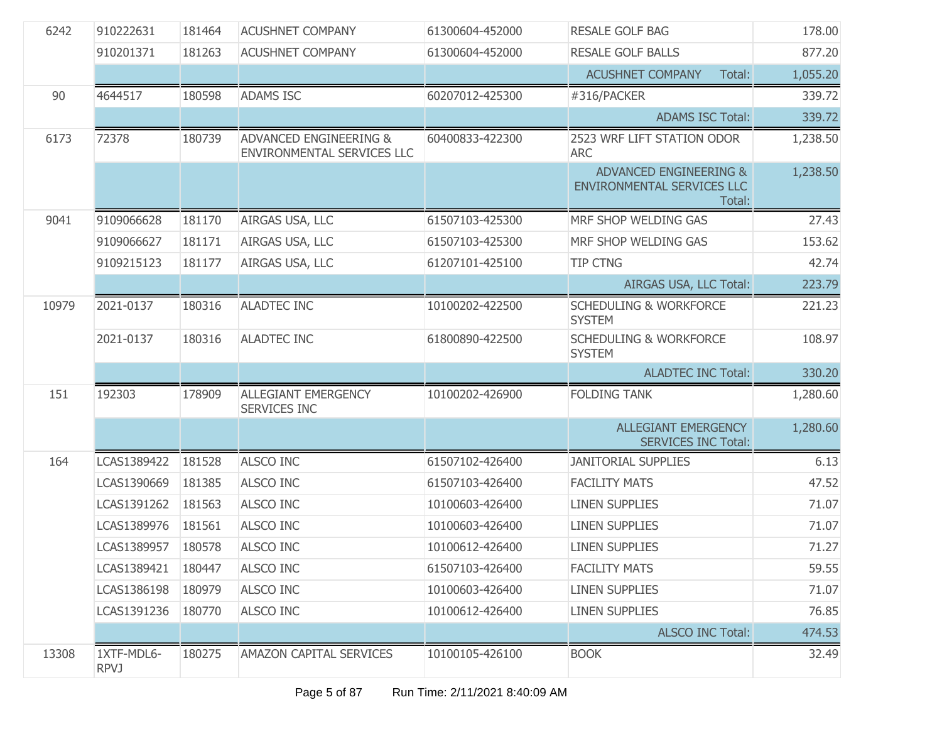| 6242  | 910222631                 | 181464 | <b>ACUSHNET COMPANY</b>                                         | 61300604-452000 | <b>RESALE GOLF BAG</b>                                         | 178.00   |
|-------|---------------------------|--------|-----------------------------------------------------------------|-----------------|----------------------------------------------------------------|----------|
|       | 910201371                 | 181263 | <b>ACUSHNET COMPANY</b>                                         | 61300604-452000 | <b>RESALE GOLF BALLS</b>                                       | 877.20   |
|       |                           |        |                                                                 |                 | <b>ACUSHNET COMPANY</b><br>Total:                              | 1,055.20 |
| 90    | 4644517                   | 180598 | <b>ADAMS ISC</b>                                                | 60207012-425300 | #316/PACKER                                                    | 339.72   |
|       |                           |        |                                                                 |                 | <b>ADAMS ISC Total:</b>                                        | 339.72   |
| 6173  | 72378                     | 180739 | <b>ADVANCED ENGINEERING &amp;</b><br>ENVIRONMENTAL SERVICES LLC | 60400833-422300 | 2523 WRF LIFT STATION ODOR<br><b>ARC</b>                       | 1,238.50 |
|       |                           |        |                                                                 |                 | ADVANCED ENGINEERING &<br>ENVIRONMENTAL SERVICES LLC<br>Total: | 1,238.50 |
| 9041  | 9109066628                | 181170 | AIRGAS USA, LLC                                                 | 61507103-425300 | MRF SHOP WELDING GAS                                           | 27.43    |
|       | 9109066627                | 181171 | AIRGAS USA, LLC                                                 | 61507103-425300 | MRF SHOP WELDING GAS                                           | 153.62   |
|       | 9109215123                | 181177 | AIRGAS USA, LLC                                                 | 61207101-425100 | <b>TIP CTNG</b>                                                | 42.74    |
|       |                           |        |                                                                 |                 | AIRGAS USA, LLC Total:                                         | 223.79   |
| 10979 | 2021-0137                 | 180316 | <b>ALADTEC INC</b>                                              | 10100202-422500 | <b>SCHEDULING &amp; WORKFORCE</b><br><b>SYSTEM</b>             | 221.23   |
|       | 2021-0137                 | 180316 | <b>ALADTEC INC</b>                                              | 61800890-422500 | <b>SCHEDULING &amp; WORKFORCE</b><br><b>SYSTEM</b>             | 108.97   |
|       |                           |        |                                                                 |                 | <b>ALADTEC INC Total:</b>                                      | 330.20   |
| 151   | 192303                    | 178909 | <b>ALLEGIANT EMERGENCY</b><br>SERVICES INC                      | 10100202-426900 | <b>FOLDING TANK</b>                                            | 1,280.60 |
|       |                           |        |                                                                 |                 | <b>ALLEGIANT EMERGENCY</b><br><b>SERVICES INC Total:</b>       | 1,280.60 |
| 164   | LCAS1389422               | 181528 | <b>ALSCO INC</b>                                                | 61507102-426400 | <b>JANITORIAL SUPPLIES</b>                                     | 6.13     |
|       | LCAS1390669               | 181385 | <b>ALSCO INC</b>                                                | 61507103-426400 | <b>FACILITY MATS</b>                                           | 47.52    |
|       | LCAS1391262               | 181563 | <b>ALSCO INC</b>                                                | 10100603-426400 | <b>LINEN SUPPLIES</b>                                          | 71.07    |
|       | LCAS1389976               | 181561 | <b>ALSCO INC</b>                                                | 10100603-426400 | <b>LINEN SUPPLIES</b>                                          | 71.07    |
|       | LCAS1389957               | 180578 | ALSCO INC                                                       | 10100612-426400 | <b>LINEN SUPPLIES</b>                                          | 71.27    |
|       | LCAS1389421               | 180447 | ALSCO INC                                                       | 61507103-426400 | <b>FACILITY MATS</b>                                           | 59.55    |
|       | LCAS1386198               | 180979 | <b>ALSCO INC</b>                                                | 10100603-426400 | <b>LINEN SUPPLIES</b>                                          | 71.07    |
|       | LCAS1391236               | 180770 | <b>ALSCO INC</b>                                                | 10100612-426400 | <b>LINEN SUPPLIES</b>                                          | 76.85    |
|       |                           |        |                                                                 |                 | <b>ALSCO INC Total:</b>                                        | 474.53   |
| 13308 | 1XTF-MDL6-<br><b>RPVJ</b> | 180275 | <b>AMAZON CAPITAL SERVICES</b>                                  | 10100105-426100 | <b>BOOK</b>                                                    | 32.49    |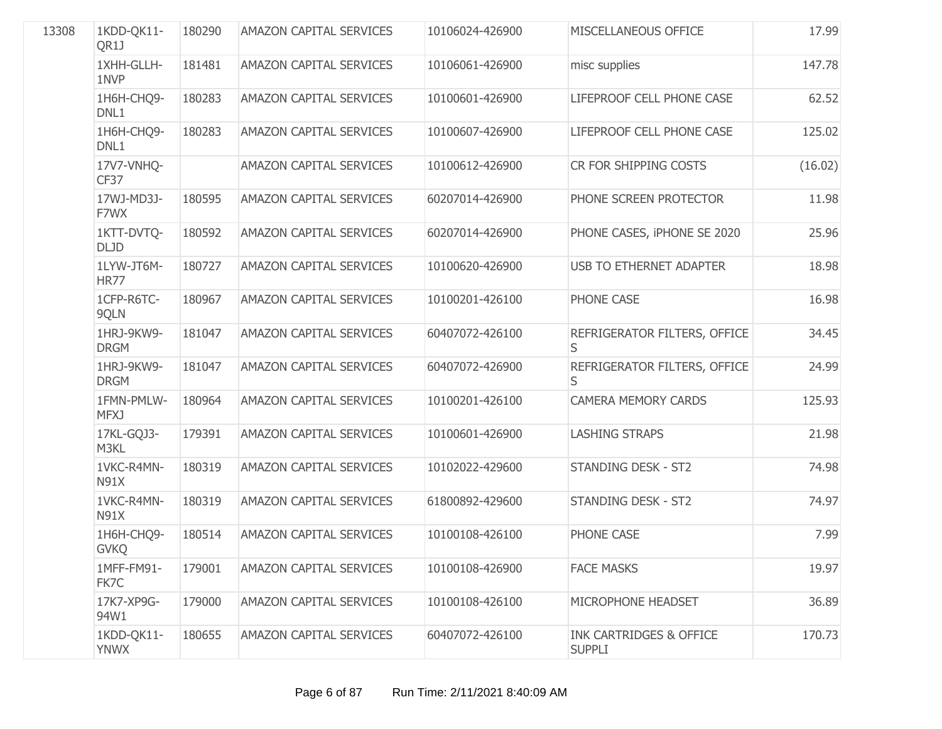| 13308 | 1KDD-QK11-<br>QR1J        | 180290 | <b>AMAZON CAPITAL SERVICES</b> | 10106024-426900 | MISCELLANEOUS OFFICE                                | 17.99   |
|-------|---------------------------|--------|--------------------------------|-----------------|-----------------------------------------------------|---------|
|       | 1XHH-GLLH-<br>1NVP        | 181481 | <b>AMAZON CAPITAL SERVICES</b> | 10106061-426900 | misc supplies                                       | 147.78  |
|       | 1H6H-CHQ9-<br>DNL1        | 180283 | AMAZON CAPITAL SERVICES        | 10100601-426900 | LIFEPROOF CELL PHONE CASE                           | 62.52   |
|       | 1H6H-CHQ9-<br>DNL1        | 180283 | <b>AMAZON CAPITAL SERVICES</b> | 10100607-426900 | LIFEPROOF CELL PHONE CASE                           | 125.02  |
|       | 17V7-VNHQ-<br>CF37        |        | AMAZON CAPITAL SERVICES        | 10100612-426900 | CR FOR SHIPPING COSTS                               | (16.02) |
|       | 17WJ-MD3J-<br>F7WX        | 180595 | <b>AMAZON CAPITAL SERVICES</b> | 60207014-426900 | PHONE SCREEN PROTECTOR                              | 11.98   |
|       | 1KTT-DVTQ-<br><b>DLJD</b> | 180592 | AMAZON CAPITAL SERVICES        | 60207014-426900 | PHONE CASES, IPHONE SE 2020                         | 25.96   |
|       | 1LYW-JT6M-<br><b>HR77</b> | 180727 | <b>AMAZON CAPITAL SERVICES</b> | 10100620-426900 | <b>USB TO ETHERNET ADAPTER</b>                      | 18.98   |
|       | 1CFP-R6TC-<br>9QLN        | 180967 | AMAZON CAPITAL SERVICES        | 10100201-426100 | PHONE CASE                                          | 16.98   |
|       | 1HRJ-9KW9-<br><b>DRGM</b> | 181047 | <b>AMAZON CAPITAL SERVICES</b> | 60407072-426100 | REFRIGERATOR FILTERS, OFFICE<br>S                   | 34.45   |
|       | 1HRJ-9KW9-<br><b>DRGM</b> | 181047 | <b>AMAZON CAPITAL SERVICES</b> | 60407072-426900 | REFRIGERATOR FILTERS, OFFICE<br>S                   | 24.99   |
|       | 1FMN-PMLW-<br><b>MFXJ</b> | 180964 | <b>AMAZON CAPITAL SERVICES</b> | 10100201-426100 | <b>CAMERA MEMORY CARDS</b>                          | 125.93  |
|       | 17KL-GQJ3-<br>M3KL        | 179391 | AMAZON CAPITAL SERVICES        | 10100601-426900 | <b>LASHING STRAPS</b>                               | 21.98   |
|       | 1VKC-R4MN-<br><b>N91X</b> | 180319 | AMAZON CAPITAL SERVICES        | 10102022-429600 | <b>STANDING DESK - ST2</b>                          | 74.98   |
|       | 1VKC-R4MN-<br><b>N91X</b> | 180319 | <b>AMAZON CAPITAL SERVICES</b> | 61800892-429600 | <b>STANDING DESK - ST2</b>                          | 74.97   |
|       | 1H6H-CHQ9-<br><b>GVKQ</b> | 180514 | <b>AMAZON CAPITAL SERVICES</b> | 10100108-426100 | PHONE CASE                                          | 7.99    |
|       | 1MFF-FM91-<br>FK7C        | 179001 | AMAZON CAPITAL SERVICES        | 10100108-426900 | <b>FACE MASKS</b>                                   | 19.97   |
|       | 17K7-XP9G-<br>94W1        | 179000 | <b>AMAZON CAPITAL SERVICES</b> | 10100108-426100 | MICROPHONE HEADSET                                  | 36.89   |
|       | 1KDD-QK11-<br><b>YNWX</b> | 180655 | AMAZON CAPITAL SERVICES        | 60407072-426100 | <b>INK CARTRIDGES &amp; OFFICE</b><br><b>SUPPLI</b> | 170.73  |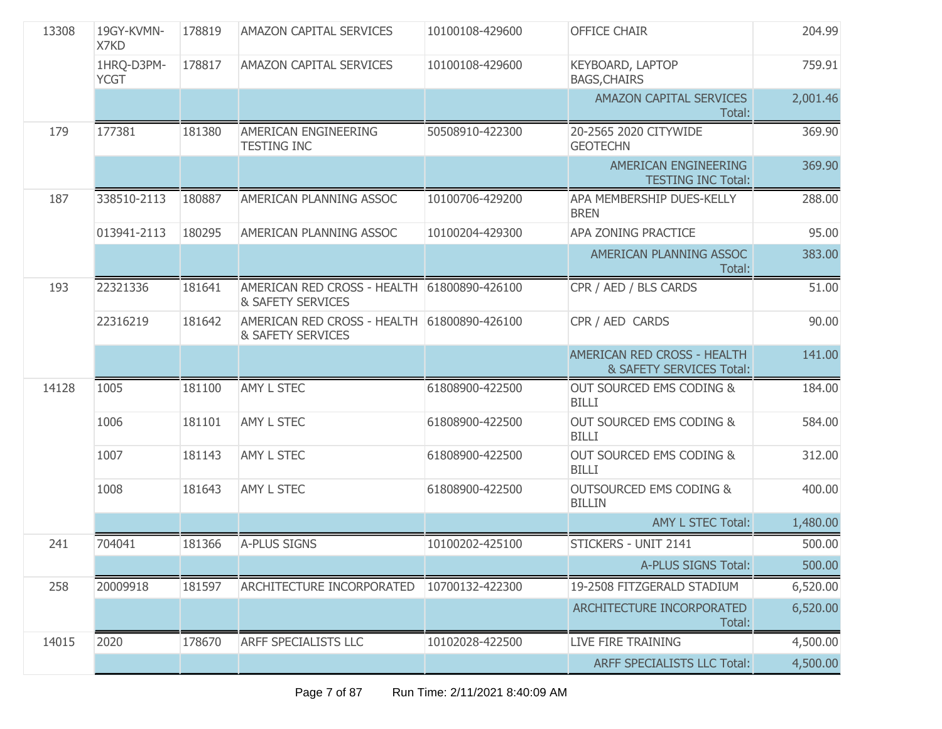| 13308 | 19GY-KVMN-<br>X7KD        | 178819 | <b>AMAZON CAPITAL SERVICES</b>                                   | 10100108-429600 | <b>OFFICE CHAIR</b>                                     | 204.99   |
|-------|---------------------------|--------|------------------------------------------------------------------|-----------------|---------------------------------------------------------|----------|
|       | 1HRQ-D3PM-<br><b>YCGT</b> | 178817 | <b>AMAZON CAPITAL SERVICES</b>                                   | 10100108-429600 | KEYBOARD, LAPTOP<br><b>BAGS, CHAIRS</b>                 | 759.91   |
|       |                           |        |                                                                  |                 | AMAZON CAPITAL SERVICES<br>Total:                       | 2,001.46 |
| 179   | 177381                    | 181380 | AMERICAN ENGINEERING<br><b>TESTING INC</b>                       | 50508910-422300 | 20-2565 2020 CITYWIDE<br><b>GEOTECHN</b>                | 369.90   |
|       |                           |        |                                                                  |                 | AMERICAN ENGINEERING<br><b>TESTING INC Total:</b>       | 369.90   |
| 187   | 338510-2113               | 180887 | AMERICAN PLANNING ASSOC                                          | 10100706-429200 | APA MEMBERSHIP DUES-KELLY<br><b>BREN</b>                | 288.00   |
|       | 013941-2113               | 180295 | AMERICAN PLANNING ASSOC                                          | 10100204-429300 | APA ZONING PRACTICE                                     | 95.00    |
|       |                           |        |                                                                  |                 | AMERICAN PLANNING ASSOC<br>Total:                       | 383.00   |
| 193   | 22321336                  | 181641 | AMERICAN RED CROSS - HEALTH 61800890-426100<br>& SAFETY SERVICES |                 | CPR / AED / BLS CARDS                                   | 51.00    |
|       | 22316219                  | 181642 | AMERICAN RED CROSS - HEALTH 61800890-426100<br>& SAFETY SERVICES |                 | CPR / AED CARDS                                         | 90.00    |
|       |                           |        |                                                                  |                 | AMERICAN RED CROSS - HEALTH<br>& SAFETY SERVICES Total: | 141.00   |
| 14128 | 1005                      | 181100 | AMY L STEC                                                       | 61808900-422500 | <b>OUT SOURCED EMS CODING &amp;</b><br><b>BILLI</b>     | 184.00   |
|       | 1006                      | 181101 | AMY L STEC                                                       | 61808900-422500 | <b>OUT SOURCED EMS CODING &amp;</b><br><b>BILLI</b>     | 584.00   |
|       | 1007                      | 181143 | <b>AMY L STEC</b>                                                | 61808900-422500 | OUT SOURCED EMS CODING &<br><b>BILLI</b>                | 312.00   |
|       | 1008                      | 181643 | <b>AMY L STEC</b>                                                | 61808900-422500 | <b>OUTSOURCED EMS CODING &amp;</b><br><b>BILLIN</b>     | 400.00   |
|       |                           |        |                                                                  |                 | <b>AMY L STEC Total:</b>                                | 1,480.00 |
| 241   | 704041                    | 181366 | A-PLUS SIGNS                                                     | 10100202-425100 | STICKERS - UNIT 2141                                    | 500.00   |
|       |                           |        |                                                                  |                 | A-PLUS SIGNS Total:                                     | 500.00   |
| 258   | 20009918                  | 181597 | ARCHITECTURE INCORPORATED                                        | 10700132-422300 | 19-2508 FITZGERALD STADIUM                              | 6,520.00 |
|       |                           |        |                                                                  |                 | ARCHITECTURE INCORPORATED<br>Total:                     | 6,520.00 |
| 14015 | 2020                      | 178670 | <b>ARFF SPECIALISTS LLC</b>                                      | 10102028-422500 | LIVE FIRE TRAINING                                      | 4,500.00 |
|       |                           |        |                                                                  |                 | ARFF SPECIALISTS LLC Total:                             | 4,500.00 |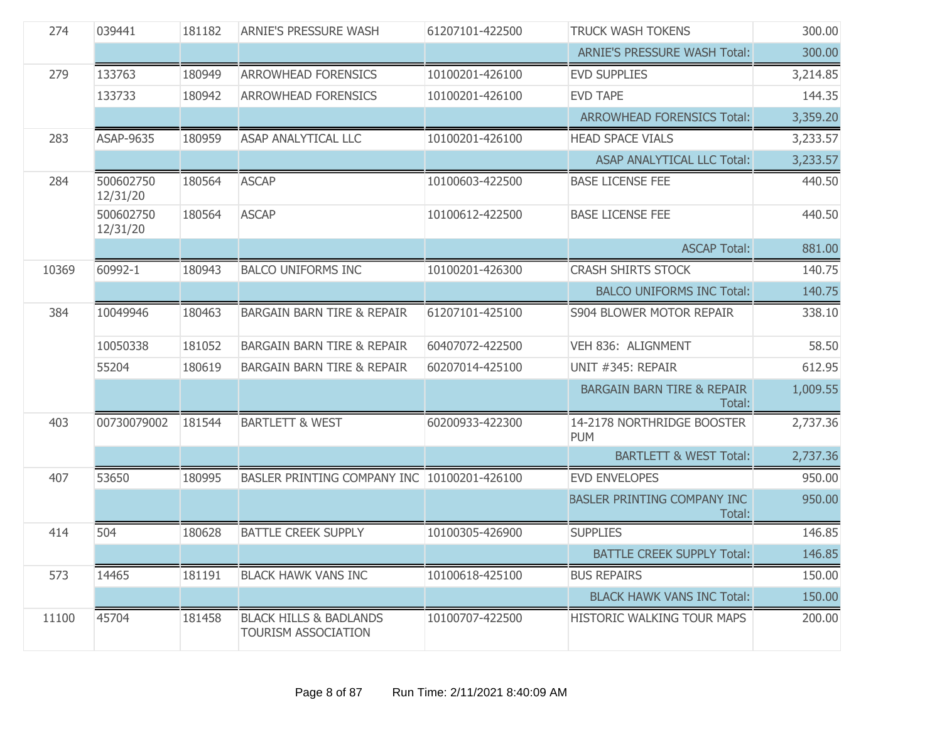| 274   | 039441                | 181182 | <b>ARNIE'S PRESSURE WASH</b>                             | 61207101-422500 | <b>TRUCK WASH TOKENS</b>                        | 300.00   |
|-------|-----------------------|--------|----------------------------------------------------------|-----------------|-------------------------------------------------|----------|
|       |                       |        |                                                          |                 | <b>ARNIE'S PRESSURE WASH Total:</b>             | 300.00   |
| 279   | 133763                | 180949 | <b>ARROWHEAD FORENSICS</b>                               | 10100201-426100 | <b>EVD SUPPLIES</b>                             | 3,214.85 |
|       | 133733                | 180942 | <b>ARROWHEAD FORENSICS</b>                               | 10100201-426100 | <b>EVD TAPE</b>                                 | 144.35   |
|       |                       |        |                                                          |                 | <b>ARROWHEAD FORENSICS Total:</b>               | 3,359.20 |
| 283   | <b>ASAP-9635</b>      | 180959 | <b>ASAP ANALYTICAL LLC</b>                               | 10100201-426100 | <b>HEAD SPACE VIALS</b>                         | 3,233.57 |
|       |                       |        |                                                          |                 | <b>ASAP ANALYTICAL LLC Total:</b>               | 3,233.57 |
| 284   | 500602750<br>12/31/20 | 180564 | <b>ASCAP</b>                                             | 10100603-422500 | <b>BASE LICENSE FEE</b>                         | 440.50   |
|       | 500602750<br>12/31/20 | 180564 | <b>ASCAP</b>                                             | 10100612-422500 | <b>BASE LICENSE FEE</b>                         | 440.50   |
|       |                       |        |                                                          |                 | <b>ASCAP Total:</b>                             | 881.00   |
| 10369 | 60992-1               | 180943 | <b>BALCO UNIFORMS INC</b>                                | 10100201-426300 | <b>CRASH SHIRTS STOCK</b>                       | 140.75   |
|       |                       |        |                                                          |                 | <b>BALCO UNIFORMS INC Total:</b>                | 140.75   |
| 384   | 10049946              | 180463 | <b>BARGAIN BARN TIRE &amp; REPAIR</b>                    | 61207101-425100 | <b>S904 BLOWER MOTOR REPAIR</b>                 | 338.10   |
|       | 10050338              | 181052 | <b>BARGAIN BARN TIRE &amp; REPAIR</b>                    | 60407072-422500 | VEH 836: ALIGNMENT                              | 58.50    |
|       | 55204                 | 180619 | <b>BARGAIN BARN TIRE &amp; REPAIR</b>                    | 60207014-425100 | UNIT #345: REPAIR                               | 612.95   |
|       |                       |        |                                                          |                 | <b>BARGAIN BARN TIRE &amp; REPAIR</b><br>Total: | 1,009.55 |
| 403   | 00730079002           | 181544 | <b>BARTLETT &amp; WEST</b>                               | 60200933-422300 | 14-2178 NORTHRIDGE BOOSTER<br><b>PUM</b>        | 2,737.36 |
|       |                       |        |                                                          |                 | <b>BARTLETT &amp; WEST Total:</b>               | 2,737.36 |
| 407   | 53650                 | 180995 | BASLER PRINTING COMPANY INC 10100201-426100              |                 | <b>EVD ENVELOPES</b>                            | 950.00   |
|       |                       |        |                                                          |                 | BASLER PRINTING COMPANY INC<br>Total:           | 950.00   |
| 414   | 504                   | 180628 | <b>BATTLE CREEK SUPPLY</b>                               | 10100305-426900 | <b>SUPPLIES</b>                                 | 146.85   |
|       |                       |        |                                                          |                 | <b>BATTLE CREEK SUPPLY Total:</b>               | 146.85   |
| 573   | 14465                 | 181191 | <b>BLACK HAWK VANS INC</b>                               | 10100618-425100 | <b>BUS REPAIRS</b>                              | 150.00   |
|       |                       |        |                                                          |                 | <b>BLACK HAWK VANS INC Total:</b>               | 150.00   |
| 11100 | 45704                 | 181458 | <b>BLACK HILLS &amp; BADLANDS</b><br>TOURISM ASSOCIATION | 10100707-422500 | HISTORIC WALKING TOUR MAPS                      | 200.00   |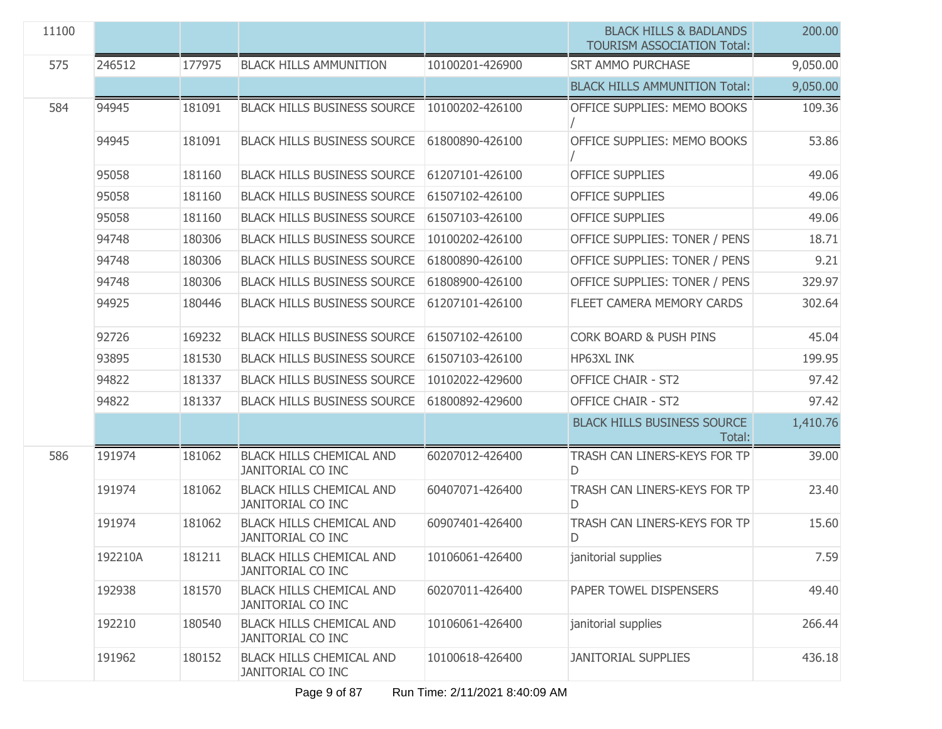| 11100 |         |        |                                                             |                 | <b>BLACK HILLS &amp; BADLANDS</b><br><b>TOURISM ASSOCIATION Total:</b> | 200,00   |
|-------|---------|--------|-------------------------------------------------------------|-----------------|------------------------------------------------------------------------|----------|
| 575   | 246512  | 177975 | <b>BLACK HILLS AMMUNITION</b>                               | 10100201-426900 | <b>SRT AMMO PURCHASE</b>                                               | 9,050.00 |
|       |         |        |                                                             |                 | <b>BLACK HILLS AMMUNITION Total:</b>                                   | 9,050.00 |
| 584   | 94945   | 181091 | <b>BLACK HILLS BUSINESS SOURCE</b>                          | 10100202-426100 | OFFICE SUPPLIES: MEMO BOOKS                                            | 109.36   |
|       | 94945   | 181091 | <b>BLACK HILLS BUSINESS SOURCE</b>                          | 61800890-426100 | OFFICE SUPPLIES: MEMO BOOKS                                            | 53.86    |
|       | 95058   | 181160 | <b>BLACK HILLS BUSINESS SOURCE</b>                          | 61207101-426100 | <b>OFFICE SUPPLIES</b>                                                 | 49.06    |
|       | 95058   | 181160 | <b>BLACK HILLS BUSINESS SOURCE</b>                          | 61507102-426100 | <b>OFFICE SUPPLIES</b>                                                 | 49.06    |
|       | 95058   | 181160 | <b>BLACK HILLS BUSINESS SOURCE</b>                          | 61507103-426100 | <b>OFFICE SUPPLIES</b>                                                 | 49.06    |
|       | 94748   | 180306 | <b>BLACK HILLS BUSINESS SOURCE</b>                          | 10100202-426100 | OFFICE SUPPLIES: TONER / PENS                                          | 18.71    |
|       | 94748   | 180306 | <b>BLACK HILLS BUSINESS SOURCE</b>                          | 61800890-426100 | OFFICE SUPPLIES: TONER / PENS                                          | 9.21     |
|       | 94748   | 180306 | <b>BLACK HILLS BUSINESS SOURCE</b>                          | 61808900-426100 | OFFICE SUPPLIES: TONER / PENS                                          | 329.97   |
|       | 94925   | 180446 | <b>BLACK HILLS BUSINESS SOURCE</b>                          | 61207101-426100 | FLEET CAMERA MEMORY CARDS                                              | 302.64   |
|       | 92726   | 169232 | <b>BLACK HILLS BUSINESS SOURCE</b>                          | 61507102-426100 | <b>CORK BOARD &amp; PUSH PINS</b>                                      | 45.04    |
|       | 93895   | 181530 | <b>BLACK HILLS BUSINESS SOURCE</b>                          | 61507103-426100 | HP63XL INK                                                             | 199.95   |
|       | 94822   | 181337 | <b>BLACK HILLS BUSINESS SOURCE</b>                          | 10102022-429600 | <b>OFFICE CHAIR - ST2</b>                                              | 97.42    |
|       | 94822   | 181337 | <b>BLACK HILLS BUSINESS SOURCE</b>                          | 61800892-429600 | <b>OFFICE CHAIR - ST2</b>                                              | 97.42    |
|       |         |        |                                                             |                 | <b>BLACK HILLS BUSINESS SOURCE</b><br>Total:                           | 1,410.76 |
| 586   | 191974  | 181062 | <b>BLACK HILLS CHEMICAL AND</b><br><b>JANITORIAL CO INC</b> | 60207012-426400 | TRASH CAN LINERS-KEYS FOR TP<br>D                                      | 39.00    |
|       | 191974  | 181062 | <b>BLACK HILLS CHEMICAL AND</b><br><b>JANITORIAL CO INC</b> | 60407071-426400 | TRASH CAN LINERS-KEYS FOR TP<br>D                                      | 23.40    |
|       | 191974  | 181062 | <b>BLACK HILLS CHEMICAL AND</b><br><b>JANITORIAL CO INC</b> | 60907401-426400 | TRASH CAN LINERS-KEYS FOR TP<br>D                                      | 15.60    |
|       | 192210A | 181211 | <b>BLACK HILLS CHEMICAL AND</b><br><b>JANITORIAL CO INC</b> | 10106061-426400 | janitorial supplies                                                    | 7.59     |
|       | 192938  | 181570 | <b>BLACK HILLS CHEMICAL AND</b><br><b>JANITORIAL CO INC</b> | 60207011-426400 | PAPER TOWEL DISPENSERS                                                 | 49.40    |
|       | 192210  | 180540 | <b>BLACK HILLS CHEMICAL AND</b><br><b>JANITORIAL CO INC</b> | 10106061-426400 | janitorial supplies                                                    | 266.44   |
|       | 191962  | 180152 | <b>BLACK HILLS CHEMICAL AND</b><br>JANITORIAL CO INC        | 10100618-426400 | <b>JANITORIAL SUPPLIES</b>                                             | 436.18   |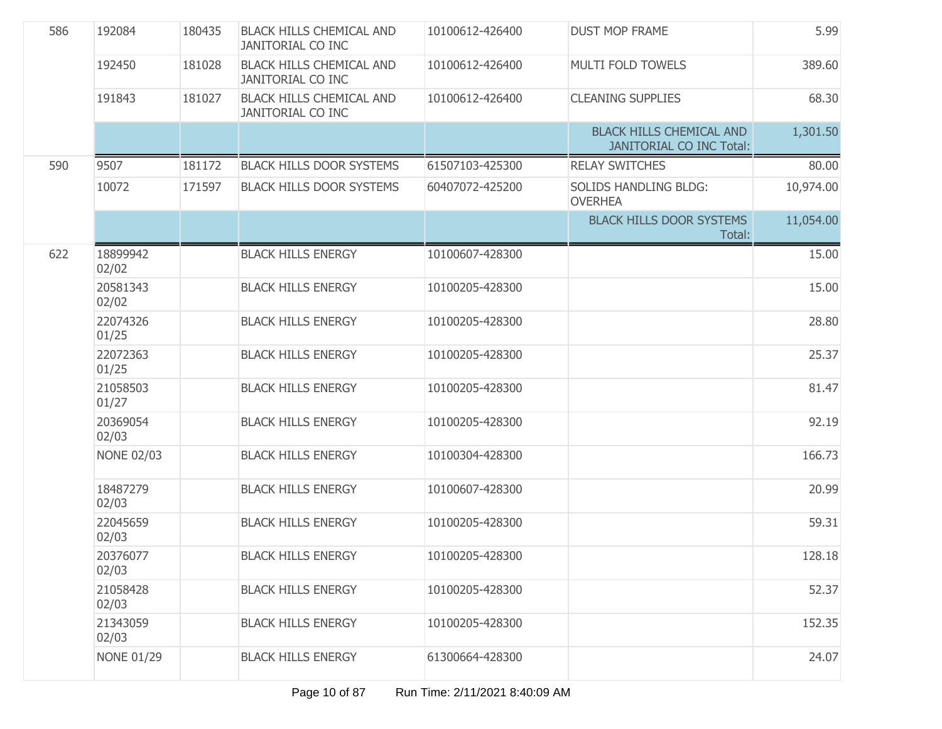| 586 | 192084            | 180435 | <b>BLACK HILLS CHEMICAL AND</b><br><b>JANITORIAL CO INC</b> | 10100612-426400 | <b>DUST MOP FRAME</b>                                              | 5.99      |
|-----|-------------------|--------|-------------------------------------------------------------|-----------------|--------------------------------------------------------------------|-----------|
|     | 192450            | 181028 | <b>BLACK HILLS CHEMICAL AND</b><br>JANITORIAL CO INC        | 10100612-426400 | MULTI FOLD TOWELS                                                  | 389.60    |
|     | 191843            | 181027 | <b>BLACK HILLS CHEMICAL AND</b><br><b>JANITORIAL CO INC</b> | 10100612-426400 | <b>CLEANING SUPPLIES</b>                                           | 68.30     |
|     |                   |        |                                                             |                 | <b>BLACK HILLS CHEMICAL AND</b><br><b>JANITORIAL CO INC Total:</b> | 1,301.50  |
| 590 | 9507              | 181172 | <b>BLACK HILLS DOOR SYSTEMS</b>                             | 61507103-425300 | <b>RELAY SWITCHES</b>                                              | 80.00     |
|     | 10072             | 171597 | <b>BLACK HILLS DOOR SYSTEMS</b>                             | 60407072-425200 | <b>SOLIDS HANDLING BLDG:</b><br><b>OVERHEA</b>                     | 10,974.00 |
|     |                   |        |                                                             |                 | <b>BLACK HILLS DOOR SYSTEMS</b><br>Total:                          | 11,054.00 |
| 622 | 18899942<br>02/02 |        | <b>BLACK HILLS ENERGY</b>                                   | 10100607-428300 |                                                                    | 15.00     |
|     | 20581343<br>02/02 |        | <b>BLACK HILLS ENERGY</b>                                   | 10100205-428300 |                                                                    | 15.00     |
|     | 22074326<br>01/25 |        | <b>BLACK HILLS ENERGY</b>                                   | 10100205-428300 |                                                                    | 28.80     |
|     | 22072363<br>01/25 |        | <b>BLACK HILLS ENERGY</b>                                   | 10100205-428300 |                                                                    | 25.37     |
|     | 21058503<br>01/27 |        | <b>BLACK HILLS ENERGY</b>                                   | 10100205-428300 |                                                                    | 81.47     |
|     | 20369054<br>02/03 |        | <b>BLACK HILLS ENERGY</b>                                   | 10100205-428300 |                                                                    | 92.19     |
|     | <b>NONE 02/03</b> |        | <b>BLACK HILLS ENERGY</b>                                   | 10100304-428300 |                                                                    | 166.73    |
|     | 18487279<br>02/03 |        | <b>BLACK HILLS ENERGY</b>                                   | 10100607-428300 |                                                                    | 20.99     |
|     | 22045659<br>02/03 |        | <b>BLACK HILLS ENERGY</b>                                   | 10100205-428300 |                                                                    | 59.31     |
|     | 20376077<br>02/03 |        | <b>BLACK HILLS ENERGY</b>                                   | 10100205-428300 |                                                                    | 128.18    |
|     | 21058428<br>02/03 |        | <b>BLACK HILLS ENERGY</b>                                   | 10100205-428300 |                                                                    | 52.37     |
|     | 21343059<br>02/03 |        | <b>BLACK HILLS ENERGY</b>                                   | 10100205-428300 |                                                                    | 152.35    |
|     | <b>NONE 01/29</b> |        | <b>BLACK HILLS ENERGY</b>                                   | 61300664-428300 |                                                                    | 24.07     |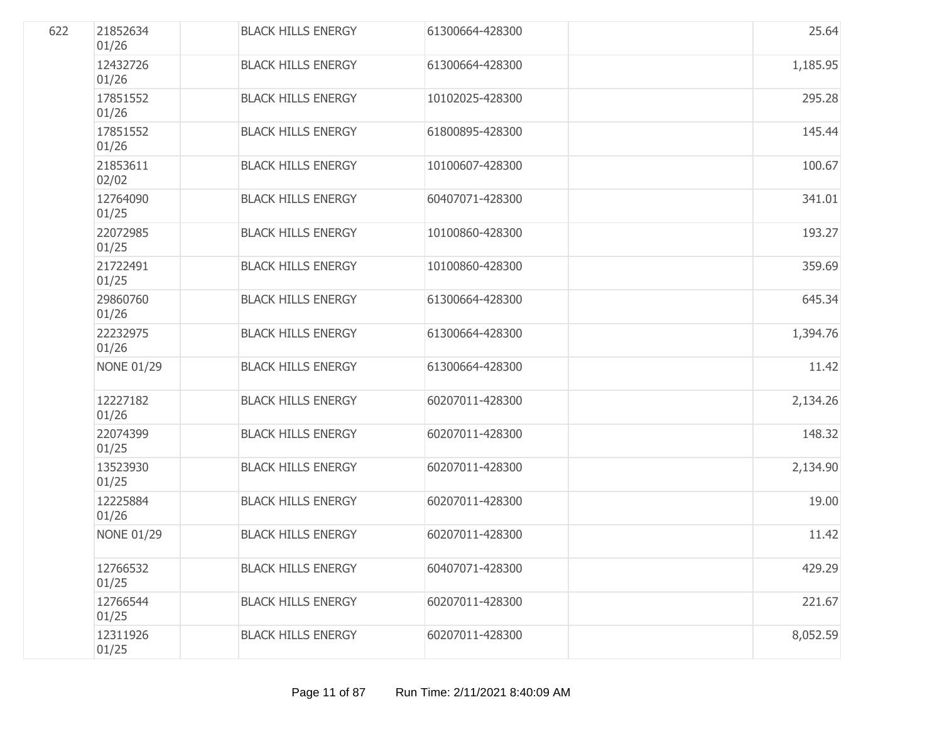| 622 | 21852634<br>01/26 | <b>BLACK HILLS ENERGY</b> | 61300664-428300 | 25.64    |
|-----|-------------------|---------------------------|-----------------|----------|
|     | 12432726<br>01/26 | <b>BLACK HILLS ENERGY</b> | 61300664-428300 | 1,185.95 |
|     | 17851552<br>01/26 | <b>BLACK HILLS ENERGY</b> | 10102025-428300 | 295.28   |
|     | 17851552<br>01/26 | <b>BLACK HILLS ENERGY</b> | 61800895-428300 | 145.44   |
|     | 21853611<br>02/02 | <b>BLACK HILLS ENERGY</b> | 10100607-428300 | 100.67   |
|     | 12764090<br>01/25 | <b>BLACK HILLS ENERGY</b> | 60407071-428300 | 341.01   |
|     | 22072985<br>01/25 | <b>BLACK HILLS ENERGY</b> | 10100860-428300 | 193.27   |
|     | 21722491<br>01/25 | <b>BLACK HILLS ENERGY</b> | 10100860-428300 | 359.69   |
|     | 29860760<br>01/26 | <b>BLACK HILLS ENERGY</b> | 61300664-428300 | 645.34   |
|     | 22232975<br>01/26 | <b>BLACK HILLS ENERGY</b> | 61300664-428300 | 1,394.76 |
|     | <b>NONE 01/29</b> | <b>BLACK HILLS ENERGY</b> | 61300664-428300 | 11.42    |
|     | 12227182<br>01/26 | <b>BLACK HILLS ENERGY</b> | 60207011-428300 | 2,134.26 |
|     | 22074399<br>01/25 | <b>BLACK HILLS ENERGY</b> | 60207011-428300 | 148.32   |
|     | 13523930<br>01/25 | <b>BLACK HILLS ENERGY</b> | 60207011-428300 | 2,134.90 |
|     | 12225884<br>01/26 | <b>BLACK HILLS ENERGY</b> | 60207011-428300 | 19.00    |
|     | <b>NONE 01/29</b> | <b>BLACK HILLS ENERGY</b> | 60207011-428300 | 11.42    |
|     | 12766532<br>01/25 | <b>BLACK HILLS ENERGY</b> | 60407071-428300 | 429.29   |
|     | 12766544<br>01/25 | <b>BLACK HILLS ENERGY</b> | 60207011-428300 | 221.67   |
|     | 12311926<br>01/25 | <b>BLACK HILLS ENERGY</b> | 60207011-428300 | 8,052.59 |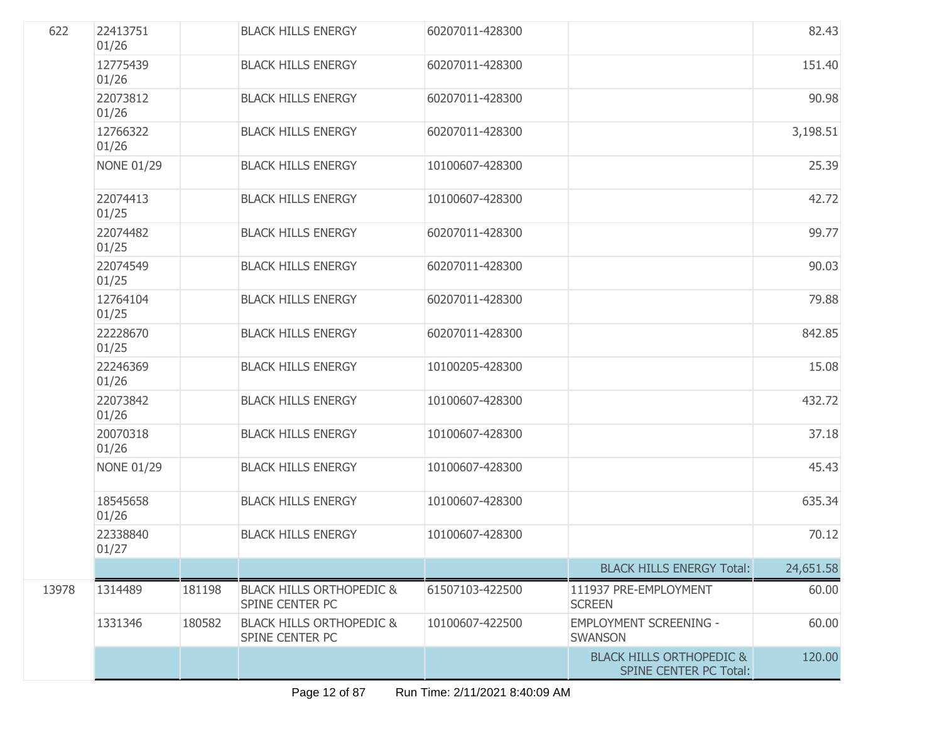| 622   | 22413751<br>01/26 |        | <b>BLACK HILLS ENERGY</b>                              | 60207011-428300 |                                                                      | 82.43     |
|-------|-------------------|--------|--------------------------------------------------------|-----------------|----------------------------------------------------------------------|-----------|
|       | 12775439<br>01/26 |        | <b>BLACK HILLS ENERGY</b>                              | 60207011-428300 |                                                                      | 151.40    |
|       | 22073812<br>01/26 |        | <b>BLACK HILLS ENERGY</b>                              | 60207011-428300 |                                                                      | 90.98     |
|       | 12766322<br>01/26 |        | <b>BLACK HILLS ENERGY</b>                              | 60207011-428300 |                                                                      | 3,198.51  |
|       | <b>NONE 01/29</b> |        | <b>BLACK HILLS ENERGY</b>                              | 10100607-428300 |                                                                      | 25.39     |
|       | 22074413<br>01/25 |        | <b>BLACK HILLS ENERGY</b>                              | 10100607-428300 |                                                                      | 42.72     |
|       | 22074482<br>01/25 |        | <b>BLACK HILLS ENERGY</b>                              | 60207011-428300 |                                                                      | 99.77     |
|       | 22074549<br>01/25 |        | <b>BLACK HILLS ENERGY</b>                              | 60207011-428300 |                                                                      | 90.03     |
|       | 12764104<br>01/25 |        | <b>BLACK HILLS ENERGY</b>                              | 60207011-428300 |                                                                      | 79.88     |
|       | 22228670<br>01/25 |        | <b>BLACK HILLS ENERGY</b>                              | 60207011-428300 |                                                                      | 842.85    |
|       | 22246369<br>01/26 |        | <b>BLACK HILLS ENERGY</b>                              | 10100205-428300 |                                                                      | 15.08     |
|       | 22073842<br>01/26 |        | <b>BLACK HILLS ENERGY</b>                              | 10100607-428300 |                                                                      | 432.72    |
|       | 20070318<br>01/26 |        | <b>BLACK HILLS ENERGY</b>                              | 10100607-428300 |                                                                      | 37.18     |
|       | <b>NONE 01/29</b> |        | <b>BLACK HILLS ENERGY</b>                              | 10100607-428300 |                                                                      | 45.43     |
|       | 18545658<br>01/26 |        | <b>BLACK HILLS ENERGY</b>                              | 10100607-428300 |                                                                      | 635.34    |
|       | 22338840<br>01/27 |        | <b>BLACK HILLS ENERGY</b>                              | 10100607-428300 |                                                                      | 70.12     |
|       |                   |        |                                                        |                 | <b>BLACK HILLS ENERGY Total:</b>                                     | 24,651.58 |
| 13978 | 1314489           | 181198 | <b>BLACK HILLS ORTHOPEDIC &amp;</b><br>SPINE CENTER PC | 61507103-422500 | 111937 PRE-EMPLOYMENT<br><b>SCREEN</b>                               | 60.00     |
|       | 1331346           | 180582 | <b>BLACK HILLS ORTHOPEDIC &amp;</b><br>SPINE CENTER PC | 10100607-422500 | <b>EMPLOYMENT SCREENING -</b><br><b>SWANSON</b>                      | 60.00     |
|       |                   |        |                                                        |                 | <b>BLACK HILLS ORTHOPEDIC &amp;</b><br><b>SPINE CENTER PC Total:</b> | 120.00    |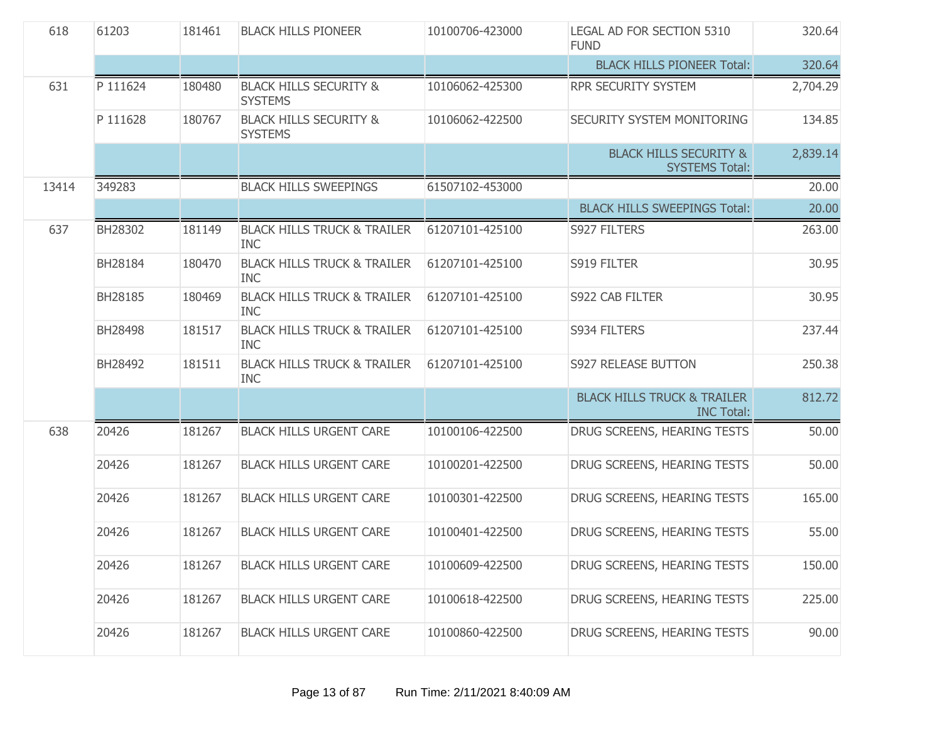| 618   | 61203    | 181461 | <b>BLACK HILLS PIONEER</b>                           | 10100706-423000 | LEGAL AD FOR SECTION 5310<br><b>FUND</b>                    | 320.64   |
|-------|----------|--------|------------------------------------------------------|-----------------|-------------------------------------------------------------|----------|
|       |          |        |                                                      |                 | <b>BLACK HILLS PIONEER Total:</b>                           | 320.64   |
| 631   | P 111624 | 180480 | <b>BLACK HILLS SECURITY &amp;</b><br><b>SYSTEMS</b>  | 10106062-425300 | RPR SECURITY SYSTEM                                         | 2,704.29 |
|       | P 111628 | 180767 | <b>BLACK HILLS SECURITY &amp;</b><br><b>SYSTEMS</b>  | 10106062-422500 | SECURITY SYSTEM MONITORING                                  | 134.85   |
|       |          |        |                                                      |                 | <b>BLACK HILLS SECURITY &amp;</b><br><b>SYSTEMS Total:</b>  | 2,839.14 |
| 13414 | 349283   |        | <b>BLACK HILLS SWEEPINGS</b>                         | 61507102-453000 |                                                             | 20.00    |
|       |          |        |                                                      |                 | <b>BLACK HILLS SWEEPINGS Total:</b>                         | 20.00    |
| 637   | BH28302  | 181149 | <b>BLACK HILLS TRUCK &amp; TRAILER</b><br><b>INC</b> | 61207101-425100 | S927 FILTERS                                                | 263.00   |
|       | BH28184  | 180470 | <b>BLACK HILLS TRUCK &amp; TRAILER</b><br><b>INC</b> | 61207101-425100 | S919 FILTER                                                 | 30.95    |
|       | BH28185  | 180469 | <b>BLACK HILLS TRUCK &amp; TRAILER</b><br><b>INC</b> | 61207101-425100 | S922 CAB FILTER                                             | 30.95    |
|       | BH28498  | 181517 | <b>BLACK HILLS TRUCK &amp; TRAILER</b><br><b>INC</b> | 61207101-425100 | S934 FILTERS                                                | 237.44   |
|       | BH28492  | 181511 | <b>BLACK HILLS TRUCK &amp; TRAILER</b><br><b>INC</b> | 61207101-425100 | S927 RELEASE BUTTON                                         | 250.38   |
|       |          |        |                                                      |                 | <b>BLACK HILLS TRUCK &amp; TRAILER</b><br><b>INC Total:</b> | 812.72   |
| 638   | 20426    | 181267 | <b>BLACK HILLS URGENT CARE</b>                       | 10100106-422500 | DRUG SCREENS, HEARING TESTS                                 | 50.00    |
|       | 20426    | 181267 | <b>BLACK HILLS URGENT CARE</b>                       | 10100201-422500 | DRUG SCREENS, HEARING TESTS                                 | 50.00    |
|       | 20426    | 181267 | <b>BLACK HILLS URGENT CARE</b>                       | 10100301-422500 | DRUG SCREENS, HEARING TESTS                                 | 165.00   |
|       | 20426    | 181267 | <b>BLACK HILLS URGENT CARE</b>                       | 10100401-422500 | DRUG SCREENS, HEARING TESTS                                 | 55.00    |
|       | 20426    | 181267 | <b>BLACK HILLS URGENT CARE</b>                       | 10100609-422500 | DRUG SCREENS, HEARING TESTS                                 | 150.00   |
|       | 20426    | 181267 | <b>BLACK HILLS URGENT CARE</b>                       | 10100618-422500 | DRUG SCREENS, HEARING TESTS                                 | 225.00   |
|       | 20426    | 181267 | <b>BLACK HILLS URGENT CARE</b>                       | 10100860-422500 | DRUG SCREENS, HEARING TESTS                                 | 90.00    |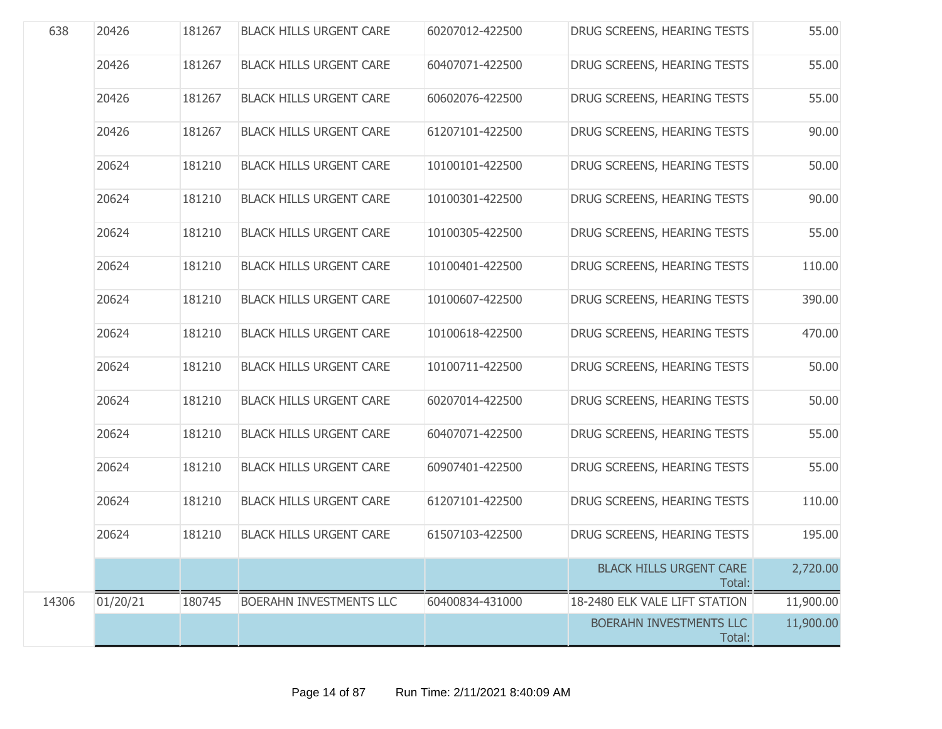| 638   | 20426    | 181267 | <b>BLACK HILLS URGENT CARE</b> | 60207012-422500 | DRUG SCREENS, HEARING TESTS              | 55.00     |
|-------|----------|--------|--------------------------------|-----------------|------------------------------------------|-----------|
|       | 20426    | 181267 | <b>BLACK HILLS URGENT CARE</b> | 60407071-422500 | DRUG SCREENS, HEARING TESTS              | 55.00     |
|       | 20426    | 181267 | <b>BLACK HILLS URGENT CARE</b> | 60602076-422500 | DRUG SCREENS, HEARING TESTS              | 55.00     |
|       | 20426    | 181267 | <b>BLACK HILLS URGENT CARE</b> | 61207101-422500 | DRUG SCREENS, HEARING TESTS              | 90.00     |
|       | 20624    | 181210 | <b>BLACK HILLS URGENT CARE</b> | 10100101-422500 | DRUG SCREENS, HEARING TESTS              | 50.00     |
|       | 20624    | 181210 | <b>BLACK HILLS URGENT CARE</b> | 10100301-422500 | DRUG SCREENS, HEARING TESTS              | 90.00     |
|       | 20624    | 181210 | <b>BLACK HILLS URGENT CARE</b> | 10100305-422500 | DRUG SCREENS, HEARING TESTS              | 55.00     |
|       | 20624    | 181210 | <b>BLACK HILLS URGENT CARE</b> | 10100401-422500 | DRUG SCREENS, HEARING TESTS              | 110.00    |
|       | 20624    | 181210 | <b>BLACK HILLS URGENT CARE</b> | 10100607-422500 | DRUG SCREENS, HEARING TESTS              | 390.00    |
|       | 20624    | 181210 | <b>BLACK HILLS URGENT CARE</b> | 10100618-422500 | DRUG SCREENS, HEARING TESTS              | 470.00    |
|       | 20624    | 181210 | <b>BLACK HILLS URGENT CARE</b> | 10100711-422500 | DRUG SCREENS, HEARING TESTS              | 50.00     |
|       | 20624    | 181210 | <b>BLACK HILLS URGENT CARE</b> | 60207014-422500 | DRUG SCREENS, HEARING TESTS              | 50.00     |
|       | 20624    | 181210 | <b>BLACK HILLS URGENT CARE</b> | 60407071-422500 | DRUG SCREENS, HEARING TESTS              | 55.00     |
|       | 20624    | 181210 | <b>BLACK HILLS URGENT CARE</b> | 60907401-422500 | DRUG SCREENS, HEARING TESTS              | 55.00     |
|       | 20624    | 181210 | <b>BLACK HILLS URGENT CARE</b> | 61207101-422500 | DRUG SCREENS, HEARING TESTS              | 110.00    |
|       | 20624    | 181210 | <b>BLACK HILLS URGENT CARE</b> | 61507103-422500 | DRUG SCREENS, HEARING TESTS              | 195.00    |
|       |          |        |                                |                 | <b>BLACK HILLS URGENT CARE</b><br>Total: | 2,720.00  |
| 14306 | 01/20/21 | 180745 | BOERAHN INVESTMENTS LLC        | 60400834-431000 | 18-2480 ELK VALE LIFT STATION            | 11,900.00 |
|       |          |        |                                |                 | BOERAHN INVESTMENTS LLC<br>Total:        | 11,900.00 |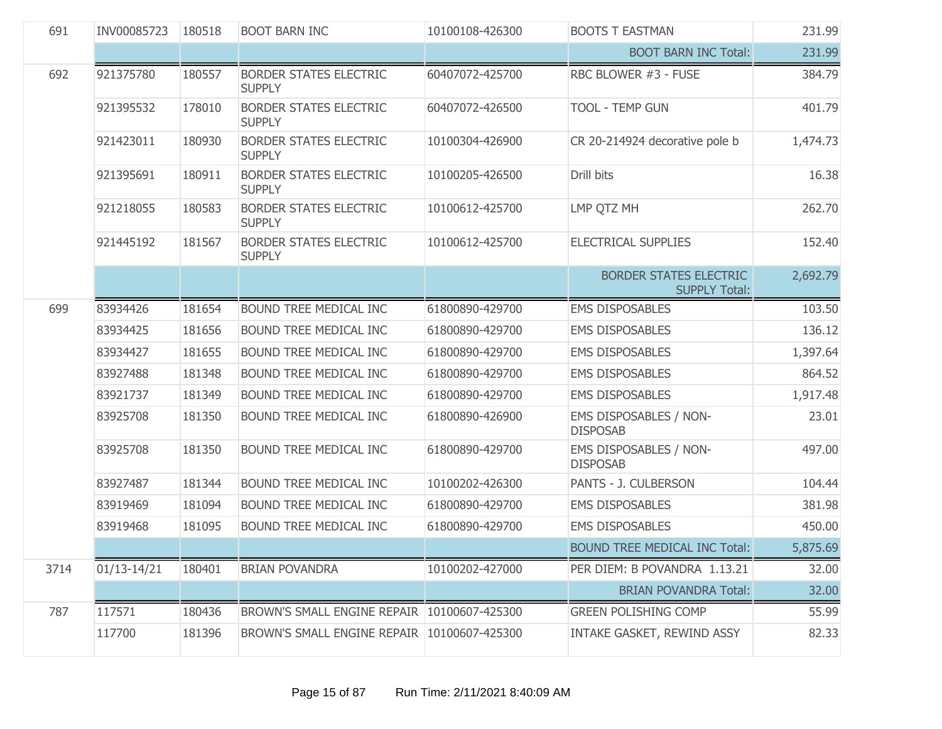| 691  | INV00085723     | 180518 | <b>BOOT BARN INC</b>                           | 10100108-426300 | <b>BOOTS T EASTMAN</b>                                | 231.99   |
|------|-----------------|--------|------------------------------------------------|-----------------|-------------------------------------------------------|----------|
|      |                 |        |                                                |                 | <b>BOOT BARN INC Total:</b>                           | 231.99   |
| 692  | 921375780       | 180557 | <b>BORDER STATES ELECTRIC</b><br><b>SUPPLY</b> | 60407072-425700 | RBC BLOWER #3 - FUSE                                  | 384.79   |
|      | 921395532       | 178010 | <b>BORDER STATES ELECTRIC</b><br><b>SUPPLY</b> | 60407072-426500 | TOOL - TEMP GUN                                       | 401.79   |
|      | 921423011       | 180930 | <b>BORDER STATES ELECTRIC</b><br><b>SUPPLY</b> | 10100304-426900 | CR 20-214924 decorative pole b                        | 1,474.73 |
|      | 921395691       | 180911 | <b>BORDER STATES ELECTRIC</b><br><b>SUPPLY</b> | 10100205-426500 | Drill bits                                            | 16.38    |
|      | 921218055       | 180583 | <b>BORDER STATES ELECTRIC</b><br><b>SUPPLY</b> | 10100612-425700 | LMP QTZ MH                                            | 262.70   |
|      | 921445192       | 181567 | <b>BORDER STATES ELECTRIC</b><br><b>SUPPLY</b> | 10100612-425700 | <b>ELECTRICAL SUPPLIES</b>                            | 152.40   |
|      |                 |        |                                                |                 | <b>BORDER STATES ELECTRIC</b><br><b>SUPPLY Total:</b> | 2,692.79 |
| 699  | 83934426        | 181654 | BOUND TREE MEDICAL INC                         | 61800890-429700 | <b>EMS DISPOSABLES</b>                                | 103.50   |
|      | 83934425        | 181656 | BOUND TREE MEDICAL INC                         | 61800890-429700 | <b>EMS DISPOSABLES</b>                                | 136.12   |
|      | 83934427        | 181655 | BOUND TREE MEDICAL INC                         | 61800890-429700 | <b>EMS DISPOSABLES</b>                                | 1,397.64 |
|      | 83927488        | 181348 | BOUND TREE MEDICAL INC                         | 61800890-429700 | <b>EMS DISPOSABLES</b>                                | 864.52   |
|      | 83921737        | 181349 | BOUND TREE MEDICAL INC                         | 61800890-429700 | <b>EMS DISPOSABLES</b>                                | 1,917.48 |
|      | 83925708        | 181350 | BOUND TREE MEDICAL INC                         | 61800890-426900 | EMS DISPOSABLES / NON-<br><b>DISPOSAB</b>             | 23.01    |
|      | 83925708        | 181350 | BOUND TREE MEDICAL INC                         | 61800890-429700 | EMS DISPOSABLES / NON-<br><b>DISPOSAB</b>             | 497.00   |
|      | 83927487        | 181344 | BOUND TREE MEDICAL INC                         | 10100202-426300 | PANTS - J. CULBERSON                                  | 104.44   |
|      | 83919469        | 181094 | BOUND TREE MEDICAL INC                         | 61800890-429700 | <b>EMS DISPOSABLES</b>                                | 381.98   |
|      | 83919468        | 181095 | BOUND TREE MEDICAL INC                         | 61800890-429700 | <b>EMS DISPOSABLES</b>                                | 450.00   |
|      |                 |        |                                                |                 | <b>BOUND TREE MEDICAL INC Total:</b>                  | 5,875.69 |
| 3714 | $01/13 - 14/21$ | 180401 | <b>BRIAN POVANDRA</b>                          | 10100202-427000 | PER DIEM: B POVANDRA 1.13.21                          | 32.00    |
|      |                 |        |                                                |                 | <b>BRIAN POVANDRA Total:</b>                          | 32.00    |
| 787  | 117571          | 180436 | BROWN'S SMALL ENGINE REPAIR 10100607-425300    |                 | <b>GREEN POLISHING COMP</b>                           | 55.99    |
|      | 117700          | 181396 | BROWN'S SMALL ENGINE REPAIR 10100607-425300    |                 | INTAKE GASKET, REWIND ASSY                            | 82.33    |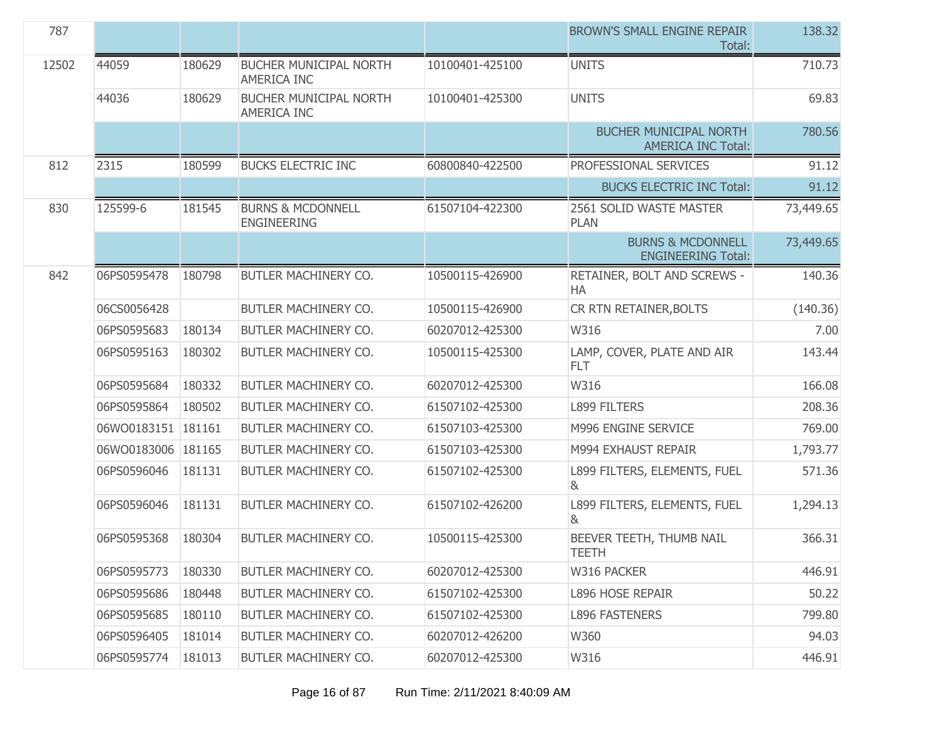| 787   |                    |        |                                                     |                 | <b>BROWN'S SMALL ENGINE REPAIR</b><br>Total:               | 138.32    |
|-------|--------------------|--------|-----------------------------------------------------|-----------------|------------------------------------------------------------|-----------|
| 12502 | 44059              | 180629 | <b>BUCHER MUNICIPAL NORTH</b><br><b>AMERICA INC</b> | 10100401-425100 | <b>UNITS</b>                                               | 710.73    |
|       | 44036              | 180629 | <b>BUCHER MUNICIPAL NORTH</b><br>AMERICA INC        | 10100401-425300 | <b>UNITS</b>                                               | 69.83     |
|       |                    |        |                                                     |                 | <b>BUCHER MUNICIPAL NORTH</b><br><b>AMERICA INC Total:</b> | 780.56    |
| 812   | 2315               | 180599 | <b>BUCKS ELECTRIC INC</b>                           | 60800840-422500 | PROFESSIONAL SERVICES                                      | 91.12     |
|       |                    |        |                                                     |                 | <b>BUCKS ELECTRIC INC Total:</b>                           | 91.12     |
| 830   | 125599-6           | 181545 | <b>BURNS &amp; MCDONNELL</b><br><b>ENGINEERING</b>  | 61507104-422300 | 2561 SOLID WASTE MASTER<br><b>PLAN</b>                     | 73,449.65 |
|       |                    |        |                                                     |                 | <b>BURNS &amp; MCDONNELL</b><br><b>ENGINEERING Total:</b>  | 73,449.65 |
| 842   | 06PS0595478        | 180798 | BUTLER MACHINERY CO.                                | 10500115-426900 | RETAINER, BOLT AND SCREWS -<br>HA                          | 140.36    |
|       | 06CS0056428        |        | BUTLER MACHINERY CO.                                | 10500115-426900 | CR RTN RETAINER, BOLTS                                     | (140.36)  |
|       | 06PS0595683        | 180134 | BUTLER MACHINERY CO.                                | 60207012-425300 | W316                                                       | 7.00      |
|       | 06PS0595163        | 180302 | BUTLER MACHINERY CO.                                | 10500115-425300 | LAMP, COVER, PLATE AND AIR<br>FLT.                         | 143.44    |
|       | 06PS0595684        | 180332 | BUTLER MACHINERY CO.                                | 60207012-425300 | W316                                                       | 166.08    |
|       | 06PS0595864        | 180502 | BUTLER MACHINERY CO.                                | 61507102-425300 | <b>L899 FILTERS</b>                                        | 208.36    |
|       | 06WO0183151 181161 |        | BUTLER MACHINERY CO.                                | 61507103-425300 | M996 ENGINE SERVICE                                        | 769.00    |
|       | 06WO0183006 181165 |        | BUTLER MACHINERY CO.                                | 61507103-425300 | M994 EXHAUST REPAIR                                        | 1,793.77  |
|       | 06PS0596046        | 181131 | BUTLER MACHINERY CO.                                | 61507102-425300 | L899 FILTERS, ELEMENTS, FUEL<br>&                          | 571.36    |
|       | 06PS0596046        | 181131 | BUTLER MACHINERY CO.                                | 61507102-426200 | L899 FILTERS, ELEMENTS, FUEL<br>8 <sub>k</sub>             | 1,294.13  |
|       | 06PS0595368        | 180304 | <b>BUTLER MACHINERY CO.</b>                         | 10500115-425300 | BEEVER TEETH, THUMB NAIL<br><b>TEETH</b>                   | 366.31    |
|       | 06PS0595773        | 180330 | BUTLER MACHINERY CO.                                | 60207012-425300 | W316 PACKER                                                | 446.91    |
|       | 06PS0595686        | 180448 | BUTLER MACHINERY CO.                                | 61507102-425300 | <b>L896 HOSE REPAIR</b>                                    | 50.22     |
|       | 06PS0595685        | 180110 | BUTLER MACHINERY CO.                                | 61507102-425300 | <b>L896 FASTENERS</b>                                      | 799.80    |
|       | 06PS0596405        | 181014 | BUTLER MACHINERY CO.                                | 60207012-426200 | W360                                                       | 94.03     |
|       | 06PS0595774        | 181013 | BUTLER MACHINERY CO.                                | 60207012-425300 | W316                                                       | 446.91    |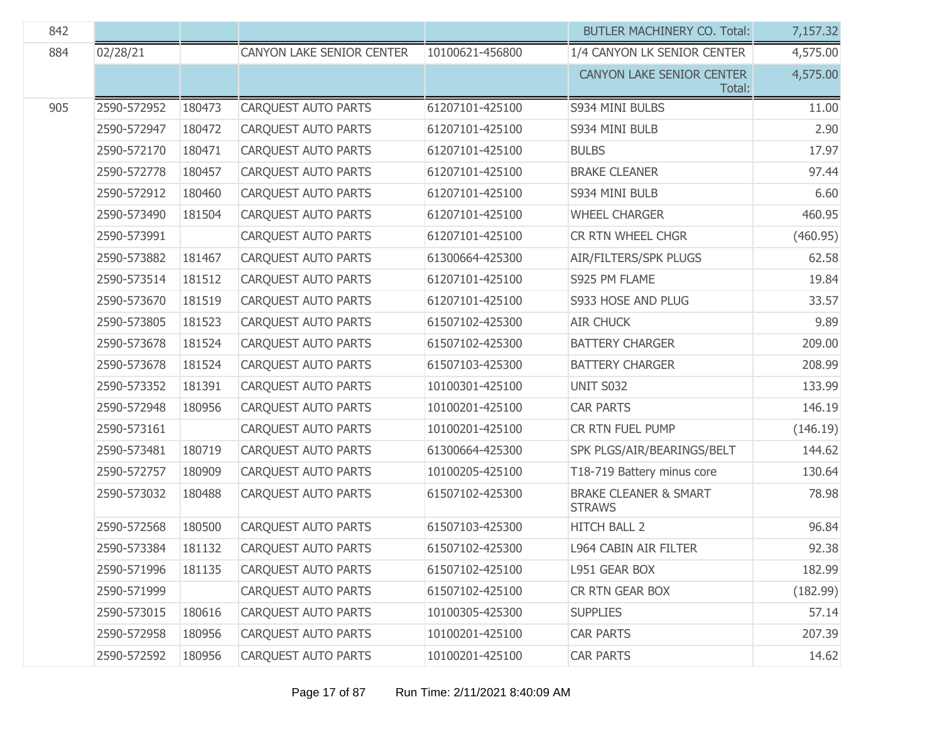| 842 |             |        |                            |                 | <b>BUTLER MACHINERY CO. Total:</b>                | 7,157.32 |
|-----|-------------|--------|----------------------------|-----------------|---------------------------------------------------|----------|
| 884 | 02/28/21    |        | CANYON LAKE SENIOR CENTER  | 10100621-456800 | 1/4 CANYON LK SENIOR CENTER                       | 4,575.00 |
|     |             |        |                            |                 | CANYON LAKE SENIOR CENTER<br>Total:               | 4,575.00 |
| 905 | 2590-572952 | 180473 | CARQUEST AUTO PARTS        | 61207101-425100 | S934 MINI BULBS                                   | 11.00    |
|     | 2590-572947 | 180472 | <b>CARQUEST AUTO PARTS</b> | 61207101-425100 | S934 MINI BULB                                    | 2.90     |
|     | 2590-572170 | 180471 | <b>CAROUEST AUTO PARTS</b> | 61207101-425100 | <b>BULBS</b>                                      | 17.97    |
|     | 2590-572778 | 180457 | <b>CARQUEST AUTO PARTS</b> | 61207101-425100 | <b>BRAKE CLEANER</b>                              | 97.44    |
|     | 2590-572912 | 180460 | <b>CARQUEST AUTO PARTS</b> | 61207101-425100 | S934 MINI BULB                                    | 6.60     |
|     | 2590-573490 | 181504 | <b>CARQUEST AUTO PARTS</b> | 61207101-425100 | <b>WHEEL CHARGER</b>                              | 460.95   |
|     | 2590-573991 |        | <b>CARQUEST AUTO PARTS</b> | 61207101-425100 | CR RTN WHEEL CHGR                                 | (460.95) |
|     | 2590-573882 | 181467 | <b>CARQUEST AUTO PARTS</b> | 61300664-425300 | AIR/FILTERS/SPK PLUGS                             | 62.58    |
|     | 2590-573514 | 181512 | <b>CARQUEST AUTO PARTS</b> | 61207101-425100 | S925 PM FLAME                                     | 19.84    |
|     | 2590-573670 | 181519 | <b>CARQUEST AUTO PARTS</b> | 61207101-425100 | S933 HOSE AND PLUG                                | 33.57    |
|     | 2590-573805 | 181523 | <b>CARQUEST AUTO PARTS</b> | 61507102-425300 | <b>AIR CHUCK</b>                                  | 9.89     |
|     | 2590-573678 | 181524 | <b>CARQUEST AUTO PARTS</b> | 61507102-425300 | <b>BATTERY CHARGER</b>                            | 209.00   |
|     | 2590-573678 | 181524 | <b>CARQUEST AUTO PARTS</b> | 61507103-425300 | <b>BATTERY CHARGER</b>                            | 208.99   |
|     | 2590-573352 | 181391 | <b>CARQUEST AUTO PARTS</b> | 10100301-425100 | <b>UNIT S032</b>                                  | 133.99   |
|     | 2590-572948 | 180956 | <b>CARQUEST AUTO PARTS</b> | 10100201-425100 | <b>CAR PARTS</b>                                  | 146.19   |
|     | 2590-573161 |        | <b>CARQUEST AUTO PARTS</b> | 10100201-425100 | CR RTN FUEL PUMP                                  | (146.19) |
|     | 2590-573481 | 180719 | <b>CARQUEST AUTO PARTS</b> | 61300664-425300 | SPK PLGS/AIR/BEARINGS/BELT                        | 144.62   |
|     | 2590-572757 | 180909 | <b>CARQUEST AUTO PARTS</b> | 10100205-425100 | T18-719 Battery minus core                        | 130.64   |
|     | 2590-573032 | 180488 | <b>CARQUEST AUTO PARTS</b> | 61507102-425300 | <b>BRAKE CLEANER &amp; SMART</b><br><b>STRAWS</b> | 78.98    |
|     | 2590-572568 | 180500 | CARQUEST AUTO PARTS        | 61507103-425300 | <b>HITCH BALL 2</b>                               | 96.84    |
|     | 2590-573384 | 181132 | CARQUEST AUTO PARTS        | 61507102-425300 | <b>L964 CABIN AIR FILTER</b>                      | 92.38    |
|     | 2590-571996 | 181135 | <b>CARQUEST AUTO PARTS</b> | 61507102-425100 | L951 GEAR BOX                                     | 182.99   |
|     | 2590-571999 |        | CARQUEST AUTO PARTS        | 61507102-425100 | CR RTN GEAR BOX                                   | (182.99) |
|     | 2590-573015 | 180616 | CARQUEST AUTO PARTS        | 10100305-425300 | <b>SUPPLIES</b>                                   | 57.14    |
|     | 2590-572958 | 180956 | CARQUEST AUTO PARTS        | 10100201-425100 | <b>CAR PARTS</b>                                  | 207.39   |
|     | 2590-572592 | 180956 | CARQUEST AUTO PARTS        | 10100201-425100 | <b>CAR PARTS</b>                                  | 14.62    |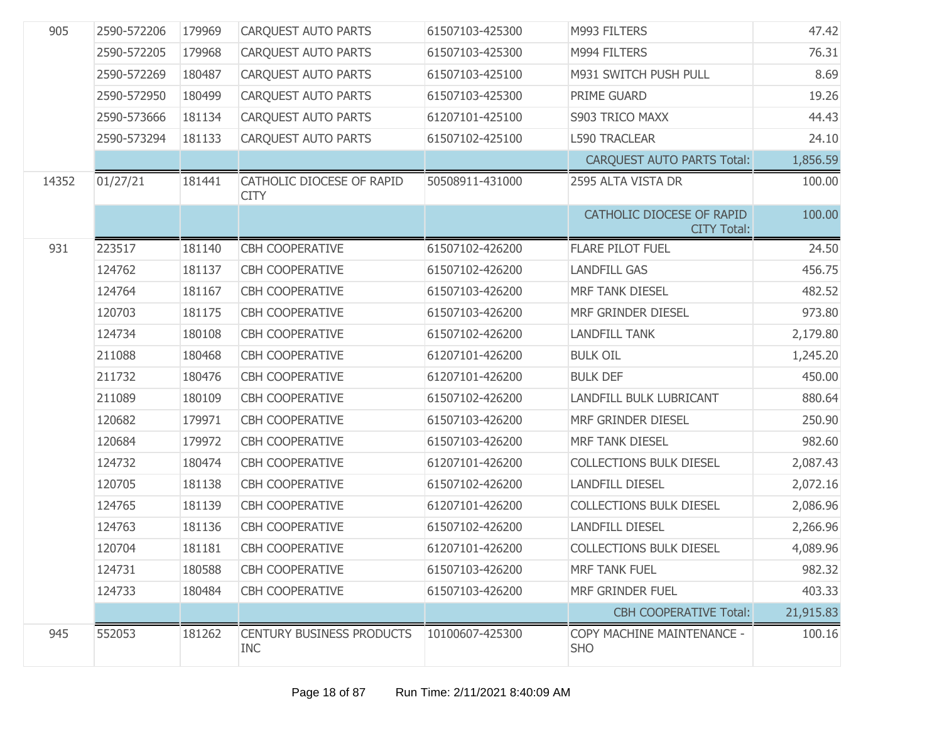| 905   | 2590-572206 | 179969 | <b>CARQUEST AUTO PARTS</b>                     | 61507103-425300 | M993 FILTERS                                    | 47.42     |
|-------|-------------|--------|------------------------------------------------|-----------------|-------------------------------------------------|-----------|
|       | 2590-572205 | 179968 | <b>CARQUEST AUTO PARTS</b>                     | 61507103-425300 | M994 FILTERS                                    | 76.31     |
|       | 2590-572269 | 180487 | <b>CARQUEST AUTO PARTS</b>                     | 61507103-425100 | M931 SWITCH PUSH PULL                           | 8.69      |
|       | 2590-572950 | 180499 | CARQUEST AUTO PARTS                            | 61507103-425300 | PRIME GUARD                                     | 19.26     |
|       | 2590-573666 | 181134 | <b>CARQUEST AUTO PARTS</b>                     | 61207101-425100 | S903 TRICO MAXX                                 | 44.43     |
|       | 2590-573294 | 181133 | CARQUEST AUTO PARTS                            | 61507102-425100 | <b>L590 TRACLEAR</b>                            | 24.10     |
|       |             |        |                                                |                 | <b>CARQUEST AUTO PARTS Total:</b>               | 1,856.59  |
| 14352 | 01/27/21    | 181441 | CATHOLIC DIOCESE OF RAPID<br><b>CITY</b>       | 50508911-431000 | 2595 ALTA VISTA DR                              | 100.00    |
|       |             |        |                                                |                 | CATHOLIC DIOCESE OF RAPID<br><b>CITY Total:</b> | 100.00    |
| 931   | 223517      | 181140 | CBH COOPERATIVE                                | 61507102-426200 | <b>FLARE PILOT FUEL</b>                         | 24.50     |
|       | 124762      | 181137 | <b>CBH COOPERATIVE</b>                         | 61507102-426200 | <b>LANDFILL GAS</b>                             | 456.75    |
|       | 124764      | 181167 | <b>CBH COOPERATIVE</b>                         | 61507103-426200 | <b>MRF TANK DIESEL</b>                          | 482.52    |
|       | 120703      | 181175 | <b>CBH COOPERATIVE</b>                         | 61507103-426200 | MRF GRINDER DIESEL                              | 973.80    |
|       | 124734      | 180108 | <b>CBH COOPERATIVE</b>                         | 61507102-426200 | <b>LANDFILL TANK</b>                            | 2,179.80  |
|       | 211088      | 180468 | <b>CBH COOPERATIVE</b>                         | 61207101-426200 | <b>BULK OIL</b>                                 | 1,245.20  |
|       | 211732      | 180476 | <b>CBH COOPERATIVE</b>                         | 61207101-426200 | <b>BULK DEF</b>                                 | 450.00    |
|       | 211089      | 180109 | <b>CBH COOPERATIVE</b>                         | 61507102-426200 | LANDFILL BULK LUBRICANT                         | 880.64    |
|       | 120682      | 179971 | <b>CBH COOPERATIVE</b>                         | 61507103-426200 | MRF GRINDER DIESEL                              | 250.90    |
|       | 120684      | 179972 | <b>CBH COOPERATIVE</b>                         | 61507103-426200 | MRF TANK DIESEL                                 | 982.60    |
|       | 124732      | 180474 | <b>CBH COOPERATIVE</b>                         | 61207101-426200 | <b>COLLECTIONS BULK DIESEL</b>                  | 2,087.43  |
|       | 120705      | 181138 | <b>CBH COOPERATIVE</b>                         | 61507102-426200 | <b>LANDFILL DIESEL</b>                          | 2,072.16  |
|       | 124765      | 181139 | <b>CBH COOPERATIVE</b>                         | 61207101-426200 | <b>COLLECTIONS BULK DIESEL</b>                  | 2,086.96  |
|       | 124763      | 181136 | <b>CBH COOPERATIVE</b>                         | 61507102-426200 | <b>LANDFILL DIESEL</b>                          | 2,266.96  |
|       | 120704      | 181181 | <b>CBH COOPERATIVE</b>                         | 61207101-426200 | <b>COLLECTIONS BULK DIESEL</b>                  | 4,089.96  |
|       | 124731      | 180588 | <b>CBH COOPERATIVE</b>                         | 61507103-426200 | <b>MRF TANK FUEL</b>                            | 982.32    |
|       | 124733      | 180484 | <b>CBH COOPERATIVE</b>                         | 61507103-426200 | MRF GRINDER FUEL                                | 403.33    |
|       |             |        |                                                |                 | <b>CBH COOPERATIVE Total:</b>                   | 21,915.83 |
| 945   | 552053      | 181262 | <b>CENTURY BUSINESS PRODUCTS</b><br><b>INC</b> | 10100607-425300 | COPY MACHINE MAINTENANCE -<br><b>SHO</b>        | 100.16    |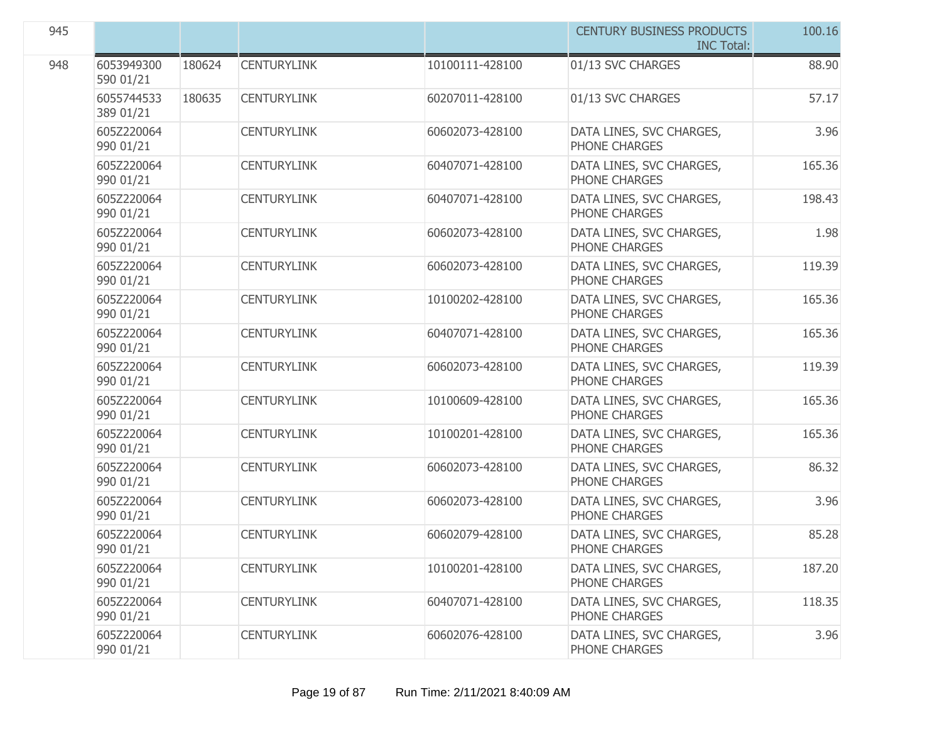| 945 |                         |        |                    |                 | <b>CENTURY BUSINESS PRODUCTS</b><br><b>INC Total:</b> | 100.16 |
|-----|-------------------------|--------|--------------------|-----------------|-------------------------------------------------------|--------|
| 948 | 6053949300<br>590 01/21 | 180624 | <b>CENTURYLINK</b> | 10100111-428100 | 01/13 SVC CHARGES                                     | 88.90  |
|     | 6055744533<br>389 01/21 | 180635 | <b>CENTURYLINK</b> | 60207011-428100 | 01/13 SVC CHARGES                                     | 57.17  |
|     | 605Z220064<br>990 01/21 |        | <b>CENTURYLINK</b> | 60602073-428100 | DATA LINES, SVC CHARGES,<br>PHONE CHARGES             | 3.96   |
|     | 605Z220064<br>990 01/21 |        | <b>CENTURYLINK</b> | 60407071-428100 | DATA LINES, SVC CHARGES,<br><b>PHONE CHARGES</b>      | 165.36 |
|     | 605Z220064<br>990 01/21 |        | <b>CENTURYLINK</b> | 60407071-428100 | DATA LINES, SVC CHARGES,<br>PHONE CHARGES             | 198.43 |
|     | 605Z220064<br>990 01/21 |        | <b>CENTURYLINK</b> | 60602073-428100 | DATA LINES, SVC CHARGES,<br>PHONE CHARGES             | 1.98   |
|     | 605Z220064<br>990 01/21 |        | <b>CENTURYLINK</b> | 60602073-428100 | DATA LINES, SVC CHARGES,<br>PHONE CHARGES             | 119.39 |
|     | 605Z220064<br>990 01/21 |        | <b>CENTURYLINK</b> | 10100202-428100 | DATA LINES, SVC CHARGES,<br>PHONE CHARGES             | 165.36 |
|     | 605Z220064<br>990 01/21 |        | <b>CENTURYLINK</b> | 60407071-428100 | DATA LINES, SVC CHARGES,<br>PHONE CHARGES             | 165.36 |
|     | 605Z220064<br>990 01/21 |        | <b>CENTURYLINK</b> | 60602073-428100 | DATA LINES, SVC CHARGES,<br>PHONE CHARGES             | 119.39 |
|     | 605Z220064<br>990 01/21 |        | <b>CENTURYLINK</b> | 10100609-428100 | DATA LINES, SVC CHARGES,<br>PHONE CHARGES             | 165.36 |
|     | 605Z220064<br>990 01/21 |        | <b>CENTURYLINK</b> | 10100201-428100 | DATA LINES, SVC CHARGES,<br>PHONE CHARGES             | 165.36 |
|     | 605Z220064<br>990 01/21 |        | <b>CENTURYLINK</b> | 60602073-428100 | DATA LINES, SVC CHARGES,<br>PHONE CHARGES             | 86.32  |
|     | 605Z220064<br>990 01/21 |        | <b>CENTURYLINK</b> | 60602073-428100 | DATA LINES, SVC CHARGES,<br>PHONE CHARGES             | 3.96   |
|     | 605Z220064<br>990 01/21 |        | <b>CENTURYLINK</b> | 60602079-428100 | DATA LINES, SVC CHARGES,<br>PHONE CHARGES             | 85.28  |
|     | 605Z220064<br>990 01/21 |        | <b>CENTURYLINK</b> | 10100201-428100 | DATA LINES, SVC CHARGES,<br>PHONE CHARGES             | 187.20 |
|     | 605Z220064<br>990 01/21 |        | <b>CENTURYLINK</b> | 60407071-428100 | DATA LINES, SVC CHARGES,<br>PHONE CHARGES             | 118.35 |
|     | 605Z220064<br>990 01/21 |        | <b>CENTURYLINK</b> | 60602076-428100 | DATA LINES, SVC CHARGES,<br>PHONE CHARGES             | 3.96   |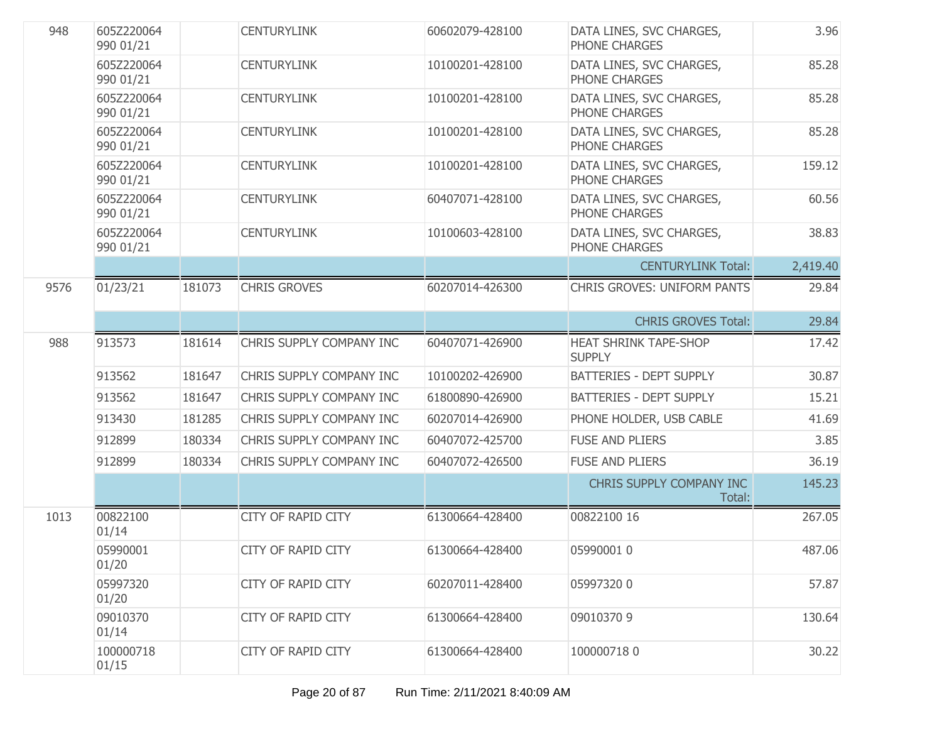| 948  | 605Z220064<br>990 01/21 |        | <b>CENTURYLINK</b>        | 60602079-428100 | DATA LINES, SVC CHARGES,<br>PHONE CHARGES     | 3.96     |
|------|-------------------------|--------|---------------------------|-----------------|-----------------------------------------------|----------|
|      | 605Z220064<br>990 01/21 |        | <b>CENTURYLINK</b>        | 10100201-428100 | DATA LINES, SVC CHARGES,<br>PHONE CHARGES     | 85.28    |
|      | 605Z220064<br>990 01/21 |        | <b>CENTURYLINK</b>        | 10100201-428100 | DATA LINES, SVC CHARGES,<br>PHONE CHARGES     | 85.28    |
|      | 605Z220064<br>990 01/21 |        | <b>CENTURYLINK</b>        | 10100201-428100 | DATA LINES, SVC CHARGES,<br>PHONE CHARGES     | 85.28    |
|      | 605Z220064<br>990 01/21 |        | <b>CENTURYLINK</b>        | 10100201-428100 | DATA LINES, SVC CHARGES,<br>PHONE CHARGES     | 159.12   |
|      | 605Z220064<br>990 01/21 |        | <b>CENTURYLINK</b>        | 60407071-428100 | DATA LINES, SVC CHARGES,<br>PHONE CHARGES     | 60.56    |
|      | 605Z220064<br>990 01/21 |        | <b>CENTURYLINK</b>        | 10100603-428100 | DATA LINES, SVC CHARGES,<br>PHONE CHARGES     | 38.83    |
|      |                         |        |                           |                 | <b>CENTURYLINK Total:</b>                     | 2,419.40 |
| 9576 | 01/23/21                | 181073 | <b>CHRIS GROVES</b>       | 60207014-426300 | <b>CHRIS GROVES: UNIFORM PANTS</b>            | 29.84    |
|      |                         |        |                           |                 | <b>CHRIS GROVES Total:</b>                    | 29.84    |
| 988  | 913573                  | 181614 | CHRIS SUPPLY COMPANY INC  | 60407071-426900 | <b>HEAT SHRINK TAPE-SHOP</b><br><b>SUPPLY</b> | 17.42    |
|      | 913562                  | 181647 | CHRIS SUPPLY COMPANY INC  | 10100202-426900 | <b>BATTERIES - DEPT SUPPLY</b>                | 30.87    |
|      | 913562                  | 181647 | CHRIS SUPPLY COMPANY INC  | 61800890-426900 | <b>BATTERIES - DEPT SUPPLY</b>                | 15.21    |
|      | 913430                  | 181285 | CHRIS SUPPLY COMPANY INC  | 60207014-426900 | PHONE HOLDER, USB CABLE                       | 41.69    |
|      | 912899                  | 180334 | CHRIS SUPPLY COMPANY INC  | 60407072-425700 | <b>FUSE AND PLIERS</b>                        | 3.85     |
|      | 912899                  | 180334 | CHRIS SUPPLY COMPANY INC  | 60407072-426500 | <b>FUSE AND PLIERS</b>                        | 36.19    |
|      |                         |        |                           |                 | CHRIS SUPPLY COMPANY INC<br>Total:            | 145.23   |
| 1013 | 00822100<br>01/14       |        | <b>CITY OF RAPID CITY</b> | 61300664-428400 | 00822100 16                                   | 267.05   |
|      | 05990001<br>01/20       |        | <b>CITY OF RAPID CITY</b> | 61300664-428400 | 05990001 0                                    | 487.06   |
|      | 05997320<br>01/20       |        | <b>CITY OF RAPID CITY</b> | 60207011-428400 | 059973200                                     | 57.87    |
|      | 09010370<br>01/14       |        | <b>CITY OF RAPID CITY</b> | 61300664-428400 | 09010370 9                                    | 130.64   |
|      | 100000718<br>01/15      |        | <b>CITY OF RAPID CITY</b> | 61300664-428400 | 1000007180                                    | 30.22    |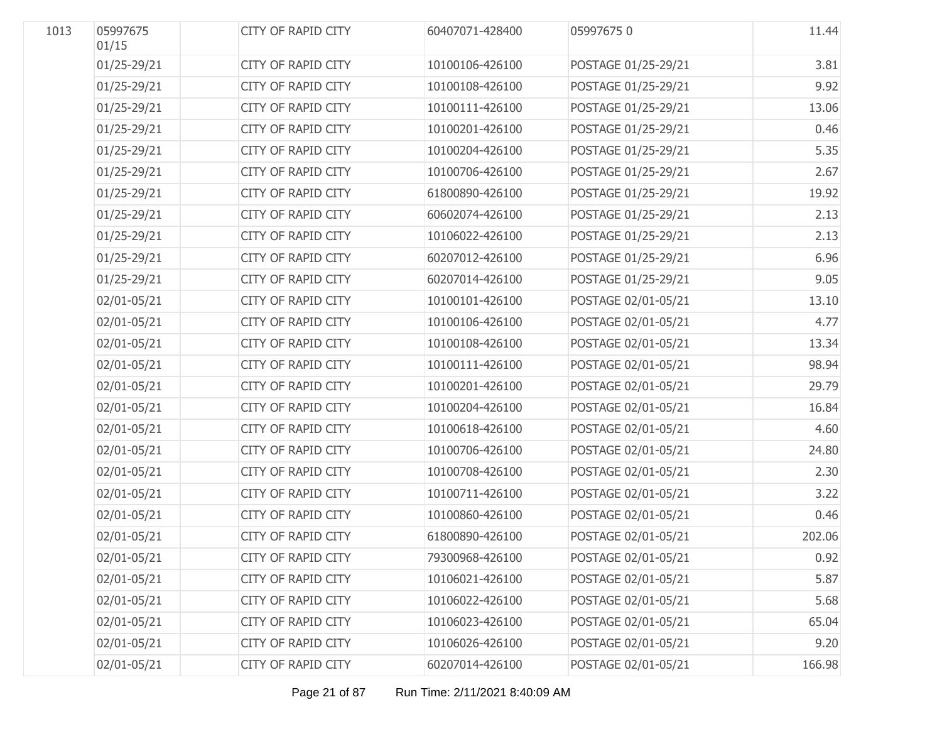| 1013 | 05997675<br>01/15 | <b>CITY OF RAPID CITY</b> | 60407071-428400 | 059976750           | 11.44  |
|------|-------------------|---------------------------|-----------------|---------------------|--------|
|      | 01/25-29/21       | CITY OF RAPID CITY        | 10100106-426100 | POSTAGE 01/25-29/21 | 3.81   |
|      | 01/25-29/21       | CITY OF RAPID CITY        | 10100108-426100 | POSTAGE 01/25-29/21 | 9.92   |
|      | 01/25-29/21       | CITY OF RAPID CITY        | 10100111-426100 | POSTAGE 01/25-29/21 | 13.06  |
|      | 01/25-29/21       | CITY OF RAPID CITY        | 10100201-426100 | POSTAGE 01/25-29/21 | 0.46   |
|      | 01/25-29/21       | CITY OF RAPID CITY        | 10100204-426100 | POSTAGE 01/25-29/21 | 5.35   |
|      | 01/25-29/21       | CITY OF RAPID CITY        | 10100706-426100 | POSTAGE 01/25-29/21 | 2.67   |
|      | 01/25-29/21       | CITY OF RAPID CITY        | 61800890-426100 | POSTAGE 01/25-29/21 | 19.92  |
|      | 01/25-29/21       | CITY OF RAPID CITY        | 60602074-426100 | POSTAGE 01/25-29/21 | 2.13   |
|      | 01/25-29/21       | CITY OF RAPID CITY        | 10106022-426100 | POSTAGE 01/25-29/21 | 2.13   |
|      | 01/25-29/21       | CITY OF RAPID CITY        | 60207012-426100 | POSTAGE 01/25-29/21 | 6.96   |
|      | 01/25-29/21       | CITY OF RAPID CITY        | 60207014-426100 | POSTAGE 01/25-29/21 | 9.05   |
|      | 02/01-05/21       | CITY OF RAPID CITY        | 10100101-426100 | POSTAGE 02/01-05/21 | 13.10  |
|      | 02/01-05/21       | CITY OF RAPID CITY        | 10100106-426100 | POSTAGE 02/01-05/21 | 4.77   |
|      | 02/01-05/21       | CITY OF RAPID CITY        | 10100108-426100 | POSTAGE 02/01-05/21 | 13.34  |
|      | 02/01-05/21       | CITY OF RAPID CITY        | 10100111-426100 | POSTAGE 02/01-05/21 | 98.94  |
|      | 02/01-05/21       | CITY OF RAPID CITY        | 10100201-426100 | POSTAGE 02/01-05/21 | 29.79  |
|      | 02/01-05/21       | CITY OF RAPID CITY        | 10100204-426100 | POSTAGE 02/01-05/21 | 16.84  |
|      | 02/01-05/21       | CITY OF RAPID CITY        | 10100618-426100 | POSTAGE 02/01-05/21 | 4.60   |
|      | 02/01-05/21       | CITY OF RAPID CITY        | 10100706-426100 | POSTAGE 02/01-05/21 | 24.80  |
|      | 02/01-05/21       | CITY OF RAPID CITY        | 10100708-426100 | POSTAGE 02/01-05/21 | 2.30   |
|      | 02/01-05/21       | CITY OF RAPID CITY        | 10100711-426100 | POSTAGE 02/01-05/21 | 3.22   |
|      | 02/01-05/21       | CITY OF RAPID CITY        | 10100860-426100 | POSTAGE 02/01-05/21 | 0.46   |
|      | 02/01-05/21       | <b>CITY OF RAPID CITY</b> | 61800890-426100 | POSTAGE 02/01-05/21 | 202.06 |
|      | 02/01-05/21       | <b>CITY OF RAPID CITY</b> | 79300968-426100 | POSTAGE 02/01-05/21 | 0.92   |
|      | 02/01-05/21       | <b>CITY OF RAPID CITY</b> | 10106021-426100 | POSTAGE 02/01-05/21 | 5.87   |
|      | 02/01-05/21       | CITY OF RAPID CITY        | 10106022-426100 | POSTAGE 02/01-05/21 | 5.68   |
|      | 02/01-05/21       | CITY OF RAPID CITY        | 10106023-426100 | POSTAGE 02/01-05/21 | 65.04  |
|      | 02/01-05/21       | CITY OF RAPID CITY        | 10106026-426100 | POSTAGE 02/01-05/21 | 9.20   |
|      | 02/01-05/21       | CITY OF RAPID CITY        | 60207014-426100 | POSTAGE 02/01-05/21 | 166.98 |
|      |                   |                           |                 |                     |        |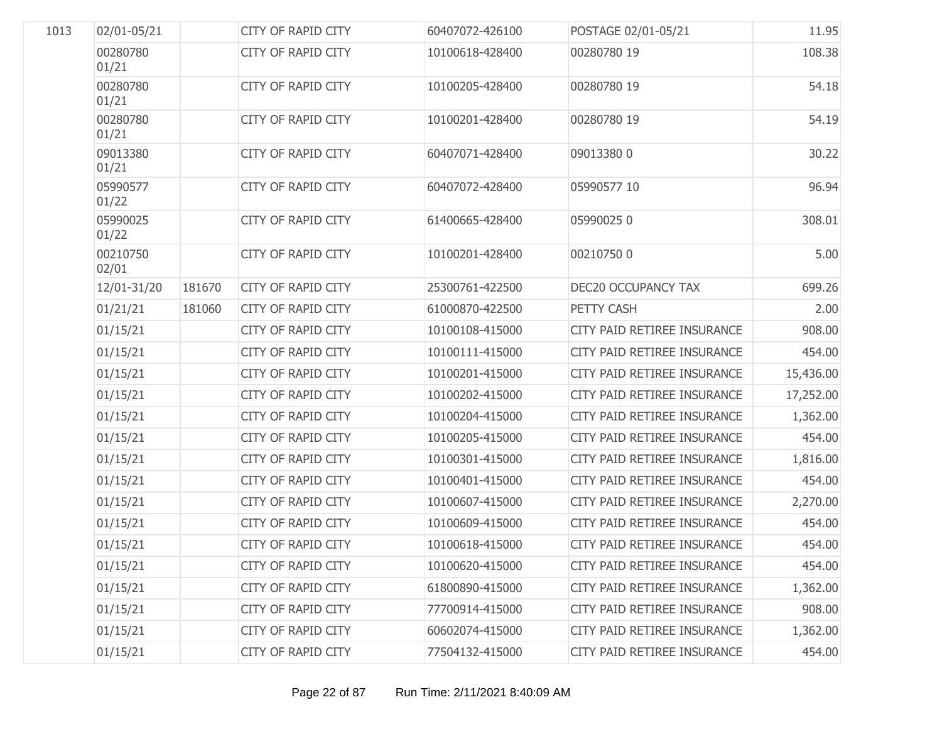| 1013 | 02/01-05/21       |        | <b>CITY OF RAPID CITY</b> | 60407072-426100 | POSTAGE 02/01-05/21         | 11.95     |
|------|-------------------|--------|---------------------------|-----------------|-----------------------------|-----------|
|      | 00280780<br>01/21 |        | <b>CITY OF RAPID CITY</b> | 10100618-428400 | 00280780 19                 | 108.38    |
|      | 00280780<br>01/21 |        | <b>CITY OF RAPID CITY</b> | 10100205-428400 | 00280780 19                 | 54.18     |
|      | 00280780<br>01/21 |        | <b>CITY OF RAPID CITY</b> | 10100201-428400 | 00280780 19                 | 54.19     |
|      | 09013380<br>01/21 |        | <b>CITY OF RAPID CITY</b> | 60407071-428400 | 090133800                   | 30.22     |
|      | 05990577<br>01/22 |        | <b>CITY OF RAPID CITY</b> | 60407072-428400 | 05990577 10                 | 96.94     |
|      | 05990025<br>01/22 |        | <b>CITY OF RAPID CITY</b> | 61400665-428400 | 059900250                   | 308.01    |
|      | 00210750<br>02/01 |        | <b>CITY OF RAPID CITY</b> | 10100201-428400 | 002107500                   | 5.00      |
|      | 12/01-31/20       | 181670 | <b>CITY OF RAPID CITY</b> | 25300761-422500 | DEC20 OCCUPANCY TAX         | 699.26    |
|      | 01/21/21          | 181060 | <b>CITY OF RAPID CITY</b> | 61000870-422500 | PETTY CASH                  | 2.00      |
|      | 01/15/21          |        | CITY OF RAPID CITY        | 10100108-415000 | CITY PAID RETIREE INSURANCE | 908.00    |
|      | 01/15/21          |        | <b>CITY OF RAPID CITY</b> | 10100111-415000 | CITY PAID RETIREE INSURANCE | 454.00    |
|      | 01/15/21          |        | CITY OF RAPID CITY        | 10100201-415000 | CITY PAID RETIREE INSURANCE | 15,436.00 |
|      | 01/15/21          |        | <b>CITY OF RAPID CITY</b> | 10100202-415000 | CITY PAID RETIREE INSURANCE | 17,252.00 |
|      | 01/15/21          |        | <b>CITY OF RAPID CITY</b> | 10100204-415000 | CITY PAID RETIREE INSURANCE | 1,362.00  |
|      | 01/15/21          |        | <b>CITY OF RAPID CITY</b> | 10100205-415000 | CITY PAID RETIREE INSURANCE | 454.00    |
|      | 01/15/21          |        | CITY OF RAPID CITY        | 10100301-415000 | CITY PAID RETIREE INSURANCE | 1,816.00  |
|      | 01/15/21          |        | CITY OF RAPID CITY        | 10100401-415000 | CITY PAID RETIREE INSURANCE | 454.00    |
|      | 01/15/21          |        | CITY OF RAPID CITY        | 10100607-415000 | CITY PAID RETIREE INSURANCE | 2,270.00  |
|      | 01/15/21          |        | CITY OF RAPID CITY        | 10100609-415000 | CITY PAID RETIREE INSURANCE | 454.00    |
|      | 01/15/21          |        | <b>CITY OF RAPID CITY</b> | 10100618-415000 | CITY PAID RETIREE INSURANCE | 454.00    |
|      | 01/15/21          |        | <b>CITY OF RAPID CITY</b> | 10100620-415000 | CITY PAID RETIREE INSURANCE | 454.00    |
|      | 01/15/21          |        | <b>CITY OF RAPID CITY</b> | 61800890-415000 | CITY PAID RETIREE INSURANCE | 1,362.00  |
|      | 01/15/21          |        | <b>CITY OF RAPID CITY</b> | 77700914-415000 | CITY PAID RETIREE INSURANCE | 908.00    |
|      | 01/15/21          |        | CITY OF RAPID CITY        | 60602074-415000 | CITY PAID RETIREE INSURANCE | 1,362.00  |
|      | 01/15/21          |        | CITY OF RAPID CITY        | 77504132-415000 | CITY PAID RETIREE INSURANCE | 454.00    |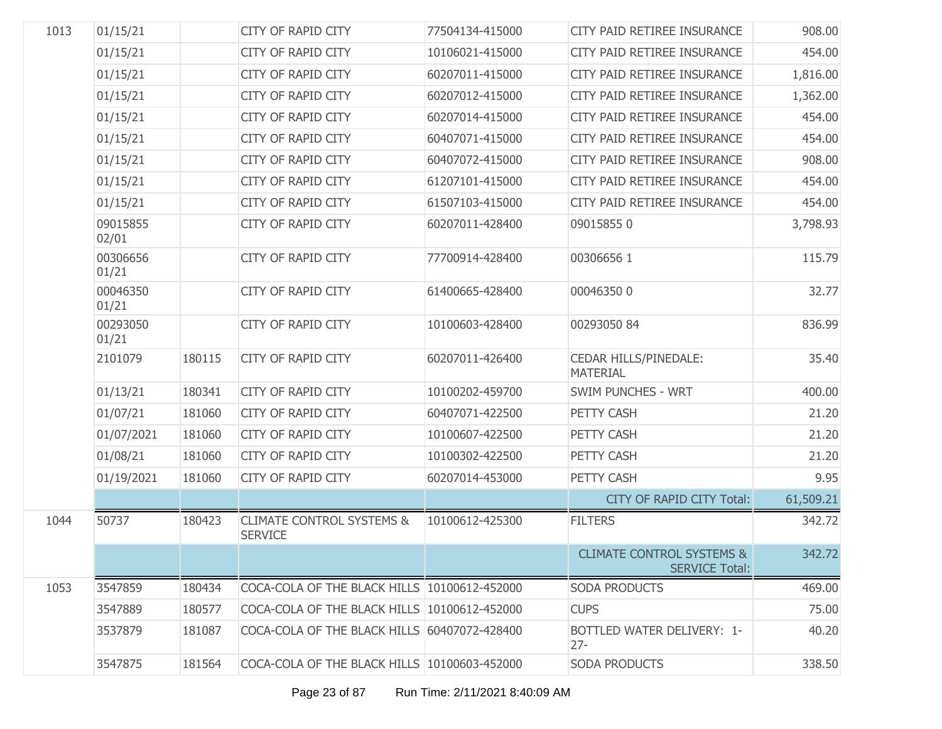| 1013 | 01/15/21          |        | CITY OF RAPID CITY                                     | 77504134-415000 | CITY PAID RETIREE INSURANCE                                   | 908.00    |
|------|-------------------|--------|--------------------------------------------------------|-----------------|---------------------------------------------------------------|-----------|
|      | 01/15/21          |        | <b>CITY OF RAPID CITY</b>                              | 10106021-415000 | CITY PAID RETIREE INSURANCE                                   | 454.00    |
|      | 01/15/21          |        | CITY OF RAPID CITY                                     | 60207011-415000 | CITY PAID RETIREE INSURANCE                                   | 1,816.00  |
|      | 01/15/21          |        | <b>CITY OF RAPID CITY</b>                              | 60207012-415000 | CITY PAID RETIREE INSURANCE                                   | 1,362.00  |
|      | 01/15/21          |        | CITY OF RAPID CITY                                     | 60207014-415000 | CITY PAID RETIREE INSURANCE                                   | 454.00    |
|      | 01/15/21          |        | <b>CITY OF RAPID CITY</b>                              | 60407071-415000 | CITY PAID RETIREE INSURANCE                                   | 454.00    |
|      | 01/15/21          |        | CITY OF RAPID CITY                                     | 60407072-415000 | CITY PAID RETIREE INSURANCE                                   | 908.00    |
|      | 01/15/21          |        | <b>CITY OF RAPID CITY</b>                              | 61207101-415000 | CITY PAID RETIREE INSURANCE                                   | 454.00    |
|      | 01/15/21          |        | CITY OF RAPID CITY                                     | 61507103-415000 | CITY PAID RETIREE INSURANCE                                   | 454.00    |
|      | 09015855<br>02/01 |        | CITY OF RAPID CITY                                     | 60207011-428400 | 090158550                                                     | 3,798.93  |
|      | 00306656<br>01/21 |        | <b>CITY OF RAPID CITY</b>                              | 77700914-428400 | 003066561                                                     | 115.79    |
|      | 00046350<br>01/21 |        | <b>CITY OF RAPID CITY</b>                              | 61400665-428400 | 000463500                                                     | 32.77     |
|      | 00293050<br>01/21 |        | CITY OF RAPID CITY                                     | 10100603-428400 | 00293050 84                                                   | 836.99    |
|      | 2101079           | 180115 | <b>CITY OF RAPID CITY</b>                              | 60207011-426400 | <b>CEDAR HILLS/PINEDALE:</b><br><b>MATERIAL</b>               | 35.40     |
|      | 01/13/21          | 180341 | <b>CITY OF RAPID CITY</b>                              | 10100202-459700 | <b>SWIM PUNCHES - WRT</b>                                     | 400.00    |
|      | 01/07/21          | 181060 | CITY OF RAPID CITY                                     | 60407071-422500 | PETTY CASH                                                    | 21.20     |
|      | 01/07/2021        | 181060 | CITY OF RAPID CITY                                     | 10100607-422500 | PETTY CASH                                                    | 21.20     |
|      | 01/08/21          | 181060 | CITY OF RAPID CITY                                     | 10100302-422500 | PETTY CASH                                                    | 21.20     |
|      | 01/19/2021        | 181060 | CITY OF RAPID CITY                                     | 60207014-453000 | PETTY CASH                                                    | 9.95      |
|      |                   |        |                                                        |                 | CITY OF RAPID CITY Total:                                     | 61,509.21 |
| 1044 | 50737             | 180423 | <b>CLIMATE CONTROL SYSTEMS &amp;</b><br><b>SERVICE</b> | 10100612-425300 | <b>FILTERS</b>                                                | 342.72    |
|      |                   |        |                                                        |                 | <b>CLIMATE CONTROL SYSTEMS &amp;</b><br><b>SERVICE Total:</b> | 342.72    |
| 1053 | 3547859           | 180434 | COCA-COLA OF THE BLACK HILLS 10100612-452000           |                 | <b>SODA PRODUCTS</b>                                          | 469.00    |
|      | 3547889           | 180577 | COCA-COLA OF THE BLACK HILLS 10100612-452000           |                 | <b>CUPS</b>                                                   | 75.00     |
|      | 3537879           | 181087 | COCA-COLA OF THE BLACK HILLS 60407072-428400           |                 | <b>BOTTLED WATER DELIVERY: 1-</b><br>$27 -$                   | 40.20     |
|      | 3547875           | 181564 | COCA-COLA OF THE BLACK HILLS 10100603-452000           |                 | <b>SODA PRODUCTS</b>                                          | 338.50    |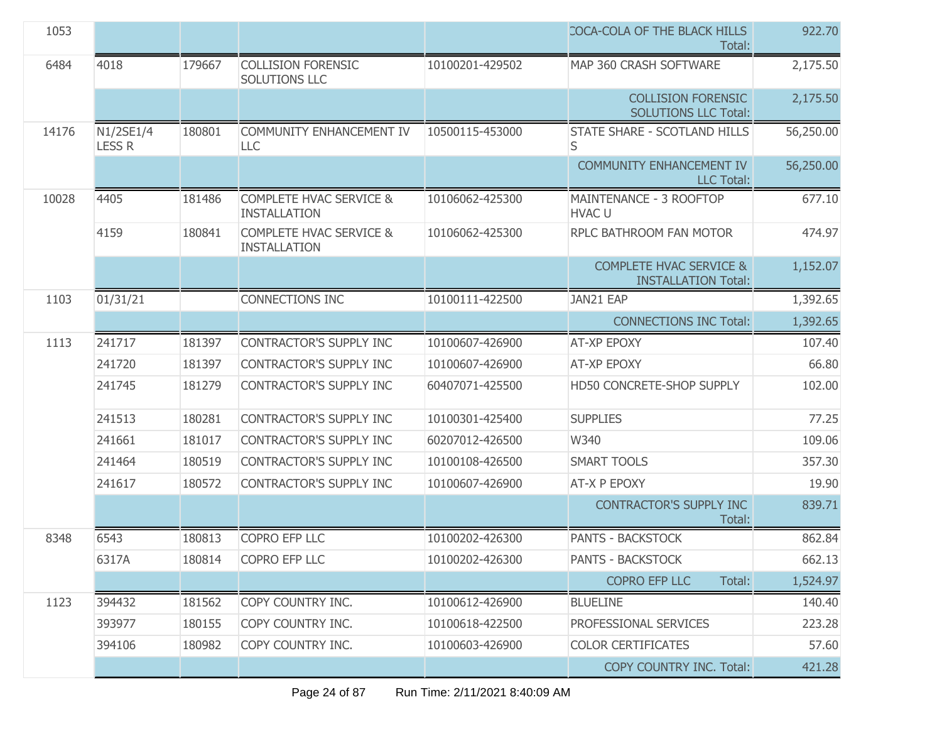| 1053  |                            |        |                                                           |                 | COCA-COLA OF THE BLACK HILLS<br>Total:                           | 922.70    |
|-------|----------------------------|--------|-----------------------------------------------------------|-----------------|------------------------------------------------------------------|-----------|
| 6484  | 4018                       | 179667 | <b>COLLISION FORENSIC</b><br><b>SOLUTIONS LLC</b>         | 10100201-429502 | MAP 360 CRASH SOFTWARE                                           | 2,175.50  |
|       |                            |        |                                                           |                 | <b>COLLISION FORENSIC</b><br><b>SOLUTIONS LLC Total:</b>         | 2,175.50  |
| 14176 | N1/2SE1/4<br><b>LESS R</b> | 180801 | COMMUNITY ENHANCEMENT IV<br>LLC                           | 10500115-453000 | STATE SHARE - SCOTLAND HILLS<br>S                                | 56,250.00 |
|       |                            |        |                                                           |                 | <b>COMMUNITY ENHANCEMENT IV</b><br><b>LLC Total:</b>             | 56,250.00 |
| 10028 | 4405                       | 181486 | <b>COMPLETE HVAC SERVICE &amp;</b><br><b>INSTALLATION</b> | 10106062-425300 | MAINTENANCE - 3 ROOFTOP<br><b>HVAC U</b>                         | 677.10    |
|       | 4159                       | 180841 | <b>COMPLETE HVAC SERVICE &amp;</b><br><b>INSTALLATION</b> | 10106062-425300 | RPLC BATHROOM FAN MOTOR                                          | 474.97    |
|       |                            |        |                                                           |                 | <b>COMPLETE HVAC SERVICE &amp;</b><br><b>INSTALLATION Total:</b> | 1,152.07  |
| 1103  | 01/31/21                   |        | <b>CONNECTIONS INC</b>                                    | 10100111-422500 | JAN21 EAP                                                        | 1,392.65  |
|       |                            |        |                                                           |                 | <b>CONNECTIONS INC Total:</b>                                    | 1,392.65  |
| 1113  | 241717                     | 181397 | <b>CONTRACTOR'S SUPPLY INC</b>                            | 10100607-426900 | <b>AT-XP EPOXY</b>                                               | 107.40    |
|       | 241720                     | 181397 | <b>CONTRACTOR'S SUPPLY INC</b>                            | 10100607-426900 | <b>AT-XP EPOXY</b>                                               | 66.80     |
|       | 241745                     | 181279 | CONTRACTOR'S SUPPLY INC                                   | 60407071-425500 | HD50 CONCRETE-SHOP SUPPLY                                        | 102.00    |
|       | 241513                     | 180281 | CONTRACTOR'S SUPPLY INC                                   | 10100301-425400 | <b>SUPPLIES</b>                                                  | 77.25     |
|       | 241661                     | 181017 | <b>CONTRACTOR'S SUPPLY INC</b>                            | 60207012-426500 | W340                                                             | 109.06    |
|       | 241464                     | 180519 | <b>CONTRACTOR'S SUPPLY INC</b>                            | 10100108-426500 | <b>SMART TOOLS</b>                                               | 357.30    |
|       | 241617                     | 180572 | <b>CONTRACTOR'S SUPPLY INC</b>                            | 10100607-426900 | AT-X P EPOXY                                                     | 19.90     |
|       |                            |        |                                                           |                 | <b>CONTRACTOR'S SUPPLY INC</b><br>Total:                         | 839.71    |
| 8348  | 6543                       | 180813 | <b>COPRO EFP LLC</b>                                      | 10100202-426300 | <b>PANTS - BACKSTOCK</b>                                         | 862.84    |
|       | 6317A                      | 180814 | COPRO EFP LLC                                             | 10100202-426300 | <b>PANTS - BACKSTOCK</b>                                         | 662.13    |
|       |                            |        |                                                           |                 | <b>COPRO EFP LLC</b><br>Total:                                   | 1,524.97  |
| 1123  | 394432                     | 181562 | COPY COUNTRY INC.                                         | 10100612-426900 | <b>BLUELINE</b>                                                  | 140.40    |
|       | 393977                     | 180155 | COPY COUNTRY INC.                                         | 10100618-422500 | PROFESSIONAL SERVICES                                            | 223.28    |
|       | 394106                     | 180982 | COPY COUNTRY INC.                                         | 10100603-426900 | <b>COLOR CERTIFICATES</b>                                        | 57.60     |
|       |                            |        |                                                           |                 | COPY COUNTRY INC. Total:                                         | 421.28    |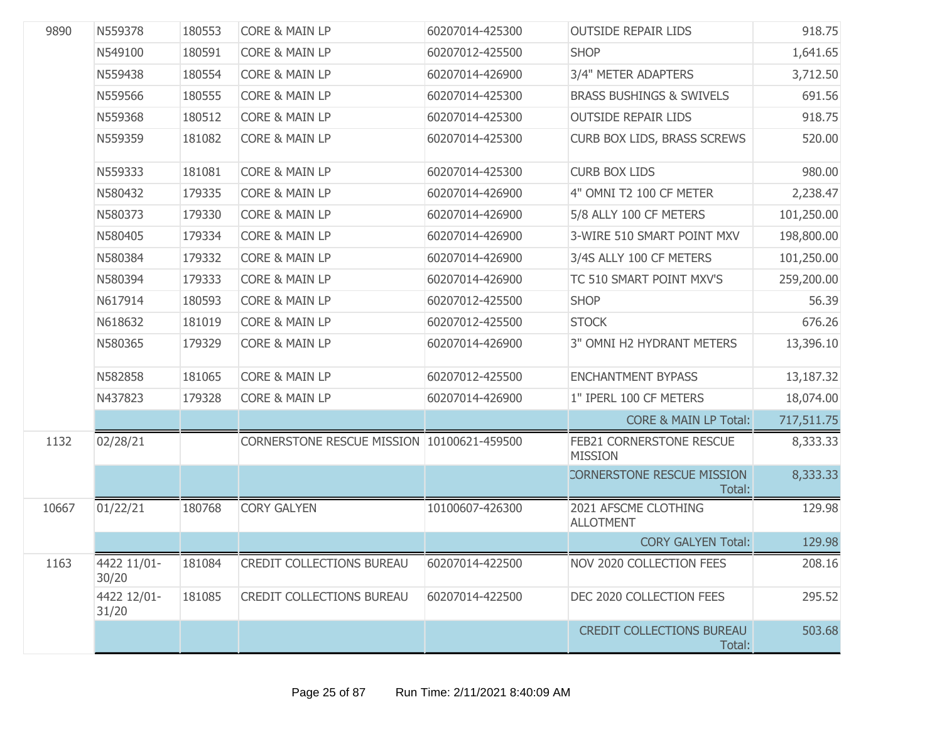| 9890  | N559378              | 180553 | <b>CORE &amp; MAIN LP</b>                  | 60207014-425300 | <b>OUTSIDE REPAIR LIDS</b>                 | 918.75     |
|-------|----------------------|--------|--------------------------------------------|-----------------|--------------------------------------------|------------|
|       | N549100              | 180591 | <b>CORE &amp; MAIN LP</b>                  | 60207012-425500 | <b>SHOP</b>                                | 1,641.65   |
|       | N559438              | 180554 | <b>CORE &amp; MAIN LP</b>                  | 60207014-426900 | 3/4" METER ADAPTERS                        | 3,712.50   |
|       | N559566              | 180555 | <b>CORE &amp; MAIN LP</b>                  | 60207014-425300 | <b>BRASS BUSHINGS &amp; SWIVELS</b>        | 691.56     |
|       | N559368              | 180512 | <b>CORE &amp; MAIN LP</b>                  | 60207014-425300 | <b>OUTSIDE REPAIR LIDS</b>                 | 918.75     |
|       | N559359              | 181082 | <b>CORE &amp; MAIN LP</b>                  | 60207014-425300 | CURB BOX LIDS, BRASS SCREWS                | 520.00     |
|       | N559333              | 181081 | <b>CORE &amp; MAIN LP</b>                  | 60207014-425300 | <b>CURB BOX LIDS</b>                       | 980.00     |
|       | N580432              | 179335 | <b>CORE &amp; MAIN LP</b>                  | 60207014-426900 | 4" OMNI T2 100 CF METER                    | 2,238.47   |
|       | N580373              | 179330 | CORE & MAIN LP                             | 60207014-426900 | 5/8 ALLY 100 CF METERS                     | 101,250.00 |
|       | N580405              | 179334 | <b>CORE &amp; MAIN LP</b>                  | 60207014-426900 | 3-WIRE 510 SMART POINT MXV                 | 198,800.00 |
|       | N580384              | 179332 | CORE & MAIN LP                             | 60207014-426900 | 3/4S ALLY 100 CF METERS                    | 101,250.00 |
|       | N580394              | 179333 | <b>CORE &amp; MAIN LP</b>                  | 60207014-426900 | TC 510 SMART POINT MXV'S                   | 259,200.00 |
|       | N617914              | 180593 | <b>CORE &amp; MAIN LP</b>                  | 60207012-425500 | <b>SHOP</b>                                | 56.39      |
|       | N618632              | 181019 | <b>CORE &amp; MAIN LP</b>                  | 60207012-425500 | <b>STOCK</b>                               | 676.26     |
|       | N580365              | 179329 | <b>CORE &amp; MAIN LP</b>                  | 60207014-426900 | 3" OMNI H2 HYDRANT METERS                  | 13,396.10  |
|       | N582858              | 181065 | <b>CORE &amp; MAIN LP</b>                  | 60207012-425500 | <b>ENCHANTMENT BYPASS</b>                  | 13,187.32  |
|       | N437823              | 179328 | <b>CORE &amp; MAIN LP</b>                  | 60207014-426900 | 1" IPERL 100 CF METERS                     | 18,074.00  |
|       |                      |        |                                            |                 | <b>CORE &amp; MAIN LP Total:</b>           | 717,511.75 |
| 1132  | 02/28/21             |        | CORNERSTONE RESCUE MISSION 10100621-459500 |                 | FEB21 CORNERSTONE RESCUE<br><b>MISSION</b> | 8,333.33   |
|       |                      |        |                                            |                 | CORNERSTONE RESCUE MISSION<br>Total:       | 8,333.33   |
| 10667 | 01/22/21             | 180768 | <b>CORY GALYEN</b>                         | 10100607-426300 | 2021 AFSCME CLOTHING<br><b>ALLOTMENT</b>   | 129.98     |
|       |                      |        |                                            |                 | <b>CORY GALYEN Total:</b>                  | 129.98     |
| 1163  | 4422 11/01-<br>30/20 | 181084 | <b>CREDIT COLLECTIONS BUREAU</b>           | 60207014-422500 | NOV 2020 COLLECTION FEES                   | 208.16     |
|       | 4422 12/01-<br>31/20 | 181085 | <b>CREDIT COLLECTIONS BUREAU</b>           | 60207014-422500 | DEC 2020 COLLECTION FEES                   | 295.52     |
|       |                      |        |                                            |                 | <b>CREDIT COLLECTIONS BUREAU</b><br>Total: | 503.68     |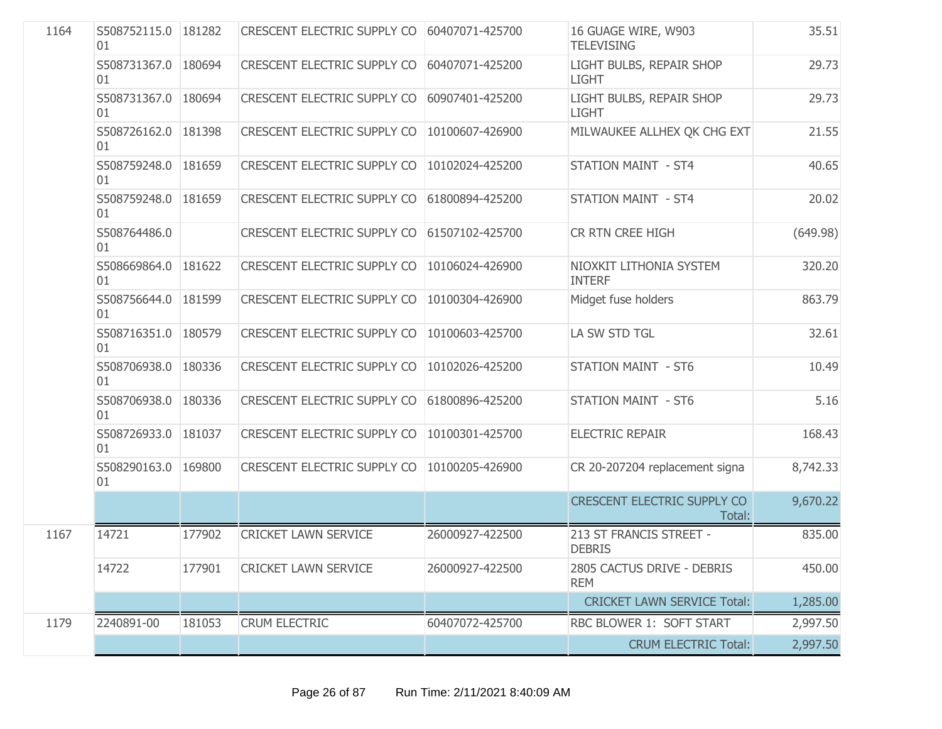| 1164 | S508752115.0 181282<br>01 |        | CRESCENT ELECTRIC SUPPLY CO 60407071-425700 |                 | 16 GUAGE WIRE, W903<br><b>TELEVISING</b>     | 35.51    |
|------|---------------------------|--------|---------------------------------------------|-----------------|----------------------------------------------|----------|
|      | S508731367.0 180694<br>01 |        | CRESCENT ELECTRIC SUPPLY CO                 | 60407071-425200 | LIGHT BULBS, REPAIR SHOP<br><b>LIGHT</b>     | 29.73    |
|      | S508731367.0 180694<br>01 |        | CRESCENT ELECTRIC SUPPLY CO                 | 60907401-425200 | LIGHT BULBS, REPAIR SHOP<br><b>LIGHT</b>     | 29.73    |
|      | S508726162.0 181398<br>01 |        | CRESCENT ELECTRIC SUPPLY CO                 | 10100607-426900 | MILWAUKEE ALLHEX QK CHG EXT                  | 21.55    |
|      | S508759248.0 181659<br>01 |        | CRESCENT ELECTRIC SUPPLY CO                 | 10102024-425200 | <b>STATION MAINT - ST4</b>                   | 40.65    |
|      | S508759248.0 181659<br>01 |        | CRESCENT ELECTRIC SUPPLY CO                 | 61800894-425200 | <b>STATION MAINT - ST4</b>                   | 20.02    |
|      | S508764486.0<br>01        |        | CRESCENT ELECTRIC SUPPLY CO                 | 61507102-425700 | CR RTN CREE HIGH                             | (649.98) |
|      | S508669864.0 181622<br>01 |        | CRESCENT ELECTRIC SUPPLY CO                 | 10106024-426900 | NIOXKIT LITHONIA SYSTEM<br><b>INTERF</b>     | 320.20   |
|      | S508756644.0 181599<br>01 |        | CRESCENT ELECTRIC SUPPLY CO                 | 10100304-426900 | Midget fuse holders                          | 863.79   |
|      | S508716351.0 180579<br>01 |        | <b>CRESCENT ELECTRIC SUPPLY CO</b>          | 10100603-425700 | LA SW STD TGL                                | 32.61    |
|      | S508706938.0 180336<br>01 |        | CRESCENT ELECTRIC SUPPLY CO                 | 10102026-425200 | <b>STATION MAINT - ST6</b>                   | 10.49    |
|      | S508706938.0 180336<br>01 |        | CRESCENT ELECTRIC SUPPLY CO                 | 61800896-425200 | <b>STATION MAINT - ST6</b>                   | 5.16     |
|      | S508726933.0 181037<br>01 |        | CRESCENT ELECTRIC SUPPLY CO                 | 10100301-425700 | <b>ELECTRIC REPAIR</b>                       | 168.43   |
|      | S508290163.0 169800<br>01 |        | CRESCENT ELECTRIC SUPPLY CO                 | 10100205-426900 | CR 20-207204 replacement signa               | 8,742.33 |
|      |                           |        |                                             |                 | <b>CRESCENT ELECTRIC SUPPLY CO</b><br>Total: | 9,670.22 |
| 1167 | 14721                     | 177902 | <b>CRICKET LAWN SERVICE</b>                 | 26000927-422500 | 213 ST FRANCIS STREET -<br><b>DEBRIS</b>     | 835.00   |
|      | 14722                     | 177901 | <b>CRICKET LAWN SERVICE</b>                 | 26000927-422500 | 2805 CACTUS DRIVE - DEBRIS<br><b>REM</b>     | 450.00   |
|      |                           |        |                                             |                 | <b>CRICKET LAWN SERVICE Total:</b>           | 1,285.00 |
| 1179 | 2240891-00                | 181053 | <b>CRUM ELECTRIC</b>                        | 60407072-425700 | RBC BLOWER 1: SOFT START                     | 2,997.50 |
|      |                           |        |                                             |                 | <b>CRUM ELECTRIC Total:</b>                  | 2,997.50 |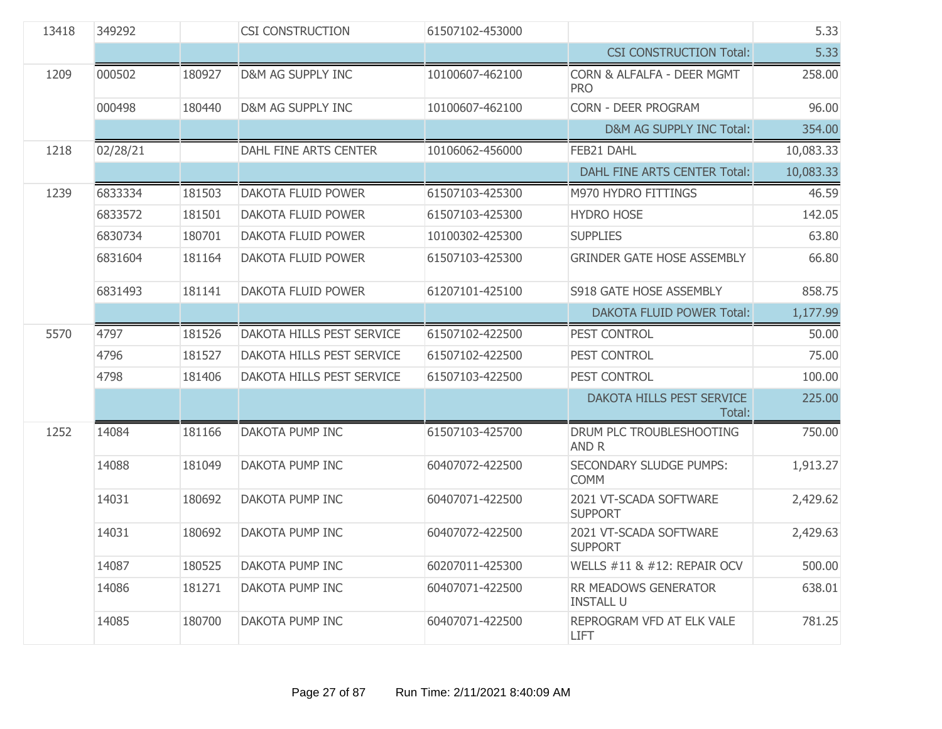| 13418 | 349292   |        | <b>CSI CONSTRUCTION</b>          | 61507102-453000 |                                          | 5.33      |
|-------|----------|--------|----------------------------------|-----------------|------------------------------------------|-----------|
|       |          |        |                                  |                 | <b>CSI CONSTRUCTION Total:</b>           | 5.33      |
| 1209  | 000502   | 180927 | D&M AG SUPPLY INC                | 10100607-462100 | CORN & ALFALFA - DEER MGMT<br><b>PRO</b> | 258.00    |
|       | 000498   | 180440 | D&M AG SUPPLY INC                | 10100607-462100 | <b>CORN - DEER PROGRAM</b>               | 96.00     |
|       |          |        |                                  |                 | D&M AG SUPPLY INC Total:                 | 354.00    |
| 1218  | 02/28/21 |        | DAHL FINE ARTS CENTER            | 10106062-456000 | FEB21 DAHL                               | 10,083.33 |
|       |          |        |                                  |                 | <b>DAHL FINE ARTS CENTER Total:</b>      | 10,083.33 |
| 1239  | 6833334  | 181503 | <b>DAKOTA FLUID POWER</b>        | 61507103-425300 | M970 HYDRO FITTINGS                      | 46.59     |
|       | 6833572  | 181501 | <b>DAKOTA FLUID POWER</b>        | 61507103-425300 | <b>HYDRO HOSE</b>                        | 142.05    |
|       | 6830734  | 180701 | <b>DAKOTA FLUID POWER</b>        | 10100302-425300 | <b>SUPPLIES</b>                          | 63.80     |
|       | 6831604  | 181164 | DAKOTA FLUID POWER               | 61507103-425300 | <b>GRINDER GATE HOSE ASSEMBLY</b>        | 66.80     |
|       | 6831493  | 181141 | <b>DAKOTA FLUID POWER</b>        | 61207101-425100 | S918 GATE HOSE ASSEMBLY                  | 858.75    |
|       |          |        |                                  |                 | <b>DAKOTA FLUID POWER Total:</b>         | 1,177.99  |
| 5570  | 4797     | 181526 | <b>DAKOTA HILLS PEST SERVICE</b> | 61507102-422500 | PEST CONTROL                             | 50.00     |
|       | 4796     | 181527 | <b>DAKOTA HILLS PEST SERVICE</b> | 61507102-422500 | PEST CONTROL                             | 75.00     |
|       | 4798     | 181406 | DAKOTA HILLS PEST SERVICE        | 61507103-422500 | PEST CONTROL                             | 100.00    |
|       |          |        |                                  |                 | DAKOTA HILLS PEST SERVICE<br>Total:      | 225.00    |
| 1252  | 14084    | 181166 | <b>DAKOTA PUMP INC</b>           | 61507103-425700 | DRUM PLC TROUBLESHOOTING<br>AND R        | 750.00    |
|       | 14088    | 181049 | DAKOTA PUMP INC                  | 60407072-422500 | SECONDARY SLUDGE PUMPS:<br><b>COMM</b>   | 1,913.27  |
|       | 14031    | 180692 | DAKOTA PUMP INC                  | 60407071-422500 | 2021 VT-SCADA SOFTWARE<br><b>SUPPORT</b> | 2,429.62  |
|       | 14031    | 180692 | <b>DAKOTA PUMP INC</b>           | 60407072-422500 | 2021 VT-SCADA SOFTWARE<br><b>SUPPORT</b> | 2,429.63  |
|       | 14087    | 180525 | DAKOTA PUMP INC                  | 60207011-425300 | WELLS #11 & #12: REPAIR OCV              | 500.00    |
|       | 14086    | 181271 | DAKOTA PUMP INC                  | 60407071-422500 | RR MEADOWS GENERATOR<br><b>INSTALL U</b> | 638.01    |
|       | 14085    | 180700 | DAKOTA PUMP INC                  | 60407071-422500 | REPROGRAM VFD AT ELK VALE<br><b>LIFT</b> | 781.25    |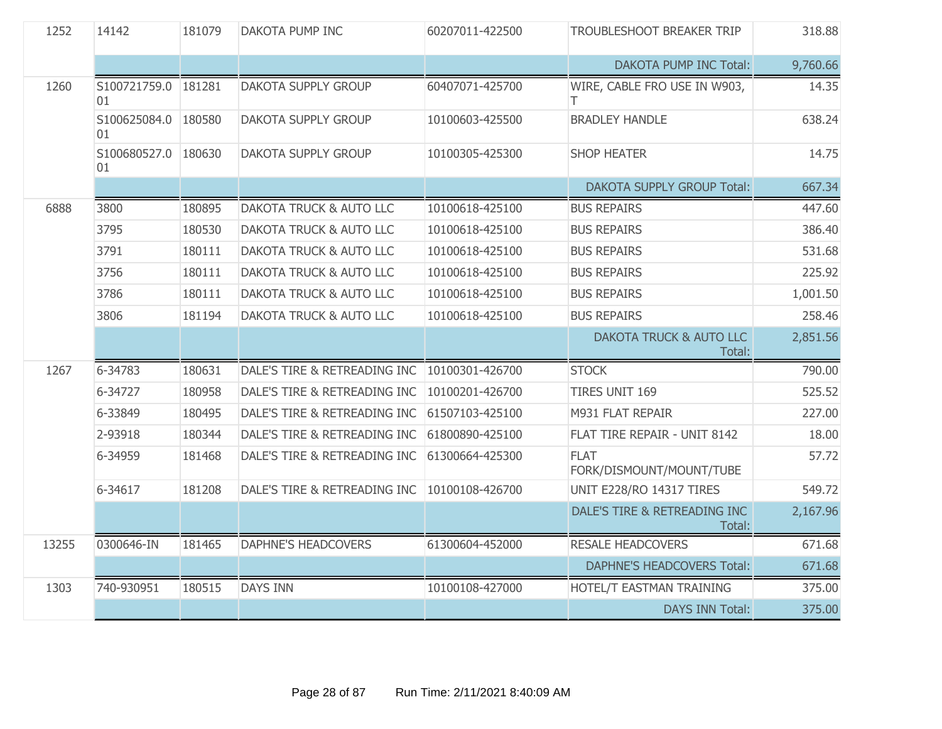| 1252  | 14142                     | 181079 | <b>DAKOTA PUMP INC</b>             | 60207011-422500 | TROUBLESHOOT BREAKER TRIP                    | 318.88   |
|-------|---------------------------|--------|------------------------------------|-----------------|----------------------------------------------|----------|
|       |                           |        |                                    |                 | <b>DAKOTA PUMP INC Total:</b>                | 9,760.66 |
| 1260  | S100721759.0 181281<br>01 |        | <b>DAKOTA SUPPLY GROUP</b>         | 60407071-425700 | WIRE, CABLE FRO USE IN W903,<br>Τ            | 14.35    |
|       | S100625084.0 180580<br>01 |        | DAKOTA SUPPLY GROUP                | 10100603-425500 | <b>BRADLEY HANDLE</b>                        | 638.24   |
|       | S100680527.0 180630<br>01 |        | <b>DAKOTA SUPPLY GROUP</b>         | 10100305-425300 | <b>SHOP HEATER</b>                           | 14.75    |
|       |                           |        |                                    |                 | <b>DAKOTA SUPPLY GROUP Total:</b>            | 667.34   |
| 6888  | 3800                      | 180895 | <b>DAKOTA TRUCK &amp; AUTO LLC</b> | 10100618-425100 | <b>BUS REPAIRS</b>                           | 447.60   |
|       | 3795                      | 180530 | DAKOTA TRUCK & AUTO LLC            | 10100618-425100 | <b>BUS REPAIRS</b>                           | 386.40   |
|       | 3791                      | 180111 | <b>DAKOTA TRUCK &amp; AUTO LLC</b> | 10100618-425100 | <b>BUS REPAIRS</b>                           | 531.68   |
|       | 3756                      | 180111 | DAKOTA TRUCK & AUTO LLC            | 10100618-425100 | <b>BUS REPAIRS</b>                           | 225.92   |
|       | 3786                      | 180111 | DAKOTA TRUCK & AUTO LLC            | 10100618-425100 | <b>BUS REPAIRS</b>                           | 1,001.50 |
|       | 3806                      | 181194 | DAKOTA TRUCK & AUTO LLC            | 10100618-425100 | <b>BUS REPAIRS</b>                           | 258.46   |
|       |                           |        |                                    |                 | <b>DAKOTA TRUCK &amp; AUTO LLC</b><br>Total: | 2,851.56 |
| 1267  | 6-34783                   | 180631 | DALE'S TIRE & RETREADING INC       | 10100301-426700 | <b>STOCK</b>                                 | 790.00   |
|       | 6-34727                   | 180958 | DALE'S TIRE & RETREADING INC       | 10100201-426700 | <b>TIRES UNIT 169</b>                        | 525.52   |
|       | 6-33849                   | 180495 | DALE'S TIRE & RETREADING INC       | 61507103-425100 | M931 FLAT REPAIR                             | 227.00   |
|       | 2-93918                   | 180344 | DALE'S TIRE & RETREADING INC       | 61800890-425100 | FLAT TIRE REPAIR - UNIT 8142                 | 18.00    |
|       | 6-34959                   | 181468 | DALE'S TIRE & RETREADING INC       | 61300664-425300 | <b>FLAT</b><br>FORK/DISMOUNT/MOUNT/TUBE      | 57.72    |
|       | 6-34617                   | 181208 | DALE'S TIRE & RETREADING INC       | 10100108-426700 | UNIT E228/RO 14317 TIRES                     | 549.72   |
|       |                           |        |                                    |                 | DALE'S TIRE & RETREADING INC<br>Total:       | 2,167.96 |
| 13255 | 0300646-IN                | 181465 | <b>DAPHNE'S HEADCOVERS</b>         | 61300604-452000 | <b>RESALE HEADCOVERS</b>                     | 671.68   |
|       |                           |        |                                    |                 | <b>DAPHNE'S HEADCOVERS Total:</b>            | 671.68   |
| 1303  | 740-930951                | 180515 | <b>DAYS INN</b>                    | 10100108-427000 | HOTEL/T EASTMAN TRAINING                     | 375.00   |
|       |                           |        |                                    |                 | <b>DAYS INN Total:</b>                       | 375.00   |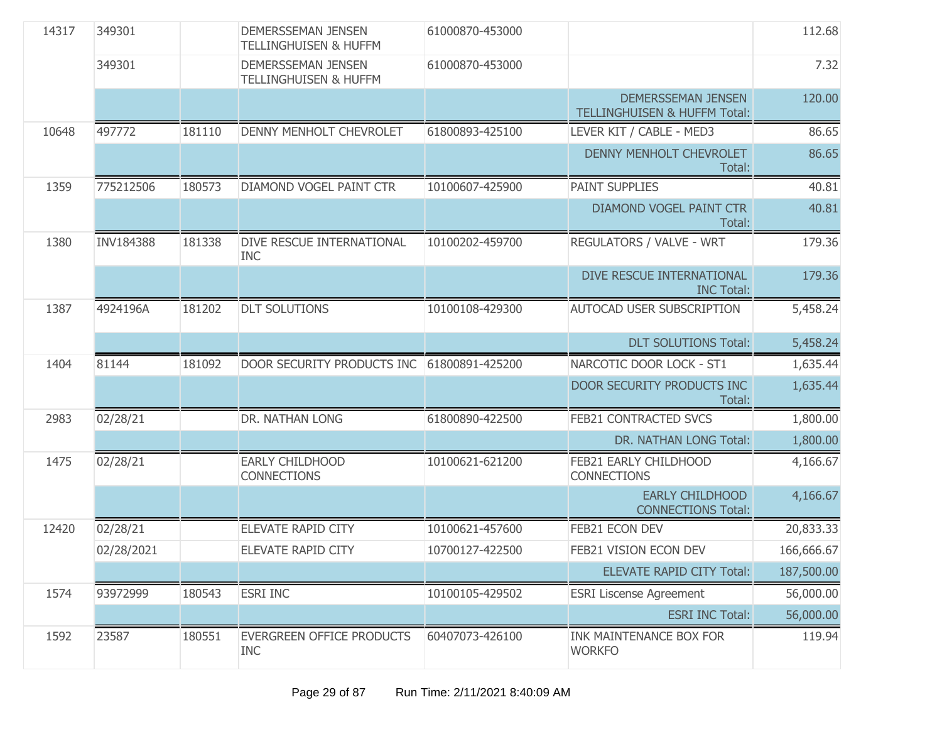| 14317 | 349301           |        | <b>DEMERSSEMAN JENSEN</b><br><b>TELLINGHUISEN &amp; HUFFM</b> | 61000870-453000 |                                                                      | 112.68     |
|-------|------------------|--------|---------------------------------------------------------------|-----------------|----------------------------------------------------------------------|------------|
|       | 349301           |        | <b>DEMERSSEMAN JENSEN</b><br><b>TELLINGHUISEN &amp; HUFFM</b> | 61000870-453000 |                                                                      | 7.32       |
|       |                  |        |                                                               |                 | <b>DEMERSSEMAN JENSEN</b><br><b>TELLINGHUISEN &amp; HUFFM Total:</b> | 120.00     |
| 10648 | 497772           | 181110 | DENNY MENHOLT CHEVROLET                                       | 61800893-425100 | LEVER KIT / CABLE - MED3                                             | 86.65      |
|       |                  |        |                                                               |                 | <b>DENNY MENHOLT CHEVROLET</b><br>Total:                             | 86.65      |
| 1359  | 775212506        | 180573 | DIAMOND VOGEL PAINT CTR                                       | 10100607-425900 | <b>PAINT SUPPLIES</b>                                                | 40.81      |
|       |                  |        |                                                               |                 | DIAMOND VOGEL PAINT CTR<br>Total:                                    | 40.81      |
| 1380  | <b>INV184388</b> | 181338 | DIVE RESCUE INTERNATIONAL<br><b>INC</b>                       | 10100202-459700 | REGULATORS / VALVE - WRT                                             | 179.36     |
|       |                  |        |                                                               |                 | DIVE RESCUE INTERNATIONAL<br><b>INC Total:</b>                       | 179.36     |
| 1387  | 4924196A         | 181202 | <b>DLT SOLUTIONS</b>                                          | 10100108-429300 | <b>AUTOCAD USER SUBSCRIPTION</b>                                     | 5,458.24   |
|       |                  |        |                                                               |                 | <b>DLT SOLUTIONS Total:</b>                                          | 5,458.24   |
| 1404  | 81144            | 181092 | DOOR SECURITY PRODUCTS INC                                    | 61800891-425200 | NARCOTIC DOOR LOCK - ST1                                             | 1,635.44   |
|       |                  |        |                                                               |                 | DOOR SECURITY PRODUCTS INC<br>Total:                                 | 1,635.44   |
| 2983  | 02/28/21         |        | DR. NATHAN LONG                                               | 61800890-422500 | <b>FEB21 CONTRACTED SVCS</b>                                         | 1,800.00   |
|       |                  |        |                                                               |                 | DR. NATHAN LONG Total:                                               | 1,800.00   |
| 1475  | 02/28/21         |        | <b>EARLY CHILDHOOD</b><br><b>CONNECTIONS</b>                  | 10100621-621200 | FEB21 EARLY CHILDHOOD<br><b>CONNECTIONS</b>                          | 4,166.67   |
|       |                  |        |                                                               |                 | <b>EARLY CHILDHOOD</b><br><b>CONNECTIONS Total:</b>                  | 4,166.67   |
| 12420 | 02/28/21         |        | ELEVATE RAPID CITY                                            | 10100621-457600 | FEB21 ECON DEV                                                       | 20,833.33  |
|       | 02/28/2021       |        | ELEVATE RAPID CITY                                            | 10700127-422500 | FEB21 VISION ECON DEV                                                | 166,666.67 |
|       |                  |        |                                                               |                 | <b>ELEVATE RAPID CITY Total:</b>                                     | 187,500.00 |
| 1574  | 93972999         | 180543 | <b>ESRI INC</b>                                               | 10100105-429502 | <b>ESRI Liscense Agreement</b>                                       | 56,000.00  |
|       |                  |        |                                                               |                 | <b>ESRI INC Total:</b>                                               | 56,000.00  |
| 1592  | 23587            | 180551 | EVERGREEN OFFICE PRODUCTS<br><b>INC</b>                       | 60407073-426100 | <b>INK MAINTENANCE BOX FOR</b><br><b>WORKFO</b>                      | 119.94     |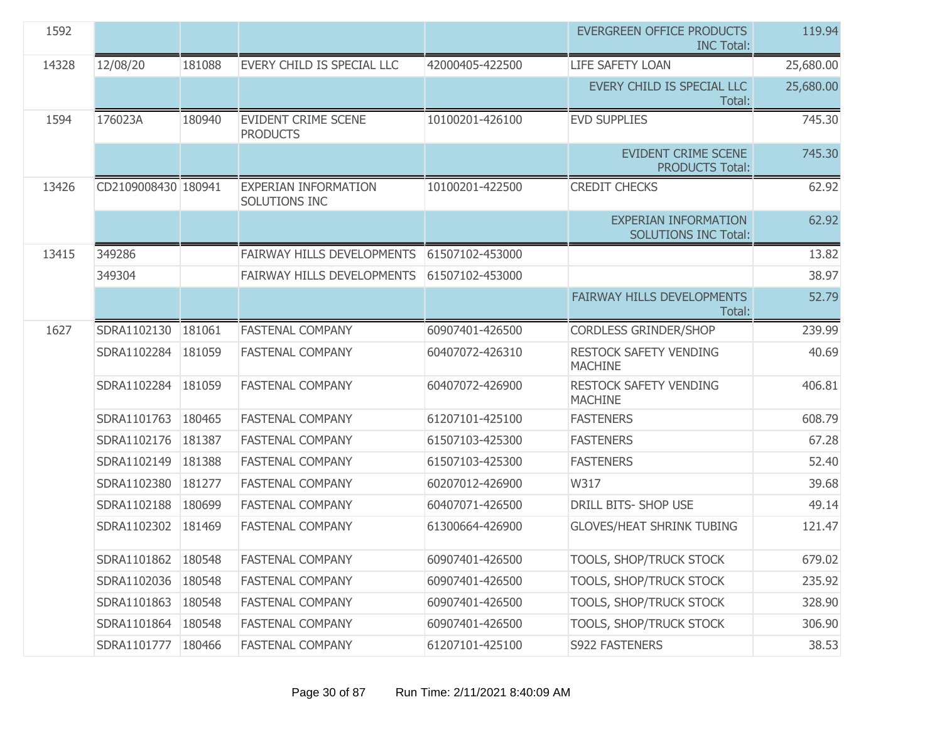| 1592  |                      |        |                                               |                 | EVERGREEN OFFICE PRODUCTS<br><b>INC Total:</b>             | 119.94    |
|-------|----------------------|--------|-----------------------------------------------|-----------------|------------------------------------------------------------|-----------|
| 14328 | 12/08/20             | 181088 | EVERY CHILD IS SPECIAL LLC                    | 42000405-422500 | <b>LIFE SAFETY LOAN</b>                                    | 25,680.00 |
|       |                      |        |                                               |                 | EVERY CHILD IS SPECIAL LLC<br>Total:                       | 25,680.00 |
| 1594  | 176023A              | 180940 | <b>EVIDENT CRIME SCENE</b><br><b>PRODUCTS</b> | 10100201-426100 | <b>EVD SUPPLIES</b>                                        | 745.30    |
|       |                      |        |                                               |                 | <b>EVIDENT CRIME SCENE</b><br><b>PRODUCTS Total:</b>       | 745.30    |
| 13426 | CD2109008430 180941  |        | <b>EXPERIAN INFORMATION</b><br>SOLUTIONS INC  | 10100201-422500 | <b>CREDIT CHECKS</b>                                       | 62.92     |
|       |                      |        |                                               |                 | <b>EXPERIAN INFORMATION</b><br><b>SOLUTIONS INC Total:</b> | 62.92     |
| 13415 | 349286               |        | FAIRWAY HILLS DEVELOPMENTS                    | 61507102-453000 |                                                            | 13.82     |
|       | 349304               |        | FAIRWAY HILLS DEVELOPMENTS                    | 61507102-453000 |                                                            | 38.97     |
|       |                      |        |                                               |                 | FAIRWAY HILLS DEVELOPMENTS<br>Total:                       | 52.79     |
| 1627  | SDRA1102130          | 181061 | <b>FASTENAL COMPANY</b>                       | 60907401-426500 | <b>CORDLESS GRINDER/SHOP</b>                               | 239.99    |
|       | SDRA1102284          | 181059 | <b>FASTENAL COMPANY</b>                       | 60407072-426310 | RESTOCK SAFETY VENDING<br><b>MACHINE</b>                   | 40.69     |
|       | SDRA1102284 181059   |        | <b>FASTENAL COMPANY</b>                       | 60407072-426900 | RESTOCK SAFETY VENDING<br><b>MACHINE</b>                   | 406.81    |
|       | SDRA1101763          | 180465 | <b>FASTENAL COMPANY</b>                       | 61207101-425100 | <b>FASTENERS</b>                                           | 608.79    |
|       | SDRA1102176          | 181387 | <b>FASTENAL COMPANY</b>                       | 61507103-425300 | <b>FASTENERS</b>                                           | 67.28     |
|       | SDRA1102149          | 181388 | <b>FASTENAL COMPANY</b>                       | 61507103-425300 | <b>FASTENERS</b>                                           | 52.40     |
|       | SDRA1102380          | 181277 | <b>FASTENAL COMPANY</b>                       | 60207012-426900 | W317                                                       | 39.68     |
|       | SDRA1102188          | 180699 | <b>FASTENAL COMPANY</b>                       | 60407071-426500 | DRILL BITS- SHOP USE                                       | 49.14     |
|       | SDRA1102302 181469   |        | <b>FASTENAL COMPANY</b>                       | 61300664-426900 | <b>GLOVES/HEAT SHRINK TUBING</b>                           | 121.47    |
|       | SDRA1101862   180548 |        | <b>FASTENAL COMPANY</b>                       | 60907401-426500 | TOOLS, SHOP/TRUCK STOCK                                    | 679.02    |
|       | SDRA1102036 180548   |        | <b>FASTENAL COMPANY</b>                       | 60907401-426500 | TOOLS, SHOP/TRUCK STOCK                                    | 235.92    |
|       | SDRA1101863          | 180548 | <b>FASTENAL COMPANY</b>                       | 60907401-426500 | TOOLS, SHOP/TRUCK STOCK                                    | 328.90    |
|       | SDRA1101864   180548 |        | <b>FASTENAL COMPANY</b>                       | 60907401-426500 | TOOLS, SHOP/TRUCK STOCK                                    | 306.90    |
|       | SDRA1101777   180466 |        | <b>FASTENAL COMPANY</b>                       | 61207101-425100 | S922 FASTENERS                                             | 38.53     |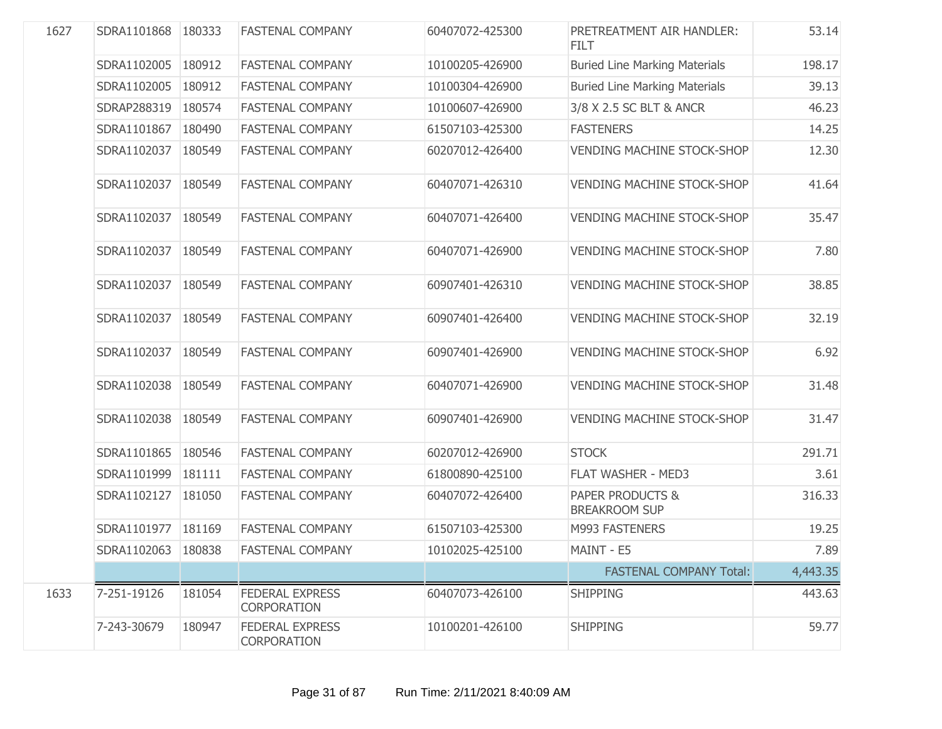| 1627 | SDRA1101868 180333 |        | <b>FASTENAL COMPANY</b>                      | 60407072-425300 | PRETREATMENT AIR HANDLER:<br><b>FILT</b> | 53.14    |
|------|--------------------|--------|----------------------------------------------|-----------------|------------------------------------------|----------|
|      | SDRA1102005        | 180912 | <b>FASTENAL COMPANY</b>                      | 10100205-426900 | <b>Buried Line Marking Materials</b>     | 198.17   |
|      | SDRA1102005        | 180912 | <b>FASTENAL COMPANY</b>                      | 10100304-426900 | <b>Buried Line Marking Materials</b>     | 39.13    |
|      | SDRAP288319        | 180574 | <b>FASTENAL COMPANY</b>                      | 10100607-426900 | 3/8 X 2.5 SC BLT & ANCR                  | 46.23    |
|      | SDRA1101867        | 180490 | <b>FASTENAL COMPANY</b>                      | 61507103-425300 | <b>FASTENERS</b>                         | 14.25    |
|      | SDRA1102037        | 180549 | <b>FASTENAL COMPANY</b>                      | 60207012-426400 | <b>VENDING MACHINE STOCK-SHOP</b>        | 12.30    |
|      | SDRA1102037        | 180549 | <b>FASTENAL COMPANY</b>                      | 60407071-426310 | <b>VENDING MACHINE STOCK-SHOP</b>        | 41.64    |
|      | SDRA1102037        | 180549 | <b>FASTENAL COMPANY</b>                      | 60407071-426400 | <b>VENDING MACHINE STOCK-SHOP</b>        | 35.47    |
|      | SDRA1102037        | 180549 | <b>FASTENAL COMPANY</b>                      | 60407071-426900 | <b>VENDING MACHINE STOCK-SHOP</b>        | 7.80     |
|      | SDRA1102037        | 180549 | <b>FASTENAL COMPANY</b>                      | 60907401-426310 | <b>VENDING MACHINE STOCK-SHOP</b>        | 38.85    |
|      | SDRA1102037        | 180549 | <b>FASTENAL COMPANY</b>                      | 60907401-426400 | <b>VENDING MACHINE STOCK-SHOP</b>        | 32.19    |
|      | SDRA1102037        | 180549 | <b>FASTENAL COMPANY</b>                      | 60907401-426900 | <b>VENDING MACHINE STOCK-SHOP</b>        | 6.92     |
|      | SDRA1102038        | 180549 | <b>FASTENAL COMPANY</b>                      | 60407071-426900 | <b>VENDING MACHINE STOCK-SHOP</b>        | 31.48    |
|      | SDRA1102038        | 180549 | <b>FASTENAL COMPANY</b>                      | 60907401-426900 | <b>VENDING MACHINE STOCK-SHOP</b>        | 31.47    |
|      | SDRA1101865        | 180546 | <b>FASTENAL COMPANY</b>                      | 60207012-426900 | <b>STOCK</b>                             | 291.71   |
|      | SDRA1101999        | 181111 | <b>FASTENAL COMPANY</b>                      | 61800890-425100 | FLAT WASHER - MED3                       | 3.61     |
|      | SDRA1102127        | 181050 | <b>FASTENAL COMPANY</b>                      | 60407072-426400 | PAPER PRODUCTS &<br><b>BREAKROOM SUP</b> | 316.33   |
|      | SDRA1101977        | 181169 | <b>FASTENAL COMPANY</b>                      | 61507103-425300 | M993 FASTENERS                           | 19.25    |
|      | SDRA1102063 180838 |        | <b>FASTENAL COMPANY</b>                      | 10102025-425100 | MAINT - E5                               | 7.89     |
|      |                    |        |                                              |                 | <b>FASTENAL COMPANY Total:</b>           | 4,443.35 |
| 1633 | 7-251-19126        | 181054 | <b>FEDERAL EXPRESS</b><br><b>CORPORATION</b> | 60407073-426100 | <b>SHIPPING</b>                          | 443.63   |
|      | 7-243-30679        | 180947 | <b>FEDERAL EXPRESS</b><br><b>CORPORATION</b> | 10100201-426100 | <b>SHIPPING</b>                          | 59.77    |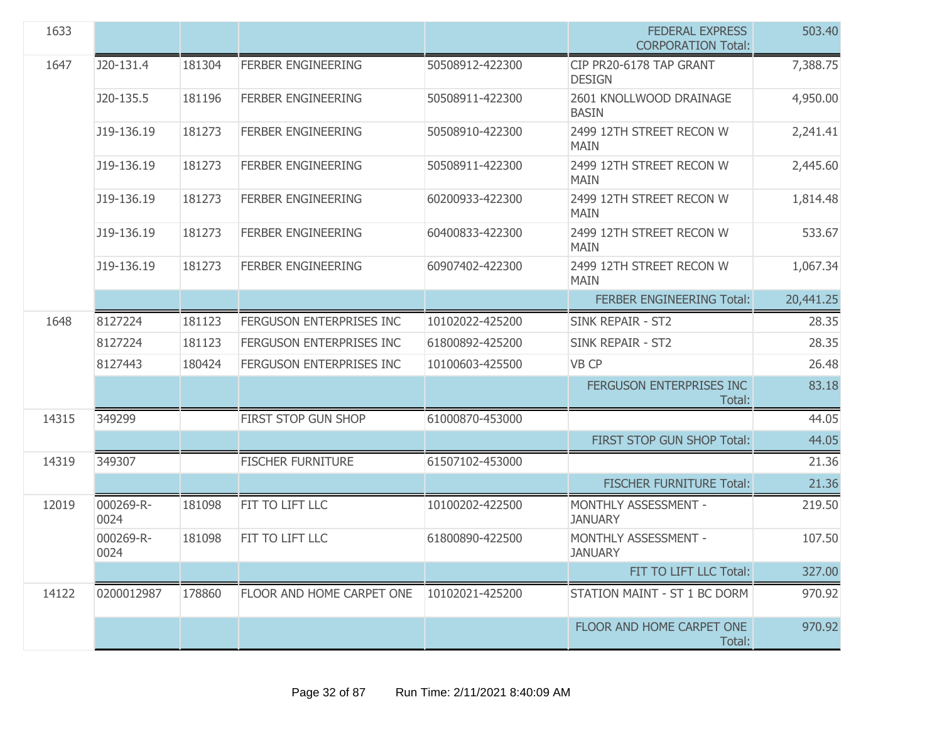| 1633  |                   |        |                           |                 | <b>FEDERAL EXPRESS</b><br><b>CORPORATION Total:</b> | 503.40    |
|-------|-------------------|--------|---------------------------|-----------------|-----------------------------------------------------|-----------|
| 1647  | J20-131.4         | 181304 | <b>FERBER ENGINEERING</b> | 50508912-422300 | CIP PR20-6178 TAP GRANT<br><b>DESIGN</b>            | 7,388.75  |
|       | J20-135.5         | 181196 | <b>FERBER ENGINEERING</b> | 50508911-422300 | 2601 KNOLLWOOD DRAINAGE<br><b>BASIN</b>             | 4,950.00  |
|       | J19-136.19        | 181273 | <b>FERBER ENGINEERING</b> | 50508910-422300 | 2499 12TH STREET RECON W<br><b>MAIN</b>             | 2,241.41  |
|       | J19-136.19        | 181273 | <b>FERBER ENGINEERING</b> | 50508911-422300 | 2499 12TH STREET RECON W<br><b>MAIN</b>             | 2,445.60  |
|       | J19-136.19        | 181273 | <b>FERBER ENGINEERING</b> | 60200933-422300 | 2499 12TH STREET RECON W<br><b>MAIN</b>             | 1,814.48  |
|       | J19-136.19        | 181273 | <b>FERBER ENGINEERING</b> | 60400833-422300 | 2499 12TH STREET RECON W<br><b>MAIN</b>             | 533.67    |
|       | J19-136.19        | 181273 | <b>FERBER ENGINEERING</b> | 60907402-422300 | 2499 12TH STREET RECON W<br><b>MAIN</b>             | 1,067.34  |
|       |                   |        |                           |                 | <b>FERBER ENGINEERING Total:</b>                    | 20,441.25 |
| 1648  | 8127224           | 181123 | FERGUSON ENTERPRISES INC  | 10102022-425200 | <b>SINK REPAIR - ST2</b>                            | 28.35     |
|       | 8127224           | 181123 | FERGUSON ENTERPRISES INC  | 61800892-425200 | <b>SINK REPAIR - ST2</b>                            | 28.35     |
|       | 8127443           | 180424 | FERGUSON ENTERPRISES INC  | 10100603-425500 | VB CP                                               | 26.48     |
|       |                   |        |                           |                 | FERGUSON ENTERPRISES INC<br>Total:                  | 83.18     |
| 14315 | 349299            |        | FIRST STOP GUN SHOP       | 61000870-453000 |                                                     | 44.05     |
|       |                   |        |                           |                 | FIRST STOP GUN SHOP Total:                          | 44.05     |
| 14319 | 349307            |        | <b>FISCHER FURNITURE</b>  | 61507102-453000 |                                                     | 21.36     |
|       |                   |        |                           |                 | <b>FISCHER FURNITURE Total:</b>                     | 21.36     |
| 12019 | 000269-R-<br>0024 | 181098 | FIT TO LIFT LLC           | 10100202-422500 | MONTHLY ASSESSMENT -<br><b>JANUARY</b>              | 219.50    |
|       | 000269-R-<br>0024 | 181098 | FIT TO LIFT LLC           | 61800890-422500 | MONTHLY ASSESSMENT -<br><b>JANUARY</b>              | 107.50    |
|       |                   |        |                           |                 | FIT TO LIFT LLC Total:                              | 327.00    |
| 14122 | 0200012987        | 178860 | FLOOR AND HOME CARPET ONE | 10102021-425200 | STATION MAINT - ST 1 BC DORM                        | 970.92    |
|       |                   |        |                           |                 | FLOOR AND HOME CARPET ONE<br>Total:                 | 970.92    |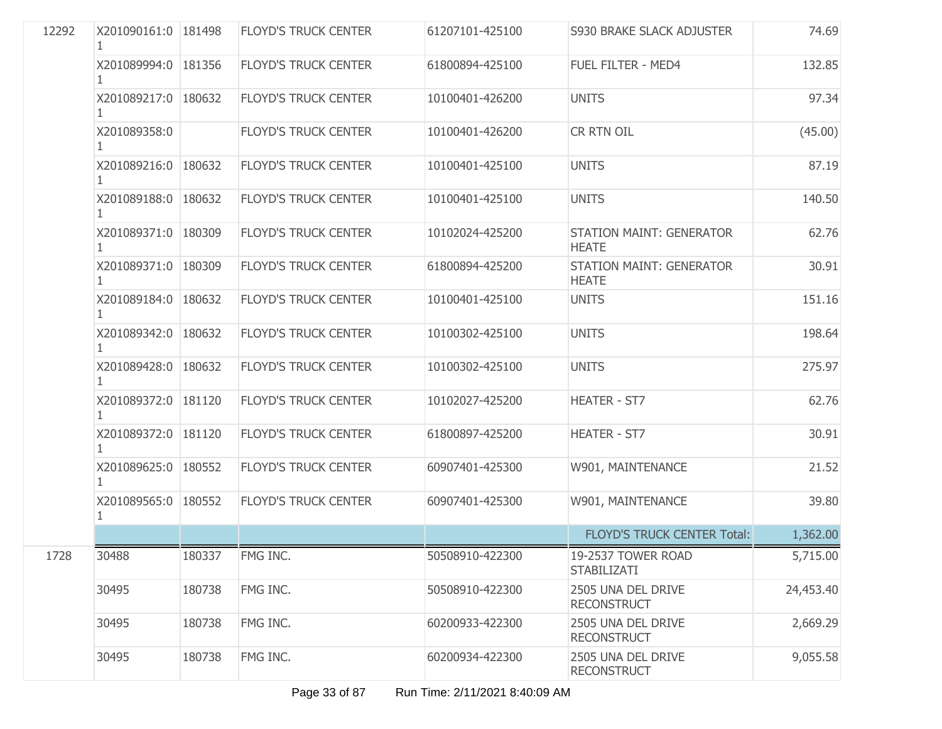| 12292 | X201090161:0 181498   |        | <b>FLOYD'S TRUCK CENTER</b> | 61207101-425100 | <b>S930 BRAKE SLACK ADJUSTER</b>                | 74.69     |
|-------|-----------------------|--------|-----------------------------|-----------------|-------------------------------------------------|-----------|
|       | X201089994:0 181356   |        | <b>FLOYD'S TRUCK CENTER</b> | 61800894-425100 | FUEL FILTER - MED4                              | 132.85    |
|       | X201089217:0 180632   |        | <b>FLOYD'S TRUCK CENTER</b> | 10100401-426200 | <b>UNITS</b>                                    | 97.34     |
|       | X201089358:0          |        | <b>FLOYD'S TRUCK CENTER</b> | 10100401-426200 | <b>CR RTN OIL</b>                               | (45.00)   |
|       | X201089216:0 180632   |        | <b>FLOYD'S TRUCK CENTER</b> | 10100401-425100 | <b>UNITS</b>                                    | 87.19     |
|       | X201089188:0 180632   |        | <b>FLOYD'S TRUCK CENTER</b> | 10100401-425100 | <b>UNITS</b>                                    | 140.50    |
|       | X201089371:0 180309   |        | <b>FLOYD'S TRUCK CENTER</b> | 10102024-425200 | <b>STATION MAINT: GENERATOR</b><br><b>HEATE</b> | 62.76     |
|       | X201089371:0 180309   |        | <b>FLOYD'S TRUCK CENTER</b> | 61800894-425200 | <b>STATION MAINT: GENERATOR</b><br><b>HEATE</b> | 30.91     |
|       | X201089184:0 180632   |        | <b>FLOYD'S TRUCK CENTER</b> | 10100401-425100 | <b>UNITS</b>                                    | 151.16    |
|       | X201089342:0 180632   |        | <b>FLOYD'S TRUCK CENTER</b> | 10100302-425100 | <b>UNITS</b>                                    | 198.64    |
|       | X201089428:0   180632 |        | <b>FLOYD'S TRUCK CENTER</b> | 10100302-425100 | <b>UNITS</b>                                    | 275.97    |
|       | X201089372:0 181120   |        | <b>FLOYD'S TRUCK CENTER</b> | 10102027-425200 | <b>HEATER - ST7</b>                             | 62.76     |
|       | X201089372:0 181120   |        | <b>FLOYD'S TRUCK CENTER</b> | 61800897-425200 | <b>HEATER - ST7</b>                             | 30.91     |
|       | X201089625:0 180552   |        | <b>FLOYD'S TRUCK CENTER</b> | 60907401-425300 | W901, MAINTENANCE                               | 21.52     |
|       | X201089565:0 180552   |        | <b>FLOYD'S TRUCK CENTER</b> | 60907401-425300 | W901, MAINTENANCE                               | 39.80     |
|       |                       |        |                             |                 | <b>FLOYD'S TRUCK CENTER Total:</b>              | 1,362.00  |
| 1728  | 30488                 | 180337 | FMG INC.                    | 50508910-422300 | 19-2537 TOWER ROAD<br><b>STABILIZATI</b>        | 5,715.00  |
|       | 30495                 | 180738 | FMG INC.                    | 50508910-422300 | 2505 UNA DEL DRIVE<br><b>RECONSTRUCT</b>        | 24,453.40 |
|       | 30495                 | 180738 | FMG INC.                    | 60200933-422300 | 2505 UNA DEL DRIVE<br><b>RECONSTRUCT</b>        | 2,669.29  |
|       | 30495                 | 180738 | FMG INC.                    | 60200934-422300 | 2505 UNA DEL DRIVE<br><b>RECONSTRUCT</b>        | 9,055.58  |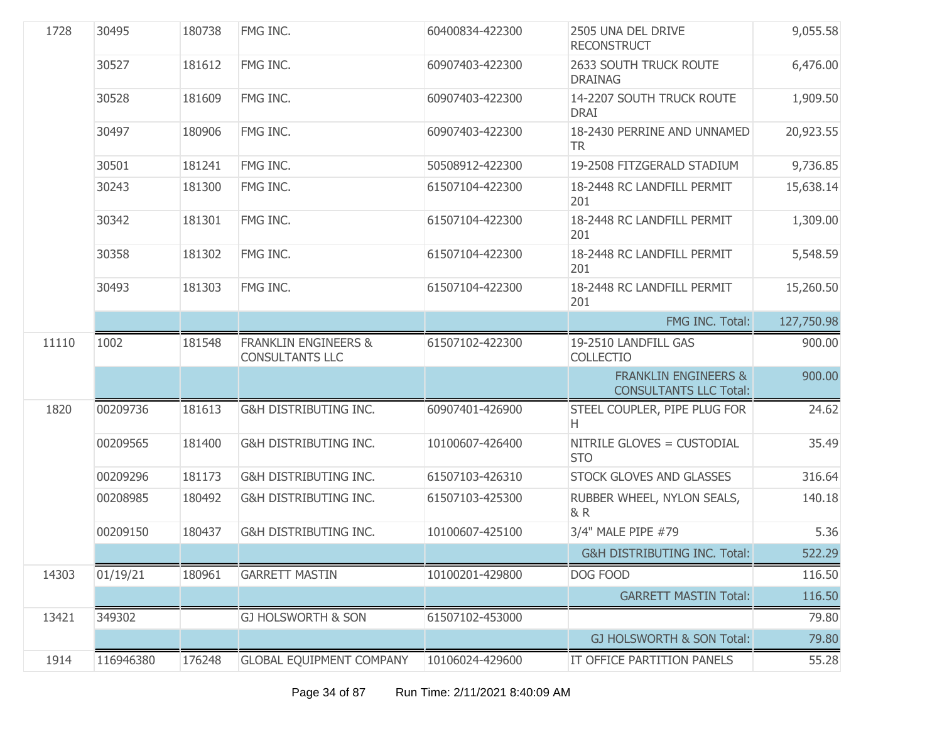| 1728  | 30495     | 180738 | FMG INC.                                                  | 60400834-422300 | 2505 UNA DEL DRIVE<br><b>RECONSTRUCT</b>                         | 9,055.58   |
|-------|-----------|--------|-----------------------------------------------------------|-----------------|------------------------------------------------------------------|------------|
|       | 30527     | 181612 | FMG INC.                                                  | 60907403-422300 | 2633 SOUTH TRUCK ROUTE<br><b>DRAINAG</b>                         | 6,476.00   |
|       | 30528     | 181609 | FMG INC.                                                  | 60907403-422300 | 14-2207 SOUTH TRUCK ROUTE<br><b>DRAI</b>                         | 1,909.50   |
|       | 30497     | 180906 | FMG INC.                                                  | 60907403-422300 | 18-2430 PERRINE AND UNNAMED<br>TR.                               | 20,923.55  |
|       | 30501     | 181241 | FMG INC.                                                  | 50508912-422300 | 19-2508 FITZGERALD STADIUM                                       | 9,736.85   |
|       | 30243     | 181300 | FMG INC.                                                  | 61507104-422300 | 18-2448 RC LANDFILL PERMIT<br>201                                | 15,638.14  |
|       | 30342     | 181301 | FMG INC.                                                  | 61507104-422300 | 18-2448 RC LANDFILL PERMIT<br>201                                | 1,309.00   |
|       | 30358     | 181302 | FMG INC.                                                  | 61507104-422300 | 18-2448 RC LANDFILL PERMIT<br>201                                | 5,548.59   |
|       | 30493     | 181303 | FMG INC.                                                  | 61507104-422300 | 18-2448 RC LANDFILL PERMIT<br>201                                | 15,260.50  |
|       |           |        |                                                           |                 | FMG INC. Total:                                                  | 127,750.98 |
| 11110 | 1002      | 181548 | <b>FRANKLIN ENGINEERS &amp;</b><br><b>CONSULTANTS LLC</b> | 61507102-422300 | 19-2510 LANDFILL GAS<br><b>COLLECTIO</b>                         | 900.00     |
|       |           |        |                                                           |                 | <b>FRANKLIN ENGINEERS &amp;</b><br><b>CONSULTANTS LLC Total:</b> | 900.00     |
| 1820  | 00209736  | 181613 | G&H DISTRIBUTING INC.                                     | 60907401-426900 | STEEL COUPLER, PIPE PLUG FOR<br>Н.                               | 24.62      |
|       | 00209565  | 181400 | G&H DISTRIBUTING INC.                                     | 10100607-426400 | NITRILE GLOVES = CUSTODIAL<br><b>STO</b>                         | 35.49      |
|       | 00209296  | 181173 | G&H DISTRIBUTING INC.                                     | 61507103-426310 | STOCK GLOVES AND GLASSES                                         | 316.64     |
|       | 00208985  | 180492 | G&H DISTRIBUTING INC.                                     | 61507103-425300 | RUBBER WHEEL, NYLON SEALS,<br>& R                                | 140.18     |
|       | 00209150  | 180437 | <b>G&amp;H DISTRIBUTING INC.</b>                          | 10100607-425100 | 3/4" MALE PIPE #79                                               | 5.36       |
|       |           |        |                                                           |                 | G&H DISTRIBUTING INC. Total:                                     | 522.29     |
| 14303 | 01/19/21  | 180961 | <b>GARRETT MASTIN</b>                                     | 10100201-429800 | DOG FOOD                                                         | 116.50     |
|       |           |        |                                                           |                 | <b>GARRETT MASTIN Total:</b>                                     | 116.50     |
| 13421 | 349302    |        | <b>GJ HOLSWORTH &amp; SON</b>                             | 61507102-453000 |                                                                  | 79.80      |
|       |           |        |                                                           |                 | GJ HOLSWORTH & SON Total:                                        | 79.80      |
| 1914  | 116946380 | 176248 | <b>GLOBAL EQUIPMENT COMPANY</b>                           | 10106024-429600 | IT OFFICE PARTITION PANELS                                       | 55.28      |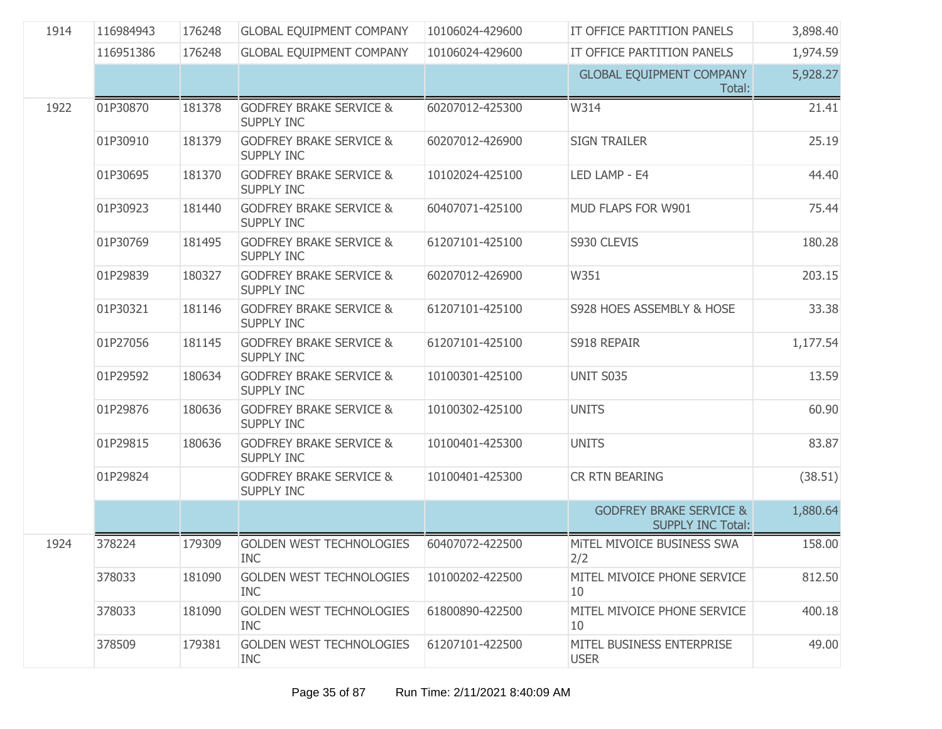| 1914 | 116984943 | 176248 | <b>GLOBAL EQUIPMENT COMPANY</b>                         | 10106024-429600 | IT OFFICE PARTITION PANELS                                     | 3,898.40 |
|------|-----------|--------|---------------------------------------------------------|-----------------|----------------------------------------------------------------|----------|
|      | 116951386 | 176248 | <b>GLOBAL EQUIPMENT COMPANY</b>                         | 10106024-429600 | IT OFFICE PARTITION PANELS                                     | 1,974.59 |
|      |           |        |                                                         |                 | <b>GLOBAL EQUIPMENT COMPANY</b><br>Total:                      | 5,928.27 |
| 1922 | 01P30870  | 181378 | <b>GODFREY BRAKE SERVICE &amp;</b><br><b>SUPPLY INC</b> | 60207012-425300 | W314                                                           | 21.41    |
|      | 01P30910  | 181379 | <b>GODFREY BRAKE SERVICE &amp;</b><br><b>SUPPLY INC</b> | 60207012-426900 | <b>SIGN TRAILER</b>                                            | 25.19    |
|      | 01P30695  | 181370 | <b>GODFREY BRAKE SERVICE &amp;</b><br><b>SUPPLY INC</b> | 10102024-425100 | LED LAMP - E4                                                  | 44.40    |
|      | 01P30923  | 181440 | <b>GODFREY BRAKE SERVICE &amp;</b><br><b>SUPPLY INC</b> | 60407071-425100 | MUD FLAPS FOR W901                                             | 75.44    |
|      | 01P30769  | 181495 | <b>GODFREY BRAKE SERVICE &amp;</b><br><b>SUPPLY INC</b> | 61207101-425100 | S930 CLEVIS                                                    | 180.28   |
|      | 01P29839  | 180327 | <b>GODFREY BRAKE SERVICE &amp;</b><br><b>SUPPLY INC</b> | 60207012-426900 | W351                                                           | 203.15   |
|      | 01P30321  | 181146 | <b>GODFREY BRAKE SERVICE &amp;</b><br><b>SUPPLY INC</b> | 61207101-425100 | S928 HOES ASSEMBLY & HOSE                                      | 33.38    |
|      | 01P27056  | 181145 | <b>GODFREY BRAKE SERVICE &amp;</b><br><b>SUPPLY INC</b> | 61207101-425100 | S918 REPAIR                                                    | 1,177.54 |
|      | 01P29592  | 180634 | <b>GODFREY BRAKE SERVICE &amp;</b><br><b>SUPPLY INC</b> | 10100301-425100 | <b>UNIT S035</b>                                               | 13.59    |
|      | 01P29876  | 180636 | <b>GODFREY BRAKE SERVICE &amp;</b><br><b>SUPPLY INC</b> | 10100302-425100 | <b>UNITS</b>                                                   | 60.90    |
|      | 01P29815  | 180636 | <b>GODFREY BRAKE SERVICE &amp;</b><br><b>SUPPLY INC</b> | 10100401-425300 | <b>UNITS</b>                                                   | 83.87    |
|      | 01P29824  |        | <b>GODFREY BRAKE SERVICE &amp;</b><br><b>SUPPLY INC</b> | 10100401-425300 | <b>CR RTN BEARING</b>                                          | (38.51)  |
|      |           |        |                                                         |                 | <b>GODFREY BRAKE SERVICE &amp;</b><br><b>SUPPLY INC Total:</b> | 1,880.64 |
| 1924 | 378224    | 179309 | <b>GOLDEN WEST TECHNOLOGIES</b><br><b>INC</b>           | 60407072-422500 | MITEL MIVOICE BUSINESS SWA<br>2/2                              | 158.00   |
|      | 378033    | 181090 | <b>GOLDEN WEST TECHNOLOGIES</b><br><b>INC</b>           | 10100202-422500 | MITEL MIVOICE PHONE SERVICE<br>10                              | 812.50   |
|      | 378033    | 181090 | <b>GOLDEN WEST TECHNOLOGIES</b><br><b>INC</b>           | 61800890-422500 | MITEL MIVOICE PHONE SERVICE<br>10                              | 400.18   |
|      | 378509    | 179381 | <b>GOLDEN WEST TECHNOLOGIES</b><br><b>INC</b>           | 61207101-422500 | MITEL BUSINESS ENTERPRISE<br><b>USER</b>                       | 49.00    |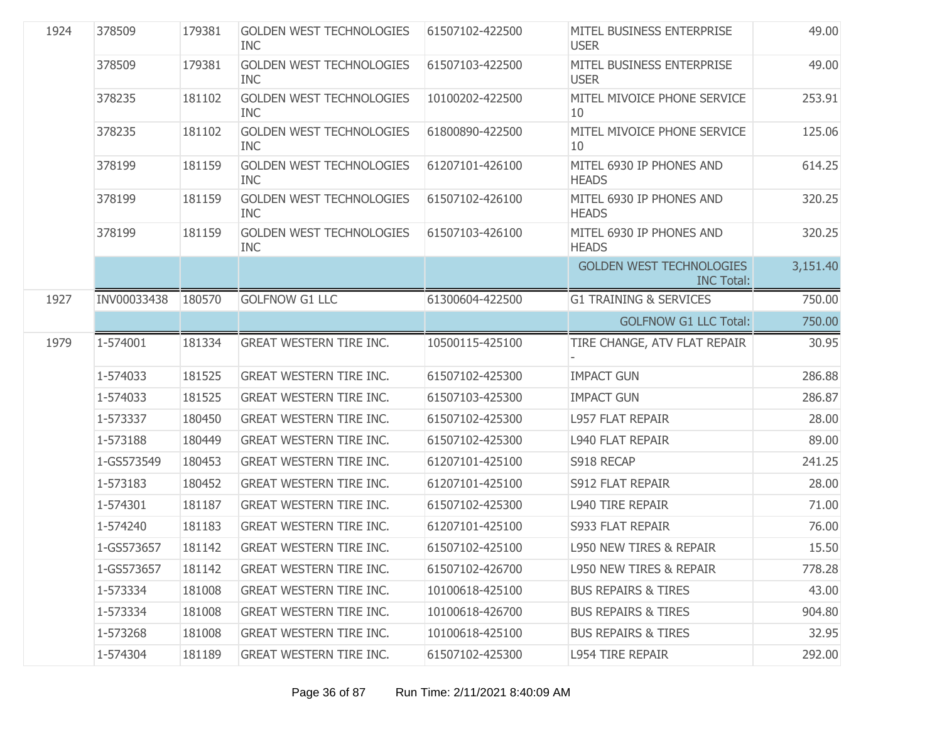| 1924 | 378509      | 179381 | <b>GOLDEN WEST TECHNOLOGIES</b><br><b>INC</b> | 61507102-422500 | MITEL BUSINESS ENTERPRISE<br><b>USER</b>             | 49.00    |
|------|-------------|--------|-----------------------------------------------|-----------------|------------------------------------------------------|----------|
|      | 378509      | 179381 | <b>GOLDEN WEST TECHNOLOGIES</b><br><b>INC</b> | 61507103-422500 | MITEL BUSINESS ENTERPRISE<br><b>USER</b>             | 49.00    |
|      | 378235      | 181102 | <b>GOLDEN WEST TECHNOLOGIES</b><br><b>INC</b> | 10100202-422500 | MITEL MIVOICE PHONE SERVICE<br>10                    | 253.91   |
|      | 378235      | 181102 | <b>GOLDEN WEST TECHNOLOGIES</b><br><b>INC</b> | 61800890-422500 | MITEL MIVOICE PHONE SERVICE<br>10                    | 125.06   |
|      | 378199      | 181159 | <b>GOLDEN WEST TECHNOLOGIES</b><br><b>INC</b> | 61207101-426100 | MITEL 6930 IP PHONES AND<br><b>HEADS</b>             | 614.25   |
|      | 378199      | 181159 | <b>GOLDEN WEST TECHNOLOGIES</b><br><b>INC</b> | 61507102-426100 | MITEL 6930 IP PHONES AND<br><b>HEADS</b>             | 320.25   |
|      | 378199      | 181159 | <b>GOLDEN WEST TECHNOLOGIES</b><br><b>INC</b> | 61507103-426100 | MITEL 6930 IP PHONES AND<br><b>HEADS</b>             | 320.25   |
|      |             |        |                                               |                 | <b>GOLDEN WEST TECHNOLOGIES</b><br><b>INC Total:</b> | 3,151.40 |
| 1927 | INV00033438 | 180570 | <b>GOLFNOW G1 LLC</b>                         | 61300604-422500 | <b>G1 TRAINING &amp; SERVICES</b>                    | 750.00   |
|      |             |        |                                               |                 | <b>GOLFNOW G1 LLC Total:</b>                         | 750.00   |
| 1979 | 1-574001    | 181334 | <b>GREAT WESTERN TIRE INC.</b>                | 10500115-425100 | TIRE CHANGE, ATV FLAT REPAIR                         | 30.95    |
|      | 1-574033    | 181525 | <b>GREAT WESTERN TIRE INC.</b>                | 61507102-425300 | <b>IMPACT GUN</b>                                    | 286.88   |
|      | 1-574033    | 181525 | <b>GREAT WESTERN TIRE INC.</b>                | 61507103-425300 | <b>IMPACT GUN</b>                                    | 286.87   |
|      | 1-573337    | 180450 | <b>GREAT WESTERN TIRE INC.</b>                | 61507102-425300 | <b>L957 FLAT REPAIR</b>                              | 28.00    |
|      | 1-573188    | 180449 | <b>GREAT WESTERN TIRE INC.</b>                | 61507102-425300 | <b>L940 FLAT REPAIR</b>                              | 89.00    |
|      | 1-GS573549  | 180453 | <b>GREAT WESTERN TIRE INC.</b>                | 61207101-425100 | S918 RECAP                                           | 241.25   |
|      | 1-573183    | 180452 | <b>GREAT WESTERN TIRE INC.</b>                | 61207101-425100 | S912 FLAT REPAIR                                     | 28.00    |
|      | 1-574301    | 181187 | <b>GREAT WESTERN TIRE INC.</b>                | 61507102-425300 | <b>L940 TIRE REPAIR</b>                              | 71.00    |
|      | 1-574240    | 181183 | <b>GREAT WESTERN TIRE INC.</b>                | 61207101-425100 | S933 FLAT REPAIR                                     | 76.00    |
|      | 1-GS573657  | 181142 | <b>GREAT WESTERN TIRE INC.</b>                | 61507102-425100 | <b>L950 NEW TIRES &amp; REPAIR</b>                   | 15.50    |
|      | 1-GS573657  | 181142 | <b>GREAT WESTERN TIRE INC.</b>                | 61507102-426700 | <b>L950 NEW TIRES &amp; REPAIR</b>                   | 778.28   |
|      | 1-573334    | 181008 | <b>GREAT WESTERN TIRE INC.</b>                | 10100618-425100 | <b>BUS REPAIRS &amp; TIRES</b>                       | 43.00    |
|      | 1-573334    | 181008 | <b>GREAT WESTERN TIRE INC.</b>                | 10100618-426700 | <b>BUS REPAIRS &amp; TIRES</b>                       | 904.80   |
|      | 1-573268    | 181008 | <b>GREAT WESTERN TIRE INC.</b>                | 10100618-425100 | <b>BUS REPAIRS &amp; TIRES</b>                       | 32.95    |
|      | 1-574304    | 181189 | <b>GREAT WESTERN TIRE INC.</b>                | 61507102-425300 | <b>L954 TIRE REPAIR</b>                              | 292.00   |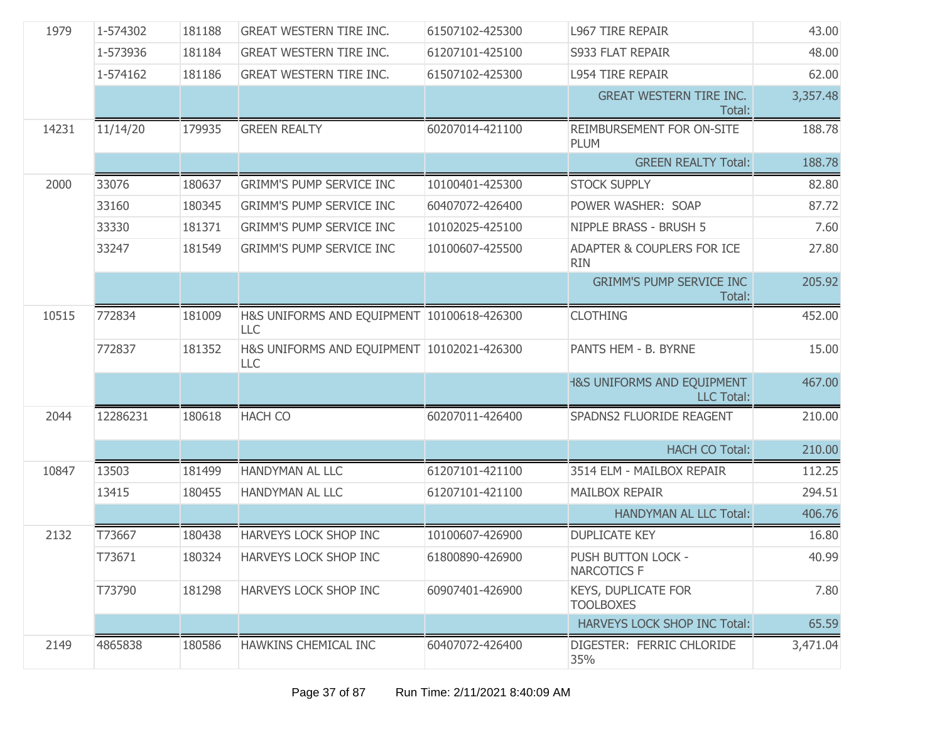| 1979  | 1-574302 | 181188 | <b>GREAT WESTERN TIRE INC.</b>                           | 61507102-425300 | <b>L967 TIRE REPAIR</b>                                    | 43.00    |
|-------|----------|--------|----------------------------------------------------------|-----------------|------------------------------------------------------------|----------|
|       | 1-573936 | 181184 | <b>GREAT WESTERN TIRE INC.</b>                           | 61207101-425100 | S933 FLAT REPAIR                                           | 48.00    |
|       | 1-574162 | 181186 | <b>GREAT WESTERN TIRE INC.</b>                           | 61507102-425300 | <b>L954 TIRE REPAIR</b>                                    | 62.00    |
|       |          |        |                                                          |                 | <b>GREAT WESTERN TIRE INC.</b><br>Total:                   | 3,357.48 |
| 14231 | 11/14/20 | 179935 | <b>GREEN REALTY</b>                                      | 60207014-421100 | REIMBURSEMENT FOR ON-SITE<br><b>PLUM</b>                   | 188.78   |
|       |          |        |                                                          |                 | <b>GREEN REALTY Total:</b>                                 | 188.78   |
| 2000  | 33076    | 180637 | <b>GRIMM'S PUMP SERVICE INC</b>                          | 10100401-425300 | <b>STOCK SUPPLY</b>                                        | 82.80    |
|       | 33160    | 180345 | <b>GRIMM'S PUMP SERVICE INC</b>                          | 60407072-426400 | POWER WASHER: SOAP                                         | 87.72    |
|       | 33330    | 181371 | <b>GRIMM'S PUMP SERVICE INC</b>                          | 10102025-425100 | NIPPLE BRASS - BRUSH 5                                     | 7.60     |
|       | 33247    | 181549 | <b>GRIMM'S PUMP SERVICE INC</b>                          | 10100607-425500 | ADAPTER & COUPLERS FOR ICE<br><b>RIN</b>                   | 27.80    |
|       |          |        |                                                          |                 | <b>GRIMM'S PUMP SERVICE INC</b><br>Total:                  | 205.92   |
| 10515 | 772834   | 181009 | H&S UNIFORMS AND EQUIPMENT 10100618-426300<br><b>LLC</b> |                 | <b>CLOTHING</b>                                            | 452.00   |
|       | 772837   | 181352 | H&S UNIFORMS AND EQUIPMENT 10102021-426300<br>LLC        |                 | PANTS HEM - B. BYRNE                                       | 15.00    |
|       |          |        |                                                          |                 | <b>1&amp;S UNIFORMS AND EQUIPMENT</b><br><b>LLC Total:</b> | 467.00   |
| 2044  | 12286231 | 180618 | <b>HACH CO</b>                                           | 60207011-426400 | SPADNS2 FLUORIDE REAGENT                                   | 210.00   |
|       |          |        |                                                          |                 | <b>HACH CO Total:</b>                                      | 210.00   |
| 10847 | 13503    | 181499 | HANDYMAN AL LLC                                          | 61207101-421100 | 3514 ELM - MAILBOX REPAIR                                  | 112.25   |
|       | 13415    | 180455 | HANDYMAN AL LLC                                          | 61207101-421100 | <b>MAILBOX REPAIR</b>                                      | 294.51   |
|       |          |        |                                                          |                 | <b>HANDYMAN AL LLC Total:</b>                              | 406.76   |
| 2132  | T73667   | 180438 | <b>HARVEYS LOCK SHOP INC</b>                             | 10100607-426900 | <b>DUPLICATE KEY</b>                                       | 16.80    |
|       | T73671   | 180324 | HARVEYS LOCK SHOP INC                                    | 61800890-426900 | PUSH BUTTON LOCK -<br><b>NARCOTICS F</b>                   | 40.99    |
|       | T73790   | 181298 | HARVEYS LOCK SHOP INC                                    | 60907401-426900 | KEYS, DUPLICATE FOR<br><b>TOOLBOXES</b>                    | 7.80     |
|       |          |        |                                                          |                 | HARVEYS LOCK SHOP INC Total:                               | 65.59    |
| 2149  | 4865838  | 180586 | HAWKINS CHEMICAL INC                                     | 60407072-426400 | DIGESTER: FERRIC CHLORIDE<br>35%                           | 3,471.04 |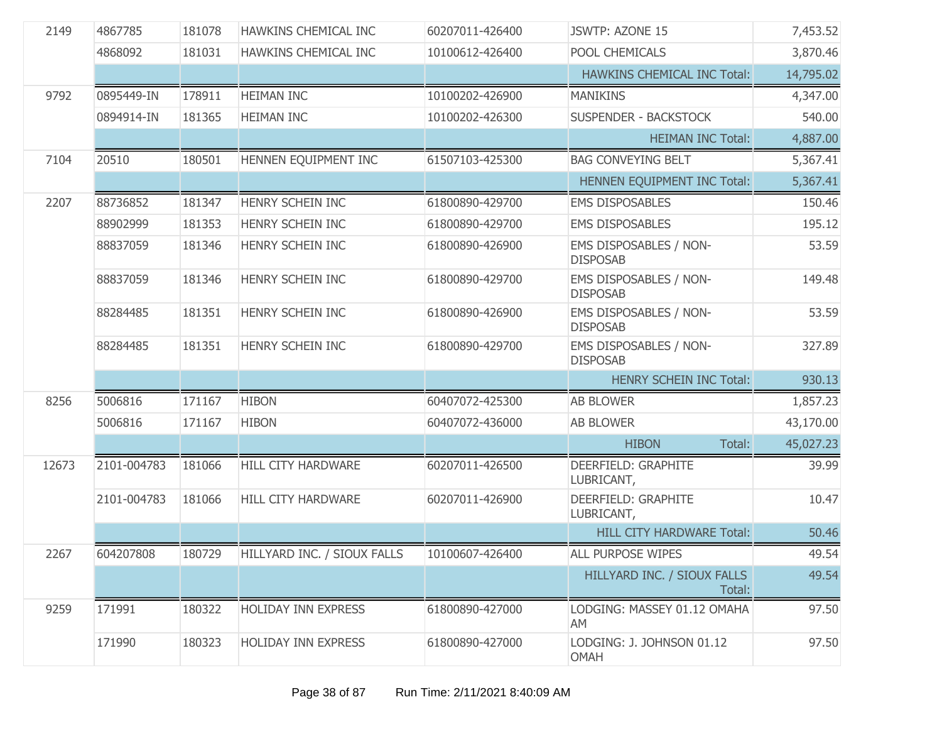| 2149  | 4867785     | 181078 | HAWKINS CHEMICAL INC        | 60207011-426400 | JSWTP: AZONE 15                           | 7,453.52  |
|-------|-------------|--------|-----------------------------|-----------------|-------------------------------------------|-----------|
|       | 4868092     | 181031 | HAWKINS CHEMICAL INC        | 10100612-426400 | POOL CHEMICALS                            | 3,870.46  |
|       |             |        |                             |                 | <b>HAWKINS CHEMICAL INC Total:</b>        | 14,795.02 |
| 9792  | 0895449-IN  | 178911 | <b>HEIMAN INC</b>           | 10100202-426900 | <b>MANIKINS</b>                           | 4,347.00  |
|       | 0894914-IN  | 181365 | <b>HEIMAN INC</b>           | 10100202-426300 | <b>SUSPENDER - BACKSTOCK</b>              | 540.00    |
|       |             |        |                             |                 | <b>HEIMAN INC Total:</b>                  | 4,887.00  |
| 7104  | 20510       | 180501 | HENNEN EQUIPMENT INC        | 61507103-425300 | <b>BAG CONVEYING BELT</b>                 | 5,367.41  |
|       |             |        |                             |                 | HENNEN EQUIPMENT INC Total:               | 5,367.41  |
| 2207  | 88736852    | 181347 | HENRY SCHEIN INC            | 61800890-429700 | <b>EMS DISPOSABLES</b>                    | 150.46    |
|       | 88902999    | 181353 | HENRY SCHEIN INC            | 61800890-429700 | <b>EMS DISPOSABLES</b>                    | 195.12    |
|       | 88837059    | 181346 | HENRY SCHEIN INC            | 61800890-426900 | EMS DISPOSABLES / NON-<br><b>DISPOSAB</b> | 53.59     |
|       | 88837059    | 181346 | HENRY SCHEIN INC            | 61800890-429700 | EMS DISPOSABLES / NON-<br><b>DISPOSAB</b> | 149.48    |
|       | 88284485    | 181351 | HENRY SCHEIN INC            | 61800890-426900 | EMS DISPOSABLES / NON-<br><b>DISPOSAB</b> | 53.59     |
|       | 88284485    | 181351 | HENRY SCHEIN INC            | 61800890-429700 | EMS DISPOSABLES / NON-<br><b>DISPOSAB</b> | 327.89    |
|       |             |        |                             |                 | <b>HENRY SCHEIN INC Total:</b>            | 930.13    |
| 8256  | 5006816     | 171167 | <b>HIBON</b>                | 60407072-425300 | <b>AB BLOWER</b>                          | 1,857.23  |
|       | 5006816     | 171167 | <b>HIBON</b>                | 60407072-436000 | <b>AB BLOWER</b>                          | 43,170.00 |
|       |             |        |                             |                 | <b>HIBON</b><br>Total:                    | 45,027.23 |
| 12673 | 2101-004783 | 181066 | HILL CITY HARDWARE          | 60207011-426500 | DEERFIELD: GRAPHITE<br>LUBRICANT,         | 39.99     |
|       | 2101-004783 | 181066 | HILL CITY HARDWARE          | 60207011-426900 | DEERFIELD: GRAPHITE<br>LUBRICANT,         | 10.47     |
|       |             |        |                             |                 | <b>HILL CITY HARDWARE Total:</b>          | 50.46     |
| 2267  | 604207808   | 180729 | HILLYARD INC. / SIOUX FALLS | 10100607-426400 | ALL PURPOSE WIPES                         | 49.54     |
|       |             |        |                             |                 | HILLYARD INC. / SIOUX FALLS<br>Total:     | 49.54     |
| 9259  | 171991      | 180322 | <b>HOLIDAY INN EXPRESS</b>  | 61800890-427000 | LODGING: MASSEY 01.12 OMAHA<br>AM         | 97.50     |
|       | 171990      | 180323 | <b>HOLIDAY INN EXPRESS</b>  | 61800890-427000 | LODGING: J. JOHNSON 01.12<br><b>OMAH</b>  | 97.50     |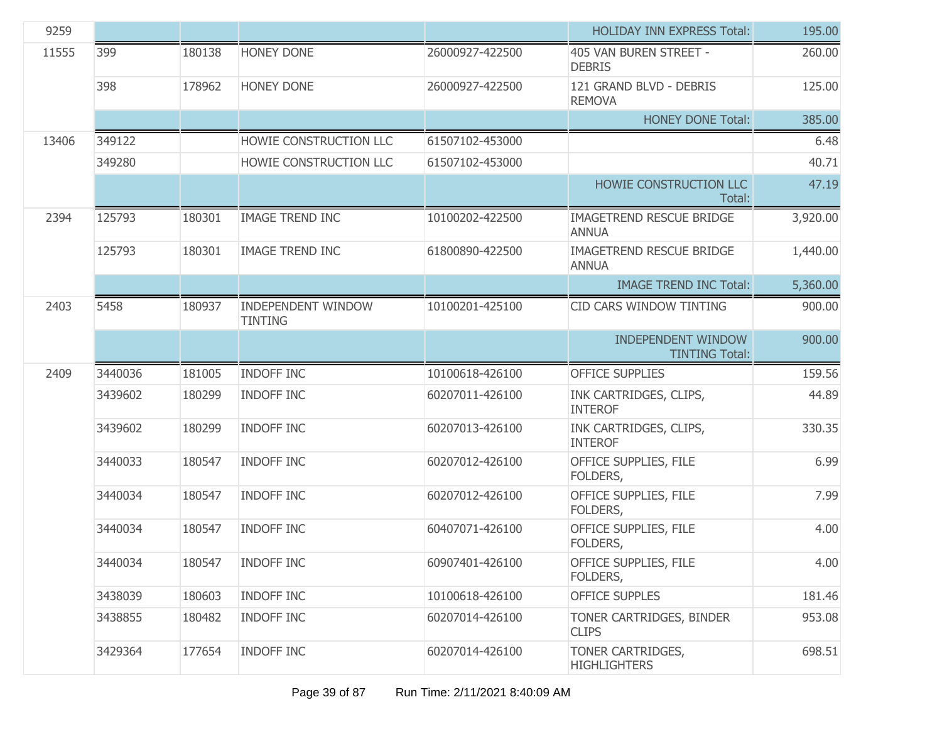| 9259  |         |        |                                             |                 | <b>HOLIDAY INN EXPRESS Total:</b>                  | 195.00   |
|-------|---------|--------|---------------------------------------------|-----------------|----------------------------------------------------|----------|
| 11555 | 399     | 180138 | <b>HONEY DONE</b>                           | 26000927-422500 | 405 VAN BUREN STREET -<br><b>DEBRIS</b>            | 260.00   |
|       | 398     | 178962 | <b>HONEY DONE</b>                           | 26000927-422500 | 121 GRAND BLVD - DEBRIS<br><b>REMOVA</b>           | 125.00   |
|       |         |        |                                             |                 | <b>HONEY DONE Total:</b>                           | 385.00   |
| 13406 | 349122  |        | HOWIE CONSTRUCTION LLC                      | 61507102-453000 |                                                    | 6.48     |
|       | 349280  |        | HOWIE CONSTRUCTION LLC                      | 61507102-453000 |                                                    | 40.71    |
|       |         |        |                                             |                 | HOWIE CONSTRUCTION LLC<br>Total:                   | 47.19    |
| 2394  | 125793  | 180301 | <b>IMAGE TREND INC</b>                      | 10100202-422500 | <b>IMAGETREND RESCUE BRIDGE</b><br><b>ANNUA</b>    | 3,920.00 |
|       | 125793  | 180301 | <b>IMAGE TREND INC</b>                      | 61800890-422500 | <b>IMAGETREND RESCUE BRIDGE</b><br><b>ANNUA</b>    | 1,440.00 |
|       |         |        |                                             |                 | <b>IMAGE TREND INC Total:</b>                      | 5,360.00 |
| 2403  | 5458    | 180937 | <b>INDEPENDENT WINDOW</b><br><b>TINTING</b> | 10100201-425100 | CID CARS WINDOW TINTING                            | 900.00   |
|       |         |        |                                             |                 | <b>INDEPENDENT WINDOW</b><br><b>TINTING Total:</b> | 900.00   |
| 2409  | 3440036 | 181005 | <b>INDOFF INC</b>                           | 10100618-426100 | <b>OFFICE SUPPLIES</b>                             | 159.56   |
|       | 3439602 | 180299 | INDOFF INC                                  | 60207011-426100 | INK CARTRIDGES, CLIPS,<br><b>INTEROF</b>           | 44.89    |
|       | 3439602 | 180299 | <b>INDOFF INC</b>                           | 60207013-426100 | INK CARTRIDGES, CLIPS,<br><b>INTEROF</b>           | 330.35   |
|       | 3440033 | 180547 | <b>INDOFF INC</b>                           | 60207012-426100 | OFFICE SUPPLIES, FILE<br>FOLDERS,                  | 6.99     |
|       | 3440034 | 180547 | <b>INDOFF INC</b>                           | 60207012-426100 | OFFICE SUPPLIES, FILE<br>FOLDERS,                  | 7.99     |
|       | 3440034 | 180547 | <b>INDOFF INC</b>                           | 60407071-426100 | OFFICE SUPPLIES, FILE<br>FOLDERS,                  | 4.00     |
|       | 3440034 | 180547 | <b>INDOFF INC</b>                           | 60907401-426100 | OFFICE SUPPLIES, FILE<br>FOLDERS,                  | 4.00     |
|       | 3438039 | 180603 | <b>INDOFF INC</b>                           | 10100618-426100 | <b>OFFICE SUPPLES</b>                              | 181.46   |
|       | 3438855 | 180482 | <b>INDOFF INC</b>                           | 60207014-426100 | TONER CARTRIDGES, BINDER<br><b>CLIPS</b>           | 953.08   |
|       | 3429364 | 177654 | <b>INDOFF INC</b>                           | 60207014-426100 | TONER CARTRIDGES,<br><b>HIGHLIGHTERS</b>           | 698.51   |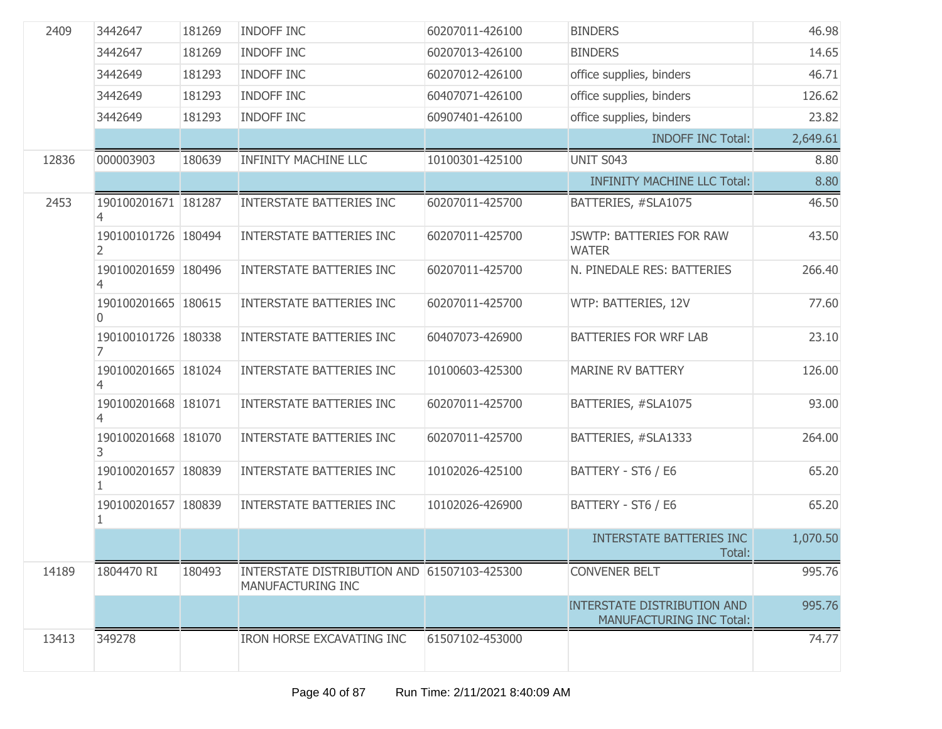| 2409  | 3442647                         | 181269 | <b>INDOFF INC</b>                                                | 60207011-426100 | <b>BINDERS</b>                                                        | 46.98    |
|-------|---------------------------------|--------|------------------------------------------------------------------|-----------------|-----------------------------------------------------------------------|----------|
|       | 3442647                         | 181269 | INDOFF INC                                                       | 60207013-426100 | <b>BINDERS</b>                                                        | 14.65    |
|       | 3442649                         | 181293 | INDOFF INC                                                       | 60207012-426100 | office supplies, binders                                              | 46.71    |
|       | 3442649                         | 181293 | INDOFF INC                                                       | 60407071-426100 | office supplies, binders                                              | 126.62   |
|       | 3442649                         | 181293 | INDOFF INC                                                       | 60907401-426100 | office supplies, binders                                              | 23.82    |
|       |                                 |        |                                                                  |                 | <b>INDOFF INC Total:</b>                                              | 2,649.61 |
| 12836 | 000003903                       | 180639 | <b>INFINITY MACHINE LLC</b>                                      | 10100301-425100 | <b>UNIT S043</b>                                                      | 8.80     |
|       |                                 |        |                                                                  |                 | <b>INFINITY MACHINE LLC Total:</b>                                    | 8.80     |
| 2453  | 190100201671 181287             |        | <b>INTERSTATE BATTERIES INC</b>                                  | 60207011-425700 | BATTERIES, #SLA1075                                                   | 46.50    |
|       | 190100101726 180494<br>2        |        | <b>INTERSTATE BATTERIES INC</b>                                  | 60207011-425700 | <b>JSWTP: BATTERIES FOR RAW</b><br><b>WATER</b>                       | 43.50    |
|       | 190100201659 180496<br>4        |        | <b>INTERSTATE BATTERIES INC</b>                                  | 60207011-425700 | N. PINEDALE RES: BATTERIES                                            | 266.40   |
|       | 190100201665 180615<br>$\Omega$ |        | <b>INTERSTATE BATTERIES INC</b>                                  | 60207011-425700 | WTP: BATTERIES, 12V                                                   | 77.60    |
|       | 190100101726 180338<br>7        |        | <b>INTERSTATE BATTERIES INC</b>                                  | 60407073-426900 | <b>BATTERIES FOR WRF LAB</b>                                          | 23.10    |
|       | 190100201665 181024<br>4        |        | <b>INTERSTATE BATTERIES INC</b>                                  | 10100603-425300 | <b>MARINE RV BATTERY</b>                                              | 126.00   |
|       | 190100201668 181071             |        | <b>INTERSTATE BATTERIES INC</b>                                  | 60207011-425700 | BATTERIES, #SLA1075                                                   | 93.00    |
|       | 190100201668 181070<br>3        |        | <b>INTERSTATE BATTERIES INC</b>                                  | 60207011-425700 | BATTERIES, #SLA1333                                                   | 264.00   |
|       | 190100201657 180839             |        | <b>INTERSTATE BATTERIES INC</b>                                  | 10102026-425100 | BATTERY - ST6 / E6                                                    | 65.20    |
|       | 190100201657   180839<br>1      |        | <b>INTERSTATE BATTERIES INC</b>                                  | 10102026-426900 | BATTERY - ST6 / E6                                                    | 65.20    |
|       |                                 |        |                                                                  |                 | <b>INTERSTATE BATTERIES INC</b><br>Total:                             | 1,070.50 |
| 14189 | 1804470 RI                      | 180493 | INTERSTATE DISTRIBUTION AND 61507103-425300<br>MANUFACTURING INC |                 | <b>CONVENER BELT</b>                                                  | 995.76   |
|       |                                 |        |                                                                  |                 | <b>INTERSTATE DISTRIBUTION AND</b><br><b>MANUFACTURING INC Total:</b> | 995.76   |
| 13413 | 349278                          |        | <b>IRON HORSE EXCAVATING INC</b>                                 | 61507102-453000 |                                                                       | 74.77    |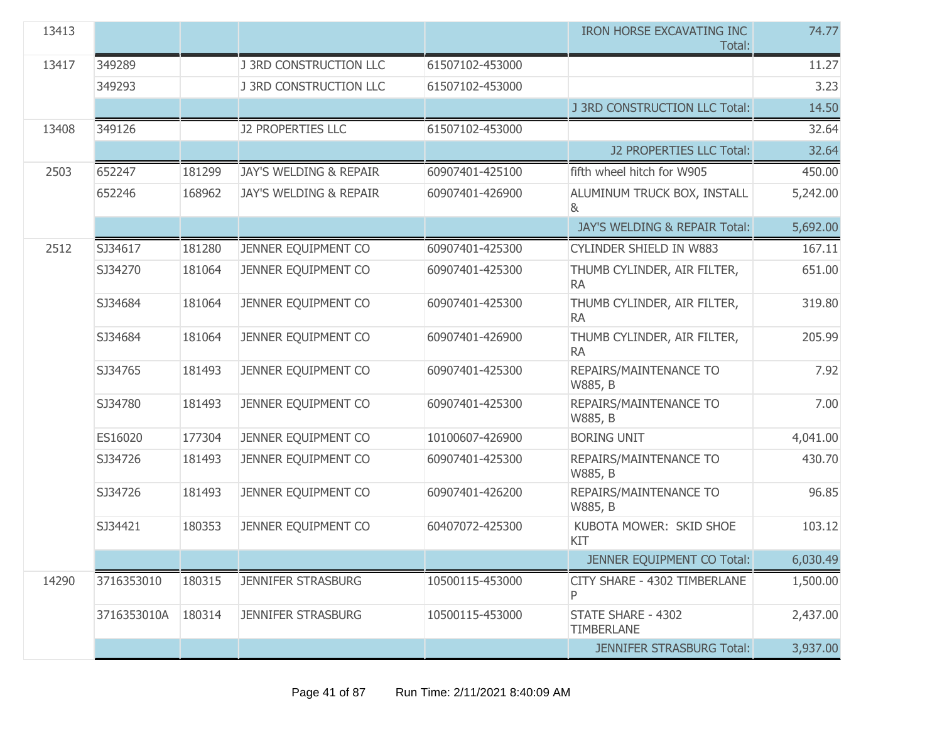| 13413 |             |        |                                   |                 | IRON HORSE EXCAVATING INC<br>Total:           | 74.77    |
|-------|-------------|--------|-----------------------------------|-----------------|-----------------------------------------------|----------|
| 13417 | 349289      |        | <b>J 3RD CONSTRUCTION LLC</b>     | 61507102-453000 |                                               | 11.27    |
|       | 349293      |        | <b>J 3RD CONSTRUCTION LLC</b>     | 61507102-453000 |                                               | 3.23     |
|       |             |        |                                   |                 | J 3RD CONSTRUCTION LLC Total:                 | 14.50    |
| 13408 | 349126      |        | <b>J2 PROPERTIES LLC</b>          | 61507102-453000 |                                               | 32.64    |
|       |             |        |                                   |                 | J2 PROPERTIES LLC Total:                      | 32.64    |
| 2503  | 652247      | 181299 | <b>JAY'S WELDING &amp; REPAIR</b> | 60907401-425100 | fifth wheel hitch for W905                    | 450.00   |
|       | 652246      | 168962 | <b>JAY'S WELDING &amp; REPAIR</b> | 60907401-426900 | ALUMINUM TRUCK BOX, INSTALL<br>8 <sub>k</sub> | 5,242.00 |
|       |             |        |                                   |                 | JAY'S WELDING & REPAIR Total:                 | 5,692.00 |
| 2512  | SJ34617     | 181280 | JENNER EQUIPMENT CO               | 60907401-425300 | <b>CYLINDER SHIELD IN W883</b>                | 167.11   |
|       | SJ34270     | 181064 | JENNER EQUIPMENT CO               | 60907401-425300 | THUMB CYLINDER, AIR FILTER,<br><b>RA</b>      | 651.00   |
|       | SJ34684     | 181064 | JENNER EQUIPMENT CO               | 60907401-425300 | THUMB CYLINDER, AIR FILTER,<br><b>RA</b>      | 319.80   |
|       | SJ34684     | 181064 | JENNER EQUIPMENT CO               | 60907401-426900 | THUMB CYLINDER, AIR FILTER,<br><b>RA</b>      | 205.99   |
|       | SJ34765     | 181493 | JENNER EQUIPMENT CO               | 60907401-425300 | REPAIRS/MAINTENANCE TO<br>W885, B             | 7.92     |
|       | SJ34780     | 181493 | JENNER EQUIPMENT CO               | 60907401-425300 | REPAIRS/MAINTENANCE TO<br>W885, B             | 7.00     |
|       | ES16020     | 177304 | JENNER EQUIPMENT CO               | 10100607-426900 | <b>BORING UNIT</b>                            | 4,041.00 |
|       | SJ34726     | 181493 | JENNER EQUIPMENT CO               | 60907401-425300 | REPAIRS/MAINTENANCE TO<br>W885, B             | 430.70   |
|       | SJ34726     | 181493 | JENNER EQUIPMENT CO               | 60907401-426200 | REPAIRS/MAINTENANCE TO<br>W885, B             | 96.85    |
|       | SJ34421     | 180353 | JENNER EQUIPMENT CO               | 60407072-425300 | KUBOTA MOWER: SKID SHOE<br>KIT                | 103.12   |
|       |             |        |                                   |                 | JENNER EQUIPMENT CO Total:                    | 6,030.49 |
| 14290 | 3716353010  | 180315 | <b>JENNIFER STRASBURG</b>         | 10500115-453000 | CITY SHARE - 4302 TIMBERLANE<br>P             | 1,500.00 |
|       | 3716353010A | 180314 | <b>JENNIFER STRASBURG</b>         | 10500115-453000 | STATE SHARE - 4302<br><b>TIMBERLANE</b>       | 2,437.00 |
|       |             |        |                                   |                 | <b>JENNIFER STRASBURG Total:</b>              | 3,937.00 |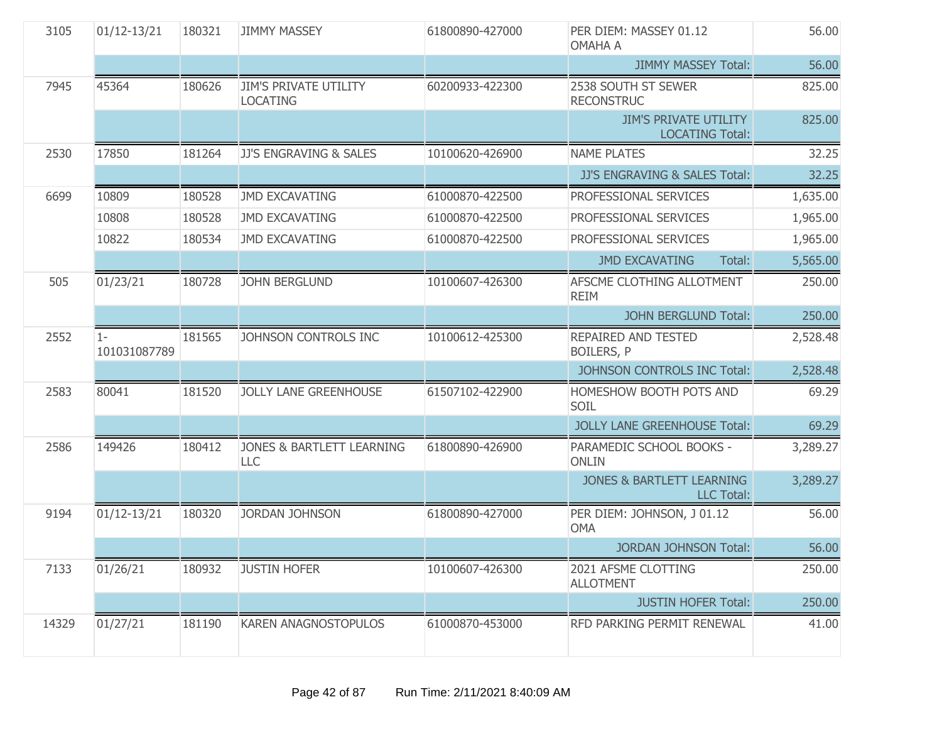| 3105  | $01/12 - 13/21$       | 180321 | <b>JIMMY MASSEY</b>                             | 61800890-427000 | PER DIEM: MASSEY 01.12<br><b>OMAHA A</b>                  | 56.00    |
|-------|-----------------------|--------|-------------------------------------------------|-----------------|-----------------------------------------------------------|----------|
|       |                       |        |                                                 |                 | <b>JIMMY MASSEY Total:</b>                                | 56.00    |
| 7945  | 45364                 | 180626 | <b>JIM'S PRIVATE UTILITY</b><br><b>LOCATING</b> | 60200933-422300 | 2538 SOUTH ST SEWER<br><b>RECONSTRUC</b>                  | 825.00   |
|       |                       |        |                                                 |                 | <b>JIM'S PRIVATE UTILITY</b><br><b>LOCATING Total:</b>    | 825.00   |
| 2530  | 17850                 | 181264 | JJ'S ENGRAVING & SALES                          | 10100620-426900 | <b>NAME PLATES</b>                                        | 32.25    |
|       |                       |        |                                                 |                 | JJ'S ENGRAVING & SALES Total:                             | 32.25    |
| 6699  | 10809                 | 180528 | <b>JMD EXCAVATING</b>                           | 61000870-422500 | PROFESSIONAL SERVICES                                     | 1,635.00 |
|       | 10808                 | 180528 | <b>JMD EXCAVATING</b>                           | 61000870-422500 | PROFESSIONAL SERVICES                                     | 1,965.00 |
|       | 10822                 | 180534 | <b>JMD EXCAVATING</b>                           | 61000870-422500 | PROFESSIONAL SERVICES                                     | 1,965.00 |
|       |                       |        |                                                 |                 | <b>JMD EXCAVATING</b><br>Total:                           | 5,565.00 |
| 505   | 01/23/21              | 180728 | <b>JOHN BERGLUND</b>                            | 10100607-426300 | AFSCME CLOTHING ALLOTMENT<br><b>REIM</b>                  | 250.00   |
|       |                       |        |                                                 |                 | <b>JOHN BERGLUND Total:</b>                               | 250.00   |
| 2552  | $1 -$<br>101031087789 | 181565 | JOHNSON CONTROLS INC                            | 10100612-425300 | REPAIRED AND TESTED<br><b>BOILERS, P</b>                  | 2,528.48 |
|       |                       |        |                                                 |                 | JOHNSON CONTROLS INC Total:                               | 2,528.48 |
| 2583  | 80041                 | 181520 | <b>JOLLY LANE GREENHOUSE</b>                    | 61507102-422900 | HOMESHOW BOOTH POTS AND<br>SOIL                           | 69.29    |
|       |                       |        |                                                 |                 | <b>JOLLY LANE GREENHOUSE Total:</b>                       | 69.29    |
| 2586  | 149426                | 180412 | <b>JONES &amp; BARTLETT LEARNING</b><br>LLC     | 61800890-426900 | PARAMEDIC SCHOOL BOOKS -<br><b>ONLIN</b>                  | 3,289.27 |
|       |                       |        |                                                 |                 | <b>JONES &amp; BARTLETT LEARNING</b><br><b>LLC Total:</b> | 3,289.27 |
| 9194  | $01/12 - 13/21$       | 180320 | <b>JORDAN JOHNSON</b>                           | 61800890-427000 | PER DIEM: JOHNSON, J 01.12<br><b>OMA</b>                  | 56.00    |
|       |                       |        |                                                 |                 | <b>JORDAN JOHNSON Total:</b>                              | 56.00    |
| 7133  | 01/26/21              | 180932 | <b>JUSTIN HOFER</b>                             | 10100607-426300 | 2021 AFSME CLOTTING<br><b>ALLOTMENT</b>                   | 250.00   |
|       |                       |        |                                                 |                 | <b>JUSTIN HOFER Total:</b>                                | 250.00   |
| 14329 | 01/27/21              | 181190 | KAREN ANAGNOSTOPULOS                            | 61000870-453000 | RFD PARKING PERMIT RENEWAL                                | 41.00    |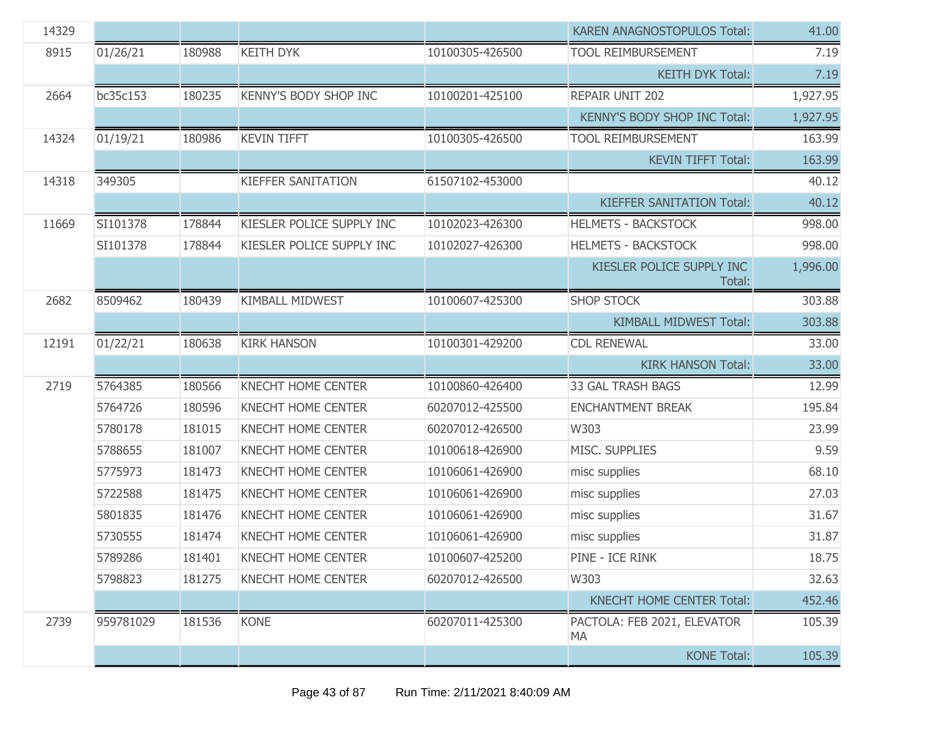| 14329 |           |        |                              |                 | <b>KAREN ANAGNOSTOPULOS Total:</b>  | 41.00    |
|-------|-----------|--------|------------------------------|-----------------|-------------------------------------|----------|
| 8915  | 01/26/21  | 180988 | <b>KEITH DYK</b>             | 10100305-426500 | <b>TOOL REIMBURSEMENT</b>           | 7.19     |
|       |           |        |                              |                 | <b>KEITH DYK Total:</b>             | 7.19     |
| 2664  | bc35c153  | 180235 | <b>KENNY'S BODY SHOP INC</b> | 10100201-425100 | REPAIR UNIT 202                     | 1,927.95 |
|       |           |        |                              |                 | <b>KENNY'S BODY SHOP INC Total:</b> | 1,927.95 |
| 14324 | 01/19/21  | 180986 | <b>KEVIN TIFFT</b>           | 10100305-426500 | <b>TOOL REIMBURSEMENT</b>           | 163.99   |
|       |           |        |                              |                 | <b>KEVIN TIFFT Total:</b>           | 163.99   |
| 14318 | 349305    |        | <b>KIEFFER SANITATION</b>    | 61507102-453000 |                                     | 40.12    |
|       |           |        |                              |                 | <b>KIEFFER SANITATION Total:</b>    | 40.12    |
| 11669 | SI101378  | 178844 | KIESLER POLICE SUPPLY INC    | 10102023-426300 | <b>HELMETS - BACKSTOCK</b>          | 998.00   |
|       | SI101378  | 178844 | KIESLER POLICE SUPPLY INC    | 10102027-426300 | <b>HELMETS - BACKSTOCK</b>          | 998.00   |
|       |           |        |                              |                 | KIESLER POLICE SUPPLY INC<br>Total: | 1,996.00 |
| 2682  | 8509462   | 180439 | <b>KIMBALL MIDWEST</b>       | 10100607-425300 | <b>SHOP STOCK</b>                   | 303.88   |
|       |           |        |                              |                 | <b>KIMBALL MIDWEST Total:</b>       | 303.88   |
| 12191 | 01/22/21  | 180638 | <b>KIRK HANSON</b>           | 10100301-429200 | <b>CDL RENEWAL</b>                  | 33.00    |
|       |           |        |                              |                 | <b>KIRK HANSON Total:</b>           | 33.00    |
| 2719  | 5764385   | 180566 | KNECHT HOME CENTER           | 10100860-426400 | <b>33 GAL TRASH BAGS</b>            | 12.99    |
|       | 5764726   | 180596 | <b>KNECHT HOME CENTER</b>    | 60207012-425500 | <b>ENCHANTMENT BREAK</b>            | 195.84   |
|       | 5780178   | 181015 | <b>KNECHT HOME CENTER</b>    | 60207012-426500 | W303                                | 23.99    |
|       | 5788655   | 181007 | <b>KNECHT HOME CENTER</b>    | 10100618-426900 | MISC. SUPPLIES                      | 9.59     |
|       | 5775973   | 181473 | <b>KNECHT HOME CENTER</b>    | 10106061-426900 | misc supplies                       | 68.10    |
|       | 5722588   | 181475 | <b>KNECHT HOME CENTER</b>    | 10106061-426900 | misc supplies                       | 27.03    |
|       | 5801835   | 181476 | KNECHT HOME CENTER           | 10106061-426900 | misc supplies                       | 31.67    |
|       | 5730555   | 181474 | <b>KNECHT HOME CENTER</b>    | 10106061-426900 | misc supplies                       | 31.87    |
|       | 5789286   | 181401 | KNECHT HOME CENTER           | 10100607-425200 | PINE - ICE RINK                     | 18.75    |
|       | 5798823   | 181275 | <b>KNECHT HOME CENTER</b>    | 60207012-426500 | W303                                | 32.63    |
|       |           |        |                              |                 | <b>KNECHT HOME CENTER Total:</b>    | 452.46   |
| 2739  | 959781029 | 181536 | <b>KONE</b>                  | 60207011-425300 | PACTOLA: FEB 2021, ELEVATOR<br>MA   | 105.39   |
|       |           |        |                              |                 | <b>KONE Total:</b>                  | 105.39   |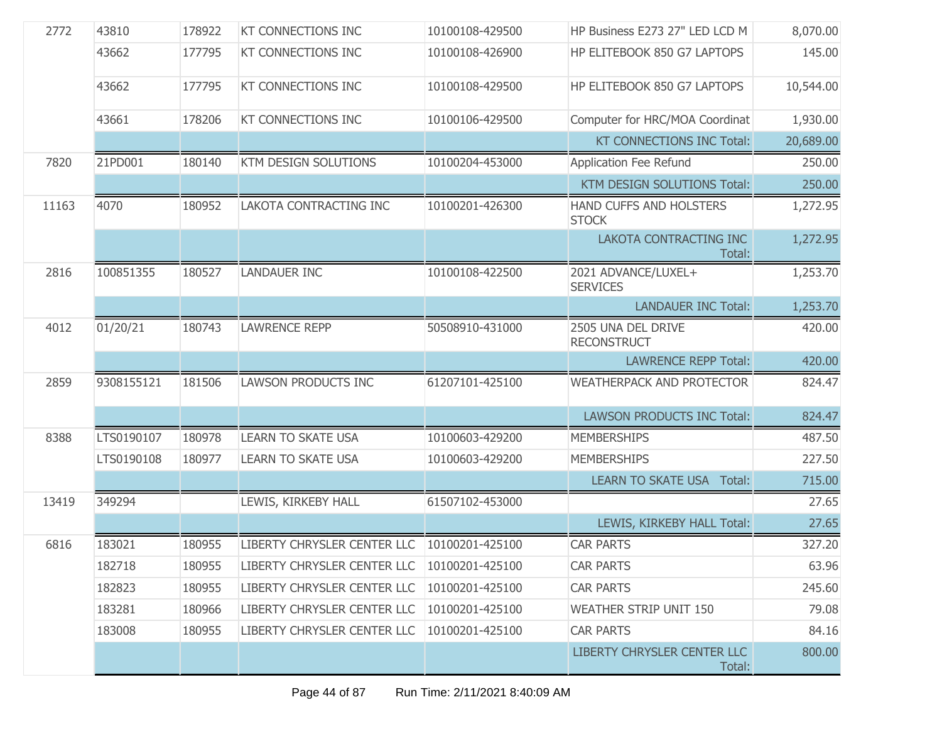| 2772  | 43810      | 178922 | <b>KT CONNECTIONS INC</b>                     | 10100108-429500 | HP Business E273 27" LED LCD M           | 8,070.00  |
|-------|------------|--------|-----------------------------------------------|-----------------|------------------------------------------|-----------|
|       | 43662      | 177795 | KT CONNECTIONS INC                            | 10100108-426900 | HP ELITEBOOK 850 G7 LAPTOPS              | 145.00    |
|       | 43662      | 177795 | KT CONNECTIONS INC                            | 10100108-429500 | HP ELITEBOOK 850 G7 LAPTOPS              | 10,544.00 |
|       | 43661      | 178206 | <b>KT CONNECTIONS INC</b>                     | 10100106-429500 | Computer for HRC/MOA Coordinat           | 1,930.00  |
|       |            |        |                                               |                 | <b>KT CONNECTIONS INC Total:</b>         | 20,689.00 |
| 7820  | 21PD001    | 180140 | <b>KTM DESIGN SOLUTIONS</b>                   | 10100204-453000 | Application Fee Refund                   | 250.00    |
|       |            |        |                                               |                 | <b>KTM DESIGN SOLUTIONS Total:</b>       | 250.00    |
| 11163 | 4070       | 180952 | LAKOTA CONTRACTING INC                        | 10100201-426300 | HAND CUFFS AND HOLSTERS<br><b>STOCK</b>  | 1,272.95  |
|       |            |        |                                               |                 | LAKOTA CONTRACTING INC<br>Total:         | 1,272.95  |
| 2816  | 100851355  | 180527 | <b>LANDAUER INC</b>                           | 10100108-422500 | 2021 ADVANCE/LUXEL+<br><b>SERVICES</b>   | 1,253.70  |
|       |            |        |                                               |                 | <b>LANDAUER INC Total:</b>               | 1,253.70  |
| 4012  | 01/20/21   | 180743 | <b>LAWRENCE REPP</b>                          | 50508910-431000 | 2505 UNA DEL DRIVE<br><b>RECONSTRUCT</b> | 420.00    |
|       |            |        |                                               |                 | <b>LAWRENCE REPP Total:</b>              | 420.00    |
| 2859  | 9308155121 | 181506 | LAWSON PRODUCTS INC                           | 61207101-425100 | <b>WEATHERPACK AND PROTECTOR</b>         | 824.47    |
|       |            |        |                                               |                 | <b>LAWSON PRODUCTS INC Total:</b>        | 824.47    |
| 8388  | LTS0190107 | 180978 | <b>LEARN TO SKATE USA</b>                     | 10100603-429200 | <b>MEMBERSHIPS</b>                       | 487.50    |
|       | LTS0190108 | 180977 | <b>LEARN TO SKATE USA</b>                     | 10100603-429200 | <b>MEMBERSHIPS</b>                       | 227.50    |
|       |            |        |                                               |                 | <b>LEARN TO SKATE USA Total:</b>         | 715.00    |
| 13419 | 349294     |        | LEWIS, KIRKEBY HALL                           | 61507102-453000 |                                          | 27.65     |
|       |            |        |                                               |                 | LEWIS, KIRKEBY HALL Total:               | 27.65     |
| 6816  | 183021     | 180955 | LIBERTY CHRYSLER CENTER LLC 10100201-425100   |                 | <b>CAR PARTS</b>                         | 327.20    |
|       | 182718     | 180955 | LIBERTY CHRYSLER CENTER LLC                   | 10100201-425100 | <b>CAR PARTS</b>                         | 63.96     |
|       | 182823     | 180955 | LIBERTY CHRYSLER CENTER LLC                   | 10100201-425100 | <b>CAR PARTS</b>                         | 245.60    |
|       | 183281     | 180966 | LIBERTY CHRYSLER CENTER LLC   10100201-425100 |                 | <b>WEATHER STRIP UNIT 150</b>            | 79.08     |
|       | 183008     | 180955 | LIBERTY CHRYSLER CENTER LLC                   | 10100201-425100 | <b>CAR PARTS</b>                         | 84.16     |
|       |            |        |                                               |                 | LIBERTY CHRYSLER CENTER LLC<br>Total:    | 800.00    |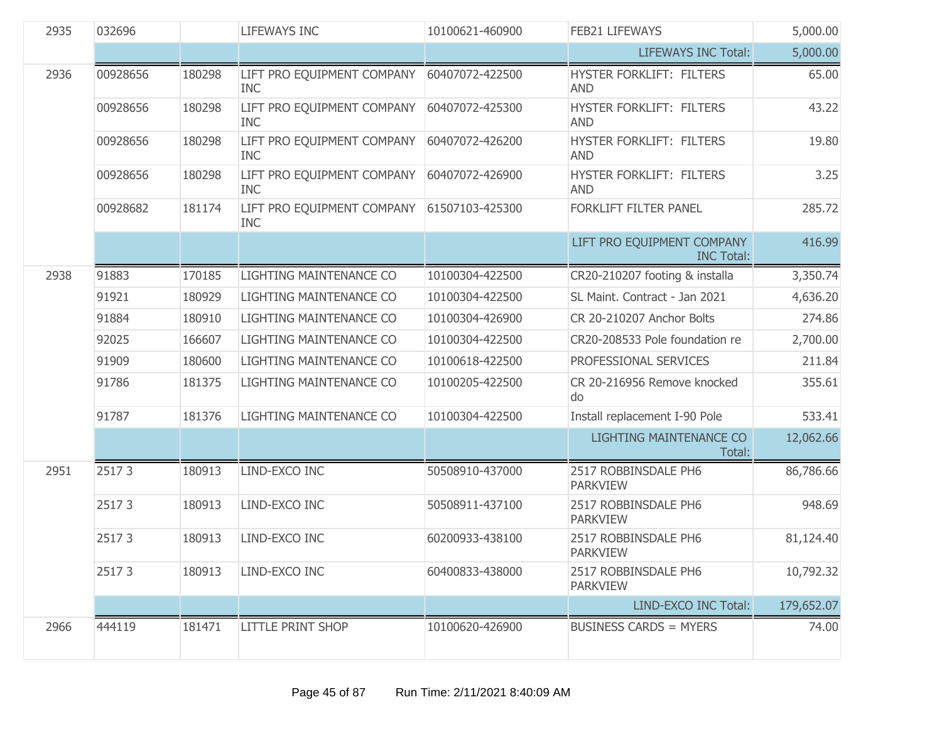| 2935 | 032696   |        | <b>LIFEWAYS INC</b>                      | 10100621-460900 | FEB21 LIFEWAYS                                  | 5,000.00   |
|------|----------|--------|------------------------------------------|-----------------|-------------------------------------------------|------------|
|      |          |        |                                          |                 | <b>LIFEWAYS INC Total:</b>                      | 5,000.00   |
| 2936 | 00928656 | 180298 | LIFT PRO EQUIPMENT COMPANY<br><b>INC</b> | 60407072-422500 | HYSTER FORKLIFT: FILTERS<br><b>AND</b>          | 65.00      |
|      | 00928656 | 180298 | LIFT PRO EQUIPMENT COMPANY<br><b>INC</b> | 60407072-425300 | HYSTER FORKLIFT: FILTERS<br><b>AND</b>          | 43.22      |
|      | 00928656 | 180298 | LIFT PRO EQUIPMENT COMPANY<br><b>INC</b> | 60407072-426200 | HYSTER FORKLIFT: FILTERS<br><b>AND</b>          | 19.80      |
|      | 00928656 | 180298 | LIFT PRO EQUIPMENT COMPANY<br><b>INC</b> | 60407072-426900 | HYSTER FORKLIFT: FILTERS<br><b>AND</b>          | 3.25       |
|      | 00928682 | 181174 | LIFT PRO EQUIPMENT COMPANY<br><b>INC</b> | 61507103-425300 | FORKLIFT FILTER PANEL                           | 285.72     |
|      |          |        |                                          |                 | LIFT PRO EQUIPMENT COMPANY<br><b>INC Total:</b> | 416.99     |
| 2938 | 91883    | 170185 | LIGHTING MAINTENANCE CO                  | 10100304-422500 | CR20-210207 footing & installa                  | 3,350.74   |
|      | 91921    | 180929 | LIGHTING MAINTENANCE CO                  | 10100304-422500 | SL Maint. Contract - Jan 2021                   | 4,636.20   |
|      | 91884    | 180910 | LIGHTING MAINTENANCE CO                  | 10100304-426900 | CR 20-210207 Anchor Bolts                       | 274.86     |
|      | 92025    | 166607 | LIGHTING MAINTENANCE CO                  | 10100304-422500 | CR20-208533 Pole foundation re                  | 2,700.00   |
|      | 91909    | 180600 | LIGHTING MAINTENANCE CO                  | 10100618-422500 | PROFESSIONAL SERVICES                           | 211.84     |
|      | 91786    | 181375 | LIGHTING MAINTENANCE CO                  | 10100205-422500 | CR 20-216956 Remove knocked<br>do               | 355.61     |
|      | 91787    | 181376 | LIGHTING MAINTENANCE CO                  | 10100304-422500 | Install replacement I-90 Pole                   | 533.41     |
|      |          |        |                                          |                 | LIGHTING MAINTENANCE CO<br>Total:               | 12,062.66  |
| 2951 | 25173    | 180913 | LIND-EXCO INC                            | 50508910-437000 | 2517 ROBBINSDALE PH6<br><b>PARKVIEW</b>         | 86,786.66  |
|      | 25173    | 180913 | LIND-EXCO INC                            | 50508911-437100 | 2517 ROBBINSDALE PH6<br><b>PARKVIEW</b>         | 948.69     |
|      | 25173    | 180913 | LIND-EXCO INC                            | 60200933-438100 | 2517 ROBBINSDALE PH6<br><b>PARKVIEW</b>         | 81,124.40  |
|      | 25173    | 180913 | LIND-EXCO INC                            | 60400833-438000 | 2517 ROBBINSDALE PH6<br><b>PARKVIEW</b>         | 10,792.32  |
|      |          |        |                                          |                 | LIND-EXCO INC Total:                            | 179,652.07 |
| 2966 | 444119   | 181471 | <b>LITTLE PRINT SHOP</b>                 | 10100620-426900 | <b>BUSINESS CARDS = MYERS</b>                   | 74.00      |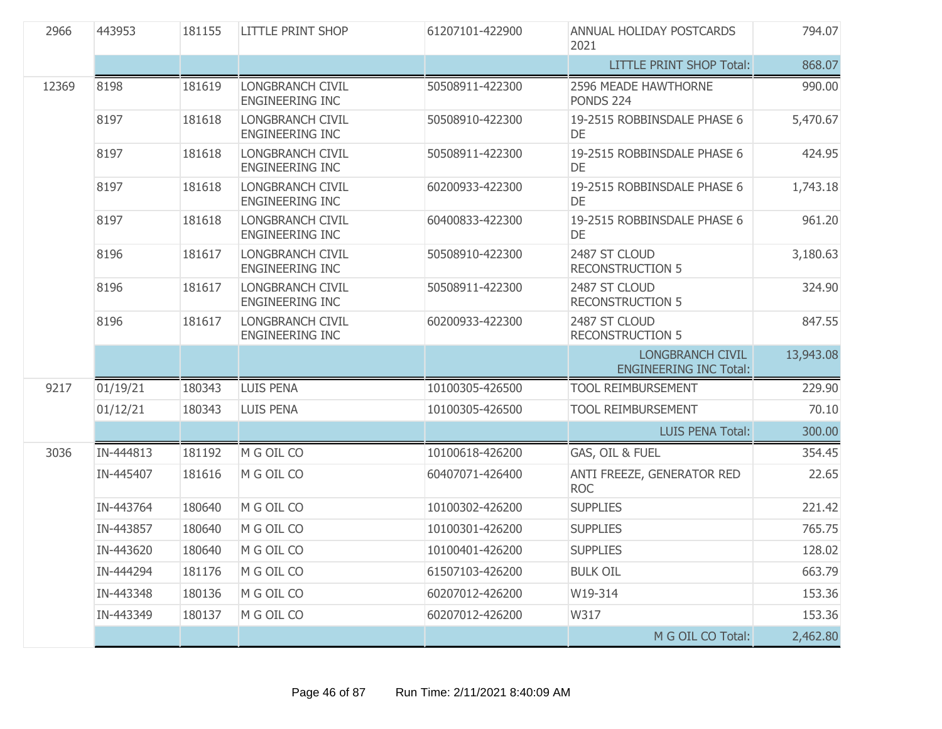| 2966  | 443953    | 181155 | <b>LITTLE PRINT SHOP</b>                          | 61207101-422900 | ANNUAL HOLIDAY POSTCARDS<br>2021                         | 794.07    |
|-------|-----------|--------|---------------------------------------------------|-----------------|----------------------------------------------------------|-----------|
|       |           |        |                                                   |                 | <b>LITTLE PRINT SHOP Total:</b>                          | 868.07    |
| 12369 | 8198      | 181619 | <b>LONGBRANCH CIVIL</b><br><b>ENGINEERING INC</b> | 50508911-422300 | 2596 MEADE HAWTHORNE<br><b>PONDS 224</b>                 | 990.00    |
|       | 8197      | 181618 | LONGBRANCH CIVIL<br><b>ENGINEERING INC</b>        | 50508910-422300 | 19-2515 ROBBINSDALE PHASE 6<br>DE                        | 5,470.67  |
|       | 8197      | 181618 | LONGBRANCH CIVIL<br><b>ENGINEERING INC</b>        | 50508911-422300 | 19-2515 ROBBINSDALE PHASE 6<br><b>DE</b>                 | 424.95    |
|       | 8197      | 181618 | <b>LONGBRANCH CIVIL</b><br><b>ENGINEERING INC</b> | 60200933-422300 | 19-2515 ROBBINSDALE PHASE 6<br>DE                        | 1,743.18  |
|       | 8197      | 181618 | LONGBRANCH CIVIL<br><b>ENGINEERING INC</b>        | 60400833-422300 | 19-2515 ROBBINSDALE PHASE 6<br>DE                        | 961.20    |
|       | 8196      | 181617 | LONGBRANCH CIVIL<br><b>ENGINEERING INC</b>        | 50508910-422300 | 2487 ST CLOUD<br><b>RECONSTRUCTION 5</b>                 | 3,180.63  |
|       | 8196      | 181617 | <b>LONGBRANCH CIVIL</b><br><b>ENGINEERING INC</b> | 50508911-422300 | 2487 ST CLOUD<br><b>RECONSTRUCTION 5</b>                 | 324.90    |
|       | 8196      | 181617 | <b>LONGBRANCH CIVIL</b><br><b>ENGINEERING INC</b> | 60200933-422300 | 2487 ST CLOUD<br><b>RECONSTRUCTION 5</b>                 | 847.55    |
|       |           |        |                                                   |                 | <b>LONGBRANCH CIVIL</b><br><b>ENGINEERING INC Total:</b> | 13,943.08 |
| 9217  | 01/19/21  | 180343 | <b>LUIS PENA</b>                                  | 10100305-426500 | <b>TOOL REIMBURSEMENT</b>                                | 229.90    |
|       | 01/12/21  | 180343 | <b>LUIS PENA</b>                                  | 10100305-426500 | <b>TOOL REIMBURSEMENT</b>                                | 70.10     |
|       |           |        |                                                   |                 | <b>LUIS PENA Total:</b>                                  | 300.00    |
| 3036  | IN-444813 | 181192 | M G OIL CO                                        | 10100618-426200 | GAS, OIL & FUEL                                          | 354.45    |
|       | IN-445407 | 181616 | M G OIL CO                                        | 60407071-426400 | ANTI FREEZE, GENERATOR RED<br><b>ROC</b>                 | 22.65     |
|       | IN-443764 | 180640 | M G OIL CO                                        | 10100302-426200 | <b>SUPPLIES</b>                                          | 221.42    |
|       | IN-443857 | 180640 | M G OIL CO                                        | 10100301-426200 | <b>SUPPLIES</b>                                          | 765.75    |
|       | IN-443620 | 180640 | M G OIL CO                                        | 10100401-426200 | <b>SUPPLIES</b>                                          | 128.02    |
|       | IN-444294 | 181176 | M G OIL CO                                        | 61507103-426200 | <b>BULK OIL</b>                                          | 663.79    |
|       | IN-443348 | 180136 | M G OIL CO                                        | 60207012-426200 | W19-314                                                  | 153.36    |
|       | IN-443349 | 180137 | M G OIL CO                                        | 60207012-426200 | W317                                                     | 153.36    |
|       |           |        |                                                   |                 | M G OIL CO Total:                                        | 2,462.80  |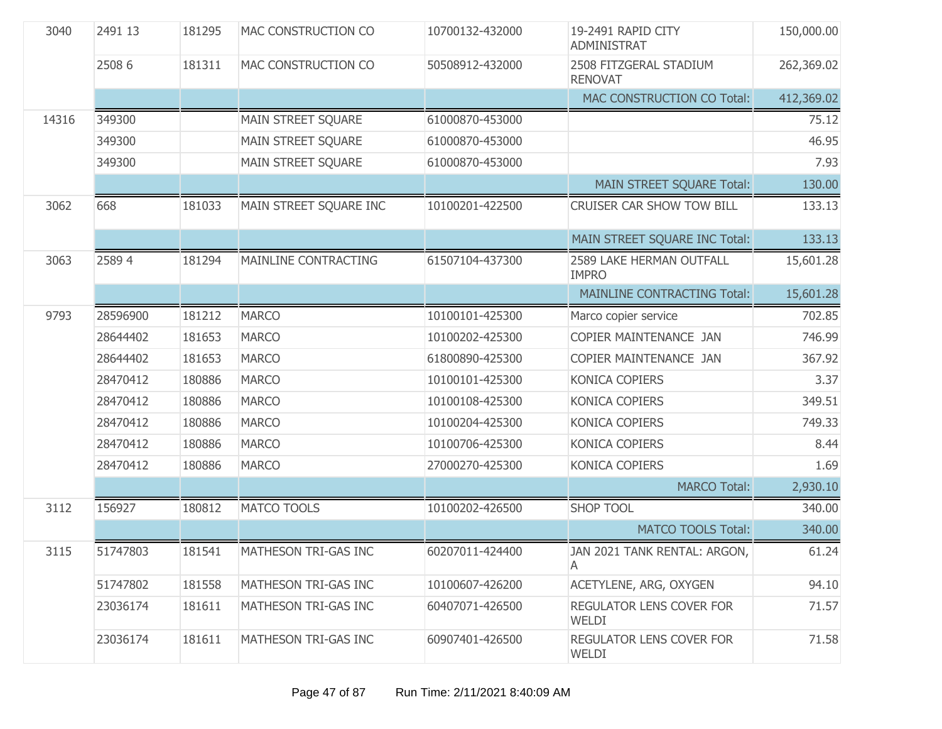| 3040  | 2491 13  | 181295 | MAC CONSTRUCTION CO       | 10700132-432000 | 19-2491 RAPID CITY<br>ADMINISTRAT        | 150,000.00 |
|-------|----------|--------|---------------------------|-----------------|------------------------------------------|------------|
|       | 2508 6   | 181311 | MAC CONSTRUCTION CO       | 50508912-432000 | 2508 FITZGERAL STADIUM<br><b>RENOVAT</b> | 262,369.02 |
|       |          |        |                           |                 | MAC CONSTRUCTION CO Total:               | 412,369.02 |
| 14316 | 349300   |        | MAIN STREET SQUARE        | 61000870-453000 |                                          | 75.12      |
|       | 349300   |        | <b>MAIN STREET SQUARE</b> | 61000870-453000 |                                          | 46.95      |
|       | 349300   |        | MAIN STREET SQUARE        | 61000870-453000 |                                          | 7.93       |
|       |          |        |                           |                 | MAIN STREET SQUARE Total:                | 130.00     |
| 3062  | 668      | 181033 | MAIN STREET SQUARE INC    | 10100201-422500 | CRUISER CAR SHOW TOW BILL                | 133.13     |
|       |          |        |                           |                 | MAIN STREET SQUARE INC Total:            | 133.13     |
| 3063  | 25894    | 181294 | MAINLINE CONTRACTING      | 61507104-437300 | 2589 LAKE HERMAN OUTFALL<br><b>IMPRO</b> | 15,601.28  |
|       |          |        |                           |                 | <b>MAINLINE CONTRACTING Total:</b>       | 15,601.28  |
| 9793  | 28596900 | 181212 | <b>MARCO</b>              | 10100101-425300 | Marco copier service                     | 702.85     |
|       | 28644402 | 181653 | <b>MARCO</b>              | 10100202-425300 | COPIER MAINTENANCE JAN                   | 746.99     |
|       | 28644402 | 181653 | <b>MARCO</b>              | 61800890-425300 | COPIER MAINTENANCE JAN                   | 367.92     |
|       | 28470412 | 180886 | <b>MARCO</b>              | 10100101-425300 | KONICA COPIERS                           | 3.37       |
|       | 28470412 | 180886 | <b>MARCO</b>              | 10100108-425300 | KONICA COPIERS                           | 349.51     |
|       | 28470412 | 180886 | <b>MARCO</b>              | 10100204-425300 | KONICA COPIERS                           | 749.33     |
|       | 28470412 | 180886 | <b>MARCO</b>              | 10100706-425300 | KONICA COPIERS                           | 8.44       |
|       | 28470412 | 180886 | <b>MARCO</b>              | 27000270-425300 | KONICA COPIERS                           | 1.69       |
|       |          |        |                           |                 | <b>MARCO Total:</b>                      | 2,930.10   |
| 3112  | 156927   | 180812 | <b>MATCO TOOLS</b>        | 10100202-426500 | <b>SHOP TOOL</b>                         | 340.00     |
|       |          |        |                           |                 | <b>MATCO TOOLS Total:</b>                | 340.00     |
| 3115  | 51747803 | 181541 | MATHESON TRI-GAS INC      | 60207011-424400 | JAN 2021 TANK RENTAL: ARGON<br>A         | 61.24      |
|       | 51747802 | 181558 | MATHESON TRI-GAS INC      | 10100607-426200 | ACETYLENE, ARG, OXYGEN                   | 94.10      |
|       | 23036174 | 181611 | MATHESON TRI-GAS INC      | 60407071-426500 | REGULATOR LENS COVER FOR<br>WELDI        | 71.57      |
|       | 23036174 | 181611 | MATHESON TRI-GAS INC      | 60907401-426500 | REGULATOR LENS COVER FOR<br>WELDI        | 71.58      |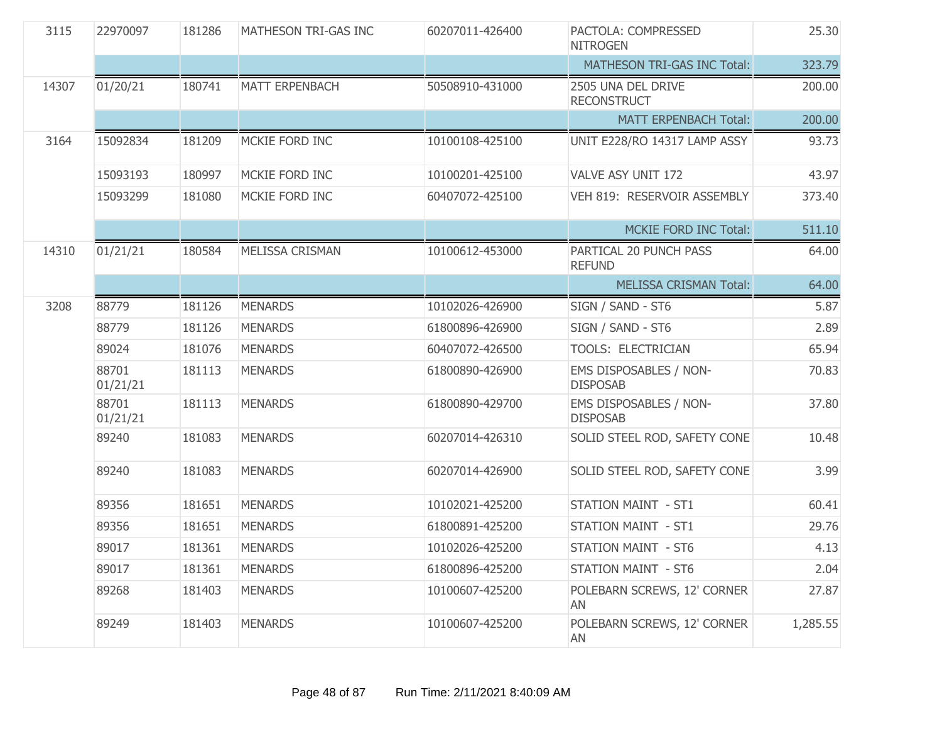| 3115  | 22970097          | 181286 | MATHESON TRI-GAS INC   | 60207011-426400 | PACTOLA: COMPRESSED<br><b>NITROGEN</b>    | 25.30    |
|-------|-------------------|--------|------------------------|-----------------|-------------------------------------------|----------|
|       |                   |        |                        |                 | MATHESON TRI-GAS INC Total:               | 323.79   |
| 14307 | 01/20/21          | 180741 | <b>MATT ERPENBACH</b>  | 50508910-431000 | 2505 UNA DEL DRIVE<br><b>RECONSTRUCT</b>  | 200.00   |
|       |                   |        |                        |                 | <b>MATT ERPENBACH Total:</b>              | 200.00   |
| 3164  | 15092834          | 181209 | MCKIE FORD INC         | 10100108-425100 | UNIT E228/RO 14317 LAMP ASSY              | 93.73    |
|       | 15093193          | 180997 | MCKIE FORD INC         | 10100201-425100 | VALVE ASY UNIT 172                        | 43.97    |
|       | 15093299          | 181080 | MCKIE FORD INC         | 60407072-425100 | VEH 819: RESERVOIR ASSEMBLY               | 373.40   |
|       |                   |        |                        |                 | <b>MCKIE FORD INC Total:</b>              | 511.10   |
| 14310 | 01/21/21          | 180584 | <b>MELISSA CRISMAN</b> | 10100612-453000 | PARTICAL 20 PUNCH PASS<br><b>REFUND</b>   | 64.00    |
|       |                   |        |                        |                 | <b>MELISSA CRISMAN Total:</b>             | 64.00    |
| 3208  | 88779             | 181126 | <b>MENARDS</b>         | 10102026-426900 | SIGN / SAND - ST6                         | 5.87     |
|       | 88779             | 181126 | <b>MENARDS</b>         | 61800896-426900 | SIGN / SAND - ST6                         | 2.89     |
|       | 89024             | 181076 | <b>MENARDS</b>         | 60407072-426500 | TOOLS: ELECTRICIAN                        | 65.94    |
|       | 88701<br>01/21/21 | 181113 | <b>MENARDS</b>         | 61800890-426900 | EMS DISPOSABLES / NON-<br><b>DISPOSAB</b> | 70.83    |
|       | 88701<br>01/21/21 | 181113 | <b>MENARDS</b>         | 61800890-429700 | EMS DISPOSABLES / NON-<br><b>DISPOSAB</b> | 37.80    |
|       | 89240             | 181083 | <b>MENARDS</b>         | 60207014-426310 | SOLID STEEL ROD, SAFETY CONE              | 10.48    |
|       | 89240             | 181083 | <b>MENARDS</b>         | 60207014-426900 | SOLID STEEL ROD, SAFETY CONE              | 3.99     |
|       | 89356             | 181651 | <b>MENARDS</b>         | 10102021-425200 | <b>STATION MAINT - ST1</b>                | 60.41    |
|       | 89356             | 181651 | <b>MENARDS</b>         | 61800891-425200 | <b>STATION MAINT - ST1</b>                | 29.76    |
|       | 89017             | 181361 | <b>MENARDS</b>         | 10102026-425200 | <b>STATION MAINT - ST6</b>                | 4.13     |
|       | 89017             | 181361 | <b>MENARDS</b>         | 61800896-425200 | <b>STATION MAINT - ST6</b>                | 2.04     |
|       | 89268             | 181403 | <b>MENARDS</b>         | 10100607-425200 | POLEBARN SCREWS, 12' CORNER<br>AN         | 27.87    |
|       | 89249             | 181403 | <b>MENARDS</b>         | 10100607-425200 | POLEBARN SCREWS, 12' CORNER<br>AN         | 1,285.55 |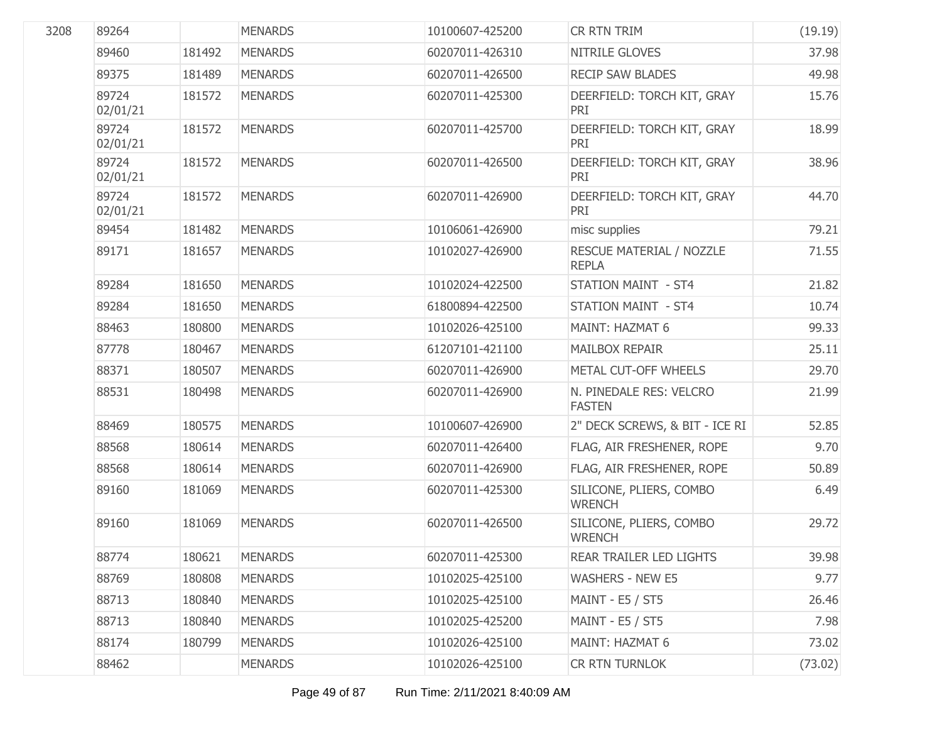| 89264             |        | <b>MENARDS</b> | 10100607-425200 | CR RTN TRIM                              | (19.19) |
|-------------------|--------|----------------|-----------------|------------------------------------------|---------|
| 89460             | 181492 | <b>MENARDS</b> | 60207011-426310 | NITRILE GLOVES                           | 37.98   |
| 89375             | 181489 | <b>MENARDS</b> | 60207011-426500 | <b>RECIP SAW BLADES</b>                  | 49.98   |
| 89724<br>02/01/21 | 181572 | <b>MENARDS</b> | 60207011-425300 | DEERFIELD: TORCH KIT, GRAY<br>PRI        | 15.76   |
| 89724<br>02/01/21 | 181572 | <b>MENARDS</b> | 60207011-425700 | DEERFIELD: TORCH KIT, GRAY<br>PRI        | 18.99   |
| 89724<br>02/01/21 | 181572 | <b>MENARDS</b> | 60207011-426500 | DEERFIELD: TORCH KIT, GRAY<br>PRI        | 38.96   |
| 89724<br>02/01/21 | 181572 | <b>MENARDS</b> | 60207011-426900 | DEERFIELD: TORCH KIT, GRAY<br>PRI        | 44.70   |
| 89454             | 181482 | <b>MENARDS</b> | 10106061-426900 | misc supplies                            | 79.21   |
| 89171             | 181657 | <b>MENARDS</b> | 10102027-426900 | RESCUE MATERIAL / NOZZLE<br><b>REPLA</b> | 71.55   |
| 89284             | 181650 | <b>MENARDS</b> | 10102024-422500 | <b>STATION MAINT - ST4</b>               | 21.82   |
| 89284             | 181650 | <b>MENARDS</b> | 61800894-422500 | <b>STATION MAINT - ST4</b>               | 10.74   |
| 88463             | 180800 | <b>MENARDS</b> | 10102026-425100 | MAINT: HAZMAT 6                          | 99.33   |
| 87778             | 180467 | <b>MENARDS</b> | 61207101-421100 | <b>MAILBOX REPAIR</b>                    | 25.11   |
| 88371             | 180507 | <b>MENARDS</b> | 60207011-426900 | METAL CUT-OFF WHEELS                     | 29.70   |
| 88531             | 180498 | <b>MENARDS</b> | 60207011-426900 | N. PINEDALE RES: VELCRO<br><b>FASTEN</b> | 21.99   |
| 88469             | 180575 | <b>MENARDS</b> | 10100607-426900 | 2" DECK SCREWS, & BIT - ICE RI           | 52.85   |
| 88568             | 180614 | <b>MENARDS</b> | 60207011-426400 | FLAG, AIR FRESHENER, ROPE                | 9.70    |
| 88568             | 180614 | <b>MENARDS</b> | 60207011-426900 | FLAG, AIR FRESHENER, ROPE                | 50.89   |
| 89160             | 181069 | <b>MENARDS</b> | 60207011-425300 | SILICONE, PLIERS, COMBO<br><b>WRENCH</b> | 6.49    |
| 89160             | 181069 | <b>MENARDS</b> | 60207011-426500 | SILICONE, PLIERS, COMBO<br><b>WRENCH</b> | 29.72   |
| 88774             | 180621 | <b>MENARDS</b> | 60207011-425300 | REAR TRAILER LED LIGHTS                  | 39.98   |
| 88769             | 180808 | <b>MENARDS</b> | 10102025-425100 | <b>WASHERS - NEW E5</b>                  | 9.77    |
| 88713             | 180840 | <b>MENARDS</b> | 10102025-425100 | MAINT - E5 / ST5                         | 26.46   |
| 88713             | 180840 | <b>MENARDS</b> | 10102025-425200 | MAINT - E5 / ST5                         | 7.98    |
| 88174             | 180799 | <b>MENARDS</b> | 10102026-425100 | MAINT: HAZMAT 6                          | 73.02   |
| 88462             |        | <b>MENARDS</b> | 10102026-425100 | CR RTN TURNLOK                           | (73.02) |
|                   |        |                |                 |                                          |         |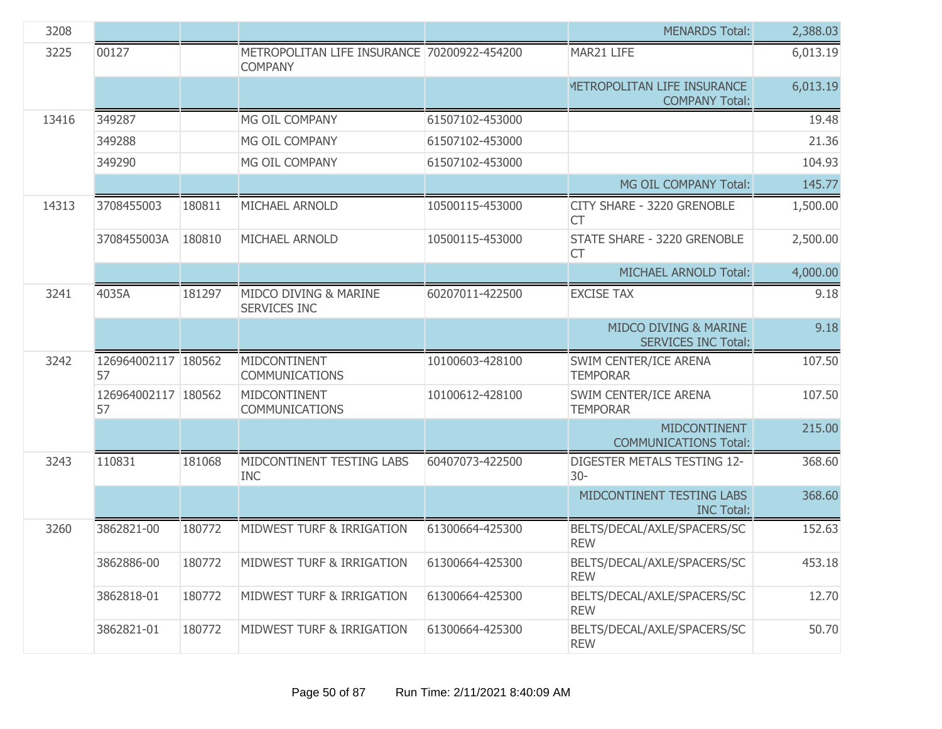| 3208  |                           |        |                                                               |                 | <b>MENARDS Total:</b>                                | 2,388.03 |
|-------|---------------------------|--------|---------------------------------------------------------------|-----------------|------------------------------------------------------|----------|
| 3225  | 00127                     |        | METROPOLITAN LIFE INSURANCE 70200922-454200<br><b>COMPANY</b> |                 | MAR21 LIFE                                           | 6,013.19 |
|       |                           |        |                                                               |                 | METROPOLITAN LIFE INSURANCE<br><b>COMPANY Total:</b> | 6,013.19 |
| 13416 | 349287                    |        | MG OIL COMPANY                                                | 61507102-453000 |                                                      | 19.48    |
|       | 349288                    |        | MG OIL COMPANY                                                | 61507102-453000 |                                                      | 21.36    |
|       | 349290                    |        | MG OIL COMPANY                                                | 61507102-453000 |                                                      | 104.93   |
|       |                           |        |                                                               |                 | MG OIL COMPANY Total:                                | 145.77   |
| 14313 | 3708455003                | 180811 | MICHAEL ARNOLD                                                | 10500115-453000 | CITY SHARE - 3220 GRENOBLE<br><b>CT</b>              | 1,500.00 |
|       | 3708455003A               | 180810 | MICHAEL ARNOLD                                                | 10500115-453000 | STATE SHARE - 3220 GRENOBLE<br><b>CT</b>             | 2,500.00 |
|       |                           |        |                                                               |                 | MICHAEL ARNOLD Total:                                | 4,000.00 |
| 3241  | 4035A                     | 181297 | MIDCO DIVING & MARINE<br>SERVICES INC                         | 60207011-422500 | <b>EXCISE TAX</b>                                    | 9.18     |
|       |                           |        |                                                               |                 | MIDCO DIVING & MARINE<br><b>SERVICES INC Total:</b>  | 9.18     |
| 3242  | 126964002117 180562<br>57 |        | MIDCONTINENT<br><b>COMMUNICATIONS</b>                         | 10100603-428100 | SWIM CENTER/ICE ARENA<br><b>TEMPORAR</b>             | 107.50   |
|       | 126964002117 180562<br>57 |        | MIDCONTINENT<br><b>COMMUNICATIONS</b>                         | 10100612-428100 | SWIM CENTER/ICE ARENA<br><b>TEMPORAR</b>             | 107.50   |
|       |                           |        |                                                               |                 | <b>MIDCONTINENT</b><br><b>COMMUNICATIONS Total:</b>  | 215.00   |
| 3243  | 110831                    | 181068 | MIDCONTINENT TESTING LABS<br><b>INC</b>                       | 60407073-422500 | DIGESTER METALS TESTING 12-<br>$30 -$                | 368.60   |
|       |                           |        |                                                               |                 | MIDCONTINENT TESTING LABS<br><b>INC Total:</b>       | 368.60   |
| 3260  | 3862821-00                | 180772 | MIDWEST TURF & IRRIGATION                                     | 61300664-425300 | BELTS/DECAL/AXLE/SPACERS/SC<br><b>REW</b>            | 152.63   |
|       | 3862886-00                | 180772 | MIDWEST TURF & IRRIGATION                                     | 61300664-425300 | BELTS/DECAL/AXLE/SPACERS/SC<br><b>REW</b>            | 453.18   |
|       | 3862818-01                | 180772 | MIDWEST TURF & IRRIGATION                                     | 61300664-425300 | BELTS/DECAL/AXLE/SPACERS/SC<br><b>REW</b>            | 12.70    |
|       | 3862821-01                | 180772 | MIDWEST TURF & IRRIGATION                                     | 61300664-425300 | BELTS/DECAL/AXLE/SPACERS/SC<br><b>REW</b>            | 50.70    |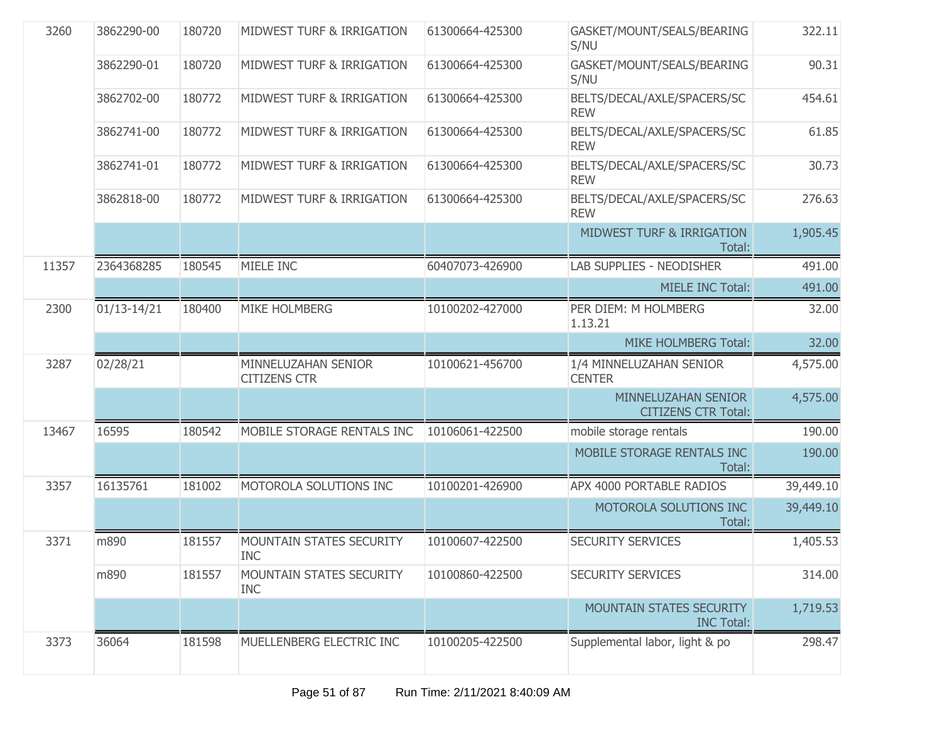| 3260  | 3862290-00      | 180720 | MIDWEST TURF & IRRIGATION                     | 61300664-425300 | GASKET/MOUNT/SEALS/BEARING<br>S/NU                | 322.11    |
|-------|-----------------|--------|-----------------------------------------------|-----------------|---------------------------------------------------|-----------|
|       | 3862290-01      | 180720 | MIDWEST TURF & IRRIGATION                     | 61300664-425300 | GASKET/MOUNT/SEALS/BEARING<br>S/NU                | 90.31     |
|       | 3862702-00      | 180772 | MIDWEST TURF & IRRIGATION                     | 61300664-425300 | BELTS/DECAL/AXLE/SPACERS/SC<br><b>REW</b>         | 454.61    |
|       | 3862741-00      | 180772 | MIDWEST TURF & IRRIGATION                     | 61300664-425300 | BELTS/DECAL/AXLE/SPACERS/SC<br><b>REW</b>         | 61.85     |
|       | 3862741-01      | 180772 | MIDWEST TURF & IRRIGATION                     | 61300664-425300 | BELTS/DECAL/AXLE/SPACERS/SC<br><b>REW</b>         | 30.73     |
|       | 3862818-00      | 180772 | MIDWEST TURF & IRRIGATION                     | 61300664-425300 | BELTS/DECAL/AXLE/SPACERS/SC<br><b>REW</b>         | 276.63    |
|       |                 |        |                                               |                 | <b>MIDWEST TURF &amp; IRRIGATION</b><br>Total:    | 1,905.45  |
| 11357 | 2364368285      | 180545 | MIELE INC                                     | 60407073-426900 | <b>LAB SUPPLIES - NEODISHER</b>                   | 491.00    |
|       |                 |        |                                               |                 | <b>MIELE INC Total:</b>                           | 491.00    |
| 2300  | $01/13 - 14/21$ | 180400 | <b>MIKE HOLMBERG</b>                          | 10100202-427000 | PER DIEM: M HOLMBERG<br>1.13.21                   | 32.00     |
|       |                 |        |                                               |                 | MIKE HOLMBERG Total:                              | 32.00     |
| 3287  | 02/28/21        |        | MINNELUZAHAN SENIOR<br><b>CITIZENS CTR</b>    | 10100621-456700 | 1/4 MINNELUZAHAN SENIOR<br><b>CENTER</b>          | 4,575.00  |
|       |                 |        |                                               |                 | MINNELUZAHAN SENIOR<br><b>CITIZENS CTR Total:</b> | 4,575.00  |
| 13467 | 16595           | 180542 | MOBILE STORAGE RENTALS INC                    | 10106061-422500 | mobile storage rentals                            | 190.00    |
|       |                 |        |                                               |                 | MOBILE STORAGE RENTALS INC<br>Total:              | 190.00    |
| 3357  | 16135761        | 181002 | MOTOROLA SOLUTIONS INC                        | 10100201-426900 | APX 4000 PORTABLE RADIOS                          | 39,449.10 |
|       |                 |        |                                               |                 | MOTOROLA SOLUTIONS INC<br>Total:                  | 39,449.10 |
| 3371  | m890            | 181557 | <b>MOUNTAIN STATES SECURITY</b><br><b>INC</b> | 10100607-422500 | <b>SECURITY SERVICES</b>                          | 1,405.53  |
|       | m890            | 181557 | <b>MOUNTAIN STATES SECURITY</b><br><b>INC</b> | 10100860-422500 | <b>SECURITY SERVICES</b>                          | 314.00    |
|       |                 |        |                                               |                 | MOUNTAIN STATES SECURITY<br><b>INC Total:</b>     | 1,719.53  |
| 3373  | 36064           | 181598 | MUELLENBERG ELECTRIC INC                      | 10100205-422500 | Supplemental labor, light & po                    | 298.47    |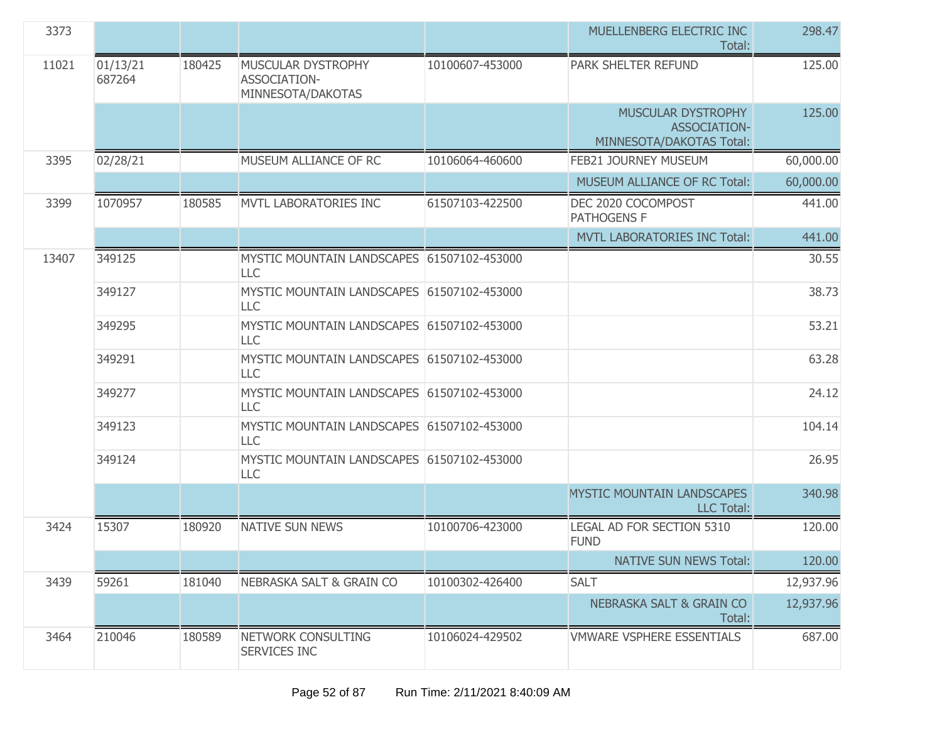| 3373  |                    |        |                                                          |                 | MUELLENBERG ELECTRIC INC<br>Total:                             | 298,47    |
|-------|--------------------|--------|----------------------------------------------------------|-----------------|----------------------------------------------------------------|-----------|
| 11021 | 01/13/21<br>687264 | 180425 | MUSCULAR DYSTROPHY<br>ASSOCIATION-<br>MINNESOTA/DAKOTAS  | 10100607-453000 | PARK SHELTER REFUND                                            | 125.00    |
|       |                    |        |                                                          |                 | MUSCULAR DYSTROPHY<br>ASSOCIATION-<br>MINNESOTA/DAKOTAS Total: | 125.00    |
| 3395  | 02/28/21           |        | MUSEUM ALLIANCE OF RC                                    | 10106064-460600 | FEB21 JOURNEY MUSEUM                                           | 60,000.00 |
|       |                    |        |                                                          |                 | MUSEUM ALLIANCE OF RC Total:                                   | 60,000.00 |
| 3399  | 1070957            | 180585 | MVTL LABORATORIES INC                                    | 61507103-422500 | DEC 2020 COCOMPOST<br><b>PATHOGENS F</b>                       | 441.00    |
|       |                    |        |                                                          |                 | MVTL LABORATORIES INC Total:                                   | 441.00    |
| 13407 | 349125             |        | MYSTIC MOUNTAIN LANDSCAPES 61507102-453000<br><b>LLC</b> |                 |                                                                | 30.55     |
|       | 349127             |        | MYSTIC MOUNTAIN LANDSCAPES 61507102-453000<br><b>LLC</b> |                 |                                                                | 38.73     |
|       | 349295             |        | MYSTIC MOUNTAIN LANDSCAPES 61507102-453000<br><b>LLC</b> |                 |                                                                | 53.21     |
|       | 349291             |        | MYSTIC MOUNTAIN LANDSCAPES 61507102-453000<br><b>LLC</b> |                 |                                                                | 63.28     |
|       | 349277             |        | MYSTIC MOUNTAIN LANDSCAPES 61507102-453000<br><b>LLC</b> |                 |                                                                | 24.12     |
|       | 349123             |        | MYSTIC MOUNTAIN LANDSCAPES 61507102-453000<br><b>LLC</b> |                 |                                                                | 104.14    |
|       | 349124             |        | MYSTIC MOUNTAIN LANDSCAPES 61507102-453000<br>LLC        |                 |                                                                | 26.95     |
|       |                    |        |                                                          |                 | MYSTIC MOUNTAIN LANDSCAPES<br><b>LLC Total:</b>                | 340.98    |
| 3424  | 15307              | 180920 | <b>NATIVE SUN NEWS</b>                                   | 10100706-423000 | LEGAL AD FOR SECTION 5310<br><b>FUND</b>                       | 120.00    |
|       |                    |        |                                                          |                 | <b>NATIVE SUN NEWS Total:</b>                                  | 120.00    |
| 3439  | 59261              | 181040 | NEBRASKA SALT & GRAIN CO                                 | 10100302-426400 | <b>SALT</b>                                                    | 12,937.96 |
|       |                    |        |                                                          |                 | <b>NEBRASKA SALT &amp; GRAIN CO</b><br>Total:                  | 12,937.96 |
| 3464  | 210046             | 180589 | NETWORK CONSULTING<br><b>SERVICES INC</b>                | 10106024-429502 | <b>VMWARE VSPHERE ESSENTIALS</b>                               | 687.00    |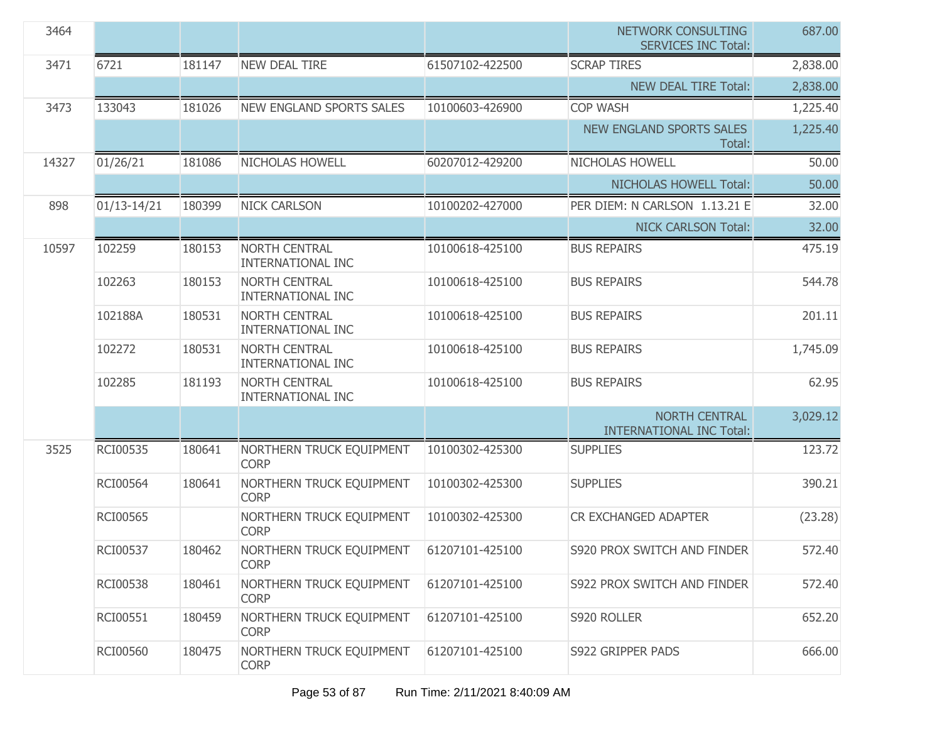| 3464  |                 |        |                                                  |                 | NETWORK CONSULTING<br><b>SERVICES INC Total:</b>        | 687.00   |
|-------|-----------------|--------|--------------------------------------------------|-----------------|---------------------------------------------------------|----------|
| 3471  | 6721            | 181147 | <b>NEW DEAL TIRE</b>                             | 61507102-422500 | <b>SCRAP TIRES</b>                                      | 2,838.00 |
|       |                 |        |                                                  |                 | <b>NEW DEAL TIRE Total:</b>                             | 2,838.00 |
| 3473  | 133043          | 181026 | <b>NEW ENGLAND SPORTS SALES</b>                  | 10100603-426900 | <b>COP WASH</b>                                         | 1,225.40 |
|       |                 |        |                                                  |                 | <b>NEW ENGLAND SPORTS SALES</b><br>Total:               | 1,225.40 |
| 14327 | 01/26/21        | 181086 | NICHOLAS HOWELL                                  | 60207012-429200 | <b>NICHOLAS HOWELL</b>                                  | 50.00    |
|       |                 |        |                                                  |                 | NICHOLAS HOWELL Total:                                  | 50.00    |
| 898   | $01/13 - 14/21$ | 180399 | <b>NICK CARLSON</b>                              | 10100202-427000 | PER DIEM: N CARLSON 1.13.21 E                           | 32.00    |
|       |                 |        |                                                  |                 | <b>NICK CARLSON Total:</b>                              | 32.00    |
| 10597 | 102259          | 180153 | <b>NORTH CENTRAL</b><br><b>INTERNATIONAL INC</b> | 10100618-425100 | <b>BUS REPAIRS</b>                                      | 475.19   |
|       | 102263          | 180153 | <b>NORTH CENTRAL</b><br><b>INTERNATIONAL INC</b> | 10100618-425100 | <b>BUS REPAIRS</b>                                      | 544.78   |
|       | 102188A         | 180531 | <b>NORTH CENTRAL</b><br><b>INTERNATIONAL INC</b> | 10100618-425100 | <b>BUS REPAIRS</b>                                      | 201.11   |
|       | 102272          | 180531 | <b>NORTH CENTRAL</b><br><b>INTERNATIONAL INC</b> | 10100618-425100 | <b>BUS REPAIRS</b>                                      | 1,745.09 |
|       | 102285          | 181193 | <b>NORTH CENTRAL</b><br><b>INTERNATIONAL INC</b> | 10100618-425100 | <b>BUS REPAIRS</b>                                      | 62.95    |
|       |                 |        |                                                  |                 | <b>NORTH CENTRAL</b><br><b>INTERNATIONAL INC Total:</b> | 3,029.12 |
| 3525  | RCI00535        | 180641 | NORTHERN TRUCK EQUIPMENT<br><b>CORP</b>          | 10100302-425300 | <b>SUPPLIES</b>                                         | 123.72   |
|       | RCI00564        | 180641 | NORTHERN TRUCK EQUIPMENT<br><b>CORP</b>          | 10100302-425300 | <b>SUPPLIES</b>                                         | 390.21   |
|       | RCI00565        |        | NORTHERN TRUCK EQUIPMENT<br><b>CORP</b>          | 10100302-425300 | CR EXCHANGED ADAPTER                                    | (23.28)  |
|       | RCI00537        | 180462 | NORTHERN TRUCK EQUIPMENT<br><b>CORP</b>          | 61207101-425100 | S920 PROX SWITCH AND FINDER                             | 572.40   |
|       | RCI00538        | 180461 | NORTHERN TRUCK EQUIPMENT<br><b>CORP</b>          | 61207101-425100 | S922 PROX SWITCH AND FINDER                             | 572.40   |
|       | RCI00551        | 180459 | NORTHERN TRUCK EQUIPMENT<br><b>CORP</b>          | 61207101-425100 | S920 ROLLER                                             | 652.20   |
|       | RCI00560        | 180475 | NORTHERN TRUCK EQUIPMENT<br><b>CORP</b>          | 61207101-425100 | S922 GRIPPER PADS                                       | 666.00   |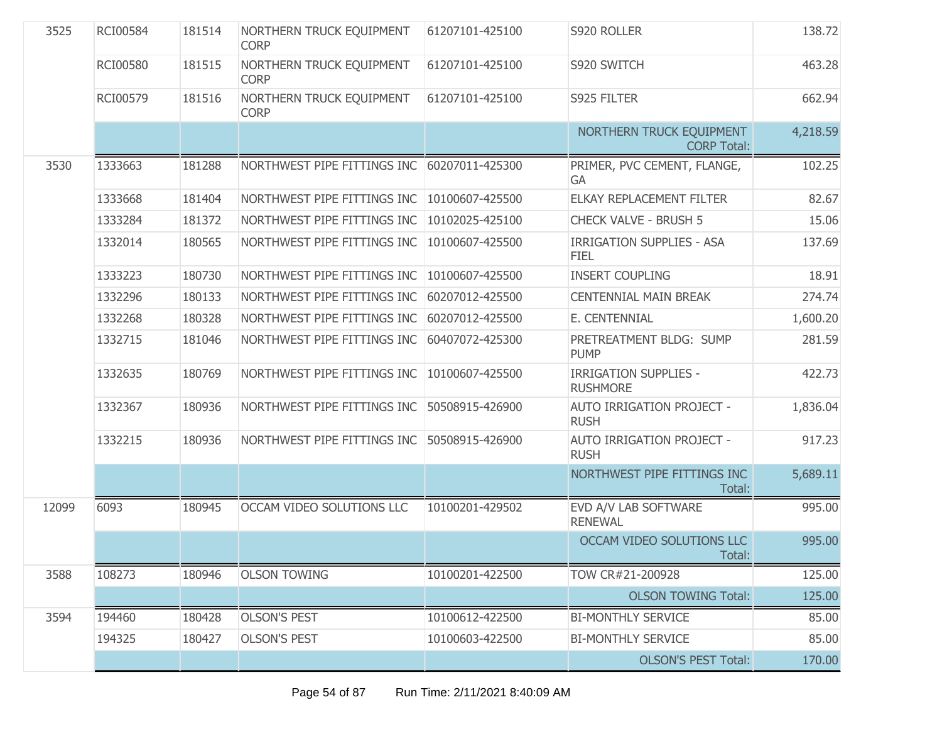| 3525  | RCI00584        | 181514 | NORTHERN TRUCK EQUIPMENT<br><b>CORP</b> | 61207101-425100 | S920 ROLLER                                     | 138.72   |
|-------|-----------------|--------|-----------------------------------------|-----------------|-------------------------------------------------|----------|
|       | <b>RCI00580</b> | 181515 | NORTHERN TRUCK EQUIPMENT<br><b>CORP</b> | 61207101-425100 | S920 SWITCH                                     | 463.28   |
|       | <b>RCI00579</b> | 181516 | NORTHERN TRUCK EQUIPMENT<br><b>CORP</b> | 61207101-425100 | S925 FILTER                                     | 662.94   |
|       |                 |        |                                         |                 | NORTHERN TRUCK EQUIPMENT<br><b>CORP Total:</b>  | 4,218.59 |
| 3530  | 1333663         | 181288 | NORTHWEST PIPE FITTINGS INC             | 60207011-425300 | PRIMER, PVC CEMENT, FLANGE,<br><b>GA</b>        | 102.25   |
|       | 1333668         | 181404 | NORTHWEST PIPE FITTINGS INC             | 10100607-425500 | ELKAY REPLACEMENT FILTER                        | 82.67    |
|       | 1333284         | 181372 | NORTHWEST PIPE FITTINGS INC             | 10102025-425100 | <b>CHECK VALVE - BRUSH 5</b>                    | 15.06    |
|       | 1332014         | 180565 | NORTHWEST PIPE FITTINGS INC             | 10100607-425500 | <b>IRRIGATION SUPPLIES - ASA</b><br><b>FIEL</b> | 137.69   |
|       | 1333223         | 180730 | NORTHWEST PIPE FITTINGS INC             | 10100607-425500 | <b>INSERT COUPLING</b>                          | 18.91    |
|       | 1332296         | 180133 | NORTHWEST PIPE FITTINGS INC             | 60207012-425500 | <b>CENTENNIAL MAIN BREAK</b>                    | 274.74   |
|       | 1332268         | 180328 | NORTHWEST PIPE FITTINGS INC             | 60207012-425500 | E. CENTENNIAL                                   | 1,600.20 |
|       | 1332715         | 181046 | NORTHWEST PIPE FITTINGS INC             | 60407072-425300 | PRETREATMENT BLDG: SUMP<br><b>PUMP</b>          | 281.59   |
|       | 1332635         | 180769 | NORTHWEST PIPE FITTINGS INC             | 10100607-425500 | <b>IRRIGATION SUPPLIES -</b><br><b>RUSHMORE</b> | 422.73   |
|       | 1332367         | 180936 | NORTHWEST PIPE FITTINGS INC             | 50508915-426900 | AUTO IRRIGATION PROJECT -<br><b>RUSH</b>        | 1,836.04 |
|       | 1332215         | 180936 | NORTHWEST PIPE FITTINGS INC             | 50508915-426900 | <b>AUTO IRRIGATION PROJECT -</b><br><b>RUSH</b> | 917.23   |
|       |                 |        |                                         |                 | NORTHWEST PIPE FITTINGS INC<br>Total:           | 5,689.11 |
| 12099 | 6093            | 180945 | OCCAM VIDEO SOLUTIONS LLC               | 10100201-429502 | EVD A/V LAB SOFTWARE<br><b>RENEWAL</b>          | 995.00   |
|       |                 |        |                                         |                 | OCCAM VIDEO SOLUTIONS LLC<br>Total:             | 995.00   |
| 3588  | 108273          | 180946 | <b>OLSON TOWING</b>                     | 10100201-422500 | TOW CR#21-200928                                | 125.00   |
|       |                 |        |                                         |                 | <b>OLSON TOWING Total:</b>                      | 125.00   |
| 3594  | 194460          | 180428 | <b>OLSON'S PEST</b>                     | 10100612-422500 | <b>BI-MONTHLY SERVICE</b>                       | 85.00    |
|       | 194325          | 180427 | <b>OLSON'S PEST</b>                     | 10100603-422500 | <b>BI-MONTHLY SERVICE</b>                       | 85.00    |
|       |                 |        |                                         |                 | <b>OLSON'S PEST Total:</b>                      | 170.00   |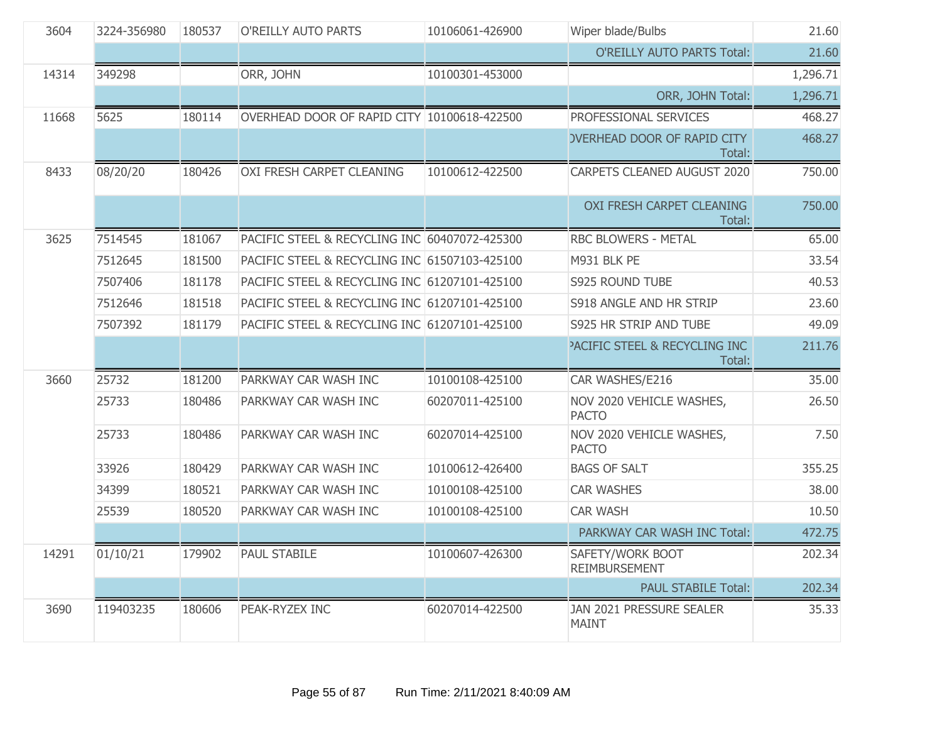| 3604  | 3224-356980 | 180537 | O'REILLY AUTO PARTS                           | 10106061-426900 | Wiper blade/Bulbs                                  | 21.60    |
|-------|-------------|--------|-----------------------------------------------|-----------------|----------------------------------------------------|----------|
|       |             |        |                                               |                 | <b>O'REILLY AUTO PARTS Total:</b>                  | 21.60    |
| 14314 | 349298      |        | ORR, JOHN                                     | 10100301-453000 |                                                    | 1,296.71 |
|       |             |        |                                               |                 | ORR, JOHN Total:                                   | 1,296.71 |
| 11668 | 5625        | 180114 | OVERHEAD DOOR OF RAPID CITY 10100618-422500   |                 | PROFESSIONAL SERVICES                              | 468.27   |
|       |             |        |                                               |                 | <b>OVERHEAD DOOR OF RAPID CITY</b><br>Total:       | 468.27   |
| 8433  | 08/20/20    | 180426 | OXI FRESH CARPET CLEANING                     | 10100612-422500 | CARPETS CLEANED AUGUST 2020                        | 750.00   |
|       |             |        |                                               |                 | <b>OXI FRESH CARPET CLEANING</b><br>Total:         | 750.00   |
| 3625  | 7514545     | 181067 | PACIFIC STEEL & RECYCLING INC 60407072-425300 |                 | <b>RBC BLOWERS - METAL</b>                         | 65.00    |
|       | 7512645     | 181500 | PACIFIC STEEL & RECYCLING INC 61507103-425100 |                 | M931 BLK PE                                        | 33.54    |
|       | 7507406     | 181178 | PACIFIC STEEL & RECYCLING INC 61207101-425100 |                 | S925 ROUND TUBE                                    | 40.53    |
|       | 7512646     | 181518 | PACIFIC STEEL & RECYCLING INC 61207101-425100 |                 | S918 ANGLE AND HR STRIP                            | 23.60    |
|       | 7507392     | 181179 | PACIFIC STEEL & RECYCLING INC 61207101-425100 |                 | S925 HR STRIP AND TUBE                             | 49.09    |
|       |             |        |                                               |                 | <b>PACIFIC STEEL &amp; RECYCLING INC</b><br>Total: | 211.76   |
| 3660  | 25732       | 181200 | PARKWAY CAR WASH INC                          | 10100108-425100 | CAR WASHES/E216                                    | 35.00    |
|       | 25733       | 180486 | PARKWAY CAR WASH INC                          | 60207011-425100 | NOV 2020 VEHICLE WASHES,<br><b>PACTO</b>           | 26.50    |
|       | 25733       | 180486 | PARKWAY CAR WASH INC                          | 60207014-425100 | NOV 2020 VEHICLE WASHES,<br><b>PACTO</b>           | 7.50     |
|       | 33926       | 180429 | PARKWAY CAR WASH INC                          | 10100612-426400 | <b>BAGS OF SALT</b>                                | 355.25   |
|       | 34399       | 180521 | PARKWAY CAR WASH INC                          | 10100108-425100 | <b>CAR WASHES</b>                                  | 38.00    |
|       | 25539       | 180520 | PARKWAY CAR WASH INC                          | 10100108-425100 | <b>CAR WASH</b>                                    | 10.50    |
|       |             |        |                                               |                 | PARKWAY CAR WASH INC Total:                        | 472.75   |
| 14291 | 01/10/21    | 179902 | <b>PAUL STABILE</b>                           | 10100607-426300 | SAFETY/WORK BOOT<br><b>REIMBURSEMENT</b>           | 202.34   |
|       |             |        |                                               |                 | <b>PAUL STABILE Total:</b>                         | 202.34   |
| 3690  | 119403235   | 180606 | PEAK-RYZEX INC                                | 60207014-422500 | JAN 2021 PRESSURE SEALER<br><b>MAINT</b>           | 35.33    |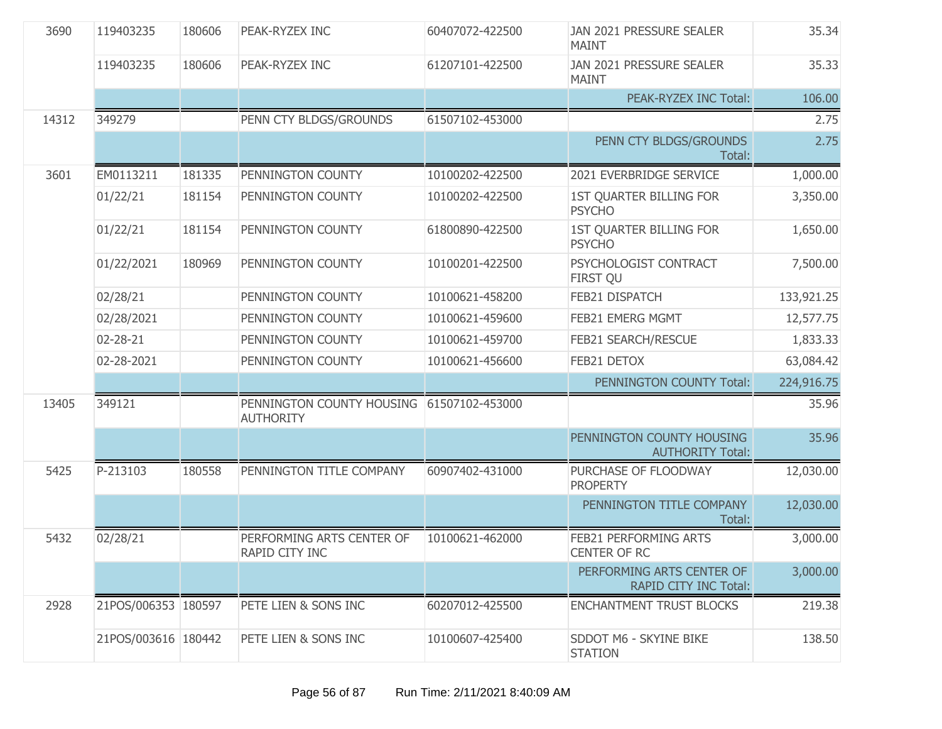| 3690  | 119403235           | 180606 | PEAK-RYZEX INC                                                | 60407072-422500 | JAN 2021 PRESSURE SEALER<br><b>MAINT</b>                  | 35.34      |
|-------|---------------------|--------|---------------------------------------------------------------|-----------------|-----------------------------------------------------------|------------|
|       | 119403235           | 180606 | PEAK-RYZEX INC                                                | 61207101-422500 | JAN 2021 PRESSURE SEALER<br><b>MAINT</b>                  | 35.33      |
|       |                     |        |                                                               |                 | PEAK-RYZEX INC Total:                                     | 106.00     |
| 14312 | 349279              |        | PENN CTY BLDGS/GROUNDS                                        | 61507102-453000 |                                                           | 2.75       |
|       |                     |        |                                                               |                 | PENN CTY BLDGS/GROUNDS<br>Total:                          | 2.75       |
| 3601  | EM0113211           | 181335 | PENNINGTON COUNTY                                             | 10100202-422500 | 2021 EVERBRIDGE SERVICE                                   | 1,000.00   |
|       | 01/22/21            | 181154 | PENNINGTON COUNTY                                             | 10100202-422500 | 1ST QUARTER BILLING FOR<br><b>PSYCHO</b>                  | 3,350.00   |
|       | 01/22/21            | 181154 | PENNINGTON COUNTY                                             | 61800890-422500 | <b>1ST QUARTER BILLING FOR</b><br><b>PSYCHO</b>           | 1,650.00   |
|       | 01/22/2021          | 180969 | PENNINGTON COUNTY                                             | 10100201-422500 | PSYCHOLOGIST CONTRACT<br><b>FIRST QU</b>                  | 7,500.00   |
|       | 02/28/21            |        | PENNINGTON COUNTY                                             | 10100621-458200 | FEB21 DISPATCH                                            | 133,921.25 |
|       | 02/28/2021          |        | PENNINGTON COUNTY                                             | 10100621-459600 | FEB21 EMERG MGMT                                          | 12,577.75  |
|       | 02-28-21            |        | PENNINGTON COUNTY                                             | 10100621-459700 | FEB21 SEARCH/RESCUE                                       | 1,833.33   |
|       | 02-28-2021          |        | PENNINGTON COUNTY                                             | 10100621-456600 | FEB21 DETOX                                               | 63,084.42  |
|       |                     |        |                                                               |                 | PENNINGTON COUNTY Total:                                  | 224,916.75 |
| 13405 | 349121              |        | PENNINGTON COUNTY HOUSING 61507102-453000<br><b>AUTHORITY</b> |                 |                                                           | 35.96      |
|       |                     |        |                                                               |                 | PENNINGTON COUNTY HOUSING<br><b>AUTHORITY Total:</b>      | 35.96      |
| 5425  | P-213103            | 180558 | PENNINGTON TITLE COMPANY                                      | 60907402-431000 | PURCHASE OF FLOODWAY<br><b>PROPERTY</b>                   | 12,030.00  |
|       |                     |        |                                                               |                 | PENNINGTON TITLE COMPANY<br>Total:                        | 12,030.00  |
| 5432  | 02/28/21            |        | PERFORMING ARTS CENTER OF<br>RAPID CITY INC                   | 10100621-462000 | FEB21 PERFORMING ARTS<br>CENTER OF RC                     | 3,000.00   |
|       |                     |        |                                                               |                 | PERFORMING ARTS CENTER OF<br><b>RAPID CITY INC Total:</b> | 3,000.00   |
| 2928  | 21POS/006353 180597 |        | PETE LIEN & SONS INC                                          | 60207012-425500 | <b>ENCHANTMENT TRUST BLOCKS</b>                           | 219.38     |
|       | 21POS/003616 180442 |        | PETE LIEN & SONS INC                                          | 10100607-425400 | SDDOT M6 - SKYINE BIKE<br><b>STATION</b>                  | 138.50     |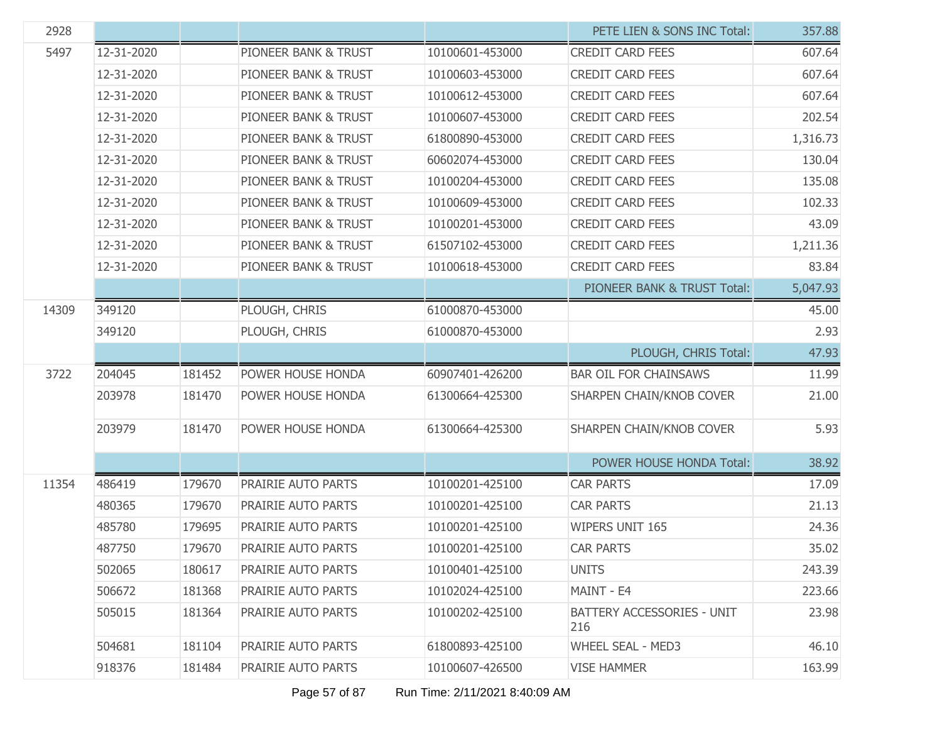| 2928  |            |        |                      |                 | PETE LIEN & SONS INC Total:              | 357.88   |
|-------|------------|--------|----------------------|-----------------|------------------------------------------|----------|
| 5497  | 12-31-2020 |        | PIONEER BANK & TRUST | 10100601-453000 | <b>CREDIT CARD FEES</b>                  | 607.64   |
|       | 12-31-2020 |        | PIONEER BANK & TRUST | 10100603-453000 | <b>CREDIT CARD FEES</b>                  | 607.64   |
|       | 12-31-2020 |        | PIONEER BANK & TRUST | 10100612-453000 | <b>CREDIT CARD FEES</b>                  | 607.64   |
|       | 12-31-2020 |        | PIONEER BANK & TRUST | 10100607-453000 | <b>CREDIT CARD FEES</b>                  | 202.54   |
|       | 12-31-2020 |        | PIONEER BANK & TRUST | 61800890-453000 | <b>CREDIT CARD FEES</b>                  | 1,316.73 |
|       | 12-31-2020 |        | PIONEER BANK & TRUST | 60602074-453000 | <b>CREDIT CARD FEES</b>                  | 130.04   |
|       | 12-31-2020 |        | PIONEER BANK & TRUST | 10100204-453000 | <b>CREDIT CARD FEES</b>                  | 135.08   |
|       | 12-31-2020 |        | PIONEER BANK & TRUST | 10100609-453000 | <b>CREDIT CARD FEES</b>                  | 102.33   |
|       | 12-31-2020 |        | PIONEER BANK & TRUST | 10100201-453000 | <b>CREDIT CARD FEES</b>                  | 43.09    |
|       | 12-31-2020 |        | PIONEER BANK & TRUST | 61507102-453000 | <b>CREDIT CARD FEES</b>                  | 1,211.36 |
|       | 12-31-2020 |        | PIONEER BANK & TRUST | 10100618-453000 | <b>CREDIT CARD FEES</b>                  | 83.84    |
|       |            |        |                      |                 | PIONEER BANK & TRUST Total:              | 5,047.93 |
| 14309 | 349120     |        | PLOUGH, CHRIS        | 61000870-453000 |                                          | 45.00    |
|       | 349120     |        | PLOUGH, CHRIS        | 61000870-453000 |                                          | 2.93     |
|       |            |        |                      |                 | PLOUGH, CHRIS Total:                     | 47.93    |
| 3722  | 204045     | 181452 | POWER HOUSE HONDA    | 60907401-426200 | <b>BAR OIL FOR CHAINSAWS</b>             | 11.99    |
|       | 203978     | 181470 | POWER HOUSE HONDA    | 61300664-425300 | SHARPEN CHAIN/KNOB COVER                 | 21.00    |
|       | 203979     | 181470 | POWER HOUSE HONDA    | 61300664-425300 | SHARPEN CHAIN/KNOB COVER                 | 5.93     |
|       |            |        |                      |                 | POWER HOUSE HONDA Total:                 | 38.92    |
| 11354 | 486419     | 179670 | PRAIRIE AUTO PARTS   | 10100201-425100 | <b>CAR PARTS</b>                         | 17.09    |
|       | 480365     | 179670 | PRAIRIE AUTO PARTS   | 10100201-425100 | <b>CAR PARTS</b>                         | 21.13    |
|       | 485780     | 179695 | PRAIRIE AUTO PARTS   | 10100201-425100 | <b>WIPERS UNIT 165</b>                   | 24.36    |
|       | 487750     | 179670 | PRAIRIE AUTO PARTS   | 10100201-425100 | <b>CAR PARTS</b>                         | 35.02    |
|       | 502065     | 180617 | PRAIRIE AUTO PARTS   | 10100401-425100 | <b>UNITS</b>                             | 243.39   |
|       | 506672     | 181368 | PRAIRIE AUTO PARTS   | 10102024-425100 | MAINT - E4                               | 223.66   |
|       | 505015     | 181364 | PRAIRIE AUTO PARTS   | 10100202-425100 | <b>BATTERY ACCESSORIES - UNIT</b><br>216 | 23.98    |
|       | 504681     | 181104 | PRAIRIE AUTO PARTS   | 61800893-425100 | <b>WHEEL SEAL - MED3</b>                 | 46.10    |
|       | 918376     | 181484 | PRAIRIE AUTO PARTS   | 10100607-426500 | <b>VISE HAMMER</b>                       | 163.99   |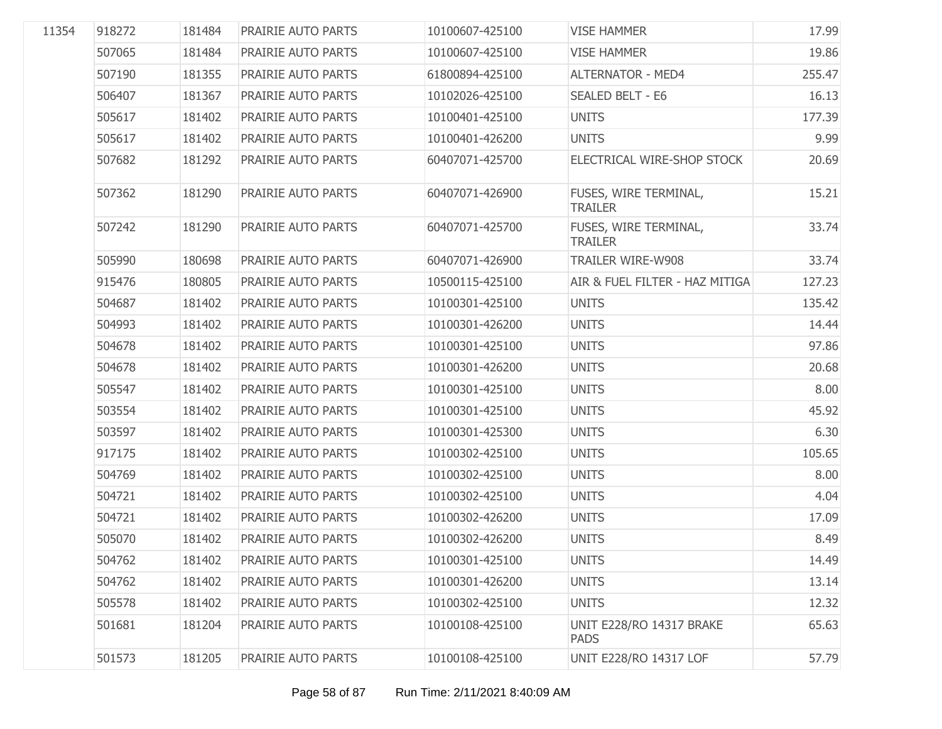| 11354 | 918272 | 181484 | <b>PRAIRIE AUTO PARTS</b> | 10100607-425100 | <b>VISE HAMMER</b>                      | 17.99  |
|-------|--------|--------|---------------------------|-----------------|-----------------------------------------|--------|
|       | 507065 | 181484 | PRAIRIE AUTO PARTS        | 10100607-425100 | <b>VISE HAMMER</b>                      | 19.86  |
|       | 507190 | 181355 | PRAIRIE AUTO PARTS        | 61800894-425100 | <b>ALTERNATOR - MED4</b>                | 255.47 |
|       | 506407 | 181367 | PRAIRIE AUTO PARTS        | 10102026-425100 | <b>SEALED BELT - E6</b>                 | 16.13  |
|       | 505617 | 181402 | PRAIRIE AUTO PARTS        | 10100401-425100 | <b>UNITS</b>                            | 177.39 |
|       | 505617 | 181402 | PRAIRIE AUTO PARTS        | 10100401-426200 | <b>UNITS</b>                            | 9.99   |
|       | 507682 | 181292 | PRAIRIE AUTO PARTS        | 60407071-425700 | ELECTRICAL WIRE-SHOP STOCK              | 20.69  |
|       | 507362 | 181290 | PRAIRIE AUTO PARTS        | 60407071-426900 | FUSES, WIRE TERMINAL,<br><b>TRAILER</b> | 15.21  |
|       | 507242 | 181290 | PRAIRIE AUTO PARTS        | 60407071-425700 | FUSES, WIRE TERMINAL,<br><b>TRAILER</b> | 33.74  |
|       | 505990 | 180698 | PRAIRIE AUTO PARTS        | 60407071-426900 | <b>TRAILER WIRE-W908</b>                | 33.74  |
|       | 915476 | 180805 | PRAIRIE AUTO PARTS        | 10500115-425100 | AIR & FUEL FILTER - HAZ MITIGA          | 127.23 |
|       | 504687 | 181402 | PRAIRIE AUTO PARTS        | 10100301-425100 | <b>UNITS</b>                            | 135.42 |
|       | 504993 | 181402 | PRAIRIE AUTO PARTS        | 10100301-426200 | <b>UNITS</b>                            | 14.44  |
|       | 504678 | 181402 | PRAIRIE AUTO PARTS        | 10100301-425100 | <b>UNITS</b>                            | 97.86  |
|       | 504678 | 181402 | PRAIRIE AUTO PARTS        | 10100301-426200 | <b>UNITS</b>                            | 20.68  |
|       | 505547 | 181402 | PRAIRIE AUTO PARTS        | 10100301-425100 | <b>UNITS</b>                            | 8.00   |
|       | 503554 | 181402 | PRAIRIE AUTO PARTS        | 10100301-425100 | <b>UNITS</b>                            | 45.92  |
|       | 503597 | 181402 | PRAIRIE AUTO PARTS        | 10100301-425300 | <b>UNITS</b>                            | 6.30   |
|       | 917175 | 181402 | PRAIRIE AUTO PARTS        | 10100302-425100 | <b>UNITS</b>                            | 105.65 |
|       | 504769 | 181402 | PRAIRIE AUTO PARTS        | 10100302-425100 | <b>UNITS</b>                            | 8.00   |
|       | 504721 | 181402 | PRAIRIE AUTO PARTS        | 10100302-425100 | <b>UNITS</b>                            | 4.04   |
|       | 504721 | 181402 | PRAIRIE AUTO PARTS        | 10100302-426200 | <b>UNITS</b>                            | 17.09  |
|       | 505070 | 181402 | PRAIRIE AUTO PARTS        | 10100302-426200 | <b>UNITS</b>                            | 8.49   |
|       | 504762 | 181402 | PRAIRIE AUTO PARTS        | 10100301-425100 | <b>UNITS</b>                            | 14.49  |
|       | 504762 | 181402 | PRAIRIE AUTO PARTS        | 10100301-426200 | <b>UNITS</b>                            | 13.14  |
|       | 505578 | 181402 | PRAIRIE AUTO PARTS        | 10100302-425100 | <b>UNITS</b>                            | 12.32  |
|       | 501681 | 181204 | PRAIRIE AUTO PARTS        | 10100108-425100 | UNIT E228/RO 14317 BRAKE<br><b>PADS</b> | 65.63  |
|       | 501573 | 181205 | PRAIRIE AUTO PARTS        | 10100108-425100 | <b>UNIT E228/RO 14317 LOF</b>           | 57.79  |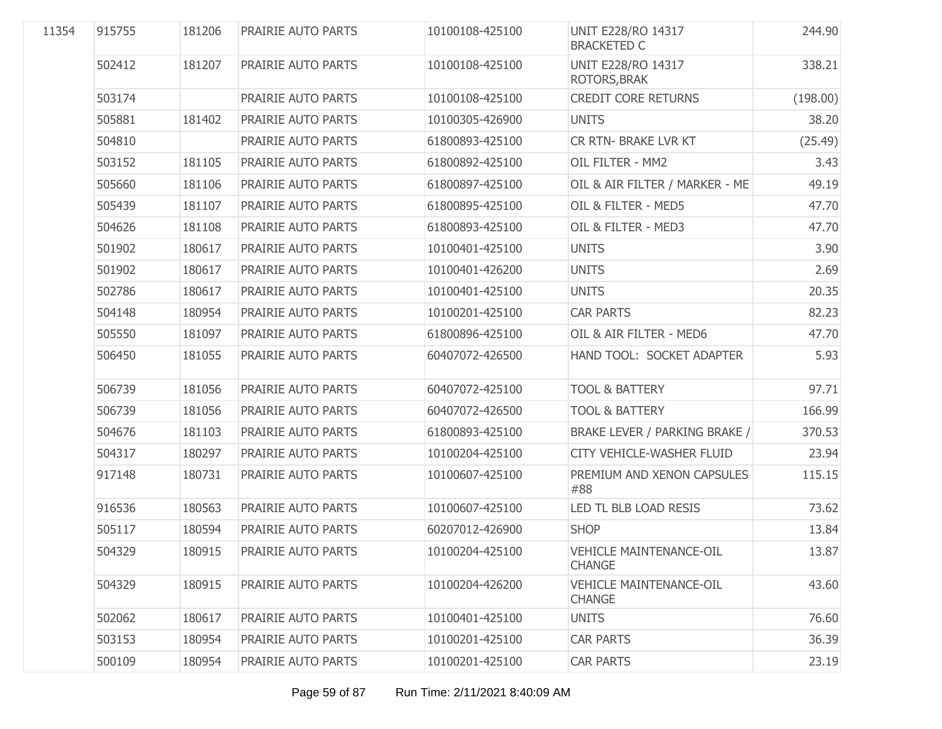| 11354 |        |        | PRAIRIE AUTO PARTS | 10100108-425100 | <b>UNIT E228/RO 14317</b><br><b>BRACKETED C</b> | 244.90   |
|-------|--------|--------|--------------------|-----------------|-------------------------------------------------|----------|
|       | 502412 | 181207 | PRAIRIE AUTO PARTS | 10100108-425100 | <b>UNIT E228/RO 14317</b><br>ROTORS, BRAK       | 338.21   |
|       | 503174 |        | PRAIRIE AUTO PARTS | 10100108-425100 | <b>CREDIT CORE RETURNS</b>                      | (198.00) |
|       | 505881 | 181402 | PRAIRIE AUTO PARTS | 10100305-426900 | <b>UNITS</b>                                    | 38.20    |
|       | 504810 |        | PRAIRIE AUTO PARTS | 61800893-425100 | <b>CR RTN- BRAKE LVR KT</b>                     | (25.49)  |
|       | 503152 | 181105 | PRAIRIE AUTO PARTS | 61800892-425100 | OIL FILTER - MM2                                | 3.43     |
|       | 505660 | 181106 | PRAIRIE AUTO PARTS | 61800897-425100 | OIL & AIR FILTER / MARKER - ME                  | 49.19    |
|       | 505439 | 181107 | PRAIRIE AUTO PARTS | 61800895-425100 | OIL & FILTER - MED5                             | 47.70    |
|       | 504626 | 181108 | PRAIRIE AUTO PARTS | 61800893-425100 | OIL & FILTER - MED3                             | 47.70    |
|       | 501902 | 180617 | PRAIRIE AUTO PARTS | 10100401-425100 | <b>UNITS</b>                                    | 3.90     |
|       | 501902 | 180617 | PRAIRIE AUTO PARTS | 10100401-426200 | <b>UNITS</b>                                    | 2.69     |
|       | 502786 | 180617 | PRAIRIE AUTO PARTS | 10100401-425100 | <b>UNITS</b>                                    | 20.35    |
|       | 504148 | 180954 | PRAIRIE AUTO PARTS | 10100201-425100 | <b>CAR PARTS</b>                                | 82.23    |
|       | 505550 | 181097 | PRAIRIE AUTO PARTS | 61800896-425100 | OIL & AIR FILTER - MED6                         | 47.70    |
|       | 506450 | 181055 | PRAIRIE AUTO PARTS | 60407072-426500 | HAND TOOL: SOCKET ADAPTER                       | 5.93     |
|       | 506739 | 181056 | PRAIRIE AUTO PARTS | 60407072-425100 | <b>TOOL &amp; BATTERY</b>                       | 97.71    |
|       | 506739 | 181056 | PRAIRIE AUTO PARTS | 60407072-426500 | <b>TOOL &amp; BATTERY</b>                       | 166.99   |
|       | 504676 | 181103 | PRAIRIE AUTO PARTS | 61800893-425100 | BRAKE LEVER / PARKING BRAKE /                   | 370.53   |
|       | 504317 | 180297 | PRAIRIE AUTO PARTS | 10100204-425100 | CITY VEHICLE-WASHER FLUID                       | 23.94    |
|       | 917148 | 180731 | PRAIRIE AUTO PARTS | 10100607-425100 | PREMIUM AND XENON CAPSULES<br>#88               | 115.15   |
|       | 916536 | 180563 | PRAIRIE AUTO PARTS | 10100607-425100 | LED TL BLB LOAD RESIS                           | 73.62    |
|       | 505117 | 180594 | PRAIRIE AUTO PARTS | 60207012-426900 | <b>SHOP</b>                                     | 13.84    |
|       | 504329 | 180915 | PRAIRIE AUTO PARTS | 10100204-425100 | <b>VEHICLE MAINTENANCE-OIL</b><br><b>CHANGE</b> | 13.87    |
|       | 504329 | 180915 | PRAIRIE AUTO PARTS | 10100204-426200 | <b>VEHICLE MAINTENANCE-OIL</b><br><b>CHANGE</b> | 43.60    |
|       | 502062 | 180617 | PRAIRIE AUTO PARTS | 10100401-425100 | <b>UNITS</b>                                    | 76.60    |
|       | 503153 | 180954 | PRAIRIE AUTO PARTS | 10100201-425100 | <b>CAR PARTS</b>                                | 36.39    |
|       | 500109 | 180954 | PRAIRIE AUTO PARTS | 10100201-425100 | <b>CAR PARTS</b>                                | 23.19    |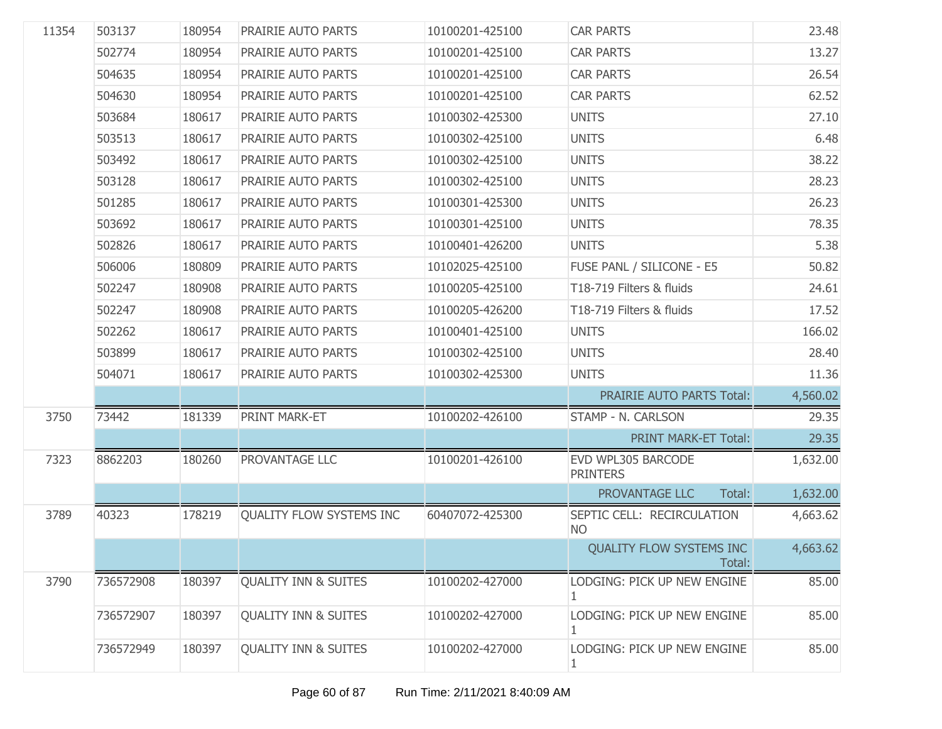| 11354 | 503137    | 180954 | PRAIRIE AUTO PARTS              | 10100201-425100 | <b>CAR PARTS</b>                          | 23.48    |
|-------|-----------|--------|---------------------------------|-----------------|-------------------------------------------|----------|
|       | 502774    | 180954 | PRAIRIE AUTO PARTS              | 10100201-425100 | <b>CAR PARTS</b>                          | 13.27    |
|       | 504635    | 180954 | PRAIRIE AUTO PARTS              | 10100201-425100 | <b>CAR PARTS</b>                          | 26.54    |
|       | 504630    | 180954 | PRAIRIE AUTO PARTS              | 10100201-425100 | <b>CAR PARTS</b>                          | 62.52    |
|       | 503684    | 180617 | PRAIRIE AUTO PARTS              | 10100302-425300 | <b>UNITS</b>                              | 27.10    |
|       | 503513    | 180617 | PRAIRIE AUTO PARTS              | 10100302-425100 | <b>UNITS</b>                              | 6.48     |
|       | 503492    | 180617 | PRAIRIE AUTO PARTS              | 10100302-425100 | <b>UNITS</b>                              | 38.22    |
|       | 503128    | 180617 | PRAIRIE AUTO PARTS              | 10100302-425100 | <b>UNITS</b>                              | 28.23    |
|       | 501285    | 180617 | PRAIRIE AUTO PARTS              | 10100301-425300 | <b>UNITS</b>                              | 26.23    |
|       | 503692    | 180617 | PRAIRIE AUTO PARTS              | 10100301-425100 | <b>UNITS</b>                              | 78.35    |
|       | 502826    | 180617 | PRAIRIE AUTO PARTS              | 10100401-426200 | <b>UNITS</b>                              | 5.38     |
|       | 506006    | 180809 | PRAIRIE AUTO PARTS              | 10102025-425100 | FUSE PANL / SILICONE - E5                 | 50.82    |
|       | 502247    | 180908 | PRAIRIE AUTO PARTS              | 10100205-425100 | T18-719 Filters & fluids                  | 24.61    |
|       | 502247    | 180908 | PRAIRIE AUTO PARTS              | 10100205-426200 | T18-719 Filters & fluids                  | 17.52    |
|       | 502262    | 180617 | PRAIRIE AUTO PARTS              | 10100401-425100 | <b>UNITS</b>                              | 166.02   |
|       | 503899    | 180617 | PRAIRIE AUTO PARTS              | 10100302-425100 | <b>UNITS</b>                              | 28.40    |
|       | 504071    | 180617 | PRAIRIE AUTO PARTS              | 10100302-425300 | <b>UNITS</b>                              | 11.36    |
|       |           |        |                                 |                 | PRAIRIE AUTO PARTS Total:                 | 4,560.02 |
| 3750  | 73442     | 181339 | PRINT MARK-ET                   | 10100202-426100 | STAMP - N. CARLSON                        | 29.35    |
|       |           |        |                                 |                 | <b>PRINT MARK-ET Total:</b>               | 29.35    |
| 7323  | 8862203   | 180260 | PROVANTAGE LLC                  | 10100201-426100 | EVD WPL305 BARCODE<br><b>PRINTERS</b>     | 1,632.00 |
|       |           |        |                                 |                 | PROVANTAGE LLC<br>Total:                  | 1,632.00 |
| 3789  | 40323     | 178219 | QUALITY FLOW SYSTEMS INC        | 60407072-425300 | SEPTIC CELL: RECIRCULATION<br><b>NO</b>   | 4,663.62 |
|       |           |        |                                 |                 | <b>QUALITY FLOW SYSTEMS INC</b><br>Total: | 4,663.62 |
| 3790  | 736572908 | 180397 | <b>QUALITY INN &amp; SUITES</b> | 10100202-427000 | LODGING: PICK UP NEW ENGINE<br>1          | 85.00    |
|       | 736572907 | 180397 | <b>QUALITY INN &amp; SUITES</b> | 10100202-427000 | LODGING: PICK UP NEW ENGINE<br>1          | 85.00    |
|       | 736572949 | 180397 | <b>QUALITY INN &amp; SUITES</b> | 10100202-427000 | LODGING: PICK UP NEW ENGINE<br>1          | 85.00    |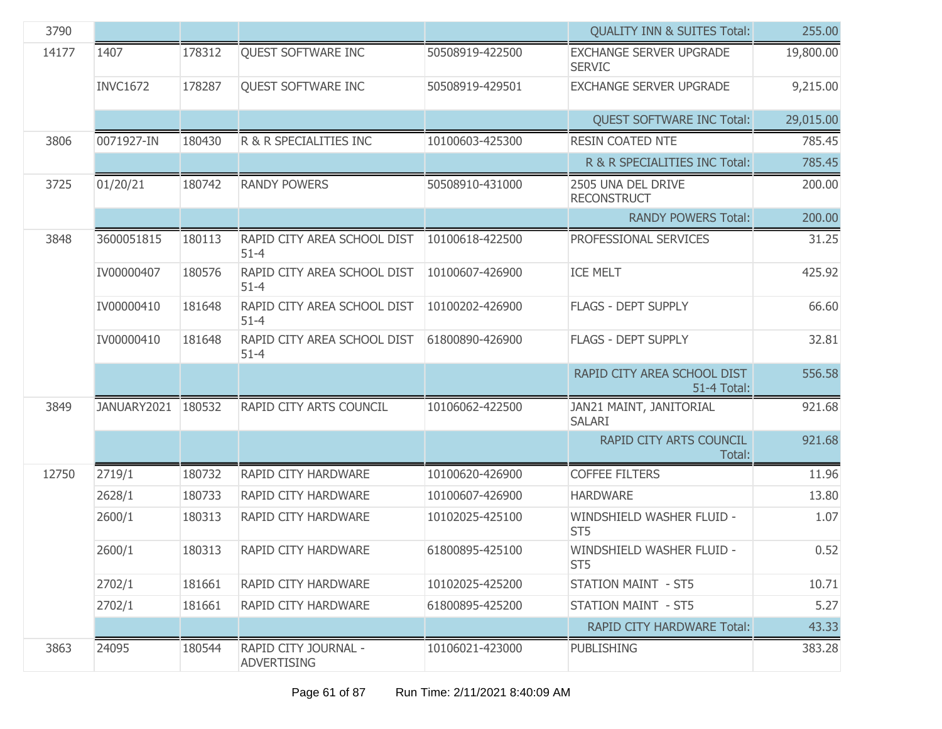| 3790  |                    |        |                                            |                 | <b>QUALITY INN &amp; SUITES Total:</b>            | 255.00    |
|-------|--------------------|--------|--------------------------------------------|-----------------|---------------------------------------------------|-----------|
| 14177 | 1407               | 178312 | QUEST SOFTWARE INC                         | 50508919-422500 | <b>EXCHANGE SERVER UPGRADE</b><br><b>SERVIC</b>   | 19,800.00 |
|       | <b>INVC1672</b>    | 178287 | QUEST SOFTWARE INC                         | 50508919-429501 | <b>EXCHANGE SERVER UPGRADE</b>                    | 9,215.00  |
|       |                    |        |                                            |                 | <b>QUEST SOFTWARE INC Total:</b>                  | 29,015.00 |
| 3806  | 0071927-IN         | 180430 | R & R SPECIALITIES INC                     | 10100603-425300 | <b>RESIN COATED NTE</b>                           | 785.45    |
|       |                    |        |                                            |                 | R & R SPECIALITIES INC Total:                     | 785.45    |
| 3725  | 01/20/21           | 180742 | <b>RANDY POWERS</b>                        | 50508910-431000 | 2505 UNA DEL DRIVE<br><b>RECONSTRUCT</b>          | 200.00    |
|       |                    |        |                                            |                 | <b>RANDY POWERS Total:</b>                        | 200.00    |
| 3848  | 3600051815         | 180113 | RAPID CITY AREA SCHOOL DIST<br>$51 - 4$    | 10100618-422500 | PROFESSIONAL SERVICES                             | 31.25     |
|       | IV00000407         | 180576 | RAPID CITY AREA SCHOOL DIST<br>$51 - 4$    | 10100607-426900 | <b>ICE MELT</b>                                   | 425.92    |
|       | IV00000410         | 181648 | RAPID CITY AREA SCHOOL DIST<br>$51 - 4$    | 10100202-426900 | <b>FLAGS - DEPT SUPPLY</b>                        | 66.60     |
|       | IV00000410         | 181648 | RAPID CITY AREA SCHOOL DIST<br>$51 - 4$    | 61800890-426900 | <b>FLAGS - DEPT SUPPLY</b>                        | 32.81     |
|       |                    |        |                                            |                 | RAPID CITY AREA SCHOOL DIST<br><b>51-4 Total:</b> | 556.58    |
| 3849  | JANUARY2021 180532 |        | RAPID CITY ARTS COUNCIL                    | 10106062-422500 | JAN21 MAINT, JANITORIAL<br><b>SALARI</b>          | 921.68    |
|       |                    |        |                                            |                 | RAPID CITY ARTS COUNCIL<br>Total:                 | 921.68    |
| 12750 | 2719/1             | 180732 | RAPID CITY HARDWARE                        | 10100620-426900 | <b>COFFEE FILTERS</b>                             | 11.96     |
|       | 2628/1             | 180733 | RAPID CITY HARDWARE                        | 10100607-426900 | <b>HARDWARE</b>                                   | 13.80     |
|       | 2600/1             | 180313 | RAPID CITY HARDWARE                        | 10102025-425100 | WINDSHIELD WASHER FLUID -<br>ST <sub>5</sub>      | 1.07      |
|       | 2600/1             | 180313 | RAPID CITY HARDWARE                        | 61800895-425100 | WINDSHIELD WASHER FLUID -<br>ST <sub>5</sub>      | 0.52      |
|       | 2702/1             | 181661 | <b>RAPID CITY HARDWARE</b>                 | 10102025-425200 | <b>STATION MAINT - ST5</b>                        | 10.71     |
|       | 2702/1             | 181661 | <b>RAPID CITY HARDWARE</b>                 | 61800895-425200 | <b>STATION MAINT - ST5</b>                        | 5.27      |
|       |                    |        |                                            |                 | RAPID CITY HARDWARE Total:                        | 43.33     |
| 3863  | 24095              | 180544 | RAPID CITY JOURNAL -<br><b>ADVERTISING</b> | 10106021-423000 | <b>PUBLISHING</b>                                 | 383.28    |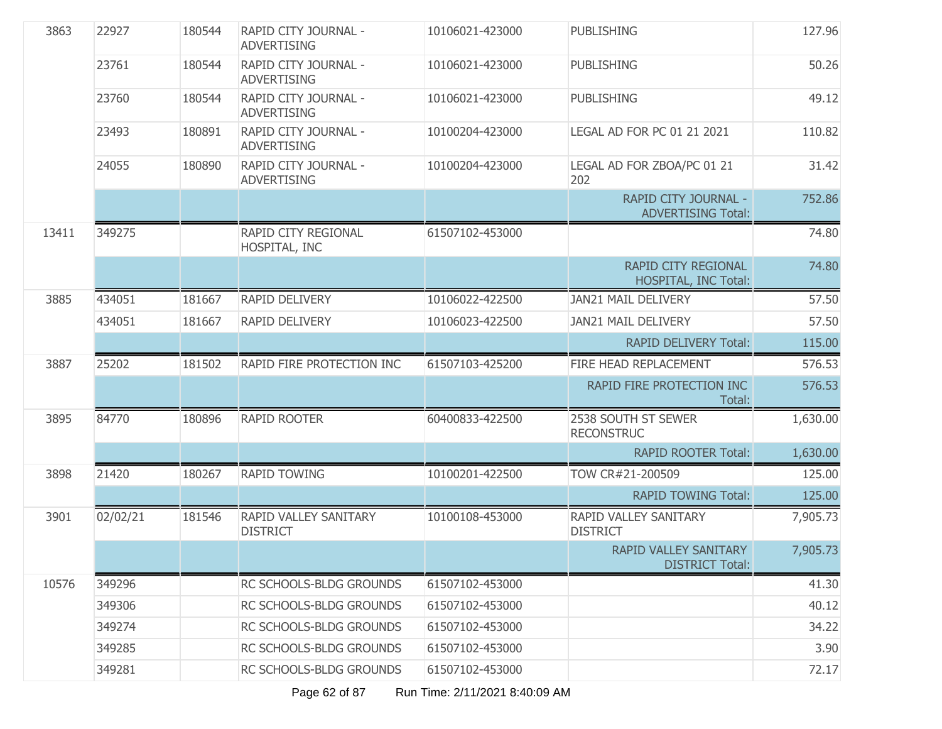| 3863  | 22927    | 180544 | RAPID CITY JOURNAL -<br><b>ADVERTISING</b>      | 10106021-423000 | <b>PUBLISHING</b>                                         | 127.96   |
|-------|----------|--------|-------------------------------------------------|-----------------|-----------------------------------------------------------|----------|
|       | 23761    | 180544 | RAPID CITY JOURNAL -<br><b>ADVERTISING</b>      | 10106021-423000 | <b>PUBLISHING</b>                                         | 50.26    |
|       | 23760    | 180544 | RAPID CITY JOURNAL -<br><b>ADVERTISING</b>      | 10106021-423000 | <b>PUBLISHING</b>                                         | 49.12    |
|       | 23493    | 180891 | RAPID CITY JOURNAL -<br><b>ADVERTISING</b>      | 10100204-423000 | LEGAL AD FOR PC 01 21 2021                                | 110.82   |
|       | 24055    | 180890 | RAPID CITY JOURNAL -<br><b>ADVERTISING</b>      | 10100204-423000 | LEGAL AD FOR ZBOA/PC 01 21<br>202                         | 31.42    |
|       |          |        |                                                 |                 | RAPID CITY JOURNAL -<br><b>ADVERTISING Total:</b>         | 752.86   |
| 13411 | 349275   |        | RAPID CITY REGIONAL<br>HOSPITAL, INC            | 61507102-453000 |                                                           | 74.80    |
|       |          |        |                                                 |                 | <b>RAPID CITY REGIONAL</b><br><b>HOSPITAL, INC Total:</b> | 74.80    |
| 3885  | 434051   | 181667 | RAPID DELIVERY                                  | 10106022-422500 | JAN21 MAIL DELIVERY                                       | 57.50    |
|       | 434051   | 181667 | <b>RAPID DELIVERY</b>                           | 10106023-422500 | JAN21 MAIL DELIVERY                                       | 57.50    |
|       |          |        |                                                 |                 | <b>RAPID DELIVERY Total:</b>                              | 115.00   |
| 3887  | 25202    | 181502 | RAPID FIRE PROTECTION INC                       | 61507103-425200 | FIRE HEAD REPLACEMENT                                     | 576.53   |
|       |          |        |                                                 |                 | RAPID FIRE PROTECTION INC<br>Total:                       | 576.53   |
| 3895  | 84770    | 180896 | <b>RAPID ROOTER</b>                             | 60400833-422500 | 2538 SOUTH ST SEWER<br><b>RECONSTRUC</b>                  | 1,630.00 |
|       |          |        |                                                 |                 | <b>RAPID ROOTER Total:</b>                                | 1,630.00 |
| 3898  | 21420    | 180267 | <b>RAPID TOWING</b>                             | 10100201-422500 | TOW CR#21-200509                                          | 125.00   |
|       |          |        |                                                 |                 | <b>RAPID TOWING Total:</b>                                | 125.00   |
| 3901  | 02/02/21 | 181546 | <b>RAPID VALLEY SANITARY</b><br><b>DISTRICT</b> | 10100108-453000 | RAPID VALLEY SANITARY<br><b>DISTRICT</b>                  | 7,905.73 |
|       |          |        |                                                 |                 | RAPID VALLEY SANITARY<br><b>DISTRICT Total:</b>           | 7,905.73 |
| 10576 | 349296   |        | RC SCHOOLS-BLDG GROUNDS                         | 61507102-453000 |                                                           | 41.30    |
|       | 349306   |        | RC SCHOOLS-BLDG GROUNDS                         | 61507102-453000 |                                                           | 40.12    |
|       | 349274   |        | RC SCHOOLS-BLDG GROUNDS                         | 61507102-453000 |                                                           | 34.22    |
|       | 349285   |        | RC SCHOOLS-BLDG GROUNDS                         | 61507102-453000 |                                                           | 3.90     |
|       | 349281   |        | RC SCHOOLS-BLDG GROUNDS                         | 61507102-453000 |                                                           | 72.17    |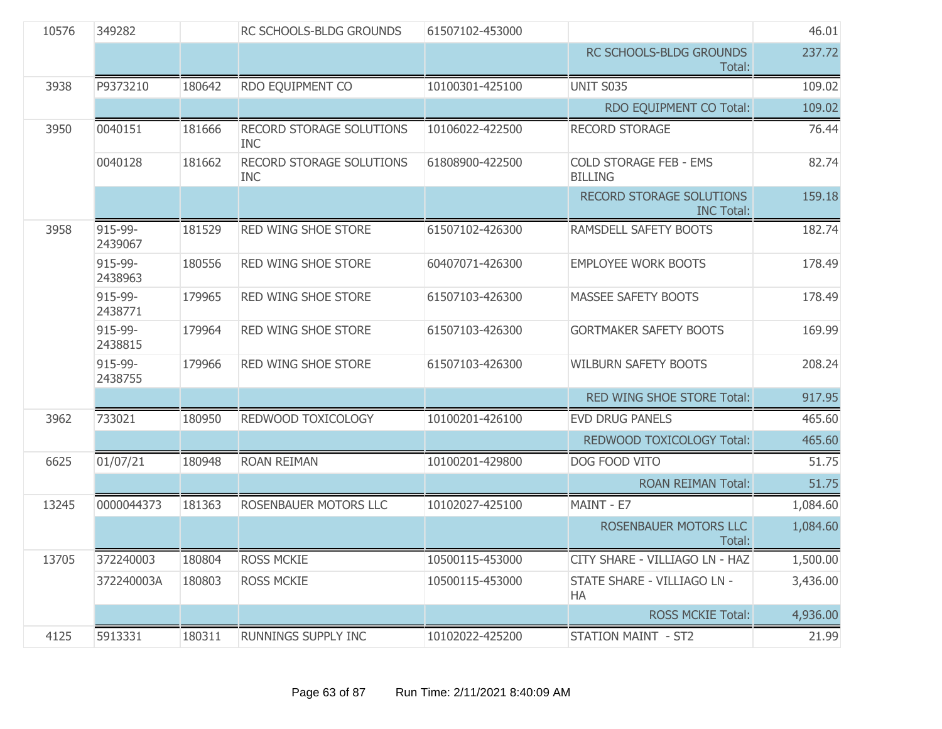| 10576 | 349282             |        | RC SCHOOLS-BLDG GROUNDS                       | 61507102-453000 |                                                      | 46.01    |
|-------|--------------------|--------|-----------------------------------------------|-----------------|------------------------------------------------------|----------|
|       |                    |        |                                               |                 | RC SCHOOLS-BLDG GROUNDS<br>Total:                    | 237.72   |
| 3938  | P9373210           | 180642 | RDO EQUIPMENT CO                              | 10100301-425100 | UNIT S035                                            | 109.02   |
|       |                    |        |                                               |                 | RDO EQUIPMENT CO Total:                              | 109.02   |
| 3950  | 0040151            | 181666 | RECORD STORAGE SOLUTIONS<br><b>INC</b>        | 10106022-422500 | <b>RECORD STORAGE</b>                                | 76.44    |
|       | 0040128            | 181662 | <b>RECORD STORAGE SOLUTIONS</b><br><b>INC</b> | 61808900-422500 | <b>COLD STORAGE FEB - EMS</b><br><b>BILLING</b>      | 82.74    |
|       |                    |        |                                               |                 | <b>RECORD STORAGE SOLUTIONS</b><br><b>INC Total:</b> | 159.18   |
| 3958  | 915-99-<br>2439067 | 181529 | RED WING SHOE STORE                           | 61507102-426300 | RAMSDELL SAFETY BOOTS                                | 182.74   |
|       | 915-99-<br>2438963 | 180556 | RED WING SHOE STORE                           | 60407071-426300 | <b>EMPLOYEE WORK BOOTS</b>                           | 178.49   |
|       | 915-99-<br>2438771 | 179965 | RED WING SHOE STORE                           | 61507103-426300 | MASSEE SAFETY BOOTS                                  | 178.49   |
|       | 915-99-<br>2438815 | 179964 | <b>RED WING SHOE STORE</b>                    | 61507103-426300 | <b>GORTMAKER SAFETY BOOTS</b>                        | 169.99   |
|       | 915-99-<br>2438755 | 179966 | RED WING SHOE STORE                           | 61507103-426300 | <b>WILBURN SAFETY BOOTS</b>                          | 208.24   |
|       |                    |        |                                               |                 | RED WING SHOE STORE Total:                           | 917.95   |
| 3962  | 733021             | 180950 | REDWOOD TOXICOLOGY                            | 10100201-426100 | <b>EVD DRUG PANELS</b>                               | 465.60   |
|       |                    |        |                                               |                 | REDWOOD TOXICOLOGY Total:                            | 465.60   |
| 6625  | 01/07/21           | 180948 | <b>ROAN REIMAN</b>                            | 10100201-429800 | DOG FOOD VITO                                        | 51.75    |
|       |                    |        |                                               |                 | <b>ROAN REIMAN Total:</b>                            | 51.75    |
| 13245 | 0000044373         | 181363 | ROSENBAUER MOTORS LLC                         | 10102027-425100 | MAINT - E7                                           | 1,084.60 |
|       |                    |        |                                               |                 | ROSENBAUER MOTORS LLC<br>Total:                      | 1,084.60 |
| 13705 | 372240003          | 180804 | <b>ROSS MCKIE</b>                             | 10500115-453000 | CITY SHARE - VILLIAGO LN - HAZ                       | 1,500.00 |
|       | 372240003A         | 180803 | <b>ROSS MCKIE</b>                             | 10500115-453000 | STATE SHARE - VILLIAGO LN -<br><b>HA</b>             | 3,436.00 |
|       |                    |        |                                               |                 | <b>ROSS MCKIE Total:</b>                             | 4,936.00 |
| 4125  | 5913331            | 180311 | RUNNINGS SUPPLY INC                           | 10102022-425200 | <b>STATION MAINT - ST2</b>                           | 21.99    |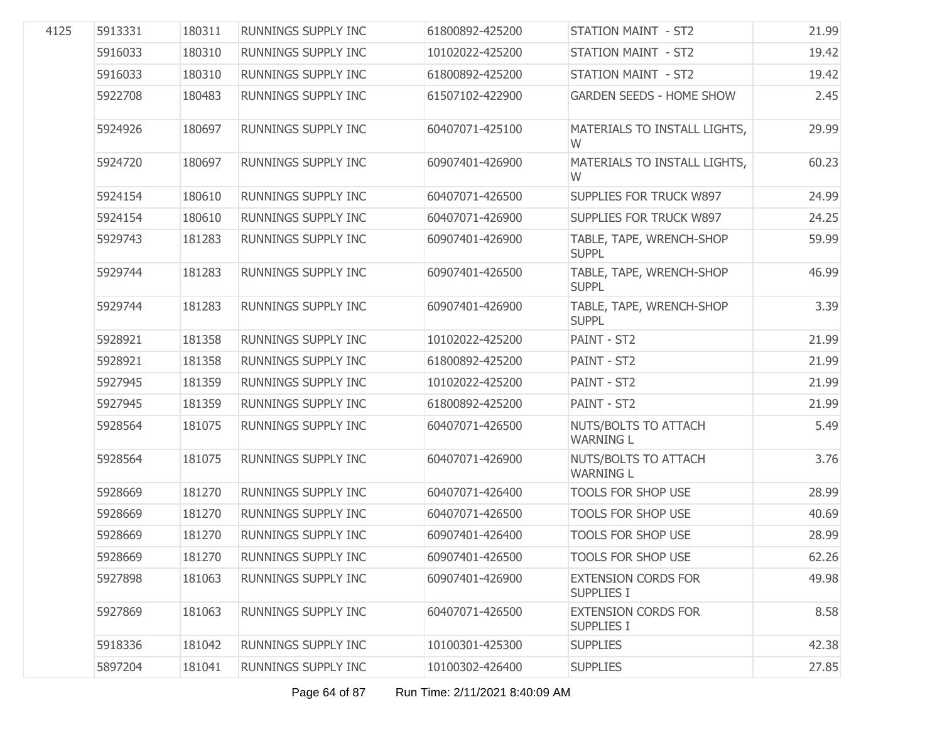| 4125 | 5913331 | 180311 | RUNNINGS SUPPLY INC        | 61800892-425200 | <b>STATION MAINT - ST2</b>                      | 21.99 |
|------|---------|--------|----------------------------|-----------------|-------------------------------------------------|-------|
|      | 5916033 | 180310 | RUNNINGS SUPPLY INC        | 10102022-425200 | <b>STATION MAINT - ST2</b>                      | 19.42 |
|      | 5916033 | 180310 | RUNNINGS SUPPLY INC        | 61800892-425200 | STATION MAINT - ST2                             | 19.42 |
|      | 5922708 | 180483 | RUNNINGS SUPPLY INC        | 61507102-422900 | <b>GARDEN SEEDS - HOME SHOW</b>                 | 2.45  |
|      | 5924926 | 180697 | RUNNINGS SUPPLY INC        | 60407071-425100 | MATERIALS TO INSTALL LIGHTS,<br>W               | 29.99 |
|      | 5924720 | 180697 | RUNNINGS SUPPLY INC        | 60907401-426900 | MATERIALS TO INSTALL LIGHTS,<br>W               | 60.23 |
|      | 5924154 | 180610 | RUNNINGS SUPPLY INC        | 60407071-426500 | SUPPLIES FOR TRUCK W897                         | 24.99 |
|      | 5924154 | 180610 | RUNNINGS SUPPLY INC        | 60407071-426900 | SUPPLIES FOR TRUCK W897                         | 24.25 |
|      | 5929743 | 181283 | RUNNINGS SUPPLY INC        | 60907401-426900 | TABLE, TAPE, WRENCH-SHOP<br><b>SUPPL</b>        | 59.99 |
|      | 5929744 | 181283 | RUNNINGS SUPPLY INC        | 60907401-426500 | TABLE, TAPE, WRENCH-SHOP<br><b>SUPPL</b>        | 46.99 |
|      | 5929744 | 181283 | RUNNINGS SUPPLY INC        | 60907401-426900 | TABLE, TAPE, WRENCH-SHOP<br><b>SUPPL</b>        | 3.39  |
|      | 5928921 | 181358 | RUNNINGS SUPPLY INC        | 10102022-425200 | PAINT - ST2                                     | 21.99 |
|      | 5928921 | 181358 | RUNNINGS SUPPLY INC        | 61800892-425200 | PAINT - ST2                                     | 21.99 |
|      | 5927945 | 181359 | RUNNINGS SUPPLY INC        | 10102022-425200 | PAINT - ST2                                     | 21.99 |
|      | 5927945 | 181359 | RUNNINGS SUPPLY INC        | 61800892-425200 | PAINT - ST2                                     | 21.99 |
|      | 5928564 | 181075 | RUNNINGS SUPPLY INC        | 60407071-426500 | NUTS/BOLTS TO ATTACH<br><b>WARNING L</b>        | 5.49  |
|      | 5928564 | 181075 | RUNNINGS SUPPLY INC        | 60407071-426900 | NUTS/BOLTS TO ATTACH<br><b>WARNING L</b>        | 3.76  |
|      | 5928669 | 181270 | RUNNINGS SUPPLY INC        | 60407071-426400 | TOOLS FOR SHOP USE                              | 28.99 |
|      | 5928669 | 181270 | RUNNINGS SUPPLY INC        | 60407071-426500 | <b>TOOLS FOR SHOP USE</b>                       | 40.69 |
|      | 5928669 | 181270 | <b>RUNNINGS SUPPLY INC</b> | 60907401-426400 | <b>TOOLS FOR SHOP USE</b>                       | 28.99 |
|      | 5928669 | 181270 | RUNNINGS SUPPLY INC        | 60907401-426500 | <b>TOOLS FOR SHOP USE</b>                       | 62.26 |
|      | 5927898 | 181063 | RUNNINGS SUPPLY INC        | 60907401-426900 | <b>EXTENSION CORDS FOR</b><br><b>SUPPLIES I</b> | 49.98 |
|      | 5927869 | 181063 | RUNNINGS SUPPLY INC        | 60407071-426500 | <b>EXTENSION CORDS FOR</b><br><b>SUPPLIES I</b> | 8.58  |
|      | 5918336 | 181042 | <b>RUNNINGS SUPPLY INC</b> | 10100301-425300 | <b>SUPPLIES</b>                                 | 42.38 |
|      | 5897204 | 181041 | RUNNINGS SUPPLY INC        | 10100302-426400 | <b>SUPPLIES</b>                                 | 27.85 |
|      |         |        |                            |                 |                                                 |       |

Page 64 of 87 Run Time: 2/11/2021 8:40:09 AM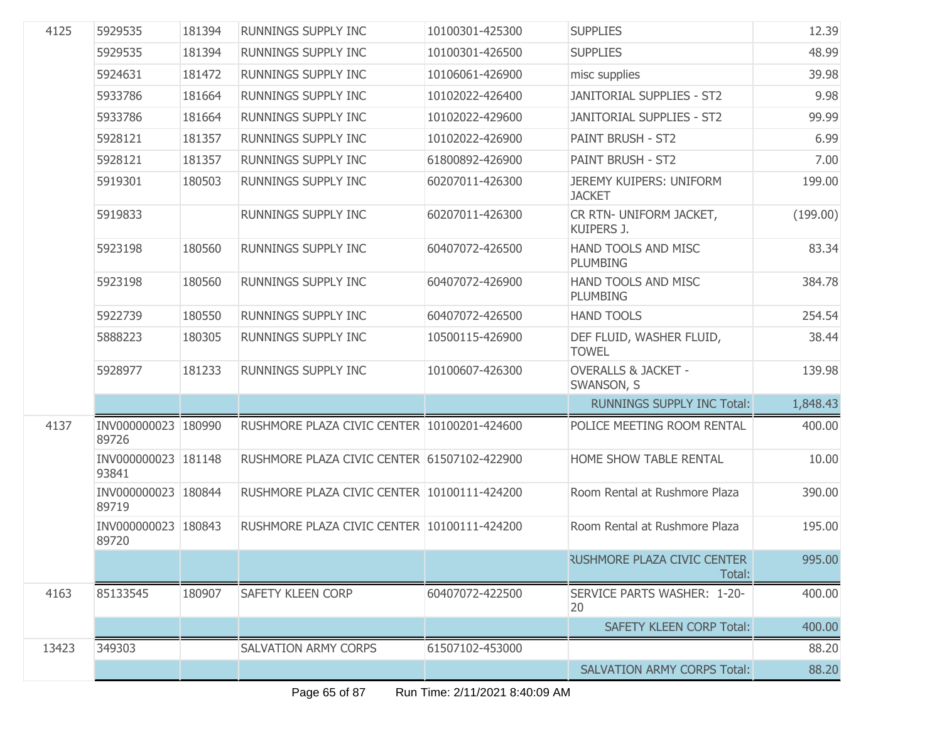| 4125  | 5929535                      | 181394 | <b>RUNNINGS SUPPLY INC</b>                  | 10100301-425300 | <b>SUPPLIES</b>                              | 12.39    |
|-------|------------------------------|--------|---------------------------------------------|-----------------|----------------------------------------------|----------|
|       | 5929535                      | 181394 | RUNNINGS SUPPLY INC                         | 10100301-426500 | <b>SUPPLIES</b>                              | 48.99    |
|       | 5924631                      | 181472 | RUNNINGS SUPPLY INC                         | 10106061-426900 | misc supplies                                | 39.98    |
|       | 5933786                      | 181664 | RUNNINGS SUPPLY INC                         | 10102022-426400 | <b>JANITORIAL SUPPLIES - ST2</b>             | 9.98     |
|       | 5933786                      | 181664 | RUNNINGS SUPPLY INC                         | 10102022-429600 | <b>JANITORIAL SUPPLIES - ST2</b>             | 99.99    |
|       | 5928121                      | 181357 | RUNNINGS SUPPLY INC                         | 10102022-426900 | PAINT BRUSH - ST2                            | 6.99     |
|       | 5928121                      | 181357 | RUNNINGS SUPPLY INC                         | 61800892-426900 | PAINT BRUSH - ST2                            | 7.00     |
|       | 5919301                      | 180503 | RUNNINGS SUPPLY INC                         | 60207011-426300 | JEREMY KUIPERS: UNIFORM<br><b>JACKET</b>     | 199.00   |
|       | 5919833                      |        | RUNNINGS SUPPLY INC                         | 60207011-426300 | CR RTN- UNIFORM JACKET,<br>KUIPERS J.        | (199.00) |
|       | 5923198                      | 180560 | RUNNINGS SUPPLY INC                         | 60407072-426500 | HAND TOOLS AND MISC<br><b>PLUMBING</b>       | 83.34    |
|       | 5923198                      | 180560 | <b>RUNNINGS SUPPLY INC</b>                  | 60407072-426900 | HAND TOOLS AND MISC<br><b>PLUMBING</b>       | 384.78   |
|       | 5922739                      | 180550 | <b>RUNNINGS SUPPLY INC</b>                  | 60407072-426500 | <b>HAND TOOLS</b>                            | 254.54   |
|       | 5888223                      | 180305 | RUNNINGS SUPPLY INC                         | 10500115-426900 | DEF FLUID, WASHER FLUID,<br><b>TOWEL</b>     | 38.44    |
|       | 5928977                      | 181233 | RUNNINGS SUPPLY INC                         | 10100607-426300 | <b>OVERALLS &amp; JACKET -</b><br>SWANSON, S | 139.98   |
|       |                              |        |                                             |                 | <b>RUNNINGS SUPPLY INC Total:</b>            | 1,848.43 |
| 4137  | INV000000023 180990<br>89726 |        | RUSHMORE PLAZA CIVIC CENTER 10100201-424600 |                 | POLICE MEETING ROOM RENTAL                   | 400.00   |
|       | INV000000023 181148<br>93841 |        | RUSHMORE PLAZA CIVIC CENTER 61507102-422900 |                 | HOME SHOW TABLE RENTAL                       | 10.00    |
|       | INV000000023 180844<br>89719 |        | RUSHMORE PLAZA CIVIC CENTER 10100111-424200 |                 | Room Rental at Rushmore Plaza                | 390.00   |
|       | INV000000023 180843<br>89720 |        | RUSHMORE PLAZA CIVIC CENTER 10100111-424200 |                 | Room Rental at Rushmore Plaza                | 195.00   |
|       |                              |        |                                             |                 | <b>RUSHMORE PLAZA CIVIC CENTER</b><br>Total: | 995.00   |
| 4163  | 85133545                     | 180907 | <b>SAFETY KLEEN CORP</b>                    | 60407072-422500 | SERVICE PARTS WASHER: 1-20-<br>20            | 400.00   |
|       |                              |        |                                             |                 | <b>SAFETY KLEEN CORP Total:</b>              | 400.00   |
| 13423 | 349303                       |        | <b>SALVATION ARMY CORPS</b>                 | 61507102-453000 |                                              | 88.20    |
|       |                              |        |                                             |                 | <b>SALVATION ARMY CORPS Total:</b>           | 88.20    |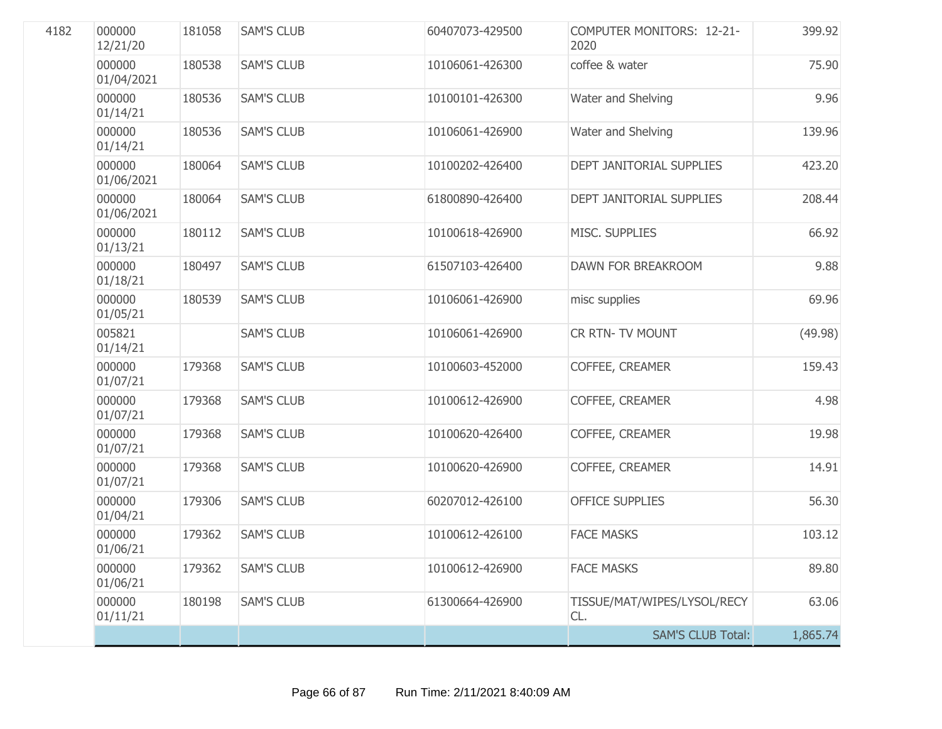| 4182 | 000000<br>12/21/20   | 181058 | <b>SAM'S CLUB</b> | 60407073-429500 | <b>COMPUTER MONITORS: 12-21-</b><br>2020 | 399.92   |
|------|----------------------|--------|-------------------|-----------------|------------------------------------------|----------|
|      | 000000<br>01/04/2021 | 180538 | <b>SAM'S CLUB</b> | 10106061-426300 | coffee & water                           | 75.90    |
|      | 000000<br>01/14/21   | 180536 | <b>SAM'S CLUB</b> | 10100101-426300 | Water and Shelving                       | 9.96     |
|      | 000000<br>01/14/21   | 180536 | <b>SAM'S CLUB</b> | 10106061-426900 | Water and Shelving                       | 139.96   |
|      | 000000<br>01/06/2021 | 180064 | <b>SAM'S CLUB</b> | 10100202-426400 | DEPT JANITORIAL SUPPLIES                 | 423.20   |
|      | 000000<br>01/06/2021 | 180064 | <b>SAM'S CLUB</b> | 61800890-426400 | DEPT JANITORIAL SUPPLIES                 | 208.44   |
|      | 000000<br>01/13/21   | 180112 | <b>SAM'S CLUB</b> | 10100618-426900 | MISC. SUPPLIES                           | 66.92    |
|      | 000000<br>01/18/21   | 180497 | <b>SAM'S CLUB</b> | 61507103-426400 | DAWN FOR BREAKROOM                       | 9.88     |
|      | 000000<br>01/05/21   | 180539 | <b>SAM'S CLUB</b> | 10106061-426900 | misc supplies                            | 69.96    |
|      | 005821<br>01/14/21   |        | <b>SAM'S CLUB</b> | 10106061-426900 | <b>CR RTN- TV MOUNT</b>                  | (49.98)  |
|      | 000000<br>01/07/21   | 179368 | <b>SAM'S CLUB</b> | 10100603-452000 | COFFEE, CREAMER                          | 159.43   |
|      | 000000<br>01/07/21   | 179368 | <b>SAM'S CLUB</b> | 10100612-426900 | COFFEE, CREAMER                          | 4.98     |
|      | 000000<br>01/07/21   | 179368 | <b>SAM'S CLUB</b> | 10100620-426400 | COFFEE, CREAMER                          | 19.98    |
|      | 000000<br>01/07/21   | 179368 | <b>SAM'S CLUB</b> | 10100620-426900 | COFFEE, CREAMER                          | 14.91    |
|      | 000000<br>01/04/21   | 179306 | <b>SAM'S CLUB</b> | 60207012-426100 | <b>OFFICE SUPPLIES</b>                   | 56.30    |
|      | 000000<br>01/06/21   | 179362 | <b>SAM'S CLUB</b> | 10100612-426100 | <b>FACE MASKS</b>                        | 103.12   |
|      | 000000<br>01/06/21   | 179362 | <b>SAM'S CLUB</b> | 10100612-426900 | <b>FACE MASKS</b>                        | 89.80    |
|      | 000000<br>01/11/21   | 180198 | <b>SAM'S CLUB</b> | 61300664-426900 | TISSUE/MAT/WIPES/LYSOL/RECY<br>CL.       | 63.06    |
|      |                      |        |                   |                 | <b>SAM'S CLUB Total:</b>                 | 1,865.74 |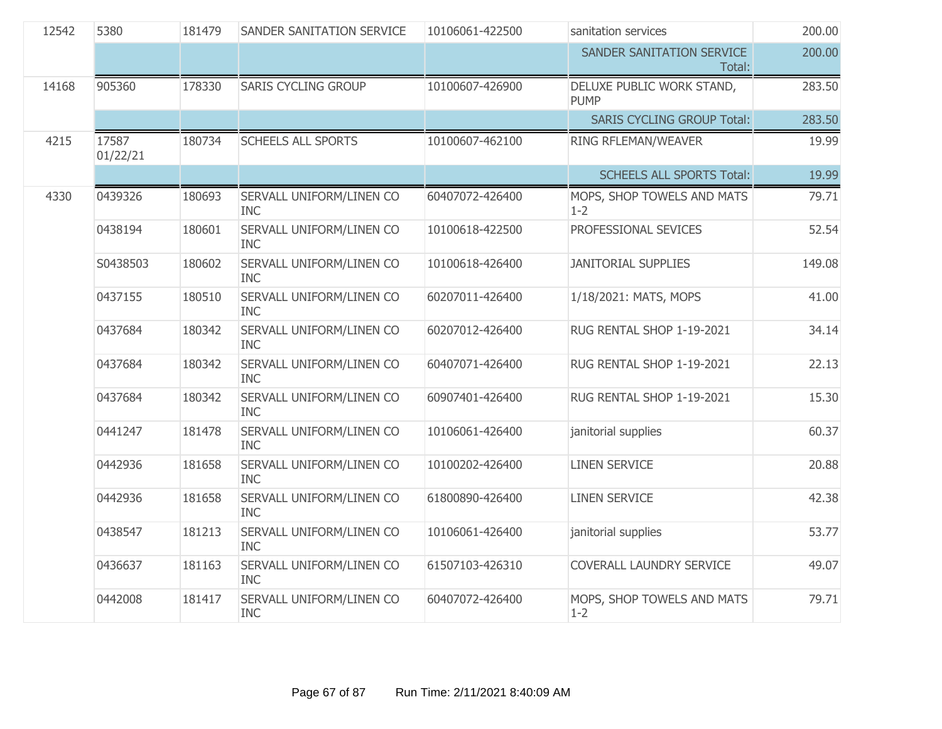| 12542 | 5380              | 181479 | SANDER SANITATION SERVICE              | 10106061-422500 | sanitation services                      | 200.00 |
|-------|-------------------|--------|----------------------------------------|-----------------|------------------------------------------|--------|
|       |                   |        |                                        |                 | SANDER SANITATION SERVICE<br>Total:      | 200.00 |
| 14168 | 905360            | 178330 | <b>SARIS CYCLING GROUP</b>             | 10100607-426900 | DELUXE PUBLIC WORK STAND,<br><b>PUMP</b> | 283.50 |
|       |                   |        |                                        |                 | <b>SARIS CYCLING GROUP Total:</b>        | 283.50 |
| 4215  | 17587<br>01/22/21 | 180734 | <b>SCHEELS ALL SPORTS</b>              | 10100607-462100 | RING RFLEMAN/WEAVER                      | 19.99  |
|       |                   |        |                                        |                 | <b>SCHEELS ALL SPORTS Total:</b>         | 19.99  |
| 4330  | 0439326           | 180693 | SERVALL UNIFORM/LINEN CO<br><b>INC</b> | 60407072-426400 | MOPS, SHOP TOWELS AND MATS<br>$1 - 2$    | 79.71  |
|       | 0438194           | 180601 | SERVALL UNIFORM/LINEN CO<br><b>INC</b> | 10100618-422500 | PROFESSIONAL SEVICES                     | 52.54  |
|       | S0438503          | 180602 | SERVALL UNIFORM/LINEN CO<br><b>INC</b> | 10100618-426400 | <b>JANITORIAL SUPPLIES</b>               | 149.08 |
|       | 0437155           | 180510 | SERVALL UNIFORM/LINEN CO<br><b>INC</b> | 60207011-426400 | 1/18/2021: MATS, MOPS                    | 41.00  |
|       | 0437684           | 180342 | SERVALL UNIFORM/LINEN CO<br><b>INC</b> | 60207012-426400 | RUG RENTAL SHOP 1-19-2021                | 34.14  |
|       | 0437684           | 180342 | SERVALL UNIFORM/LINEN CO<br><b>INC</b> | 60407071-426400 | RUG RENTAL SHOP 1-19-2021                | 22.13  |
|       | 0437684           | 180342 | SERVALL UNIFORM/LINEN CO<br><b>INC</b> | 60907401-426400 | RUG RENTAL SHOP 1-19-2021                | 15.30  |
|       | 0441247           | 181478 | SERVALL UNIFORM/LINEN CO<br><b>INC</b> | 10106061-426400 | janitorial supplies                      | 60.37  |
|       | 0442936           | 181658 | SERVALL UNIFORM/LINEN CO<br><b>INC</b> | 10100202-426400 | <b>LINEN SERVICE</b>                     | 20.88  |
|       | 0442936           | 181658 | SERVALL UNIFORM/LINEN CO<br><b>INC</b> | 61800890-426400 | <b>LINEN SERVICE</b>                     | 42.38  |
|       | 0438547           | 181213 | SERVALL UNIFORM/LINEN CO<br><b>INC</b> | 10106061-426400 | janitorial supplies                      | 53.77  |
|       | 0436637           | 181163 | SERVALL UNIFORM/LINEN CO<br><b>INC</b> | 61507103-426310 | COVERALL LAUNDRY SERVICE                 | 49.07  |
|       | 0442008           | 181417 | SERVALL UNIFORM/LINEN CO<br><b>INC</b> | 60407072-426400 | MOPS, SHOP TOWELS AND MATS<br>$1 - 2$    | 79.71  |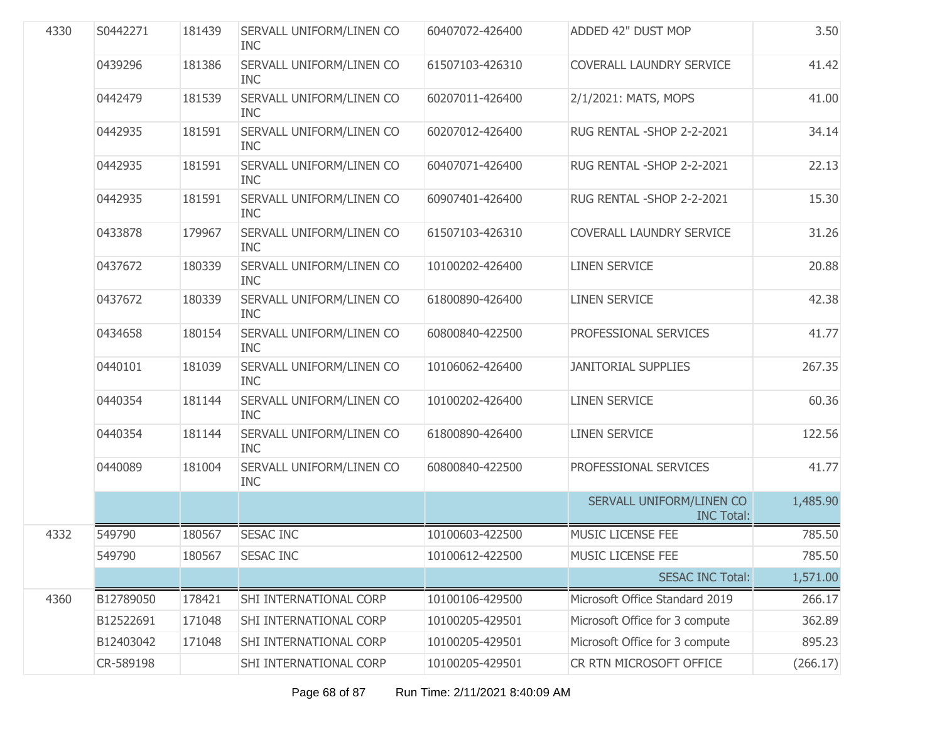| 4330 | S0442271  | 181439 | SERVALL UNIFORM/LINEN CO<br><b>INC</b> | 60407072-426400 | ADDED 42" DUST MOP                            | 3.50     |
|------|-----------|--------|----------------------------------------|-----------------|-----------------------------------------------|----------|
|      | 0439296   | 181386 | SERVALL UNIFORM/LINEN CO<br><b>INC</b> | 61507103-426310 | COVERALL LAUNDRY SERVICE                      | 41.42    |
|      | 0442479   | 181539 | SERVALL UNIFORM/LINEN CO<br><b>INC</b> | 60207011-426400 | 2/1/2021: MATS, MOPS                          | 41.00    |
|      | 0442935   | 181591 | SERVALL UNIFORM/LINEN CO<br><b>INC</b> | 60207012-426400 | RUG RENTAL - SHOP 2-2-2021                    | 34.14    |
|      | 0442935   | 181591 | SERVALL UNIFORM/LINEN CO<br><b>INC</b> | 60407071-426400 | RUG RENTAL - SHOP 2-2-2021                    | 22.13    |
|      | 0442935   | 181591 | SERVALL UNIFORM/LINEN CO<br><b>INC</b> | 60907401-426400 | RUG RENTAL - SHOP 2-2-2021                    | 15.30    |
|      | 0433878   | 179967 | SERVALL UNIFORM/LINEN CO<br><b>INC</b> | 61507103-426310 | COVERALL LAUNDRY SERVICE                      | 31.26    |
|      | 0437672   | 180339 | SERVALL UNIFORM/LINEN CO<br><b>INC</b> | 10100202-426400 | <b>LINEN SERVICE</b>                          | 20.88    |
|      | 0437672   | 180339 | SERVALL UNIFORM/LINEN CO<br><b>INC</b> | 61800890-426400 | <b>LINEN SERVICE</b>                          | 42.38    |
|      | 0434658   | 180154 | SERVALL UNIFORM/LINEN CO<br><b>INC</b> | 60800840-422500 | PROFESSIONAL SERVICES                         | 41.77    |
|      | 0440101   | 181039 | SERVALL UNIFORM/LINEN CO<br><b>INC</b> | 10106062-426400 | <b>JANITORIAL SUPPLIES</b>                    | 267.35   |
|      | 0440354   | 181144 | SERVALL UNIFORM/LINEN CO<br><b>INC</b> | 10100202-426400 | <b>LINEN SERVICE</b>                          | 60.36    |
|      | 0440354   | 181144 | SERVALL UNIFORM/LINEN CO<br><b>INC</b> | 61800890-426400 | <b>LINEN SERVICE</b>                          | 122.56   |
|      | 0440089   | 181004 | SERVALL UNIFORM/LINEN CO<br><b>INC</b> | 60800840-422500 | PROFESSIONAL SERVICES                         | 41.77    |
|      |           |        |                                        |                 | SERVALL UNIFORM/LINEN CO<br><b>INC Total:</b> | 1,485.90 |
| 4332 | 549790    | 180567 | <b>SESAC INC</b>                       | 10100603-422500 | <b>MUSIC LICENSE FEE</b>                      | 785.50   |
|      | 549790    | 180567 | <b>SESAC INC</b>                       | 10100612-422500 | MUSIC LICENSE FEE                             | 785.50   |
|      |           |        |                                        |                 | <b>SESAC INC Total:</b>                       | 1,571.00 |
| 4360 | B12789050 | 178421 | SHI INTERNATIONAL CORP                 | 10100106-429500 | Microsoft Office Standard 2019                | 266.17   |
|      | B12522691 | 171048 | SHI INTERNATIONAL CORP                 | 10100205-429501 | Microsoft Office for 3 compute                | 362.89   |
|      | B12403042 | 171048 | SHI INTERNATIONAL CORP                 | 10100205-429501 | Microsoft Office for 3 compute                | 895.23   |
|      | CR-589198 |        | SHI INTERNATIONAL CORP                 | 10100205-429501 | CR RTN MICROSOFT OFFICE                       | (266.17) |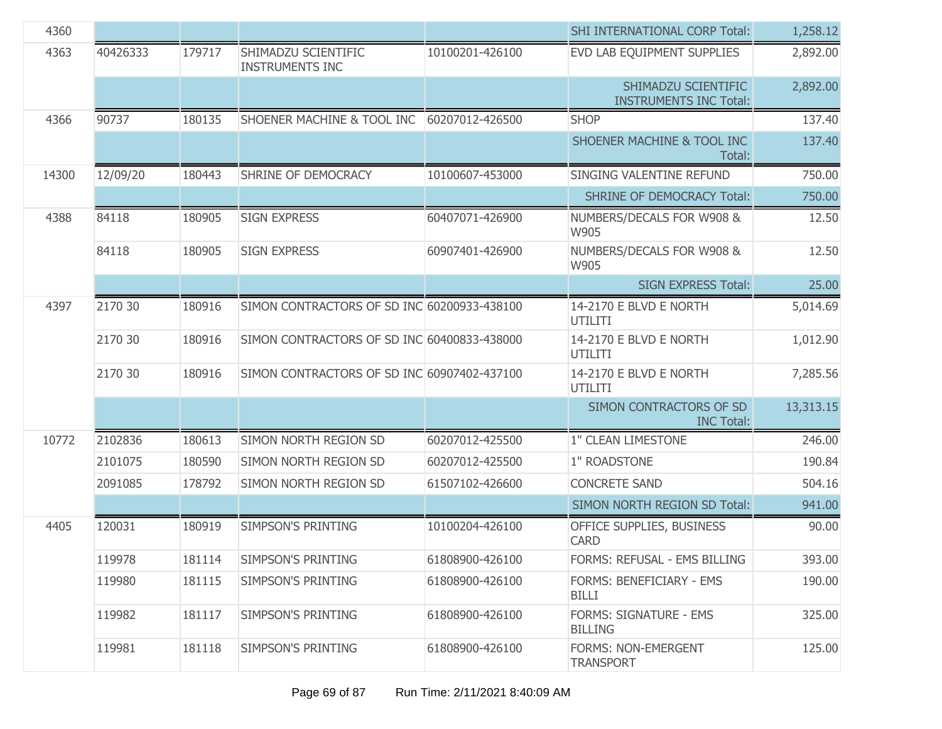| 4360  |          |        |                                               |                 | <b>SHI INTERNATIONAL CORP Total:</b>                 | 1,258.12  |
|-------|----------|--------|-----------------------------------------------|-----------------|------------------------------------------------------|-----------|
| 4363  | 40426333 | 179717 | SHIMADZU SCIENTIFIC<br><b>INSTRUMENTS INC</b> | 10100201-426100 | EVD LAB EQUIPMENT SUPPLIES                           | 2,892.00  |
|       |          |        |                                               |                 | SHIMADZU SCIENTIFIC<br><b>INSTRUMENTS INC Total:</b> | 2,892.00  |
| 4366  | 90737    | 180135 | SHOENER MACHINE & TOOL INC                    | 60207012-426500 | <b>SHOP</b>                                          | 137.40    |
|       |          |        |                                               |                 | SHOENER MACHINE & TOOL INC<br>Total:                 | 137.40    |
| 14300 | 12/09/20 | 180443 | SHRINE OF DEMOCRACY                           | 10100607-453000 | SINGING VALENTINE REFUND                             | 750.00    |
|       |          |        |                                               |                 | <b>SHRINE OF DEMOCRACY Total:</b>                    | 750.00    |
| 4388  | 84118    | 180905 | <b>SIGN EXPRESS</b>                           | 60407071-426900 | NUMBERS/DECALS FOR W908 &<br>W905                    | 12.50     |
|       | 84118    | 180905 | <b>SIGN EXPRESS</b>                           | 60907401-426900 | NUMBERS/DECALS FOR W908 &<br>W905                    | 12.50     |
|       |          |        |                                               |                 | <b>SIGN EXPRESS Total:</b>                           | 25.00     |
| 4397  | 2170 30  | 180916 | SIMON CONTRACTORS OF SD INC 60200933-438100   |                 | 14-2170 E BLVD E NORTH<br><b>UTILITI</b>             | 5,014.69  |
|       | 2170 30  | 180916 | SIMON CONTRACTORS OF SD INC 60400833-438000   |                 | 14-2170 E BLVD E NORTH<br>UTILITI                    | 1,012.90  |
|       | 2170 30  | 180916 | SIMON CONTRACTORS OF SD INC 60907402-437100   |                 | 14-2170 E BLVD E NORTH<br><b>UTILITI</b>             | 7,285.56  |
|       |          |        |                                               |                 | SIMON CONTRACTORS OF SD<br><b>INC Total:</b>         | 13,313.15 |
| 10772 | 2102836  | 180613 | SIMON NORTH REGION SD                         | 60207012-425500 | 1" CLEAN LIMESTONE                                   | 246.00    |
|       | 2101075  | 180590 | SIMON NORTH REGION SD                         | 60207012-425500 | 1" ROADSTONE                                         | 190.84    |
|       | 2091085  | 178792 | SIMON NORTH REGION SD                         | 61507102-426600 | <b>CONCRETE SAND</b>                                 | 504.16    |
|       |          |        |                                               |                 | SIMON NORTH REGION SD Total:                         | 941.00    |
| 4405  | 120031   | 180919 | <b>SIMPSON'S PRINTING</b>                     | 10100204-426100 | OFFICE SUPPLIES, BUSINESS<br><b>CARD</b>             | 90.00     |
|       | 119978   | 181114 | SIMPSON'S PRINTING                            | 61808900-426100 | FORMS: REFUSAL - EMS BILLING                         | 393.00    |
|       | 119980   | 181115 | SIMPSON'S PRINTING                            | 61808900-426100 | <b>FORMS: BENEFICIARY - EMS</b><br><b>BILLI</b>      | 190.00    |
|       | 119982   | 181117 | SIMPSON'S PRINTING                            | 61808900-426100 | FORMS: SIGNATURE - EMS<br><b>BILLING</b>             | 325.00    |
|       | 119981   | 181118 | SIMPSON'S PRINTING                            | 61808900-426100 | FORMS: NON-EMERGENT<br><b>TRANSPORT</b>              | 125.00    |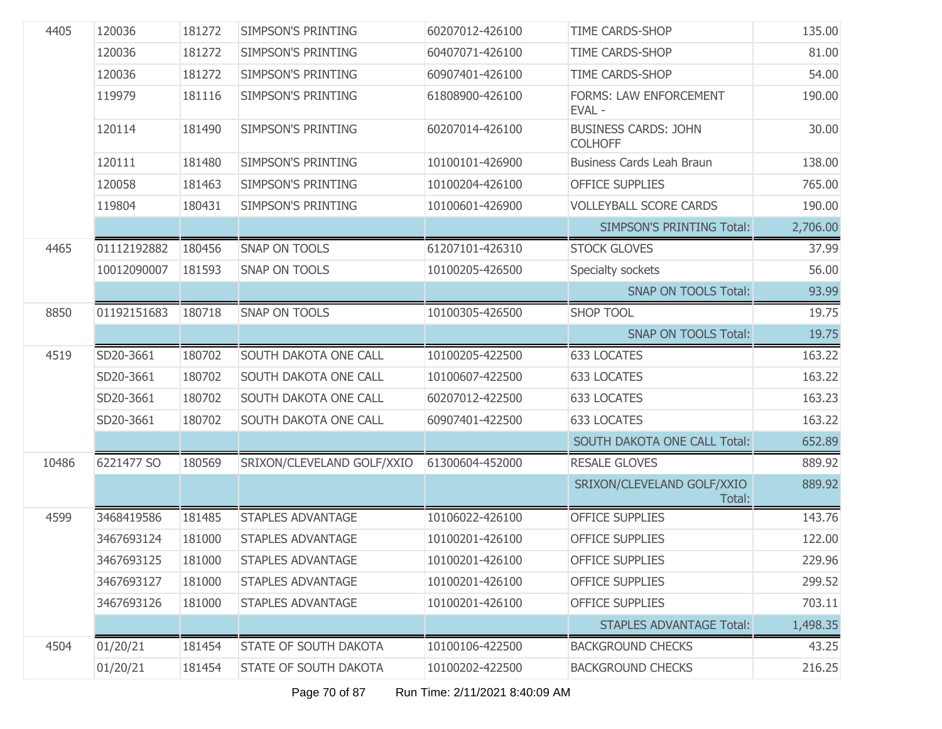| 4405  | 120036      | 181272 | <b>SIMPSON'S PRINTING</b>  | 60207012-426100 | TIME CARDS-SHOP                               | 135.00   |
|-------|-------------|--------|----------------------------|-----------------|-----------------------------------------------|----------|
|       | 120036      | 181272 | <b>SIMPSON'S PRINTING</b>  | 60407071-426100 | TIME CARDS-SHOP                               | 81.00    |
|       | 120036      | 181272 | <b>SIMPSON'S PRINTING</b>  | 60907401-426100 | TIME CARDS-SHOP                               | 54.00    |
|       | 119979      | 181116 | <b>SIMPSON'S PRINTING</b>  | 61808900-426100 | <b>FORMS: LAW ENFORCEMENT</b><br>EVAL-        | 190.00   |
|       | 120114      | 181490 | <b>SIMPSON'S PRINTING</b>  | 60207014-426100 | <b>BUSINESS CARDS: JOHN</b><br><b>COLHOFF</b> | 30.00    |
|       | 120111      | 181480 | <b>SIMPSON'S PRINTING</b>  | 10100101-426900 | <b>Business Cards Leah Braun</b>              | 138.00   |
|       | 120058      | 181463 | <b>SIMPSON'S PRINTING</b>  | 10100204-426100 | <b>OFFICE SUPPLIES</b>                        | 765.00   |
|       | 119804      | 180431 | <b>SIMPSON'S PRINTING</b>  | 10100601-426900 | <b>VOLLEYBALL SCORE CARDS</b>                 | 190.00   |
|       |             |        |                            |                 | <b>SIMPSON'S PRINTING Total:</b>              | 2,706.00 |
| 4465  | 01112192882 | 180456 | <b>SNAP ON TOOLS</b>       | 61207101-426310 | <b>STOCK GLOVES</b>                           | 37.99    |
|       | 10012090007 | 181593 | <b>SNAP ON TOOLS</b>       | 10100205-426500 | Specialty sockets                             | 56.00    |
|       |             |        |                            |                 | <b>SNAP ON TOOLS Total:</b>                   | 93.99    |
| 8850  | 01192151683 | 180718 | <b>SNAP ON TOOLS</b>       | 10100305-426500 | <b>SHOP TOOL</b>                              | 19.75    |
|       |             |        |                            |                 | <b>SNAP ON TOOLS Total:</b>                   | 19.75    |
| 4519  | SD20-3661   | 180702 | SOUTH DAKOTA ONE CALL      | 10100205-422500 | <b>633 LOCATES</b>                            | 163.22   |
|       | SD20-3661   | 180702 | SOUTH DAKOTA ONE CALL      | 10100607-422500 | <b>633 LOCATES</b>                            | 163.22   |
|       | SD20-3661   | 180702 | SOUTH DAKOTA ONE CALL      | 60207012-422500 | 633 LOCATES                                   | 163.23   |
|       | SD20-3661   | 180702 | SOUTH DAKOTA ONE CALL      | 60907401-422500 | 633 LOCATES                                   | 163.22   |
|       |             |        |                            |                 | SOUTH DAKOTA ONE CALL Total:                  | 652.89   |
| 10486 | 6221477 SO  | 180569 | SRIXON/CLEVELAND GOLF/XXIO | 61300604-452000 | <b>RESALE GLOVES</b>                          | 889.92   |
|       |             |        |                            |                 | SRIXON/CLEVELAND GOLF/XXIO<br>Total:          | 889.92   |
| 4599  | 3468419586  | 181485 | <b>STAPLES ADVANTAGE</b>   | 10106022-426100 | <b>OFFICE SUPPLIES</b>                        | 143.76   |
|       | 3467693124  | 181000 | <b>STAPLES ADVANTAGE</b>   | 10100201-426100 | <b>OFFICE SUPPLIES</b>                        | 122.00   |
|       | 3467693125  | 181000 | <b>STAPLES ADVANTAGE</b>   | 10100201-426100 | <b>OFFICE SUPPLIES</b>                        | 229.96   |
|       | 3467693127  | 181000 | <b>STAPLES ADVANTAGE</b>   | 10100201-426100 | <b>OFFICE SUPPLIES</b>                        | 299.52   |
|       | 3467693126  | 181000 | <b>STAPLES ADVANTAGE</b>   | 10100201-426100 | <b>OFFICE SUPPLIES</b>                        | 703.11   |
|       |             |        |                            |                 | <b>STAPLES ADVANTAGE Total:</b>               | 1,498.35 |
| 4504  | 01/20/21    | 181454 | STATE OF SOUTH DAKOTA      | 10100106-422500 | <b>BACKGROUND CHECKS</b>                      | 43.25    |
|       | 01/20/21    | 181454 | STATE OF SOUTH DAKOTA      | 10100202-422500 | <b>BACKGROUND CHECKS</b>                      | 216.25   |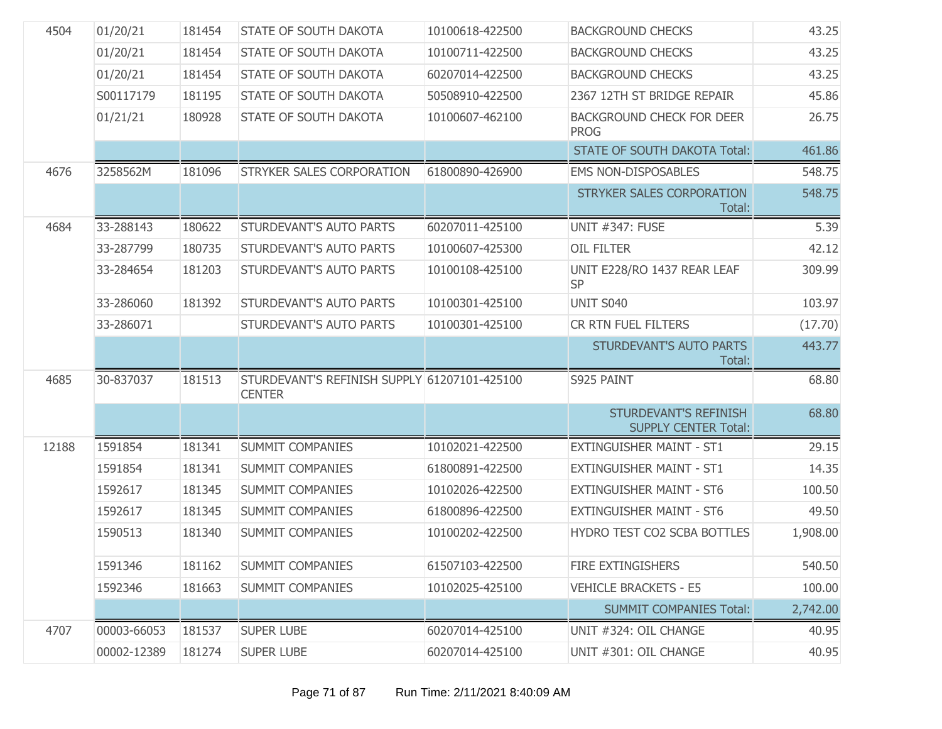| 4504  | 01/20/21    | 181454 | <b>STATE OF SOUTH DAKOTA</b>                                  | 10100618-422500 | <b>BACKGROUND CHECKS</b>                             | 43.25    |
|-------|-------------|--------|---------------------------------------------------------------|-----------------|------------------------------------------------------|----------|
|       | 01/20/21    | 181454 | <b>STATE OF SOUTH DAKOTA</b>                                  | 10100711-422500 | <b>BACKGROUND CHECKS</b>                             | 43.25    |
|       | 01/20/21    | 181454 | <b>STATE OF SOUTH DAKOTA</b>                                  | 60207014-422500 | <b>BACKGROUND CHECKS</b>                             | 43.25    |
|       | S00117179   | 181195 | <b>STATE OF SOUTH DAKOTA</b>                                  | 50508910-422500 | 2367 12TH ST BRIDGE REPAIR                           | 45.86    |
|       | 01/21/21    | 180928 | STATE OF SOUTH DAKOTA                                         | 10100607-462100 | <b>BACKGROUND CHECK FOR DEER</b><br><b>PROG</b>      | 26.75    |
|       |             |        |                                                               |                 | <b>STATE OF SOUTH DAKOTA Total:</b>                  | 461.86   |
| 4676  | 3258562M    | 181096 | STRYKER SALES CORPORATION                                     | 61800890-426900 | <b>EMS NON-DISPOSABLES</b>                           | 548.75   |
|       |             |        |                                                               |                 | <b>STRYKER SALES CORPORATION</b><br>Total:           | 548.75   |
| 4684  | 33-288143   | 180622 | STURDEVANT'S AUTO PARTS                                       | 60207011-425100 | <b>UNIT #347: FUSE</b>                               | 5.39     |
|       | 33-287799   | 180735 | <b>STURDEVANT'S AUTO PARTS</b>                                | 10100607-425300 | OIL FILTER                                           | 42.12    |
|       | 33-284654   | 181203 | STURDEVANT'S AUTO PARTS                                       | 10100108-425100 | UNIT E228/RO 1437 REAR LEAF<br><b>SP</b>             | 309.99   |
|       | 33-286060   | 181392 | STURDEVANT'S AUTO PARTS                                       | 10100301-425100 | <b>UNIT S040</b>                                     | 103.97   |
|       | 33-286071   |        | STURDEVANT'S AUTO PARTS                                       | 10100301-425100 | CR RTN FUEL FILTERS                                  | (17.70)  |
|       |             |        |                                                               |                 | <b>STURDEVANT'S AUTO PARTS</b><br>Total:             | 443.77   |
| 4685  | 30-837037   | 181513 | STURDEVANT'S REFINISH SUPPLY 61207101-425100<br><b>CENTER</b> |                 | S925 PAINT                                           | 68.80    |
|       |             |        |                                                               |                 | STURDEVANT'S REFINISH<br><b>SUPPLY CENTER Total:</b> | 68.80    |
| 12188 | 1591854     | 181341 | SUMMIT COMPANIES                                              | 10102021-422500 | <b>EXTINGUISHER MAINT - ST1</b>                      | 29.15    |
|       | 1591854     | 181341 | SUMMIT COMPANIES                                              | 61800891-422500 | <b>EXTINGUISHER MAINT - ST1</b>                      | 14.35    |
|       | 1592617     | 181345 | SUMMIT COMPANIES                                              | 10102026-422500 | <b>EXTINGUISHER MAINT - ST6</b>                      | 100.50   |
|       | 1592617     | 181345 | SUMMIT COMPANIES                                              | 61800896-422500 | <b>EXTINGUISHER MAINT - ST6</b>                      | 49.50    |
|       | 1590513     | 181340 | <b>SUMMIT COMPANIES</b>                                       | 10100202-422500 | HYDRO TEST CO2 SCBA BOTTLES                          | 1,908.00 |
|       | 1591346     | 181162 | <b>SUMMIT COMPANIES</b>                                       | 61507103-422500 | FIRE EXTINGISHERS                                    | 540.50   |
|       | 1592346     | 181663 | <b>SUMMIT COMPANIES</b>                                       | 10102025-425100 | <b>VEHICLE BRACKETS - E5</b>                         | 100.00   |
|       |             |        |                                                               |                 | <b>SUMMIT COMPANIES Total:</b>                       | 2,742.00 |
| 4707  | 00003-66053 | 181537 | <b>SUPER LUBE</b>                                             | 60207014-425100 | UNIT #324: OIL CHANGE                                | 40.95    |
|       | 00002-12389 | 181274 | <b>SUPER LUBE</b>                                             | 60207014-425100 | UNIT #301: OIL CHANGE                                | 40.95    |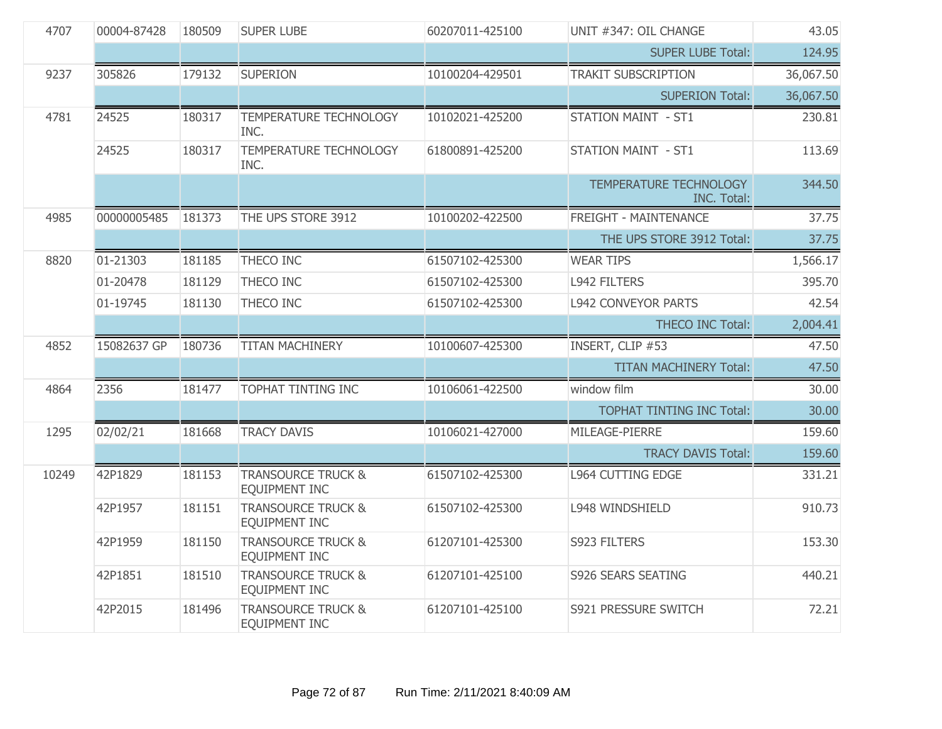| 4707  | 00004-87428 | 180509 | <b>SUPER LUBE</b>                                     | 60207011-425100 | UNIT #347: OIL CHANGE                        | 43.05     |
|-------|-------------|--------|-------------------------------------------------------|-----------------|----------------------------------------------|-----------|
|       |             |        |                                                       |                 | <b>SUPER LUBE Total:</b>                     | 124.95    |
| 9237  | 305826      | 179132 | <b>SUPERION</b>                                       | 10100204-429501 | <b>TRAKIT SUBSCRIPTION</b>                   | 36,067.50 |
|       |             |        |                                                       |                 | <b>SUPERION Total:</b>                       | 36,067.50 |
| 4781  | 24525       | 180317 | <b>TEMPERATURE TECHNOLOGY</b><br>INC.                 | 10102021-425200 | <b>STATION MAINT - ST1</b>                   | 230.81    |
|       | 24525       | 180317 | TEMPERATURE TECHNOLOGY<br>INC.                        | 61800891-425200 | <b>STATION MAINT - ST1</b>                   | 113.69    |
|       |             |        |                                                       |                 | TEMPERATURE TECHNOLOGY<br><b>INC. Total:</b> | 344.50    |
| 4985  | 00000005485 | 181373 | THE UPS STORE 3912                                    | 10100202-422500 | <b>FREIGHT - MAINTENANCE</b>                 | 37.75     |
|       |             |        |                                                       |                 | THE UPS STORE 3912 Total:                    | 37.75     |
| 8820  | 01-21303    | 181185 | THECO INC                                             | 61507102-425300 | <b>WEAR TIPS</b>                             | 1,566.17  |
|       | 01-20478    | 181129 | THECO INC                                             | 61507102-425300 | <b>L942 FILTERS</b>                          | 395.70    |
|       | 01-19745    | 181130 | THECO INC                                             | 61507102-425300 | <b>L942 CONVEYOR PARTS</b>                   | 42.54     |
|       |             |        |                                                       |                 | <b>THECO INC Total:</b>                      | 2,004.41  |
| 4852  | 15082637 GP | 180736 | <b>TITAN MACHINERY</b>                                | 10100607-425300 | INSERT, CLIP #53                             | 47.50     |
|       |             |        |                                                       |                 | <b>TITAN MACHINERY Total:</b>                | 47.50     |
| 4864  | 2356        | 181477 | <b>TOPHAT TINTING INC</b>                             | 10106061-422500 | window film                                  | 30.00     |
|       |             |        |                                                       |                 | <b>TOPHAT TINTING INC Total:</b>             | 30.00     |
| 1295  | 02/02/21    | 181668 | <b>TRACY DAVIS</b>                                    | 10106021-427000 | MILEAGE-PIERRE                               | 159.60    |
|       |             |        |                                                       |                 | <b>TRACY DAVIS Total:</b>                    | 159.60    |
| 10249 | 42P1829     | 181153 | <b>TRANSOURCE TRUCK &amp;</b><br><b>EQUIPMENT INC</b> | 61507102-425300 | <b>L964 CUTTING EDGE</b>                     | 331.21    |
|       | 42P1957     | 181151 | <b>TRANSOURCE TRUCK &amp;</b><br>EQUIPMENT INC        | 61507102-425300 | L948 WINDSHIELD                              | 910.73    |
|       | 42P1959     | 181150 | <b>TRANSOURCE TRUCK &amp;</b><br>EQUIPMENT INC        | 61207101-425300 | S923 FILTERS                                 | 153.30    |
|       | 42P1851     | 181510 | <b>TRANSOURCE TRUCK &amp;</b><br>EQUIPMENT INC        | 61207101-425100 | <b>S926 SEARS SEATING</b>                    | 440.21    |
|       | 42P2015     | 181496 | <b>TRANSOURCE TRUCK &amp;</b><br>EQUIPMENT INC        | 61207101-425100 | S921 PRESSURE SWITCH                         | 72.21     |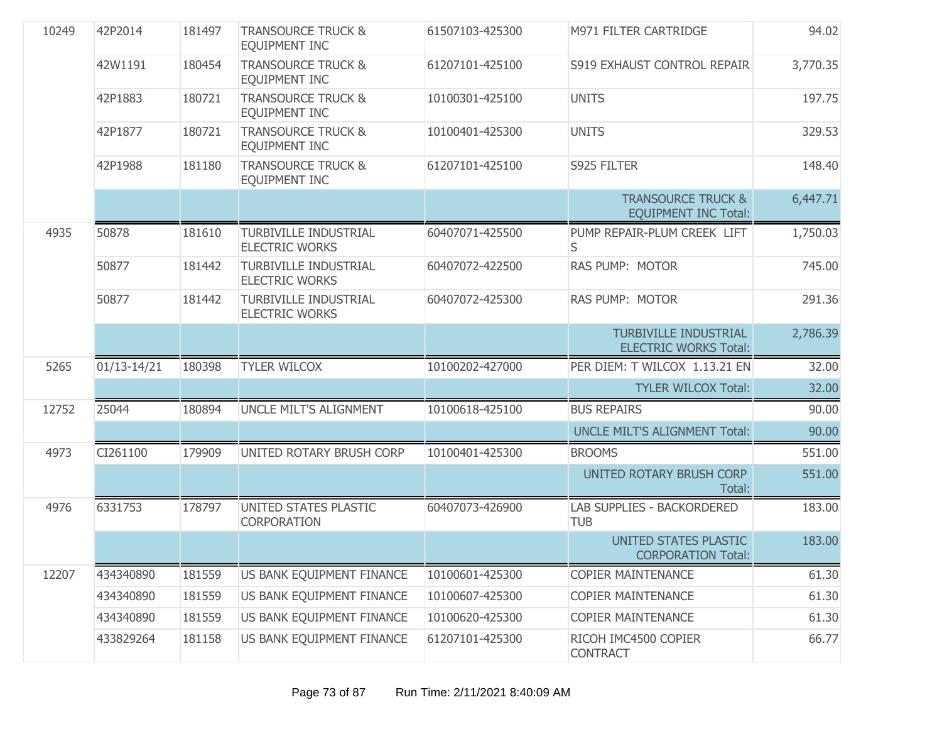| 10249 | 42P2014         | 181497 | <b>TRANSOURCE TRUCK &amp;</b><br>EQUIPMENT INC        | 61507103-425300 | M971 FILTER CARTRIDGE                                        | 94.02    |
|-------|-----------------|--------|-------------------------------------------------------|-----------------|--------------------------------------------------------------|----------|
|       | 42W1191         | 180454 | <b>TRANSOURCE TRUCK &amp;</b><br>EQUIPMENT INC        | 61207101-425100 | S919 EXHAUST CONTROL REPAIR                                  | 3,770.35 |
|       | 42P1883         | 180721 | <b>TRANSOURCE TRUCK &amp;</b><br><b>EQUIPMENT INC</b> | 10100301-425100 | <b>UNITS</b>                                                 | 197.75   |
|       | 42P1877         | 180721 | <b>TRANSOURCE TRUCK &amp;</b><br>EQUIPMENT INC        | 10100401-425300 | <b>UNITS</b>                                                 | 329.53   |
|       | 42P1988         | 181180 | <b>TRANSOURCE TRUCK &amp;</b><br>EQUIPMENT INC        | 61207101-425100 | S925 FILTER                                                  | 148.40   |
|       |                 |        |                                                       |                 | <b>TRANSOURCE TRUCK &amp;</b><br><b>EQUIPMENT INC Total:</b> | 6,447.71 |
| 4935  | 50878           | 181610 | <b>TURBIVILLE INDUSTRIAL</b><br><b>ELECTRIC WORKS</b> | 60407071-425500 | PUMP REPAIR-PLUM CREEK LIFT<br>S                             | 1,750.03 |
|       | 50877           | 181442 | <b>TURBIVILLE INDUSTRIAL</b><br><b>ELECTRIC WORKS</b> | 60407072-422500 | <b>RAS PUMP: MOTOR</b>                                       | 745.00   |
|       | 50877           | 181442 | <b>TURBIVILLE INDUSTRIAL</b><br><b>ELECTRIC WORKS</b> | 60407072-425300 | RAS PUMP: MOTOR                                              | 291.36   |
|       |                 |        |                                                       |                 | <b>TURBIVILLE INDUSTRIAL</b><br><b>ELECTRIC WORKS Total:</b> | 2,786.39 |
| 5265  | $01/13 - 14/21$ | 180398 | <b>TYLER WILCOX</b>                                   | 10100202-427000 | PER DIEM: T WILCOX 1.13.21 EN                                | 32.00    |
|       |                 |        |                                                       |                 | <b>TYLER WILCOX Total:</b>                                   | 32.00    |
| 12752 | 25044           | 180894 | UNCLE MILT'S ALIGNMENT                                | 10100618-425100 | <b>BUS REPAIRS</b>                                           | 90.00    |
|       |                 |        |                                                       |                 | UNCLE MILT'S ALIGNMENT Total:                                | 90.00    |
| 4973  | CI261100        | 179909 | UNITED ROTARY BRUSH CORP                              | 10100401-425300 | <b>BROOMS</b>                                                | 551.00   |
|       |                 |        |                                                       |                 | <b>UNITED ROTARY BRUSH CORP</b><br>Total:                    | 551.00   |
| 4976  | 6331753         | 178797 | UNITED STATES PLASTIC<br>CORPORATION                  | 60407073-426900 | LAB SUPPLIES - BACKORDERED<br><b>TUB</b>                     | 183.00   |
|       |                 |        |                                                       |                 | UNITED STATES PLASTIC<br><b>CORPORATION Total:</b>           | 183.00   |
| 12207 | 434340890       | 181559 | US BANK EQUIPMENT FINANCE                             | 10100601-425300 | <b>COPIER MAINTENANCE</b>                                    | 61.30    |
|       | 434340890       | 181559 | US BANK EQUIPMENT FINANCE                             | 10100607-425300 | <b>COPIER MAINTENANCE</b>                                    | 61.30    |
|       | 434340890       | 181559 | US BANK EQUIPMENT FINANCE                             | 10100620-425300 | <b>COPIER MAINTENANCE</b>                                    | 61.30    |
|       | 433829264       | 181158 | US BANK EQUIPMENT FINANCE                             | 61207101-425300 | RICOH IMC4500 COPIER<br><b>CONTRACT</b>                      | 66.77    |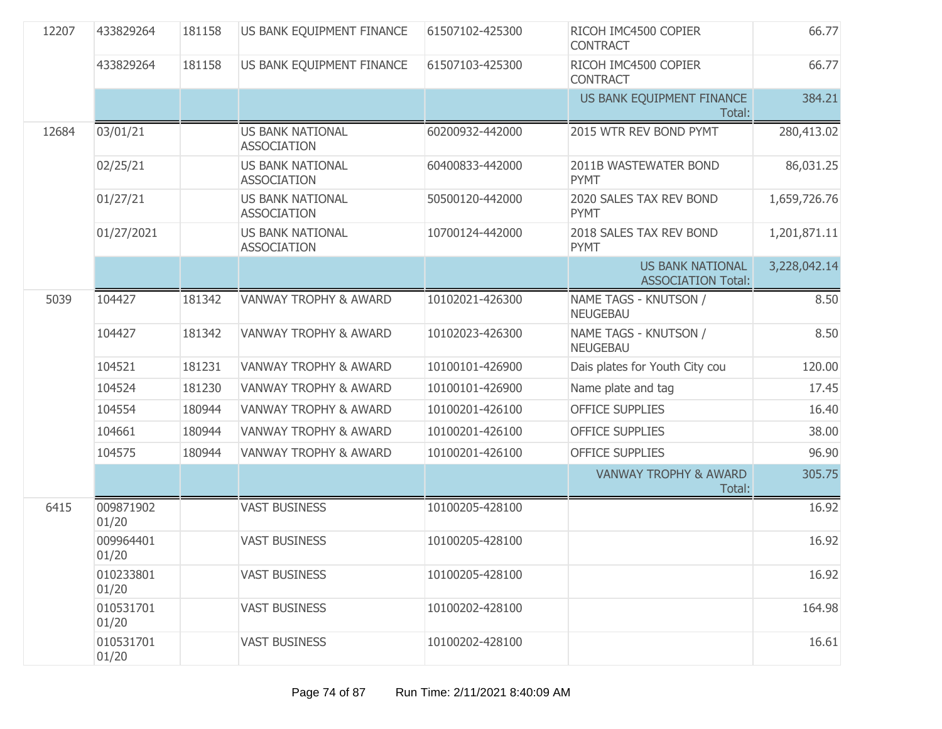| 12207 | 433829264          | 181158 | US BANK EQUIPMENT FINANCE                     | 61507102-425300 | RICOH IMC4500 COPIER<br><b>CONTRACT</b>              | 66.77        |
|-------|--------------------|--------|-----------------------------------------------|-----------------|------------------------------------------------------|--------------|
|       | 433829264          | 181158 | US BANK EQUIPMENT FINANCE                     | 61507103-425300 | RICOH IMC4500 COPIER<br><b>CONTRACT</b>              | 66.77        |
|       |                    |        |                                               |                 | US BANK EQUIPMENT FINANCE<br>Total:                  | 384.21       |
| 12684 | 03/01/21           |        | <b>US BANK NATIONAL</b><br><b>ASSOCIATION</b> | 60200932-442000 | 2015 WTR REV BOND PYMT                               | 280,413.02   |
|       | 02/25/21           |        | <b>US BANK NATIONAL</b><br><b>ASSOCIATION</b> | 60400833-442000 | 2011B WASTEWATER BOND<br><b>PYMT</b>                 | 86,031.25    |
|       | 01/27/21           |        | <b>US BANK NATIONAL</b><br><b>ASSOCIATION</b> | 50500120-442000 | 2020 SALES TAX REV BOND<br><b>PYMT</b>               | 1,659,726.76 |
|       | 01/27/2021         |        | <b>US BANK NATIONAL</b><br><b>ASSOCIATION</b> | 10700124-442000 | 2018 SALES TAX REV BOND<br><b>PYMT</b>               | 1,201,871.11 |
|       |                    |        |                                               |                 | <b>US BANK NATIONAL</b><br><b>ASSOCIATION Total:</b> | 3,228,042.14 |
| 5039  | 104427             | 181342 | <b>VANWAY TROPHY &amp; AWARD</b>              | 10102021-426300 | NAME TAGS - KNUTSON /<br><b>NEUGEBAU</b>             | 8.50         |
|       | 104427             | 181342 | <b>VANWAY TROPHY &amp; AWARD</b>              | 10102023-426300 | NAME TAGS - KNUTSON /<br><b>NEUGEBAU</b>             | 8.50         |
|       | 104521             | 181231 | <b>VANWAY TROPHY &amp; AWARD</b>              | 10100101-426900 | Dais plates for Youth City cou                       | 120.00       |
|       | 104524             | 181230 | <b>VANWAY TROPHY &amp; AWARD</b>              | 10100101-426900 | Name plate and tag                                   | 17.45        |
|       | 104554             | 180944 | <b>VANWAY TROPHY &amp; AWARD</b>              | 10100201-426100 | <b>OFFICE SUPPLIES</b>                               | 16.40        |
|       | 104661             | 180944 | <b>VANWAY TROPHY &amp; AWARD</b>              | 10100201-426100 | <b>OFFICE SUPPLIES</b>                               | 38.00        |
|       | 104575             | 180944 | <b>VANWAY TROPHY &amp; AWARD</b>              | 10100201-426100 | <b>OFFICE SUPPLIES</b>                               | 96.90        |
|       |                    |        |                                               |                 | <b>VANWAY TROPHY &amp; AWARD</b><br>Total:           | 305.75       |
| 6415  | 009871902<br>01/20 |        | <b>VAST BUSINESS</b>                          | 10100205-428100 |                                                      | 16.92        |
|       | 009964401<br>01/20 |        | <b>VAST BUSINESS</b>                          | 10100205-428100 |                                                      | 16.92        |
|       | 010233801<br>01/20 |        | <b>VAST BUSINESS</b>                          | 10100205-428100 |                                                      | 16.92        |
|       | 010531701<br>01/20 |        | <b>VAST BUSINESS</b>                          | 10100202-428100 |                                                      | 164.98       |
|       | 010531701<br>01/20 |        | <b>VAST BUSINESS</b>                          | 10100202-428100 |                                                      | 16.61        |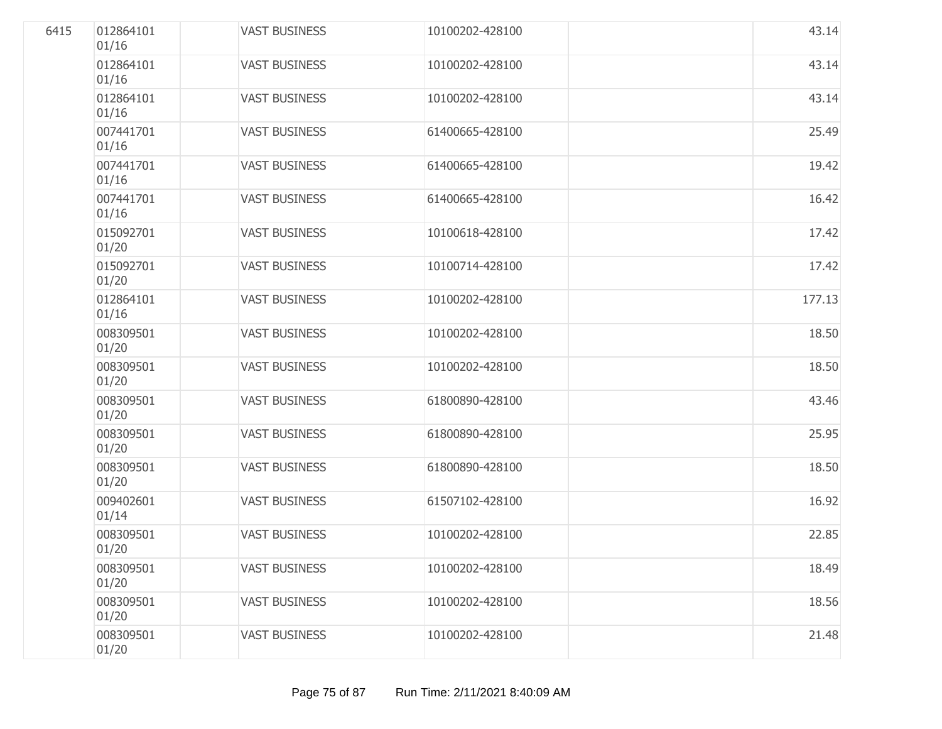| 6415 | 012864101<br>01/16 | <b>VAST BUSINESS</b> | 10100202-428100 | 43.14  |
|------|--------------------|----------------------|-----------------|--------|
|      | 012864101<br>01/16 | <b>VAST BUSINESS</b> | 10100202-428100 | 43.14  |
|      | 012864101<br>01/16 | <b>VAST BUSINESS</b> | 10100202-428100 | 43.14  |
|      | 007441701<br>01/16 | <b>VAST BUSINESS</b> | 61400665-428100 | 25.49  |
|      | 007441701<br>01/16 | <b>VAST BUSINESS</b> | 61400665-428100 | 19.42  |
|      | 007441701<br>01/16 | <b>VAST BUSINESS</b> | 61400665-428100 | 16.42  |
|      | 015092701<br>01/20 | <b>VAST BUSINESS</b> | 10100618-428100 | 17.42  |
|      | 015092701<br>01/20 | <b>VAST BUSINESS</b> | 10100714-428100 | 17.42  |
|      | 012864101<br>01/16 | <b>VAST BUSINESS</b> | 10100202-428100 | 177.13 |
|      | 008309501<br>01/20 | <b>VAST BUSINESS</b> | 10100202-428100 | 18.50  |
|      | 008309501<br>01/20 | <b>VAST BUSINESS</b> | 10100202-428100 | 18.50  |
|      | 008309501<br>01/20 | <b>VAST BUSINESS</b> | 61800890-428100 | 43.46  |
|      | 008309501<br>01/20 | <b>VAST BUSINESS</b> | 61800890-428100 | 25.95  |
|      | 008309501<br>01/20 | <b>VAST BUSINESS</b> | 61800890-428100 | 18.50  |
|      | 009402601<br>01/14 | <b>VAST BUSINESS</b> | 61507102-428100 | 16.92  |
|      | 008309501<br>01/20 | <b>VAST BUSINESS</b> | 10100202-428100 | 22.85  |
|      | 008309501<br>01/20 | <b>VAST BUSINESS</b> | 10100202-428100 | 18.49  |
|      | 008309501<br>01/20 | <b>VAST BUSINESS</b> | 10100202-428100 | 18.56  |
|      | 008309501<br>01/20 | <b>VAST BUSINESS</b> | 10100202-428100 | 21.48  |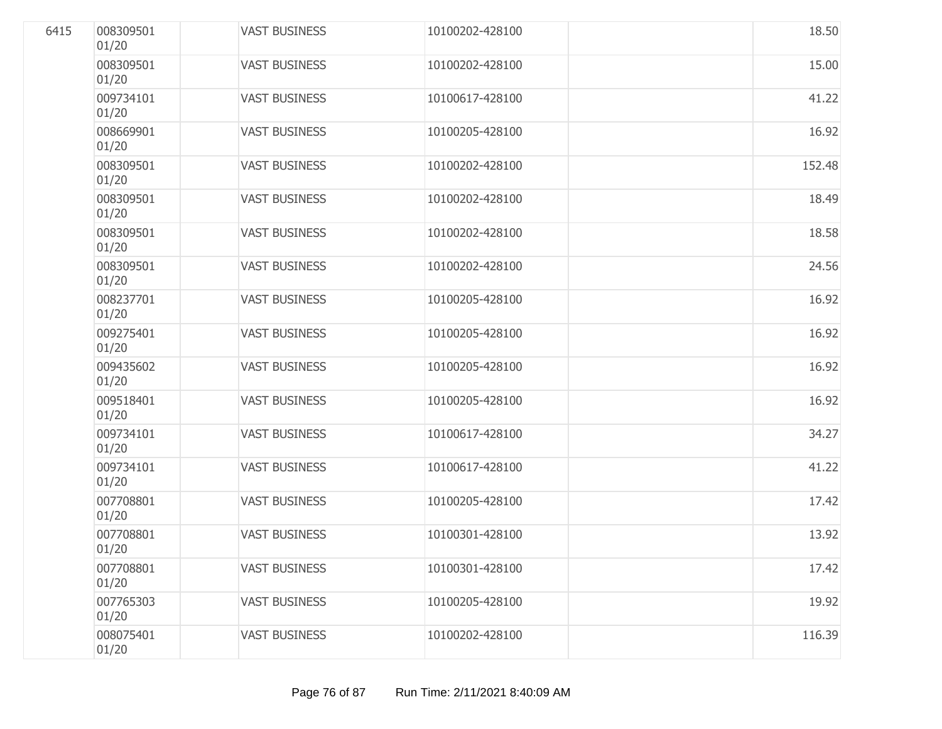| 6415 | 008309501<br>01/20 | <b>VAST BUSINESS</b> | 10100202-428100 | 18.50  |
|------|--------------------|----------------------|-----------------|--------|
|      | 008309501<br>01/20 | <b>VAST BUSINESS</b> | 10100202-428100 | 15.00  |
|      | 009734101<br>01/20 | <b>VAST BUSINESS</b> | 10100617-428100 | 41.22  |
|      | 008669901<br>01/20 | <b>VAST BUSINESS</b> | 10100205-428100 | 16.92  |
|      | 008309501<br>01/20 | <b>VAST BUSINESS</b> | 10100202-428100 | 152.48 |
|      | 008309501<br>01/20 | <b>VAST BUSINESS</b> | 10100202-428100 | 18.49  |
|      | 008309501<br>01/20 | <b>VAST BUSINESS</b> | 10100202-428100 | 18.58  |
|      | 008309501<br>01/20 | <b>VAST BUSINESS</b> | 10100202-428100 | 24.56  |
|      | 008237701<br>01/20 | <b>VAST BUSINESS</b> | 10100205-428100 | 16.92  |
|      | 009275401<br>01/20 | <b>VAST BUSINESS</b> | 10100205-428100 | 16.92  |
|      | 009435602<br>01/20 | <b>VAST BUSINESS</b> | 10100205-428100 | 16.92  |
|      | 009518401<br>01/20 | <b>VAST BUSINESS</b> | 10100205-428100 | 16.92  |
|      | 009734101<br>01/20 | <b>VAST BUSINESS</b> | 10100617-428100 | 34.27  |
|      | 009734101<br>01/20 | <b>VAST BUSINESS</b> | 10100617-428100 | 41.22  |
|      | 007708801<br>01/20 | <b>VAST BUSINESS</b> | 10100205-428100 | 17.42  |
|      | 007708801<br>01/20 | <b>VAST BUSINESS</b> | 10100301-428100 | 13.92  |
|      | 007708801<br>01/20 | <b>VAST BUSINESS</b> | 10100301-428100 | 17.42  |
|      | 007765303<br>01/20 | <b>VAST BUSINESS</b> | 10100205-428100 | 19.92  |
|      | 008075401<br>01/20 | <b>VAST BUSINESS</b> | 10100202-428100 | 116.39 |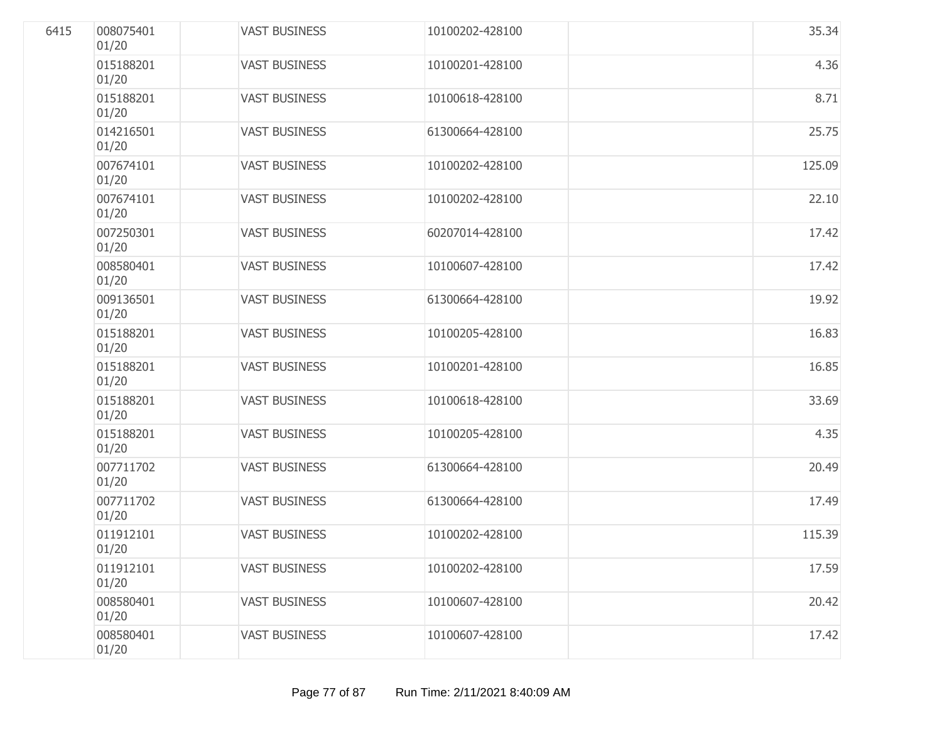| 6415 | 008075401<br>01/20 | <b>VAST BUSINESS</b> | 10100202-428100 | 35.34  |
|------|--------------------|----------------------|-----------------|--------|
|      | 015188201<br>01/20 | <b>VAST BUSINESS</b> | 10100201-428100 | 4.36   |
|      | 015188201<br>01/20 | <b>VAST BUSINESS</b> | 10100618-428100 | 8.71   |
|      | 014216501<br>01/20 | <b>VAST BUSINESS</b> | 61300664-428100 | 25.75  |
|      | 007674101<br>01/20 | <b>VAST BUSINESS</b> | 10100202-428100 | 125.09 |
|      | 007674101<br>01/20 | <b>VAST BUSINESS</b> | 10100202-428100 | 22.10  |
|      | 007250301<br>01/20 | <b>VAST BUSINESS</b> | 60207014-428100 | 17.42  |
|      | 008580401<br>01/20 | <b>VAST BUSINESS</b> | 10100607-428100 | 17.42  |
|      | 009136501<br>01/20 | <b>VAST BUSINESS</b> | 61300664-428100 | 19.92  |
|      | 015188201<br>01/20 | <b>VAST BUSINESS</b> | 10100205-428100 | 16.83  |
|      | 015188201<br>01/20 | <b>VAST BUSINESS</b> | 10100201-428100 | 16.85  |
|      | 015188201<br>01/20 | <b>VAST BUSINESS</b> | 10100618-428100 | 33.69  |
|      | 015188201<br>01/20 | <b>VAST BUSINESS</b> | 10100205-428100 | 4.35   |
|      | 007711702<br>01/20 | <b>VAST BUSINESS</b> | 61300664-428100 | 20.49  |
|      | 007711702<br>01/20 | <b>VAST BUSINESS</b> | 61300664-428100 | 17.49  |
|      | 011912101<br>01/20 | <b>VAST BUSINESS</b> | 10100202-428100 | 115.39 |
|      | 011912101<br>01/20 | <b>VAST BUSINESS</b> | 10100202-428100 | 17.59  |
|      | 008580401<br>01/20 | <b>VAST BUSINESS</b> | 10100607-428100 | 20.42  |
|      | 008580401<br>01/20 | <b>VAST BUSINESS</b> | 10100607-428100 | 17.42  |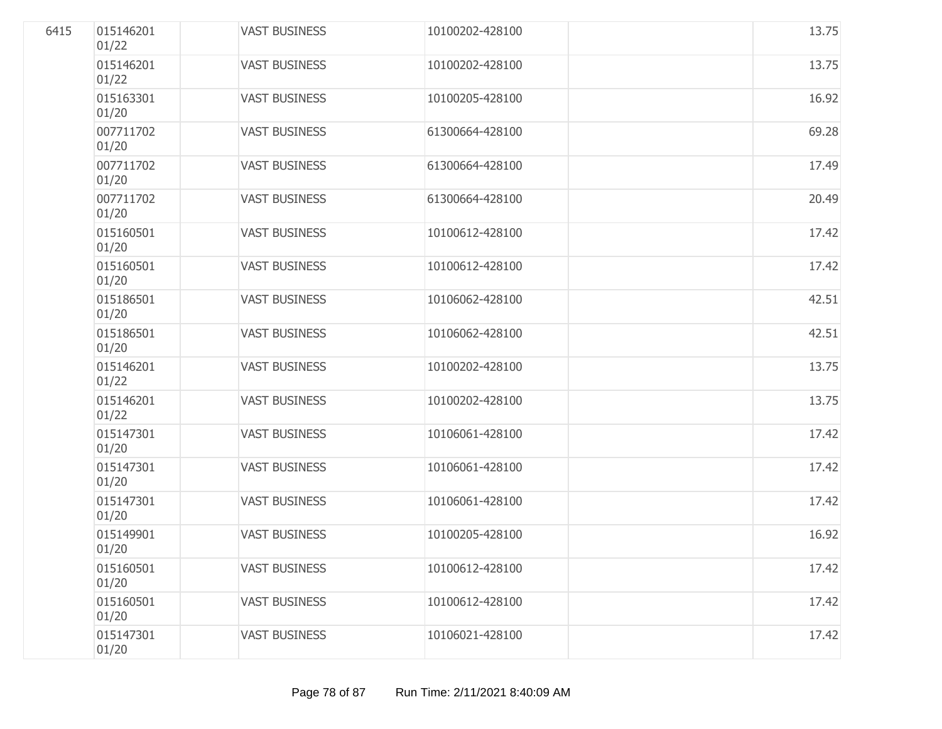| 6415 | 015146201<br>01/22 | <b>VAST BUSINESS</b> | 10100202-428100 | 13.75 |
|------|--------------------|----------------------|-----------------|-------|
|      | 015146201<br>01/22 | <b>VAST BUSINESS</b> | 10100202-428100 | 13.75 |
|      | 015163301<br>01/20 | <b>VAST BUSINESS</b> | 10100205-428100 | 16.92 |
|      | 007711702<br>01/20 | <b>VAST BUSINESS</b> | 61300664-428100 | 69.28 |
|      | 007711702<br>01/20 | <b>VAST BUSINESS</b> | 61300664-428100 | 17.49 |
|      | 007711702<br>01/20 | <b>VAST BUSINESS</b> | 61300664-428100 | 20.49 |
|      | 015160501<br>01/20 | <b>VAST BUSINESS</b> | 10100612-428100 | 17.42 |
|      | 015160501<br>01/20 | <b>VAST BUSINESS</b> | 10100612-428100 | 17.42 |
|      | 015186501<br>01/20 | <b>VAST BUSINESS</b> | 10106062-428100 | 42.51 |
|      | 015186501<br>01/20 | <b>VAST BUSINESS</b> | 10106062-428100 | 42.51 |
|      | 015146201<br>01/22 | <b>VAST BUSINESS</b> | 10100202-428100 | 13.75 |
|      | 015146201<br>01/22 | <b>VAST BUSINESS</b> | 10100202-428100 | 13.75 |
|      | 015147301<br>01/20 | <b>VAST BUSINESS</b> | 10106061-428100 | 17.42 |
|      | 015147301<br>01/20 | <b>VAST BUSINESS</b> | 10106061-428100 | 17.42 |
|      | 015147301<br>01/20 | <b>VAST BUSINESS</b> | 10106061-428100 | 17.42 |
|      | 015149901<br>01/20 | <b>VAST BUSINESS</b> | 10100205-428100 | 16.92 |
|      | 015160501<br>01/20 | <b>VAST BUSINESS</b> | 10100612-428100 | 17.42 |
|      | 015160501<br>01/20 | <b>VAST BUSINESS</b> | 10100612-428100 | 17.42 |
|      | 015147301<br>01/20 | <b>VAST BUSINESS</b> | 10106021-428100 | 17.42 |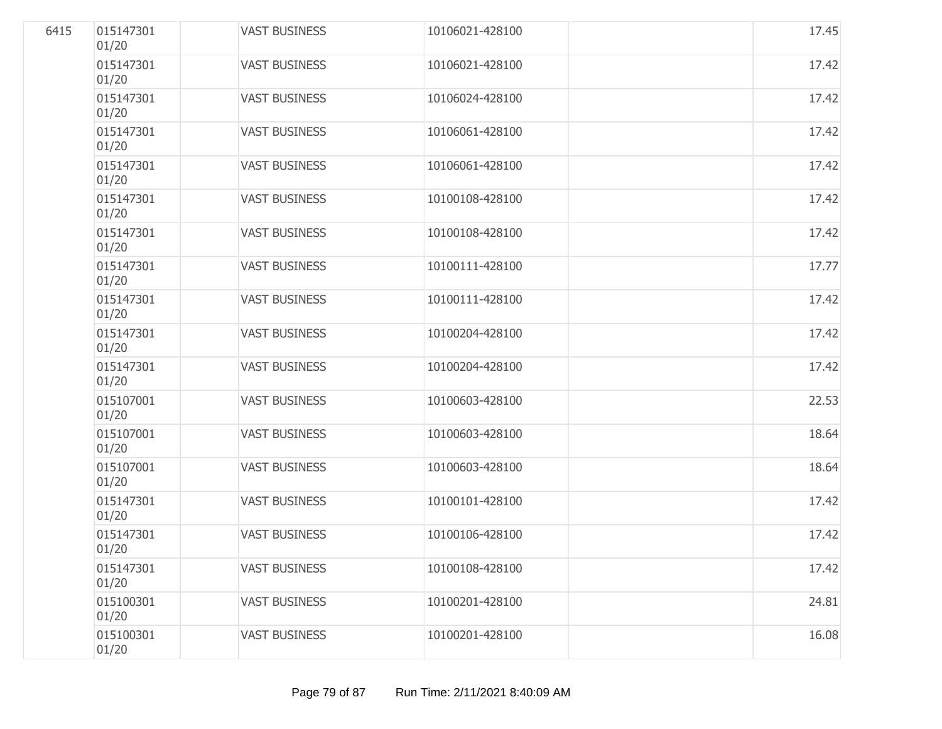| 6415 | 015147301<br>01/20 | <b>VAST BUSINESS</b> | 10106021-428100 | 17.45 |
|------|--------------------|----------------------|-----------------|-------|
|      | 015147301<br>01/20 | <b>VAST BUSINESS</b> | 10106021-428100 | 17.42 |
|      | 015147301<br>01/20 | <b>VAST BUSINESS</b> | 10106024-428100 | 17.42 |
|      | 015147301<br>01/20 | <b>VAST BUSINESS</b> | 10106061-428100 | 17.42 |
|      | 015147301<br>01/20 | <b>VAST BUSINESS</b> | 10106061-428100 | 17.42 |
|      | 015147301<br>01/20 | <b>VAST BUSINESS</b> | 10100108-428100 | 17.42 |
|      | 015147301<br>01/20 | <b>VAST BUSINESS</b> | 10100108-428100 | 17.42 |
|      | 015147301<br>01/20 | <b>VAST BUSINESS</b> | 10100111-428100 | 17.77 |
|      | 015147301<br>01/20 | <b>VAST BUSINESS</b> | 10100111-428100 | 17.42 |
|      | 015147301<br>01/20 | <b>VAST BUSINESS</b> | 10100204-428100 | 17.42 |
|      | 015147301<br>01/20 | <b>VAST BUSINESS</b> | 10100204-428100 | 17.42 |
|      | 015107001<br>01/20 | <b>VAST BUSINESS</b> | 10100603-428100 | 22.53 |
|      | 015107001<br>01/20 | <b>VAST BUSINESS</b> | 10100603-428100 | 18.64 |
|      | 015107001<br>01/20 | <b>VAST BUSINESS</b> | 10100603-428100 | 18.64 |
|      | 015147301<br>01/20 | <b>VAST BUSINESS</b> | 10100101-428100 | 17.42 |
|      | 015147301<br>01/20 | <b>VAST BUSINESS</b> | 10100106-428100 | 17.42 |
|      | 015147301<br>01/20 | <b>VAST BUSINESS</b> | 10100108-428100 | 17.42 |
|      | 015100301<br>01/20 | <b>VAST BUSINESS</b> | 10100201-428100 | 24.81 |
|      | 015100301<br>01/20 | <b>VAST BUSINESS</b> | 10100201-428100 | 16.08 |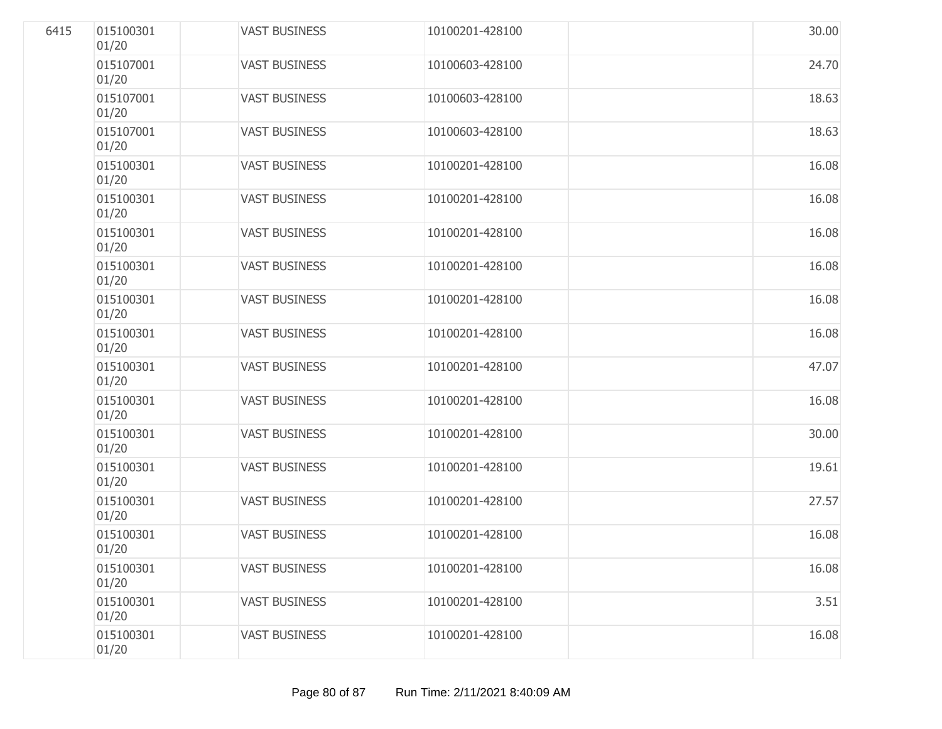| 6415 | 015100301<br>01/20 | <b>VAST BUSINESS</b> | 10100201-428100 | 30.00 |
|------|--------------------|----------------------|-----------------|-------|
|      | 015107001<br>01/20 | <b>VAST BUSINESS</b> | 10100603-428100 | 24.70 |
|      | 015107001<br>01/20 | <b>VAST BUSINESS</b> | 10100603-428100 | 18.63 |
|      | 015107001<br>01/20 | <b>VAST BUSINESS</b> | 10100603-428100 | 18.63 |
|      | 015100301<br>01/20 | <b>VAST BUSINESS</b> | 10100201-428100 | 16.08 |
|      | 015100301<br>01/20 | <b>VAST BUSINESS</b> | 10100201-428100 | 16.08 |
|      | 015100301<br>01/20 | <b>VAST BUSINESS</b> | 10100201-428100 | 16.08 |
|      | 015100301<br>01/20 | <b>VAST BUSINESS</b> | 10100201-428100 | 16.08 |
|      | 015100301<br>01/20 | <b>VAST BUSINESS</b> | 10100201-428100 | 16.08 |
|      | 015100301<br>01/20 | <b>VAST BUSINESS</b> | 10100201-428100 | 16.08 |
|      | 015100301<br>01/20 | <b>VAST BUSINESS</b> | 10100201-428100 | 47.07 |
|      | 015100301<br>01/20 | <b>VAST BUSINESS</b> | 10100201-428100 | 16.08 |
|      | 015100301<br>01/20 | <b>VAST BUSINESS</b> | 10100201-428100 | 30.00 |
|      | 015100301<br>01/20 | <b>VAST BUSINESS</b> | 10100201-428100 | 19.61 |
|      | 015100301<br>01/20 | <b>VAST BUSINESS</b> | 10100201-428100 | 27.57 |
|      | 015100301<br>01/20 | <b>VAST BUSINESS</b> | 10100201-428100 | 16.08 |
|      | 015100301<br>01/20 | <b>VAST BUSINESS</b> | 10100201-428100 | 16.08 |
|      | 015100301<br>01/20 | <b>VAST BUSINESS</b> | 10100201-428100 | 3.51  |
|      | 015100301<br>01/20 | <b>VAST BUSINESS</b> | 10100201-428100 | 16.08 |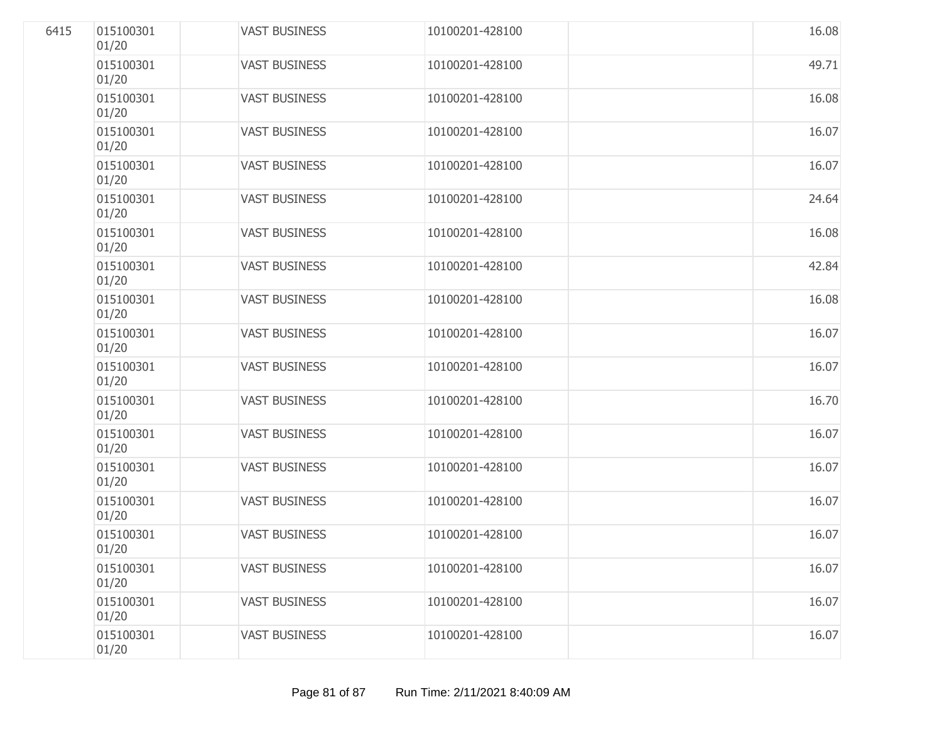| 6415 | 015100301<br>01/20 | <b>VAST BUSINESS</b> | 10100201-428100 | 16.08 |
|------|--------------------|----------------------|-----------------|-------|
|      | 015100301<br>01/20 | <b>VAST BUSINESS</b> | 10100201-428100 | 49.71 |
|      | 015100301<br>01/20 | <b>VAST BUSINESS</b> | 10100201-428100 | 16.08 |
|      | 015100301<br>01/20 | <b>VAST BUSINESS</b> | 10100201-428100 | 16.07 |
|      | 015100301<br>01/20 | <b>VAST BUSINESS</b> | 10100201-428100 | 16.07 |
|      | 015100301<br>01/20 | <b>VAST BUSINESS</b> | 10100201-428100 | 24.64 |
|      | 015100301<br>01/20 | <b>VAST BUSINESS</b> | 10100201-428100 | 16.08 |
|      | 015100301<br>01/20 | <b>VAST BUSINESS</b> | 10100201-428100 | 42.84 |
|      | 015100301<br>01/20 | <b>VAST BUSINESS</b> | 10100201-428100 | 16.08 |
|      | 015100301<br>01/20 | <b>VAST BUSINESS</b> | 10100201-428100 | 16.07 |
|      | 015100301<br>01/20 | <b>VAST BUSINESS</b> | 10100201-428100 | 16.07 |
|      | 015100301<br>01/20 | <b>VAST BUSINESS</b> | 10100201-428100 | 16.70 |
|      | 015100301<br>01/20 | <b>VAST BUSINESS</b> | 10100201-428100 | 16.07 |
|      | 015100301<br>01/20 | <b>VAST BUSINESS</b> | 10100201-428100 | 16.07 |
|      | 015100301<br>01/20 | <b>VAST BUSINESS</b> | 10100201-428100 | 16.07 |
|      | 015100301<br>01/20 | <b>VAST BUSINESS</b> | 10100201-428100 | 16.07 |
|      | 015100301<br>01/20 | <b>VAST BUSINESS</b> | 10100201-428100 | 16.07 |
|      | 015100301<br>01/20 | <b>VAST BUSINESS</b> | 10100201-428100 | 16.07 |
|      | 015100301<br>01/20 | <b>VAST BUSINESS</b> | 10100201-428100 | 16.07 |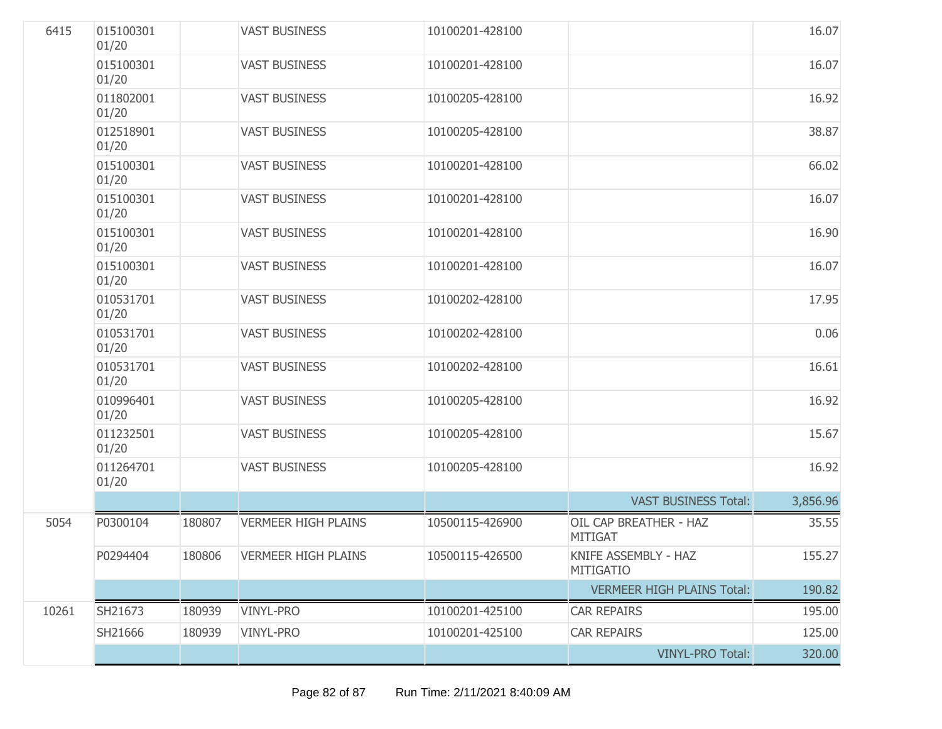| 6415  | 015100301<br>01/20 |        | <b>VAST BUSINESS</b>       | 10100201-428100 |                                          | 16.07    |
|-------|--------------------|--------|----------------------------|-----------------|------------------------------------------|----------|
|       | 015100301<br>01/20 |        | <b>VAST BUSINESS</b>       | 10100201-428100 |                                          | 16.07    |
|       | 011802001<br>01/20 |        | <b>VAST BUSINESS</b>       | 10100205-428100 |                                          | 16.92    |
|       | 012518901<br>01/20 |        | <b>VAST BUSINESS</b>       | 10100205-428100 |                                          | 38.87    |
|       | 015100301<br>01/20 |        | <b>VAST BUSINESS</b>       | 10100201-428100 |                                          | 66.02    |
|       | 015100301<br>01/20 |        | <b>VAST BUSINESS</b>       | 10100201-428100 |                                          | 16.07    |
|       | 015100301<br>01/20 |        | <b>VAST BUSINESS</b>       | 10100201-428100 |                                          | 16.90    |
|       | 015100301<br>01/20 |        | <b>VAST BUSINESS</b>       | 10100201-428100 |                                          | 16.07    |
|       | 010531701<br>01/20 |        | <b>VAST BUSINESS</b>       | 10100202-428100 |                                          | 17.95    |
|       | 010531701<br>01/20 |        | <b>VAST BUSINESS</b>       | 10100202-428100 |                                          | 0.06     |
|       | 010531701<br>01/20 |        | <b>VAST BUSINESS</b>       | 10100202-428100 |                                          | 16.61    |
|       | 010996401<br>01/20 |        | <b>VAST BUSINESS</b>       | 10100205-428100 |                                          | 16.92    |
|       | 011232501<br>01/20 |        | <b>VAST BUSINESS</b>       | 10100205-428100 |                                          | 15.67    |
|       | 011264701<br>01/20 |        | <b>VAST BUSINESS</b>       | 10100205-428100 |                                          | 16.92    |
|       |                    |        |                            |                 | <b>VAST BUSINESS Total:</b>              | 3,856.96 |
| 5054  | P0300104           | 180807 | <b>VERMEER HIGH PLAINS</b> | 10500115-426900 | OIL CAP BREATHER - HAZ<br><b>MITIGAT</b> | 35.55    |
|       | P0294404           | 180806 | <b>VERMEER HIGH PLAINS</b> | 10500115-426500 | KNIFE ASSEMBLY - HAZ<br><b>MITIGATIO</b> | 155.27   |
|       |                    |        |                            |                 | <b>VERMEER HIGH PLAINS Total:</b>        | 190.82   |
| 10261 | SH21673            | 180939 | <b>VINYL-PRO</b>           | 10100201-425100 | <b>CAR REPAIRS</b>                       | 195.00   |
|       | SH21666            | 180939 | <b>VINYL-PRO</b>           | 10100201-425100 | <b>CAR REPAIRS</b>                       | 125.00   |
|       |                    |        |                            |                 | <b>VINYL-PRO Total:</b>                  | 320.00   |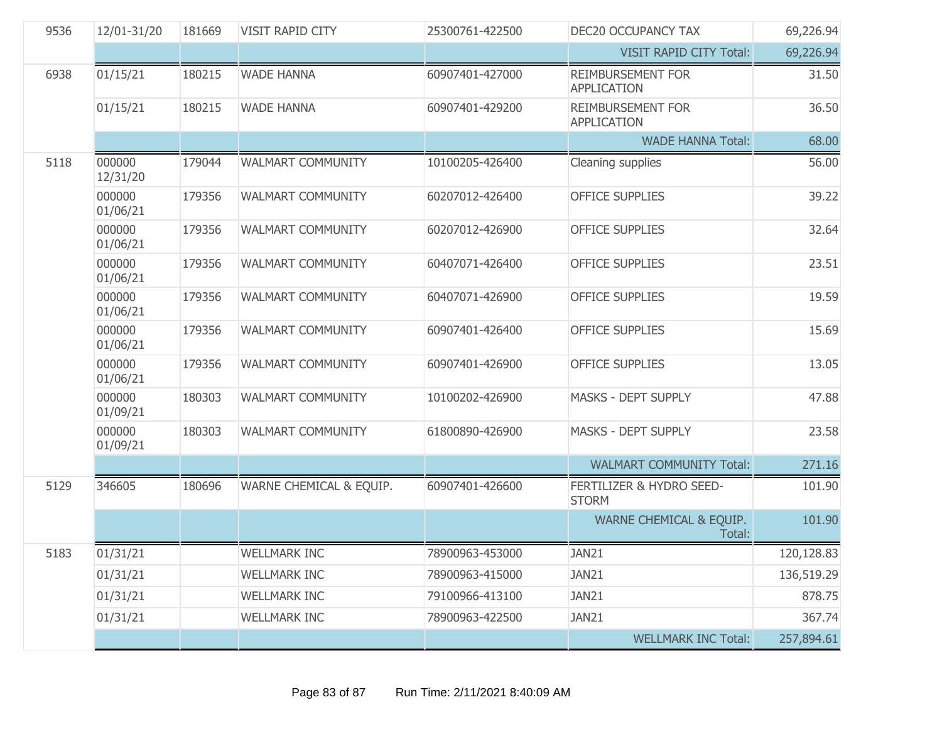| 9536 | 12/01-31/20        | 181669 | VISIT RAPID CITY         | 25300761-422500 | DEC20 OCCUPANCY TAX                            | 69,226.94  |
|------|--------------------|--------|--------------------------|-----------------|------------------------------------------------|------------|
|      |                    |        |                          |                 | <b>VISIT RAPID CITY Total:</b>                 | 69,226.94  |
| 6938 | 01/15/21           | 180215 | <b>WADE HANNA</b>        | 60907401-427000 | <b>REIMBURSEMENT FOR</b><br><b>APPLICATION</b> | 31.50      |
|      | 01/15/21           | 180215 | <b>WADE HANNA</b>        | 60907401-429200 | <b>REIMBURSEMENT FOR</b><br><b>APPLICATION</b> | 36.50      |
|      |                    |        |                          |                 | <b>WADE HANNA Total:</b>                       | 68.00      |
| 5118 | 000000<br>12/31/20 | 179044 | <b>WALMART COMMUNITY</b> | 10100205-426400 | Cleaning supplies                              | 56.00      |
|      | 000000<br>01/06/21 | 179356 | WALMART COMMUNITY        | 60207012-426400 | <b>OFFICE SUPPLIES</b>                         | 39.22      |
|      | 000000<br>01/06/21 | 179356 | WALMART COMMUNITY        | 60207012-426900 | <b>OFFICE SUPPLIES</b>                         | 32.64      |
|      | 000000<br>01/06/21 | 179356 | <b>WALMART COMMUNITY</b> | 60407071-426400 | <b>OFFICE SUPPLIES</b>                         | 23.51      |
|      | 000000<br>01/06/21 | 179356 | WALMART COMMUNITY        | 60407071-426900 | <b>OFFICE SUPPLIES</b>                         | 19.59      |
|      | 000000<br>01/06/21 | 179356 | <b>WALMART COMMUNITY</b> | 60907401-426400 | <b>OFFICE SUPPLIES</b>                         | 15.69      |
|      | 000000<br>01/06/21 | 179356 | <b>WALMART COMMUNITY</b> | 60907401-426900 | <b>OFFICE SUPPLIES</b>                         | 13.05      |
|      | 000000<br>01/09/21 | 180303 | WALMART COMMUNITY        | 10100202-426900 | <b>MASKS - DEPT SUPPLY</b>                     | 47.88      |
|      | 000000<br>01/09/21 | 180303 | <b>WALMART COMMUNITY</b> | 61800890-426900 | <b>MASKS - DEPT SUPPLY</b>                     | 23.58      |
|      |                    |        |                          |                 | <b>WALMART COMMUNITY Total:</b>                | 271.16     |
| 5129 | 346605             | 180696 | WARNE CHEMICAL & EQUIP.  | 60907401-426600 | FERTILIZER & HYDRO SEED-<br><b>STORM</b>       | 101.90     |
|      |                    |        |                          |                 | WARNE CHEMICAL & EQUIP.<br>Total:              | 101.90     |
| 5183 | 01/31/21           |        | <b>WELLMARK INC</b>      | 78900963-453000 | JAN21                                          | 120,128.83 |
|      | 01/31/21           |        | <b>WELLMARK INC</b>      | 78900963-415000 | JAN21                                          | 136,519.29 |
|      | 01/31/21           |        | <b>WELLMARK INC</b>      | 79100966-413100 | JAN21                                          | 878.75     |
|      | 01/31/21           |        | <b>WELLMARK INC</b>      | 78900963-422500 | JAN21                                          | 367.74     |
|      |                    |        |                          |                 | <b>WELLMARK INC Total:</b>                     | 257,894.61 |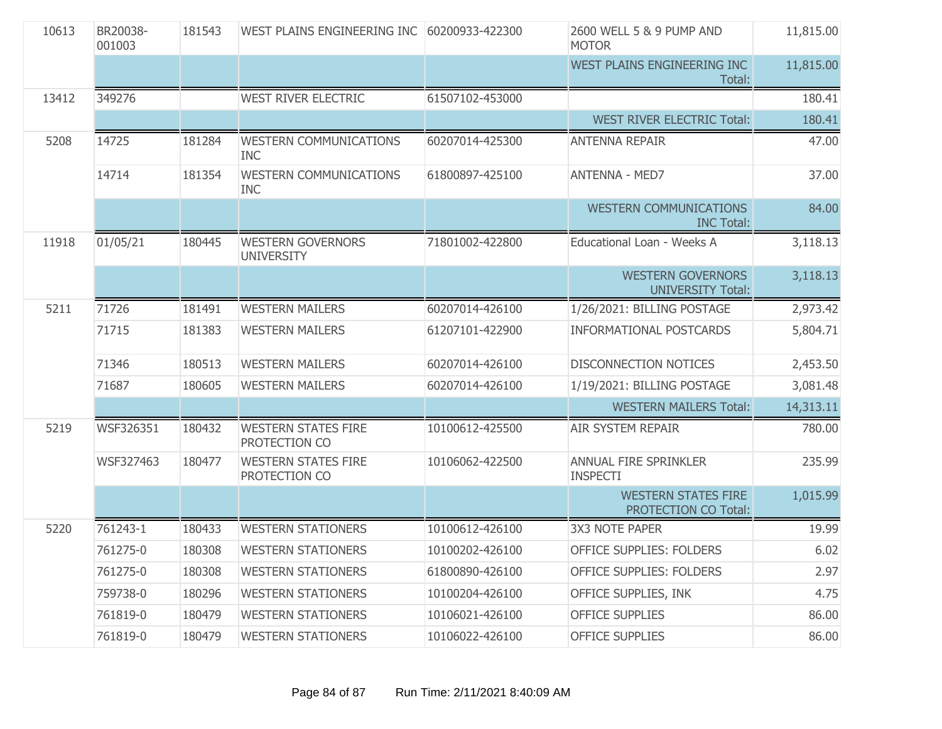| 10613 | BR20038-<br>001003 | 181543 | WEST PLAINS ENGINEERING INC                   | 60200933-422300 | 2600 WELL 5 & 9 PUMP AND<br><b>MOTOR</b>             | 11,815.00 |
|-------|--------------------|--------|-----------------------------------------------|-----------------|------------------------------------------------------|-----------|
|       |                    |        |                                               |                 | WEST PLAINS ENGINEERING INC<br>Total:                | 11,815.00 |
| 13412 | 349276             |        | <b>WEST RIVER ELECTRIC</b>                    | 61507102-453000 |                                                      | 180.41    |
|       |                    |        |                                               |                 | <b>WEST RIVER ELECTRIC Total:</b>                    | 180.41    |
| 5208  | 14725              | 181284 | <b>WESTERN COMMUNICATIONS</b><br><b>INC</b>   | 60207014-425300 | <b>ANTENNA REPAIR</b>                                | 47.00     |
|       | 14714              | 181354 | <b>WESTERN COMMUNICATIONS</b><br><b>INC</b>   | 61800897-425100 | <b>ANTENNA - MED7</b>                                | 37.00     |
|       |                    |        |                                               |                 | <b>WESTERN COMMUNICATIONS</b><br><b>INC Total:</b>   | 84.00     |
| 11918 | 01/05/21           | 180445 | <b>WESTERN GOVERNORS</b><br><b>UNIVERSITY</b> | 71801002-422800 | Educational Loan - Weeks A                           | 3,118.13  |
|       |                    |        |                                               |                 | <b>WESTERN GOVERNORS</b><br><b>UNIVERSITY Total:</b> | 3,118.13  |
| 5211  | 71726              | 181491 | <b>WESTERN MAILERS</b>                        | 60207014-426100 | 1/26/2021: BILLING POSTAGE                           | 2,973.42  |
|       | 71715              | 181383 | <b>WESTERN MAILERS</b>                        | 61207101-422900 | <b>INFORMATIONAL POSTCARDS</b>                       | 5,804.71  |
|       | 71346              | 180513 | <b>WESTERN MAILERS</b>                        | 60207014-426100 | <b>DISCONNECTION NOTICES</b>                         | 2,453.50  |
|       | 71687              | 180605 | <b>WESTERN MAILERS</b>                        | 60207014-426100 | 1/19/2021: BILLING POSTAGE                           | 3,081.48  |
|       |                    |        |                                               |                 | <b>WESTERN MAILERS Total:</b>                        | 14,313.11 |
| 5219  | WSF326351          | 180432 | <b>WESTERN STATES FIRE</b><br>PROTECTION CO   | 10100612-425500 | <b>AIR SYSTEM REPAIR</b>                             | 780.00    |
|       | WSF327463          | 180477 | <b>WESTERN STATES FIRE</b><br>PROTECTION CO   | 10106062-422500 | ANNUAL FIRE SPRINKLER<br><b>INSPECTI</b>             | 235.99    |
|       |                    |        |                                               |                 | <b>WESTERN STATES FIRE</b><br>PROTECTION CO Total:   | 1,015.99  |
| 5220  | 761243-1           | 180433 | <b>WESTERN STATIONERS</b>                     | 10100612-426100 | <b>3X3 NOTE PAPER</b>                                | 19.99     |
|       | 761275-0           | 180308 | <b>WESTERN STATIONERS</b>                     | 10100202-426100 | OFFICE SUPPLIES: FOLDERS                             | 6.02      |
|       | 761275-0           | 180308 | <b>WESTERN STATIONERS</b>                     | 61800890-426100 | OFFICE SUPPLIES: FOLDERS                             | 2.97      |
|       | 759738-0           | 180296 | <b>WESTERN STATIONERS</b>                     | 10100204-426100 | OFFICE SUPPLIES, INK                                 | 4.75      |
|       | 761819-0           | 180479 | <b>WESTERN STATIONERS</b>                     | 10106021-426100 | <b>OFFICE SUPPLIES</b>                               | 86.00     |
|       | 761819-0           | 180479 | <b>WESTERN STATIONERS</b>                     | 10106022-426100 | <b>OFFICE SUPPLIES</b>                               | 86.00     |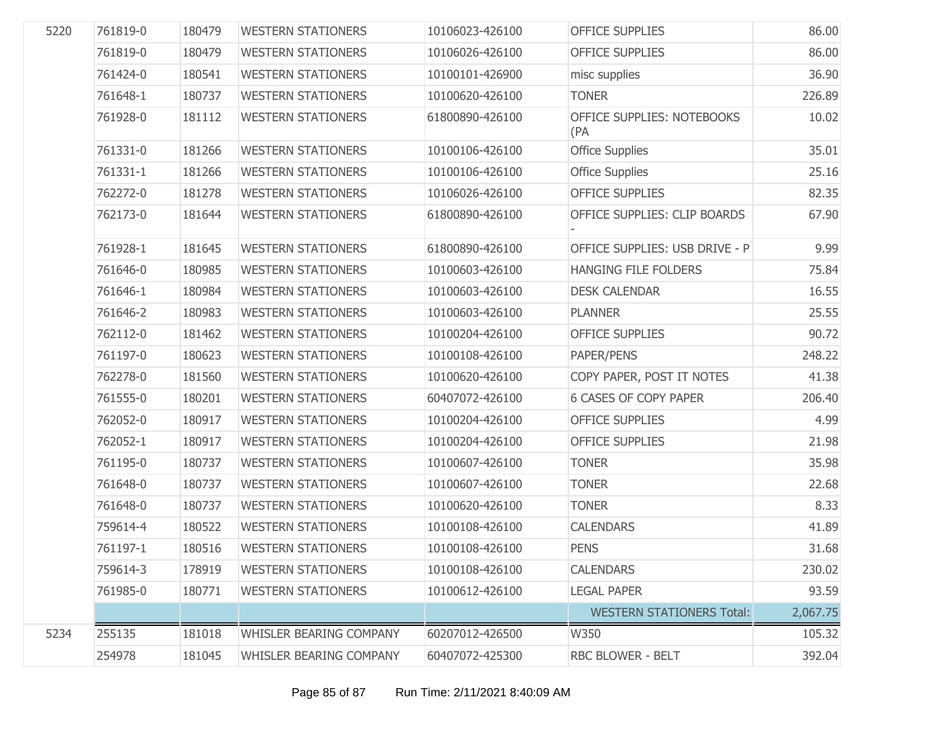| 5220 | 761819-0 | 180479 | <b>WESTERN STATIONERS</b> | 10106023-426100 | <b>OFFICE SUPPLIES</b>            | 86.00    |
|------|----------|--------|---------------------------|-----------------|-----------------------------------|----------|
|      | 761819-0 | 180479 | <b>WESTERN STATIONERS</b> | 10106026-426100 | <b>OFFICE SUPPLIES</b>            | 86.00    |
|      | 761424-0 | 180541 | <b>WESTERN STATIONERS</b> | 10100101-426900 | misc supplies                     | 36.90    |
|      | 761648-1 | 180737 | <b>WESTERN STATIONERS</b> | 10100620-426100 | <b>TONER</b>                      | 226.89   |
|      | 761928-0 | 181112 | <b>WESTERN STATIONERS</b> | 61800890-426100 | OFFICE SUPPLIES: NOTEBOOKS<br>(PA | 10.02    |
|      | 761331-0 | 181266 | <b>WESTERN STATIONERS</b> | 10100106-426100 | <b>Office Supplies</b>            | 35.01    |
|      | 761331-1 | 181266 | <b>WESTERN STATIONERS</b> | 10100106-426100 | <b>Office Supplies</b>            | 25.16    |
|      | 762272-0 | 181278 | <b>WESTERN STATIONERS</b> | 10106026-426100 | <b>OFFICE SUPPLIES</b>            | 82.35    |
|      | 762173-0 | 181644 | <b>WESTERN STATIONERS</b> | 61800890-426100 | OFFICE SUPPLIES: CLIP BOARDS      | 67.90    |
|      | 761928-1 | 181645 | <b>WESTERN STATIONERS</b> | 61800890-426100 | OFFICE SUPPLIES: USB DRIVE - P    | 9.99     |
|      | 761646-0 | 180985 | <b>WESTERN STATIONERS</b> | 10100603-426100 | HANGING FILE FOLDERS              | 75.84    |
|      | 761646-1 | 180984 | <b>WESTERN STATIONERS</b> | 10100603-426100 | <b>DESK CALENDAR</b>              | 16.55    |
|      | 761646-2 | 180983 | <b>WESTERN STATIONERS</b> | 10100603-426100 | <b>PLANNER</b>                    | 25.55    |
|      | 762112-0 | 181462 | <b>WESTERN STATIONERS</b> | 10100204-426100 | <b>OFFICE SUPPLIES</b>            | 90.72    |
|      | 761197-0 | 180623 | <b>WESTERN STATIONERS</b> | 10100108-426100 | PAPER/PENS                        | 248.22   |
|      | 762278-0 | 181560 | <b>WESTERN STATIONERS</b> | 10100620-426100 | COPY PAPER, POST IT NOTES         | 41.38    |
|      | 761555-0 | 180201 | <b>WESTERN STATIONERS</b> | 60407072-426100 | <b>6 CASES OF COPY PAPER</b>      | 206.40   |
|      | 762052-0 | 180917 | <b>WESTERN STATIONERS</b> | 10100204-426100 | <b>OFFICE SUPPLIES</b>            | 4.99     |
|      | 762052-1 | 180917 | <b>WESTERN STATIONERS</b> | 10100204-426100 | <b>OFFICE SUPPLIES</b>            | 21.98    |
|      | 761195-0 | 180737 | <b>WESTERN STATIONERS</b> | 10100607-426100 | <b>TONER</b>                      | 35.98    |
|      | 761648-0 | 180737 | <b>WESTERN STATIONERS</b> | 10100607-426100 | <b>TONER</b>                      | 22.68    |
|      | 761648-0 | 180737 | <b>WESTERN STATIONERS</b> | 10100620-426100 | <b>TONER</b>                      | 8.33     |
|      | 759614-4 | 180522 | <b>WESTERN STATIONERS</b> | 10100108-426100 | <b>CALENDARS</b>                  | 41.89    |
|      | 761197-1 | 180516 | <b>WESTERN STATIONERS</b> | 10100108-426100 | <b>PENS</b>                       | 31.68    |
|      | 759614-3 | 178919 | <b>WESTERN STATIONERS</b> | 10100108-426100 | <b>CALENDARS</b>                  | 230.02   |
|      | 761985-0 | 180771 | <b>WESTERN STATIONERS</b> | 10100612-426100 | <b>LEGAL PAPER</b>                | 93.59    |
|      |          |        |                           |                 | <b>WESTERN STATIONERS Total:</b>  | 2,067.75 |
| 5234 | 255135   | 181018 | WHISLER BEARING COMPANY   | 60207012-426500 | W350                              | 105.32   |
|      | 254978   | 181045 | WHISLER BEARING COMPANY   | 60407072-425300 | RBC BLOWER - BELT                 | 392.04   |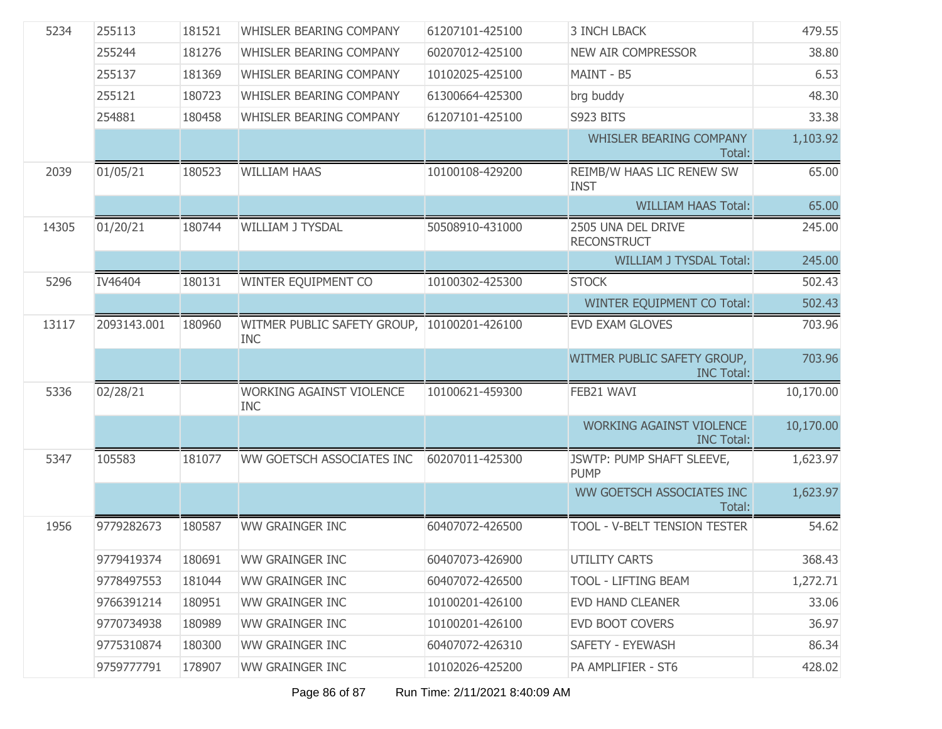| 5234  | 255113      | 181521 | WHISLER BEARING COMPANY                                   | 61207101-425100 | <b>3 INCH LBACK</b>                                  | 479.55    |
|-------|-------------|--------|-----------------------------------------------------------|-----------------|------------------------------------------------------|-----------|
|       | 255244      | 181276 | WHISLER BEARING COMPANY                                   | 60207012-425100 | <b>NEW AIR COMPRESSOR</b>                            | 38.80     |
|       | 255137      | 181369 | WHISLER BEARING COMPANY                                   | 10102025-425100 | MAINT - B5                                           | 6.53      |
|       | 255121      | 180723 | WHISLER BEARING COMPANY                                   | 61300664-425300 | brg buddy                                            | 48.30     |
|       | 254881      | 180458 | WHISLER BEARING COMPANY                                   | 61207101-425100 | S923 BITS                                            | 33.38     |
|       |             |        |                                                           |                 | WHISLER BEARING COMPANY<br>Total:                    | 1,103.92  |
| 2039  | 01/05/21    | 180523 | <b>WILLIAM HAAS</b>                                       | 10100108-429200 | REIMB/W HAAS LIC RENEW SW<br><b>INST</b>             | 65.00     |
|       |             |        |                                                           |                 | <b>WILLIAM HAAS Total:</b>                           | 65.00     |
| 14305 | 01/20/21    | 180744 | <b>WILLIAM J TYSDAL</b>                                   | 50508910-431000 | 2505 UNA DEL DRIVE<br><b>RECONSTRUCT</b>             | 245.00    |
|       |             |        |                                                           |                 | <b>WILLIAM J TYSDAL Total:</b>                       | 245.00    |
| 5296  | IV46404     | 180131 | WINTER EQUIPMENT CO                                       | 10100302-425300 | <b>STOCK</b>                                         | 502.43    |
|       |             |        |                                                           |                 | WINTER EQUIPMENT CO Total:                           | 502.43    |
| 13117 | 2093143.001 | 180960 | WITMER PUBLIC SAFETY GROUP, 10100201-426100<br><b>INC</b> |                 | <b>EVD EXAM GLOVES</b>                               | 703.96    |
|       |             |        |                                                           |                 | WITMER PUBLIC SAFETY GROUP,<br><b>INC Total:</b>     | 703.96    |
| 5336  | 02/28/21    |        | <b>WORKING AGAINST VIOLENCE</b><br><b>INC</b>             | 10100621-459300 | FEB21 WAVI                                           | 10,170.00 |
|       |             |        |                                                           |                 | <b>WORKING AGAINST VIOLENCE</b><br><b>INC Total:</b> | 10,170.00 |
| 5347  | 105583      | 181077 | WW GOETSCH ASSOCIATES INC                                 | 60207011-425300 | JSWTP: PUMP SHAFT SLEEVE,<br><b>PUMP</b>             | 1,623.97  |
|       |             |        |                                                           |                 | WW GOETSCH ASSOCIATES INC<br>Total:                  | 1,623.97  |
| 1956  | 9779282673  | 180587 | <b>WW GRAINGER INC</b>                                    | 60407072-426500 | TOOL - V-BELT TENSION TESTER                         | 54.62     |
|       | 9779419374  |        | 180691 WW GRAINGER INC                                    | 60407073-426900 | <b>UTILITY CARTS</b>                                 | 368.43    |
|       | 9778497553  | 181044 | WW GRAINGER INC                                           | 60407072-426500 | TOOL - LIFTING BEAM                                  | 1,272.71  |
|       | 9766391214  | 180951 | <b>WW GRAINGER INC</b>                                    | 10100201-426100 | <b>EVD HAND CLEANER</b>                              | 33.06     |
|       | 9770734938  | 180989 | <b>WW GRAINGER INC</b>                                    | 10100201-426100 | <b>EVD BOOT COVERS</b>                               | 36.97     |
|       | 9775310874  | 180300 | <b>WW GRAINGER INC</b>                                    | 60407072-426310 | SAFETY - EYEWASH                                     | 86.34     |
|       | 9759777791  | 178907 | <b>WW GRAINGER INC</b>                                    | 10102026-425200 | PA AMPLIFIER - ST6                                   | 428.02    |